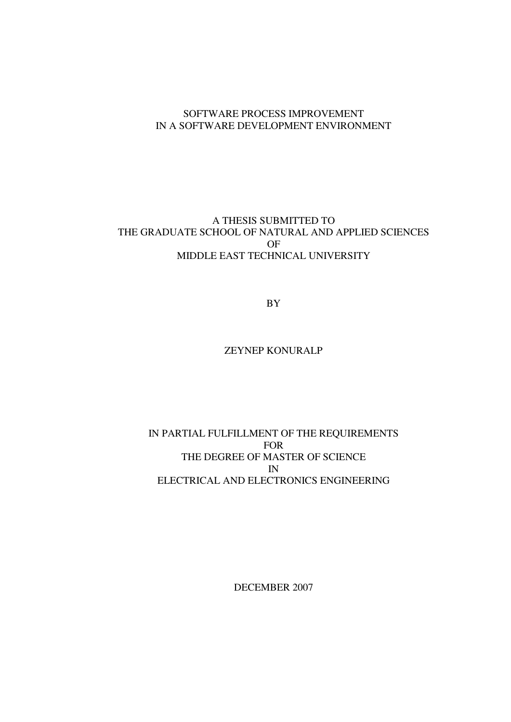#### SOFTWARE PROCESS IMPROVEMENT IN A SOFTWARE DEVELOPMENT ENVIRONMENT

#### A THESIS SUBMITTED TO THE GRADUATE SCHOOL OF NATURAL AND APPLIED SCIENCES OF MIDDLE EAST TECHNICAL UNIVERSITY

BY

### ZEYNEP KONURALP

#### IN PARTIAL FULFILLMENT OF THE REQUIREMENTS FOR THE DEGREE OF MASTER OF SCIENCE IN ELECTRICAL AND ELECTRONICS ENGINEERING

DECEMBER 2007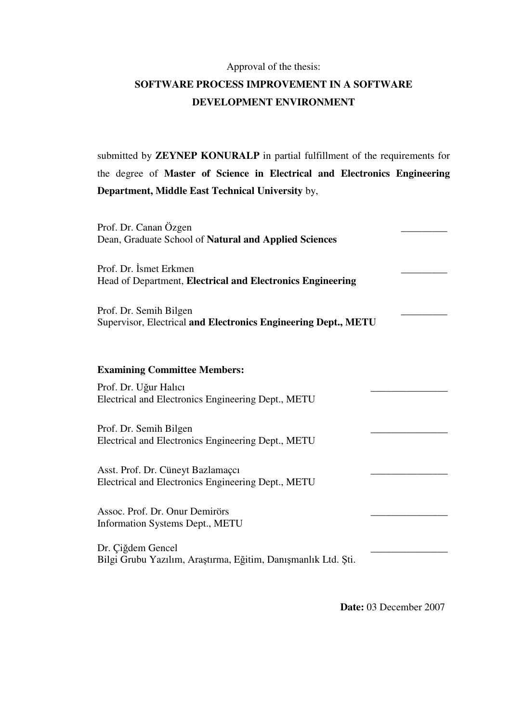### Approval of the thesis:

## **SOFTWARE PROCESS IMPROVEMENT IN A SOFTWARE DEVELOPMENT ENVIRONMENT**

submitted by **ZEYNEP KONURALP** in partial fulfillment of the requirements for the degree of **Master of Science in Electrical and Electronics Engineering Department, Middle East Technical University** by,

| Prof. Dr. Canan Özgen<br>Dean, Graduate School of Natural and Applied Sciences           |  |
|------------------------------------------------------------------------------------------|--|
| Prof. Dr. Ismet Erkmen<br>Head of Department, Electrical and Electronics Engineering     |  |
| Prof. Dr. Semih Bilgen<br>Supervisor, Electrical and Electronics Engineering Dept., METU |  |
| <b>Examining Committee Members:</b>                                                      |  |
| Prof. Dr. Uğur Halıcı<br>Electrical and Electronics Engineering Dept., METU              |  |
| Prof. Dr. Semih Bilgen<br>Electrical and Electronics Engineering Dept., METU             |  |
| Asst. Prof. Dr. Cüneyt Bazlamaçcı<br>Electrical and Electronics Engineering Dept., METU  |  |
| Assoc. Prof. Dr. Onur Demirörs<br>Information Systems Dept., METU                        |  |
| Dr. Çiğdem Gencel<br>Bilgi Grubu Yazılım, Araştırma, Eğitim, Danışmanlık Ltd. Şti.       |  |

**Date:** 03 December 2007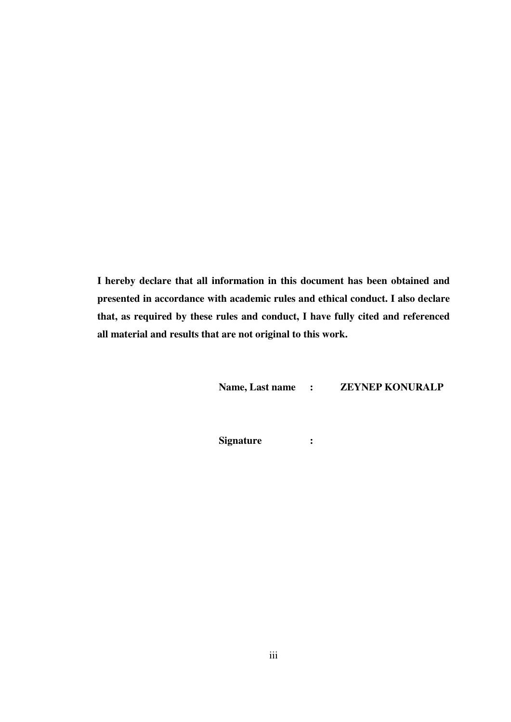**I hereby declare that all information in this document has been obtained and presented in accordance with academic rules and ethical conduct. I also declare that, as required by these rules and conduct, I have fully cited and referenced all material and results that are not original to this work.** 

**Name, Last name : ZEYNEP KONURALP** 

**Signature :**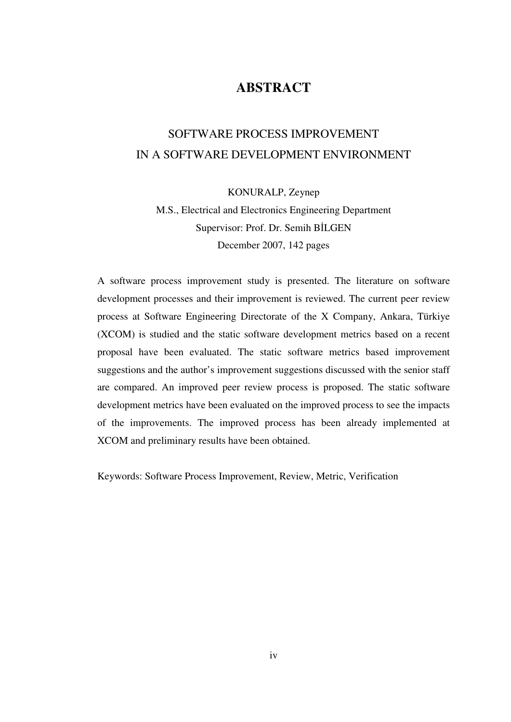## **ABSTRACT**

## SOFTWARE PROCESS IMPROVEMENT IN A SOFTWARE DEVELOPMENT ENVIRONMENT

KONURALP, Zeynep

M.S., Electrical and Electronics Engineering Department Supervisor: Prof. Dr. Semih BİLGEN December 2007, 142 pages

A software process improvement study is presented. The literature on software development processes and their improvement is reviewed. The current peer review process at Software Engineering Directorate of the X Company, Ankara, Türkiye (XCOM) is studied and the static software development metrics based on a recent proposal have been evaluated. The static software metrics based improvement suggestions and the author's improvement suggestions discussed with the senior staff are compared. An improved peer review process is proposed. The static software development metrics have been evaluated on the improved process to see the impacts of the improvements. The improved process has been already implemented at XCOM and preliminary results have been obtained.

Keywords: Software Process Improvement, Review, Metric, Verification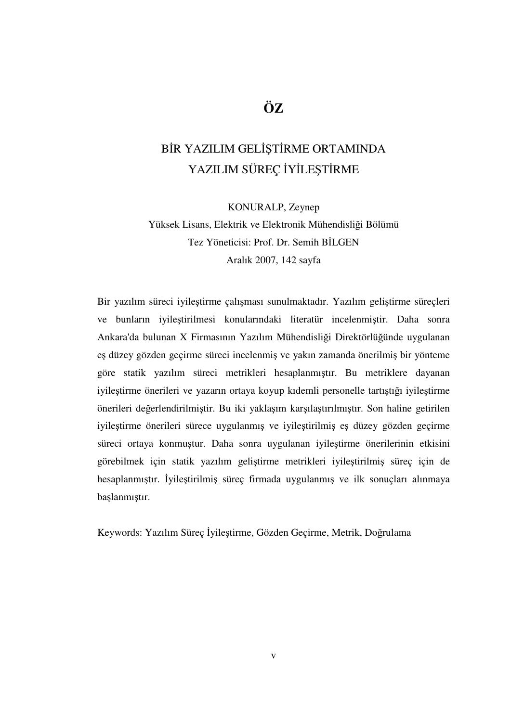# **ÖZ**

# BİR YAZILIM GELİŞTİRME ORTAMINDA YAZILIM SÜREÇ İYİLEŞTİRME

KONURALP, Zeynep

Yüksek Lisans, Elektrik ve Elektronik Mühendisliği Bölümü Tez Yöneticisi: Prof. Dr. Semih BİLGEN Aralık 2007, 142 sayfa

Bir yazılım süreci iyileştirme çalışması sunulmaktadır. Yazılım geliştirme süreçleri ve bunların iyileştirilmesi konularındaki literatür incelenmiştir. Daha sonra Ankara'da bulunan X Firmasının Yazılım Mühendisliği Direktörlüğünde uygulanan eş düzey gözden geçirme süreci incelenmiş ve yakın zamanda önerilmiş bir yönteme göre statik yazılım süreci metrikleri hesaplanmıştır. Bu metriklere dayanan iyileştirme önerileri ve yazarın ortaya koyup kıdemli personelle tartıştığı iyileştirme önerileri değerlendirilmiştir. Bu iki yaklaşım karşılaştırılmıştır. Son haline getirilen iyileştirme önerileri sürece uygulanmış ve iyileştirilmiş eş düzey gözden geçirme süreci ortaya konmuştur. Daha sonra uygulanan iyileştirme önerilerinin etkisini görebilmek için statik yazılım geliştirme metrikleri iyileştirilmiş süreç için de hesaplanmıştır. İyileştirilmiş süreç firmada uygulanmış ve ilk sonuçları alınmaya başlanmıştır.

Keywords: Yazılım Süreç İyileştirme, Gözden Geçirme, Metrik, Doğrulama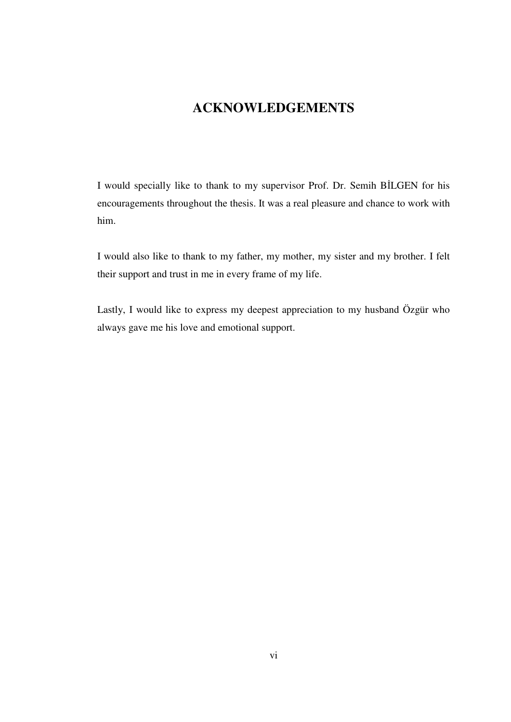## **ACKNOWLEDGEMENTS**

I would specially like to thank to my supervisor Prof. Dr. Semih BİLGEN for his encouragements throughout the thesis. It was a real pleasure and chance to work with him.

I would also like to thank to my father, my mother, my sister and my brother. I felt their support and trust in me in every frame of my life.

Lastly, I would like to express my deepest appreciation to my husband Özgür who always gave me his love and emotional support.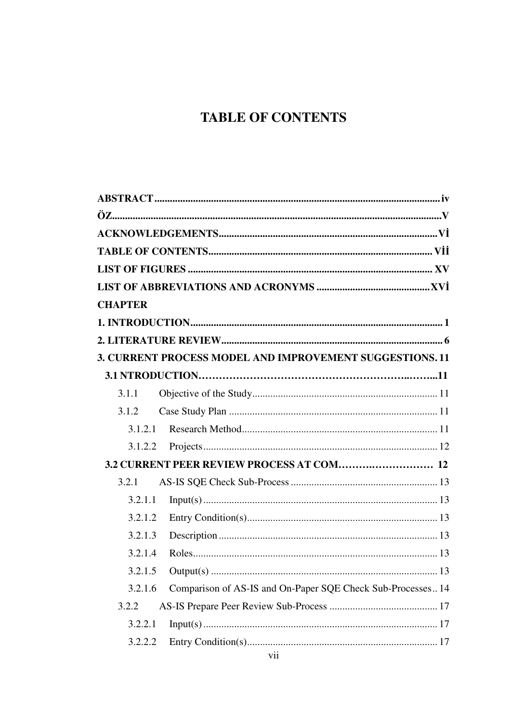# **TABLE OF CONTENTS**

| <b>CHAPTER</b> |                                                             |  |
|----------------|-------------------------------------------------------------|--|
|                |                                                             |  |
|                |                                                             |  |
|                | 3. CURRENT PROCESS MODEL AND IMPROVEMENT SUGGESTIONS. 11    |  |
|                |                                                             |  |
| 3.1.1          |                                                             |  |
| 3.1.2          |                                                             |  |
| 3.1.2.1        |                                                             |  |
| 3.1.2.2        |                                                             |  |
|                |                                                             |  |
| 3.2.1          |                                                             |  |
| 3.2.1.1        |                                                             |  |
| 3.2.1.2        |                                                             |  |
| 3.2.1.3        |                                                             |  |
| 3.2.1.4        |                                                             |  |
| 3.2.1.5        |                                                             |  |
| 3.2.1.6        | Comparison of AS-IS and On-Paper SQE Check Sub-Processes 14 |  |
| 3.2.2          |                                                             |  |
| 3.2.2.1        |                                                             |  |
| 3.2.2.2        |                                                             |  |
|                |                                                             |  |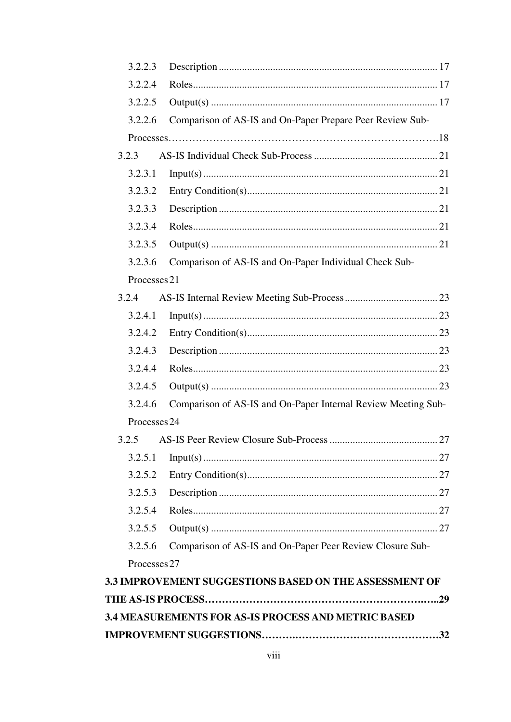| 3.2.2.3      |                                                               |    |
|--------------|---------------------------------------------------------------|----|
| 3.2.2.4      |                                                               |    |
| 3.2.2.5      |                                                               |    |
| 3.2.2.6      | Comparison of AS-IS and On-Paper Prepare Peer Review Sub-     |    |
|              |                                                               |    |
| 3.2.3        |                                                               |    |
| 3.2.3.1      |                                                               |    |
| 3.2.3.2      |                                                               |    |
| 3.2.3.3      |                                                               |    |
| 3.2.3.4      |                                                               |    |
| 3.2.3.5      |                                                               |    |
| 3.2.3.6      | Comparison of AS-IS and On-Paper Individual Check Sub-        |    |
| Processes 21 |                                                               |    |
| 3.2.4        |                                                               |    |
| 3.2.4.1      |                                                               |    |
| 3.2.4.2      |                                                               |    |
| 3.2.4.3      |                                                               |    |
| 3.2.4.4      |                                                               |    |
| 3.2.4.5      |                                                               |    |
| 3.2.4.6      | Comparison of AS-IS and On-Paper Internal Review Meeting Sub- |    |
| Processes 24 |                                                               |    |
|              | 3.2.5 AS-IS Peer Review Closure Sub-Process                   | 27 |
| 3.2.5.1      |                                                               |    |
| 3.2.5.2      |                                                               |    |
| 3.2.5.3      |                                                               |    |
| 3.2.5.4      |                                                               |    |
| 3.2.5.5      |                                                               |    |
| 3.2.5.6      | Comparison of AS-IS and On-Paper Peer Review Closure Sub-     |    |
| Processes 27 |                                                               |    |
|              | <b>3.3 IMPROVEMENT SUGGESTIONS BASED ON THE ASSESSMENT OF</b> |    |
|              |                                                               |    |
|              | <b>3.4 MEASUREMENTS FOR AS-IS PROCESS AND METRIC BASED</b>    |    |
|              |                                                               |    |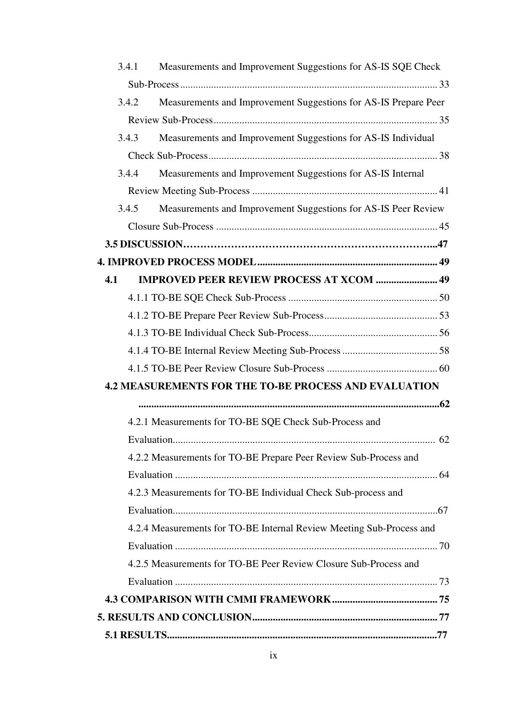|     | Measurements and Improvement Suggestions for AS-IS SQE Check<br>3.4.1    |  |
|-----|--------------------------------------------------------------------------|--|
|     |                                                                          |  |
|     | Measurements and Improvement Suggestions for AS-IS Prepare Peer<br>3.4.2 |  |
|     |                                                                          |  |
|     | Measurements and Improvement Suggestions for AS-IS Individual<br>3.4.3   |  |
|     |                                                                          |  |
|     | Measurements and Improvement Suggestions for AS-IS Internal<br>3.4.4     |  |
|     |                                                                          |  |
|     | 3.4.5<br>Measurements and Improvement Suggestions for AS-IS Peer Review  |  |
|     |                                                                          |  |
|     |                                                                          |  |
|     |                                                                          |  |
| 4.1 | <b>IMPROVED PEER REVIEW PROCESS AT XCOM  49</b>                          |  |
|     |                                                                          |  |
|     |                                                                          |  |
|     |                                                                          |  |
|     |                                                                          |  |
|     |                                                                          |  |
|     | <b>4.2 MEASUREMENTS FOR THE TO-BE PROCESS AND EVALUATION</b>             |  |
|     |                                                                          |  |
|     | 4.2.1 Measurements for TO-BE SQE Check Sub-Process and                   |  |
|     |                                                                          |  |
|     | 4.2.2 Measurements for TO-BE Prepare Peer Review Sub-Process and         |  |
|     |                                                                          |  |
|     | 4.2.3 Measurements for TO-BE Individual Check Sub-process and            |  |
|     |                                                                          |  |
|     | 4.2.4 Measurements for TO-BE Internal Review Meeting Sub-Process and     |  |
|     |                                                                          |  |
|     | 4.2.5 Measurements for TO-BE Peer Review Closure Sub-Process and         |  |
|     |                                                                          |  |
|     |                                                                          |  |
|     |                                                                          |  |
|     |                                                                          |  |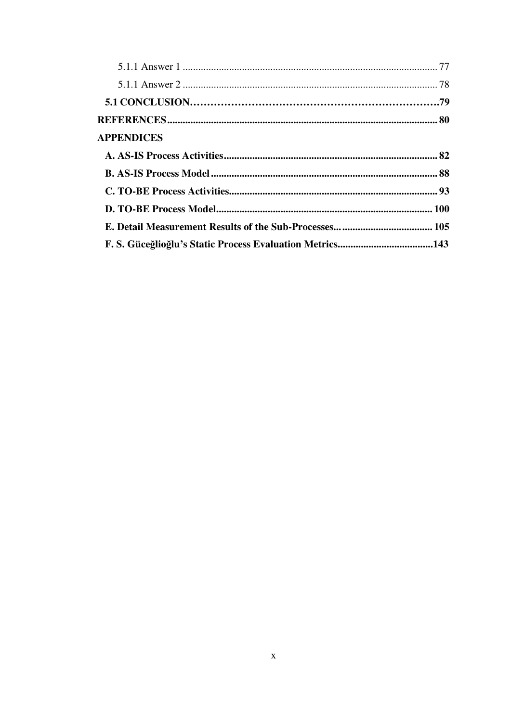| <b>APPENDICES</b> |  |
|-------------------|--|
|                   |  |
|                   |  |
|                   |  |
|                   |  |
|                   |  |
|                   |  |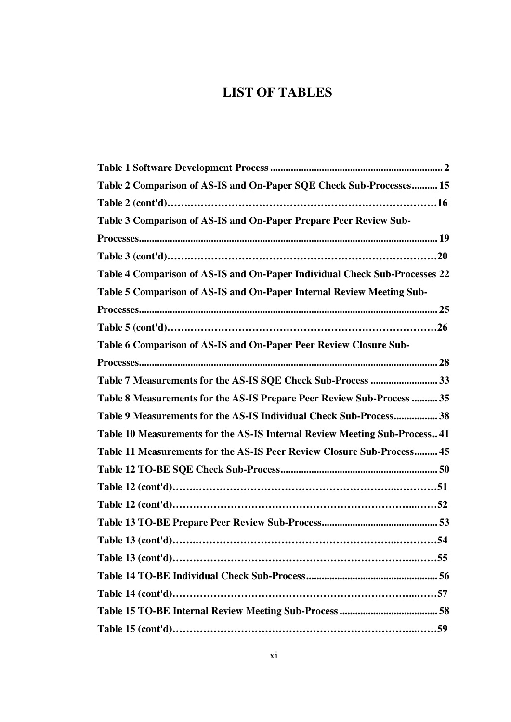## **LIST OF TABLES**

| Table 2 Comparison of AS-IS and On-Paper SQE Check Sub-Processes 15        |
|----------------------------------------------------------------------------|
|                                                                            |
| Table 3 Comparison of AS-IS and On-Paper Prepare Peer Review Sub-          |
|                                                                            |
|                                                                            |
| Table 4 Comparison of AS-IS and On-Paper Individual Check Sub-Processes 22 |
| Table 5 Comparison of AS-IS and On-Paper Internal Review Meeting Sub-      |
|                                                                            |
|                                                                            |
| Table 6 Comparison of AS-IS and On-Paper Peer Review Closure Sub-          |
|                                                                            |
|                                                                            |
| Table 8 Measurements for the AS-IS Prepare Peer Review Sub-Process  35     |
| Table 9 Measurements for the AS-IS Individual Check Sub-Process 38         |
| Table 10 Measurements for the AS-IS Internal Review Meeting Sub-Process 41 |
| Table 11 Measurements for the AS-IS Peer Review Closure Sub-Process 45     |
|                                                                            |
|                                                                            |
|                                                                            |
|                                                                            |
|                                                                            |
|                                                                            |
|                                                                            |
|                                                                            |
|                                                                            |
|                                                                            |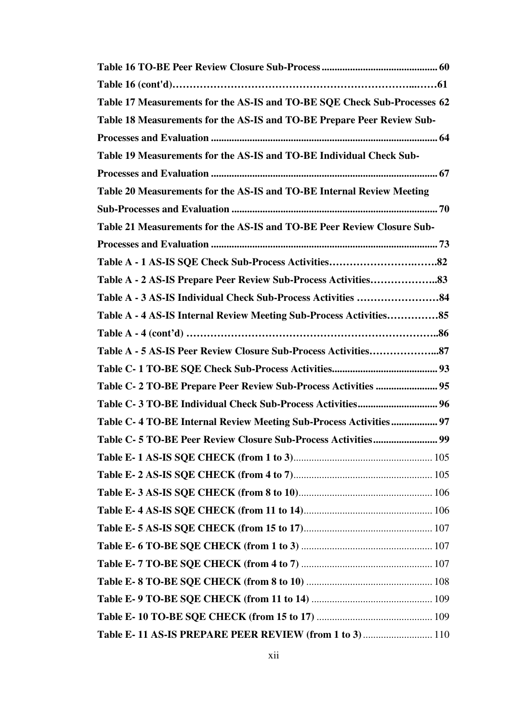| Table 17 Measurements for the AS-IS and TO-BE SQE Check Sub-Processes 62 |
|--------------------------------------------------------------------------|
| Table 18 Measurements for the AS-IS and TO-BE Prepare Peer Review Sub-   |
|                                                                          |
| Table 19 Measurements for the AS-IS and TO-BE Individual Check Sub-      |
|                                                                          |
| Table 20 Measurements for the AS-IS and TO-BE Internal Review Meeting    |
|                                                                          |
| Table 21 Measurements for the AS-IS and TO-BE Peer Review Closure Sub-   |
|                                                                          |
|                                                                          |
|                                                                          |
|                                                                          |
| Table A - 4 AS-IS Internal Review Meeting Sub-Process Activities85       |
|                                                                          |
|                                                                          |
|                                                                          |
| Table C- 2 TO-BE Prepare Peer Review Sub-Process Activities  95          |
|                                                                          |
| Table C-4 TO-BE Internal Review Meeting Sub-Process Activities 97        |
|                                                                          |
|                                                                          |
|                                                                          |
|                                                                          |
|                                                                          |
|                                                                          |
|                                                                          |
|                                                                          |
|                                                                          |
|                                                                          |
|                                                                          |
| Table E-11 AS-IS PREPARE PEER REVIEW (from 1 to 3)  110                  |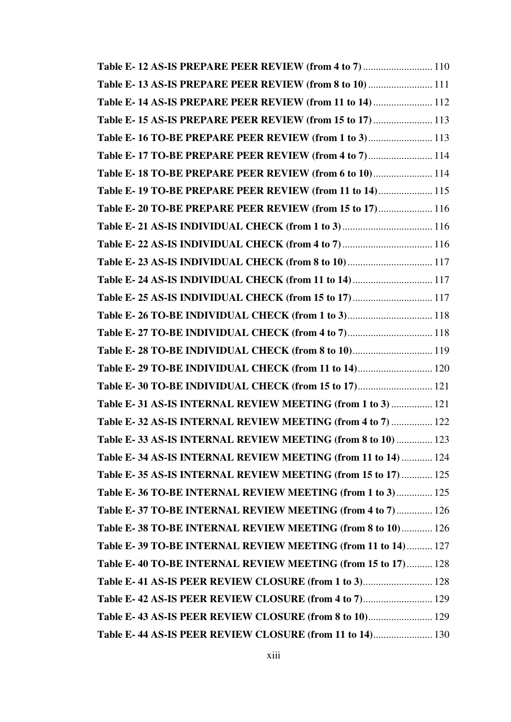| Table E-12 AS-IS PREPARE PEER REVIEW (from 4 to 7)  110       |  |
|---------------------------------------------------------------|--|
| Table E-13 AS-IS PREPARE PEER REVIEW (from 8 to 10)  111      |  |
| Table E-14 AS-IS PREPARE PEER REVIEW (from 11 to 14)  112     |  |
| Table E-15 AS-IS PREPARE PEER REVIEW (from 15 to 17)  113     |  |
| Table E-16 TO-BE PREPARE PEER REVIEW (from 1 to 3) 113        |  |
| Table E-17 TO-BE PREPARE PEER REVIEW (from 4 to 7) 114        |  |
| Table E-18 TO-BE PREPARE PEER REVIEW (from 6 to 10) 114       |  |
| Table E-19 TO-BE PREPARE PEER REVIEW (from 11 to 14) 115      |  |
| Table E-20 TO-BE PREPARE PEER REVIEW (from 15 to 17) 116      |  |
|                                                               |  |
|                                                               |  |
| Table E- 23 AS-IS INDIVIDUAL CHECK (from 8 to 10) 117         |  |
| Table E- 24 AS-IS INDIVIDUAL CHECK (from 11 to 14)  117       |  |
| Table E- 25 AS-IS INDIVIDUAL CHECK (from 15 to 17)  117       |  |
| Table E- 26 TO-BE INDIVIDUAL CHECK (from 1 to 3) 118          |  |
| Table E-27 TO-BE INDIVIDUAL CHECK (from 4 to 7) 118           |  |
| Table E-28 TO-BE INDIVIDUAL CHECK (from 8 to 10) 119          |  |
| Table E- 29 TO-BE INDIVIDUAL CHECK (from 11 to 14) 120        |  |
| Table E-30 TO-BE INDIVIDUAL CHECK (from 15 to 17) 121         |  |
| Table E-31 AS-IS INTERNAL REVIEW MEETING (from 1 to 3)  121   |  |
| Table E-32 AS-IS INTERNAL REVIEW MEETING (from 4 to 7)  122   |  |
| Table E-33 AS-IS INTERNAL REVIEW MEETING (from 8 to 10)  123  |  |
| Table E-34 AS-IS INTERNAL REVIEW MEETING (from 11 to 14)  124 |  |
| Table E-35 AS-IS INTERNAL REVIEW MEETING (from 15 to 17)  125 |  |
| Table E-36 TO-BE INTERNAL REVIEW MEETING (from 1 to 3) 125    |  |
| Table E-37 TO-BE INTERNAL REVIEW MEETING (from 4 to 7) 126    |  |
| Table E-38 TO-BE INTERNAL REVIEW MEETING (from 8 to 10) 126   |  |
| Table E-39 TO-BE INTERNAL REVIEW MEETING (from 11 to 14) 127  |  |
| Table E-40 TO-BE INTERNAL REVIEW MEETING (from 15 to 17) 128  |  |
| Table E-41 AS-IS PEER REVIEW CLOSURE (from 1 to 3) 128        |  |
| Table E-42 AS-IS PEER REVIEW CLOSURE (from 4 to 7) 129        |  |
| Table E-43 AS-IS PEER REVIEW CLOSURE (from 8 to 10) 129       |  |
| Table E-44 AS-IS PEER REVIEW CLOSURE (from 11 to 14) 130      |  |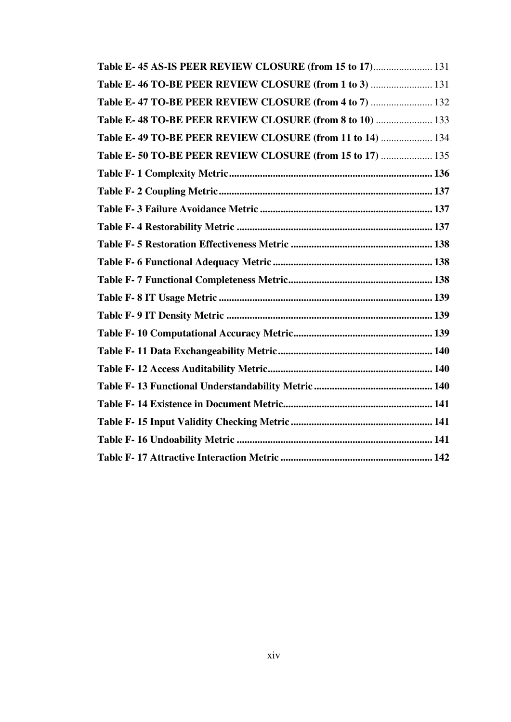| Table E-45 AS-IS PEER REVIEW CLOSURE (from 15 to 17) 131  |  |
|-----------------------------------------------------------|--|
| Table E-46 TO-BE PEER REVIEW CLOSURE (from 1 to 3)  131   |  |
| Table E-47 TO-BE PEER REVIEW CLOSURE (from 4 to 7)  132   |  |
| Table E-48 TO-BE PEER REVIEW CLOSURE (from 8 to 10)  133  |  |
| Table E-49 TO-BE PEER REVIEW CLOSURE (from 11 to 14)  134 |  |
| Table E-50 TO-BE PEER REVIEW CLOSURE (from 15 to 17)  135 |  |
|                                                           |  |
|                                                           |  |
|                                                           |  |
|                                                           |  |
|                                                           |  |
|                                                           |  |
|                                                           |  |
|                                                           |  |
|                                                           |  |
|                                                           |  |
|                                                           |  |
|                                                           |  |
|                                                           |  |
|                                                           |  |
|                                                           |  |
|                                                           |  |
|                                                           |  |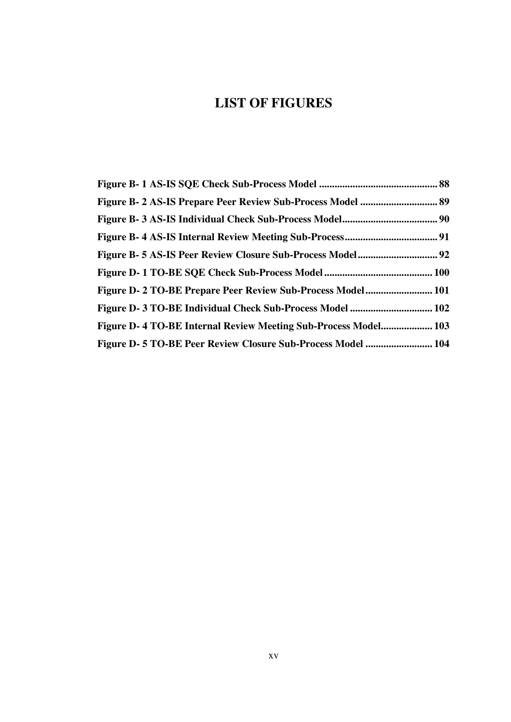# **LIST OF FIGURES**

| Figure D- 2 TO-BE Prepare Peer Review Sub-Process Model 101    |  |
|----------------------------------------------------------------|--|
|                                                                |  |
| Figure D-4 TO-BE Internal Review Meeting Sub-Process Model 103 |  |
| Figure D-5 TO-BE Peer Review Closure Sub-Process Model  104    |  |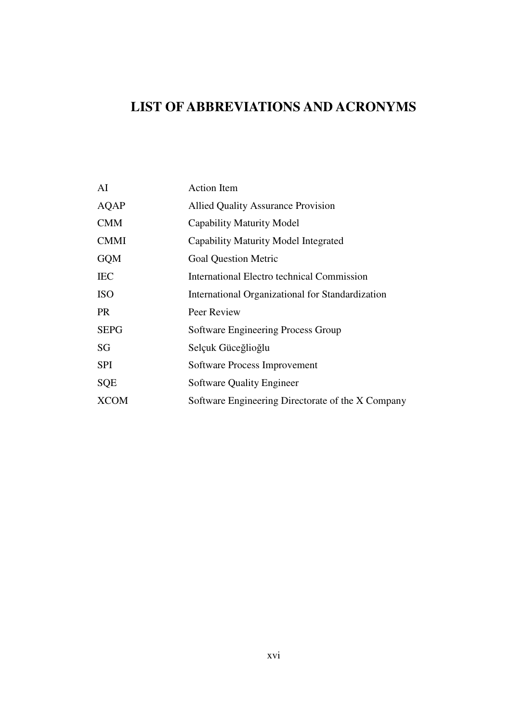# **LIST OF ABBREVIATIONS AND ACRONYMS**

| AI          | <b>Action Item</b>                                |
|-------------|---------------------------------------------------|
| AQAP        | <b>Allied Quality Assurance Provision</b>         |
| <b>CMM</b>  | Capability Maturity Model                         |
| <b>CMMI</b> | Capability Maturity Model Integrated              |
| <b>GQM</b>  | <b>Goal Question Metric</b>                       |
| <b>IEC</b>  | International Electro technical Commission        |
| <b>ISO</b>  | International Organizational for Standardization  |
| PR.         | Peer Review                                       |
| <b>SEPG</b> | Software Engineering Process Group                |
| SG          | Selçuk Güceğlioğlu                                |
| <b>SPI</b>  | Software Process Improvement                      |
| <b>SQE</b>  | <b>Software Quality Engineer</b>                  |
| <b>XCOM</b> | Software Engineering Directorate of the X Company |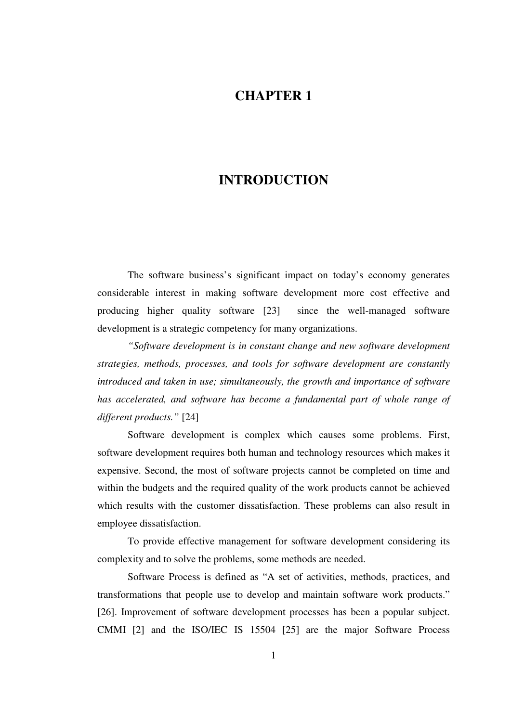## **CHAPTER 1**

## **INTRODUCTION**

The software business's significant impact on today's economy generates considerable interest in making software development more cost effective and producing higher quality software [23] since the well-managed software development is a strategic competency for many organizations.

*"Software development is in constant change and new software development strategies, methods, processes, and tools for software development are constantly introduced and taken in use; simultaneously, the growth and importance of software*  has accelerated, and software has become a fundamental part of whole range of *different products."* [24]

Software development is complex which causes some problems. First, software development requires both human and technology resources which makes it expensive. Second, the most of software projects cannot be completed on time and within the budgets and the required quality of the work products cannot be achieved which results with the customer dissatisfaction. These problems can also result in employee dissatisfaction.

To provide effective management for software development considering its complexity and to solve the problems, some methods are needed.

Software Process is defined as "A set of activities, methods, practices, and transformations that people use to develop and maintain software work products." [26]. Improvement of software development processes has been a popular subject. CMMI [2] and the ISO/IEC IS 15504 [25] are the major Software Process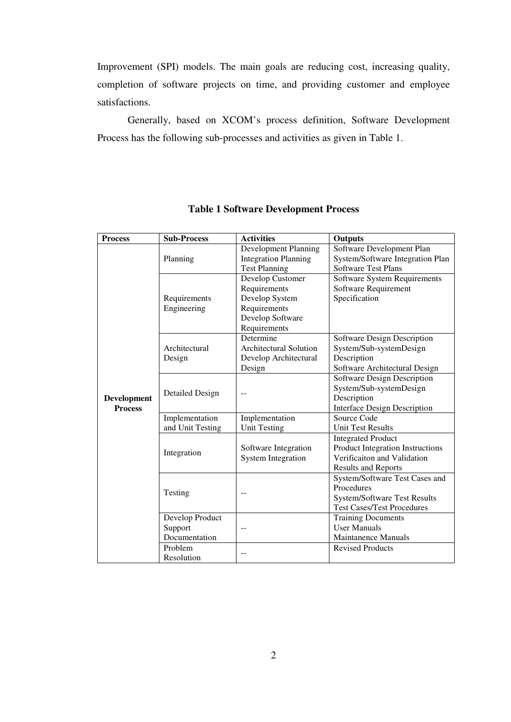Improvement (SPI) models. The main goals are reducing cost, increasing quality, completion of software projects on time, and providing customer and employee satisfactions.

Generally, based on XCOM's process definition, Software Development Process has the following sub-processes and activities as given in Table 1.

| <b>Process</b> | <b>Sub-Process</b> | <b>Activities</b>           | <b>Outputs</b>                      |
|----------------|--------------------|-----------------------------|-------------------------------------|
|                |                    | Development Planning        | Software Development Plan           |
|                | Planning           | <b>Integration Planning</b> | System/Software Integration Plan    |
|                |                    | <b>Test Planning</b>        | <b>Software Test Plans</b>          |
|                |                    | Develop Customer            | Software System Requirements        |
|                |                    | Requirements                | Software Requirement                |
|                | Requirements       | Develop System              | Specification                       |
|                | Engineering        | Requirements                |                                     |
|                |                    | Develop Software            |                                     |
|                |                    | Requirements                |                                     |
|                |                    | Determine                   | Software Design Description         |
|                | Architectural      | Architectural Solution      | System/Sub-systemDesign             |
|                | Design             | Develop Architectural       | Description                         |
|                |                    | Design                      | Software Architectural Design       |
|                |                    |                             | Software Design Description         |
|                | Detailed Design    |                             | System/Sub-systemDesign             |
| Development    |                    |                             | Description                         |
| <b>Process</b> |                    |                             | <b>Interface Design Description</b> |
|                | Implementation     | Implementation              | Source Code                         |
|                | and Unit Testing   | <b>Unit Testing</b>         | <b>Unit Test Results</b>            |
|                | Integration        |                             | <b>Integrated Product</b>           |
|                |                    | Software Integration        | Product Integration Instructions    |
|                |                    | <b>System Integration</b>   | Verificaiton and Validation         |
|                |                    |                             | <b>Results and Reports</b>          |
|                | Testing            |                             | System/Software Test Cases and      |
|                |                    | --                          | Procedures                          |
|                |                    |                             | <b>System/Software Test Results</b> |
|                |                    |                             | <b>Test Cases/Test Procedures</b>   |
|                | Develop Product    |                             | <b>Training Documents</b>           |
|                | Support            |                             | <b>User Manuals</b>                 |
|                | Documentation      |                             | <b>Maintanence Manuals</b>          |
|                | Problem            |                             | <b>Revised Products</b>             |
|                | Resolution         | --                          |                                     |

#### **Table 1 Software Development Process**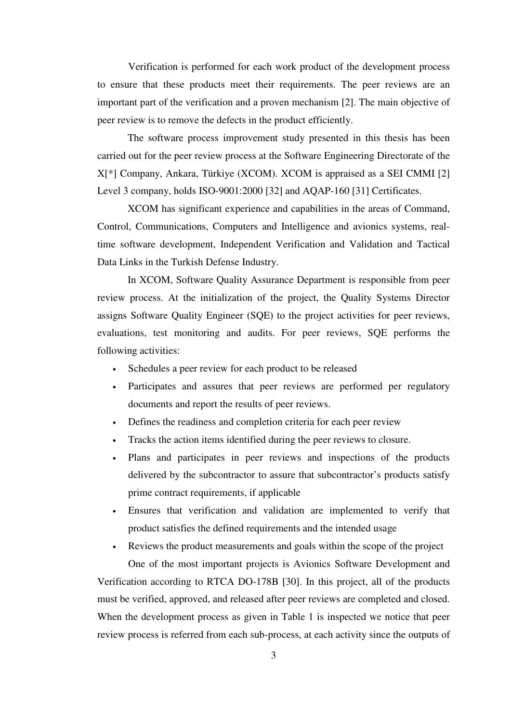Verification is performed for each work product of the development process to ensure that these products meet their requirements. The peer reviews are an important part of the verification and a proven mechanism [2]. The main objective of peer review is to remove the defects in the product efficiently.

The software process improvement study presented in this thesis has been carried out for the peer review process at the Software Engineering Directorate of the X[\*] Company, Ankara, Türkiye (XCOM). XCOM is appraised as a SEI CMMI [2] Level 3 company, holds ISO-9001:2000 [32] and AQAP-160 [31] Certificates.

XCOM has significant experience and capabilities in the areas of Command, Control, Communications, Computers and Intelligence and avionics systems, realtime software development, Independent Verification and Validation and Tactical Data Links in the Turkish Defense Industry.

In XCOM, Software Quality Assurance Department is responsible from peer review process. At the initialization of the project, the Quality Systems Director assigns Software Quality Engineer (SQE) to the project activities for peer reviews, evaluations, test monitoring and audits. For peer reviews, SQE performs the following activities:

- Schedules a peer review for each product to be released
- Participates and assures that peer reviews are performed per regulatory documents and report the results of peer reviews.
- Defines the readiness and completion criteria for each peer review
- Tracks the action items identified during the peer reviews to closure.
- Plans and participates in peer reviews and inspections of the products delivered by the subcontractor to assure that subcontractor's products satisfy prime contract requirements, if applicable
- Ensures that verification and validation are implemented to verify that product satisfies the defined requirements and the intended usage
- Reviews the product measurements and goals within the scope of the project One of the most important projects is Avionics Software Development and

Verification according to RTCA DO-178B [30]. In this project, all of the products must be verified, approved, and released after peer reviews are completed and closed. When the development process as given in Table 1 is inspected we notice that peer review process is referred from each sub-process, at each activity since the outputs of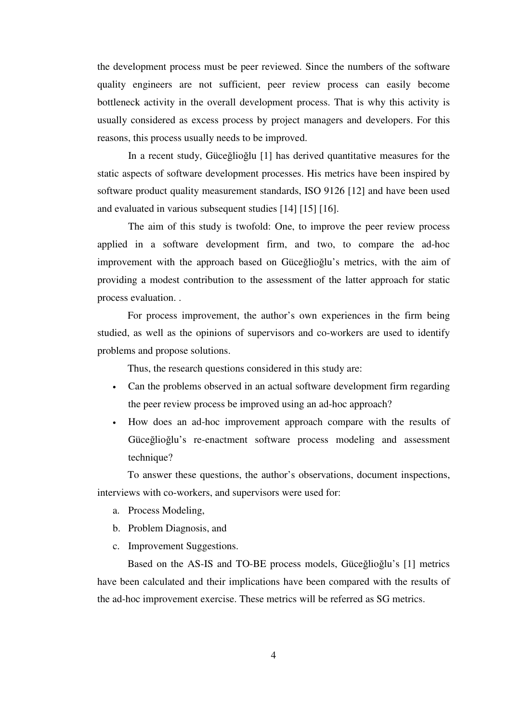the development process must be peer reviewed. Since the numbers of the software quality engineers are not sufficient, peer review process can easily become bottleneck activity in the overall development process. That is why this activity is usually considered as excess process by project managers and developers. For this reasons, this process usually needs to be improved.

In a recent study, Güceğlioğlu [1] has derived quantitative measures for the static aspects of software development processes. His metrics have been inspired by software product quality measurement standards, ISO 9126 [12] and have been used and evaluated in various subsequent studies [14] [15] [16].

The aim of this study is twofold: One, to improve the peer review process applied in a software development firm, and two, to compare the ad-hoc improvement with the approach based on Güceğlioğlu's metrics, with the aim of providing a modest contribution to the assessment of the latter approach for static process evaluation. .

For process improvement, the author's own experiences in the firm being studied, as well as the opinions of supervisors and co-workers are used to identify problems and propose solutions.

Thus, the research questions considered in this study are:

- Can the problems observed in an actual software development firm regarding the peer review process be improved using an ad-hoc approach?
- How does an ad-hoc improvement approach compare with the results of Güceğlioğlu's re-enactment software process modeling and assessment technique?

To answer these questions, the author's observations, document inspections, interviews with co-workers, and supervisors were used for:

- a. Process Modeling,
- b. Problem Diagnosis, and
- c. Improvement Suggestions.

Based on the AS-IS and TO-BE process models, Güceğlioğlu's [1] metrics have been calculated and their implications have been compared with the results of the ad-hoc improvement exercise. These metrics will be referred as SG metrics.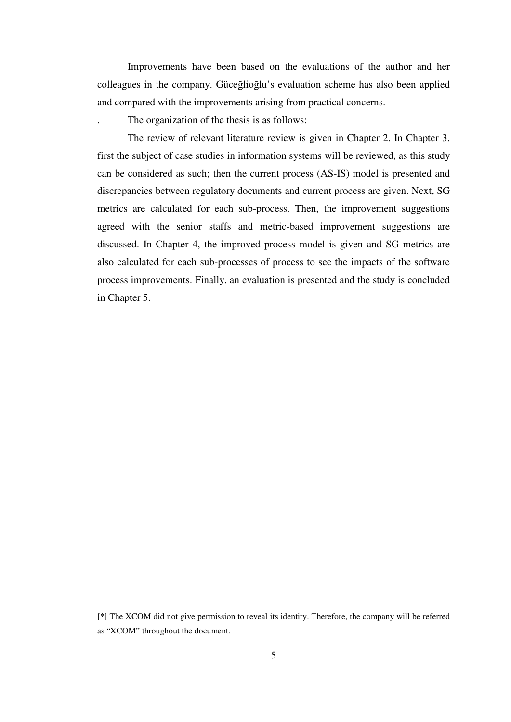Improvements have been based on the evaluations of the author and her colleagues in the company. Güceğlioğlu's evaluation scheme has also been applied and compared with the improvements arising from practical concerns.

. The organization of the thesis is as follows:

The review of relevant literature review is given in Chapter 2. In Chapter 3, first the subject of case studies in information systems will be reviewed, as this study can be considered as such; then the current process (AS-IS) model is presented and discrepancies between regulatory documents and current process are given. Next, SG metrics are calculated for each sub-process. Then, the improvement suggestions agreed with the senior staffs and metric-based improvement suggestions are discussed. In Chapter 4, the improved process model is given and SG metrics are also calculated for each sub-processes of process to see the impacts of the software process improvements. Finally, an evaluation is presented and the study is concluded in Chapter 5.

<sup>[\*]</sup> The XCOM did not give permission to reveal its identity. Therefore, the company will be referred as "XCOM" throughout the document.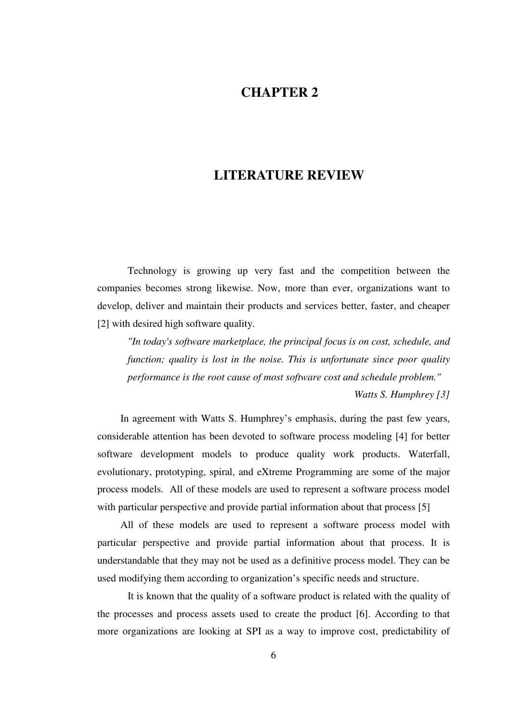## **CHAPTER 2**

## **LITERATURE REVIEW**

Technology is growing up very fast and the competition between the companies becomes strong likewise. Now, more than ever, organizations want to develop, deliver and maintain their products and services better, faster, and cheaper [2] with desired high software quality.

*"In today's software marketplace, the principal focus is on cost, schedule, and function; quality is lost in the noise. This is unfortunate since poor quality performance is the root cause of most software cost and schedule problem." Watts S. Humphrey [3]* 

In agreement with Watts S. Humphrey's emphasis, during the past few years, considerable attention has been devoted to software process modeling [4] for better software development models to produce quality work products. Waterfall, evolutionary, prototyping, spiral, and eXtreme Programming are some of the major process models. All of these models are used to represent a software process model with particular perspective and provide partial information about that process [5]

All of these models are used to represent a software process model with particular perspective and provide partial information about that process. It is understandable that they may not be used as a definitive process model. They can be used modifying them according to organization's specific needs and structure.

It is known that the quality of a software product is related with the quality of the processes and process assets used to create the product [6]. According to that more organizations are looking at SPI as a way to improve cost, predictability of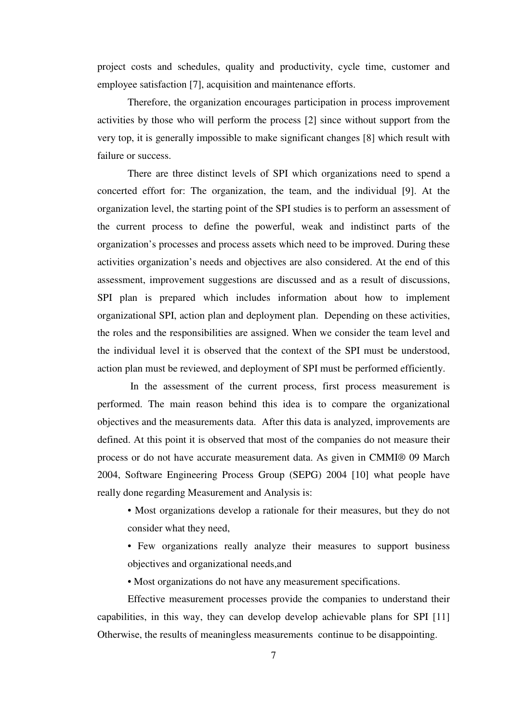project costs and schedules, quality and productivity, cycle time, customer and employee satisfaction [7], acquisition and maintenance efforts.

Therefore, the organization encourages participation in process improvement activities by those who will perform the process [2] since without support from the very top, it is generally impossible to make significant changes [8] which result with failure or success.

There are three distinct levels of SPI which organizations need to spend a concerted effort for: The organization, the team, and the individual [9]. At the organization level, the starting point of the SPI studies is to perform an assessment of the current process to define the powerful, weak and indistinct parts of the organization's processes and process assets which need to be improved. During these activities organization's needs and objectives are also considered. At the end of this assessment, improvement suggestions are discussed and as a result of discussions, SPI plan is prepared which includes information about how to implement organizational SPI, action plan and deployment plan. Depending on these activities, the roles and the responsibilities are assigned. When we consider the team level and the individual level it is observed that the context of the SPI must be understood, action plan must be reviewed, and deployment of SPI must be performed efficiently.

 In the assessment of the current process, first process measurement is performed. The main reason behind this idea is to compare the organizational objectives and the measurements data. After this data is analyzed, improvements are defined. At this point it is observed that most of the companies do not measure their process or do not have accurate measurement data. As given in CMMI® 09 March 2004, Software Engineering Process Group (SEPG) 2004 [10] what people have really done regarding Measurement and Analysis is:

• Most organizations develop a rationale for their measures, but they do not consider what they need,

• Few organizations really analyze their measures to support business objectives and organizational needs,and

• Most organizations do not have any measurement specifications.

 Effective measurement processes provide the companies to understand their capabilities, in this way, they can develop develop achievable plans for SPI [11] Otherwise, the results of meaningless measurements continue to be disappointing.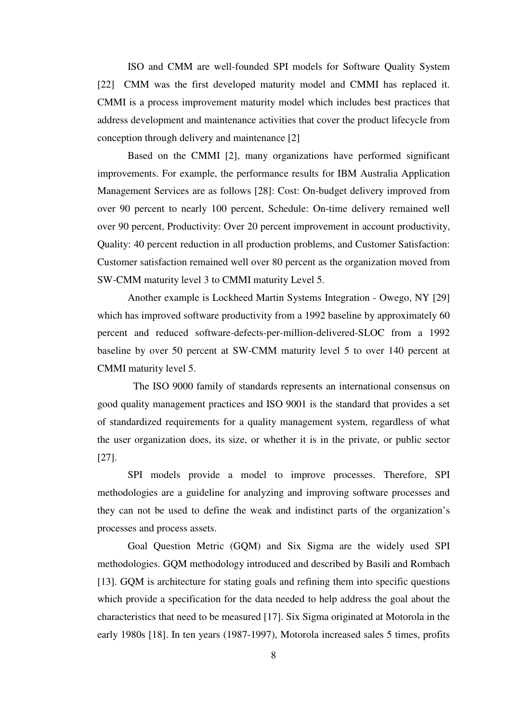ISO and CMM are well-founded SPI models for Software Quality System [22] CMM was the first developed maturity model and CMMI has replaced it. CMMI is a process improvement maturity model which includes best practices that address development and maintenance activities that cover the product lifecycle from conception through delivery and maintenance [2]

Based on the CMMI [2], many organizations have performed significant improvements. For example, the performance results for IBM Australia Application Management Services are as follows [28]: Cost: On-budget delivery improved from over 90 percent to nearly 100 percent, Schedule: On-time delivery remained well over 90 percent, Productivity: Over 20 percent improvement in account productivity, Quality: 40 percent reduction in all production problems, and Customer Satisfaction: Customer satisfaction remained well over 80 percent as the organization moved from SW-CMM maturity level 3 to CMMI maturity Level 5.

Another example is Lockheed Martin Systems Integration - Owego, NY [29] which has improved software productivity from a 1992 baseline by approximately 60 percent and reduced software-defects-per-million-delivered-SLOC from a 1992 baseline by over 50 percent at SW-CMM maturity level 5 to over 140 percent at CMMI maturity level 5.

 The ISO 9000 family of standards represents an international consensus on good quality management practices and ISO 9001 is the standard that provides a set of standardized requirements for a quality management system, regardless of what the user organization does, its size, or whether it is in the private, or public sector [27].

SPI models provide a model to improve processes. Therefore, SPI methodologies are a guideline for analyzing and improving software processes and they can not be used to define the weak and indistinct parts of the organization's processes and process assets.

 Goal Question Metric (GQM) and Six Sigma are the widely used SPI methodologies. GQM methodology introduced and described by Basili and Rombach [13]. GQM is architecture for stating goals and refining them into specific questions which provide a specification for the data needed to help address the goal about the characteristics that need to be measured [17]. Six Sigma originated at Motorola in the early 1980s [18]. In ten years (1987-1997), Motorola increased sales 5 times, profits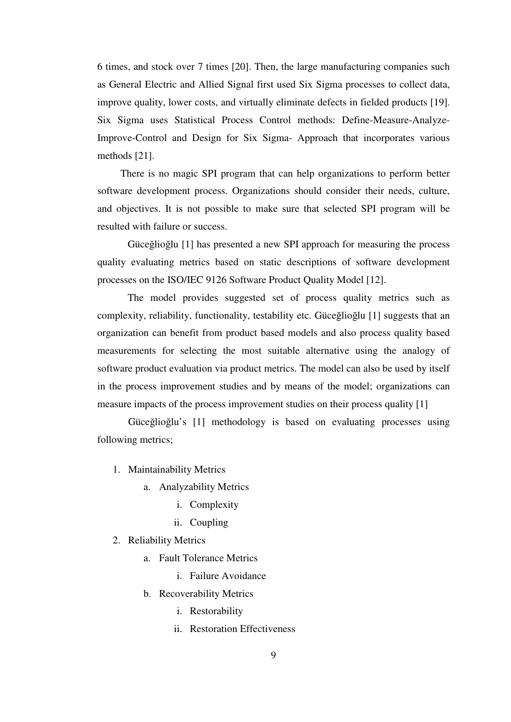6 times, and stock over 7 times [20]. Then, the large manufacturing companies such as General Electric and Allied Signal first used Six Sigma processes to collect data, improve quality, lower costs, and virtually eliminate defects in fielded products [19]. Six Sigma uses Statistical Process Control methods: Define-Measure-Analyze-Improve-Control and Design for Six Sigma- Approach that incorporates various methods [21].

There is no magic SPI program that can help organizations to perform better software development process. Organizations should consider their needs, culture, and objectives. It is not possible to make sure that selected SPI program will be resulted with failure or success.

 Güceğlioğlu [1] has presented a new SPI approach for measuring the process quality evaluating metrics based on static descriptions of software development processes on the ISO/IEC 9126 Software Product Quality Model [12].

The model provides suggested set of process quality metrics such as complexity, reliability, functionality, testability etc. Güceğlioğlu [1] suggests that an organization can benefit from product based models and also process quality based measurements for selecting the most suitable alternative using the analogy of software product evaluation via product metrics. The model can also be used by itself in the process improvement studies and by means of the model; organizations can measure impacts of the process improvement studies on their process quality [1]

Güceğlioğlu's [1] methodology is based on evaluating processes using following metrics;

- 1. Maintainability Metrics
	- a. Analyzability Metrics
		- i. Complexity
		- ii. Coupling

#### 2. Reliability Metrics

- a. Fault Tolerance Metrics
	- i. Failure Avoidance
- b. Recoverability Metrics
	- i. Restorability
	- ii. Restoration Effectiveness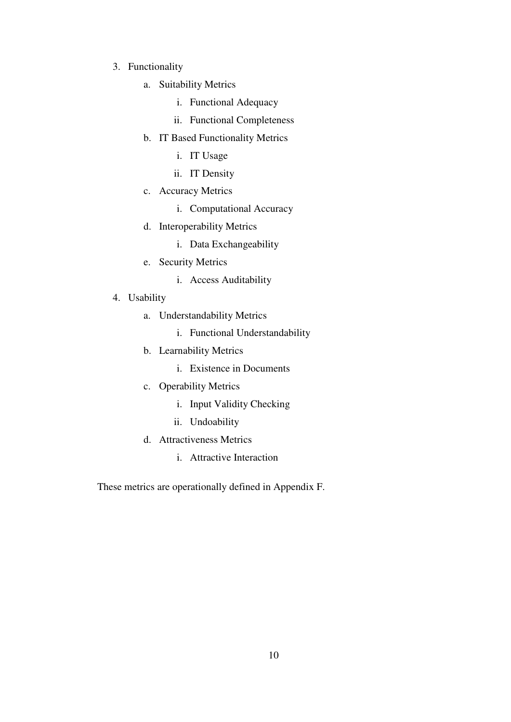- 3. Functionality
	- a. Suitability Metrics
		- i. Functional Adequacy
		- ii. Functional Completeness
	- b. IT Based Functionality Metrics
		- i. IT Usage
		- ii. IT Density
	- c. Accuracy Metrics
		- i. Computational Accuracy
	- d. Interoperability Metrics
		- i. Data Exchangeability
	- e. Security Metrics
		- i. Access Auditability
- 4. Usability
	- a. Understandability Metrics
		- i. Functional Understandability
	- b. Learnability Metrics
		- i. Existence in Documents
	- c. Operability Metrics
		- i. Input Validity Checking
		- ii. Undoability
	- d. Attractiveness Metrics
		- i. Attractive Interaction

These metrics are operationally defined in Appendix F.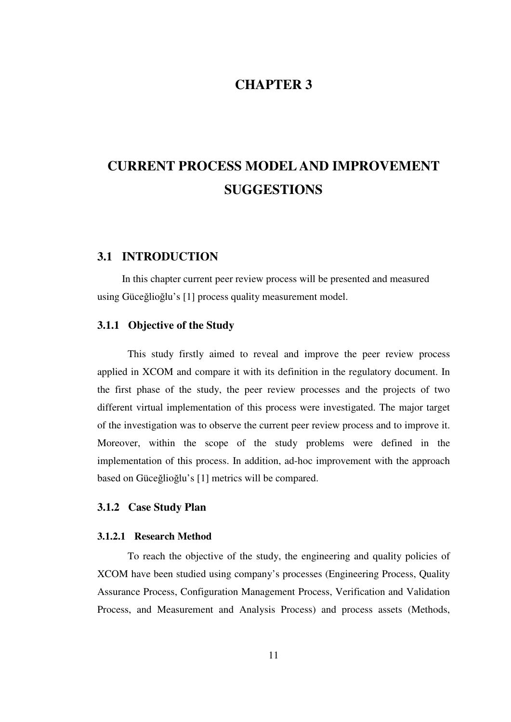## **CHAPTER 3**

# **CURRENT PROCESS MODEL AND IMPROVEMENT SUGGESTIONS**

#### **3.1 INTRODUCTION**

In this chapter current peer review process will be presented and measured using Güceğlioğlu's [1] process quality measurement model.

#### **3.1.1 Objective of the Study**

This study firstly aimed to reveal and improve the peer review process applied in XCOM and compare it with its definition in the regulatory document. In the first phase of the study, the peer review processes and the projects of two different virtual implementation of this process were investigated. The major target of the investigation was to observe the current peer review process and to improve it. Moreover, within the scope of the study problems were defined in the implementation of this process. In addition, ad-hoc improvement with the approach based on Güceğlioğlu's [1] metrics will be compared.

#### **3.1.2 Case Study Plan**

#### **3.1.2.1 Research Method**

To reach the objective of the study, the engineering and quality policies of XCOM have been studied using company's processes (Engineering Process, Quality Assurance Process, Configuration Management Process, Verification and Validation Process, and Measurement and Analysis Process) and process assets (Methods,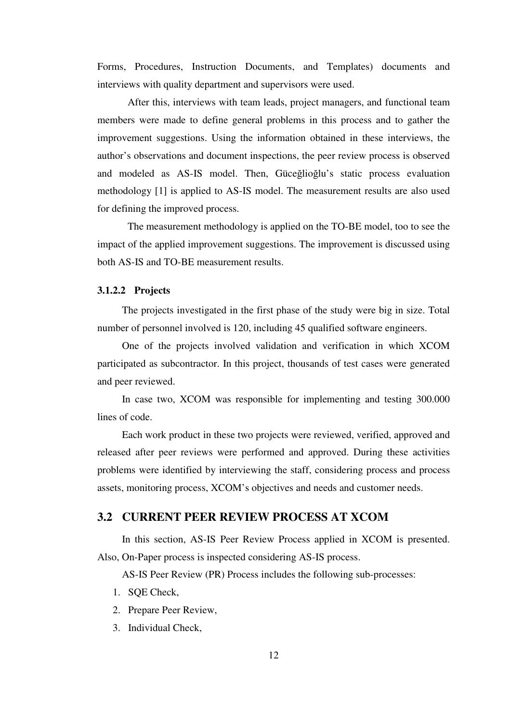Forms, Procedures, Instruction Documents, and Templates) documents and interviews with quality department and supervisors were used.

After this, interviews with team leads, project managers, and functional team members were made to define general problems in this process and to gather the improvement suggestions. Using the information obtained in these interviews, the author's observations and document inspections, the peer review process is observed and modeled as AS-IS model. Then, Güceğlioğlu's static process evaluation methodology [1] is applied to AS-IS model. The measurement results are also used for defining the improved process.

The measurement methodology is applied on the TO-BE model, too to see the impact of the applied improvement suggestions. The improvement is discussed using both AS-IS and TO-BE measurement results.

#### **3.1.2.2 Projects**

The projects investigated in the first phase of the study were big in size. Total number of personnel involved is 120, including 45 qualified software engineers.

One of the projects involved validation and verification in which XCOM participated as subcontractor. In this project, thousands of test cases were generated and peer reviewed.

In case two, XCOM was responsible for implementing and testing 300.000 lines of code.

Each work product in these two projects were reviewed, verified, approved and released after peer reviews were performed and approved. During these activities problems were identified by interviewing the staff, considering process and process assets, monitoring process, XCOM's objectives and needs and customer needs.

### **3.2 CURRENT PEER REVIEW PROCESS AT XCOM**

In this section, AS-IS Peer Review Process applied in XCOM is presented. Also, On-Paper process is inspected considering AS-IS process.

AS-IS Peer Review (PR) Process includes the following sub-processes:

- 1. SQE Check,
- 2. Prepare Peer Review,
- 3. Individual Check,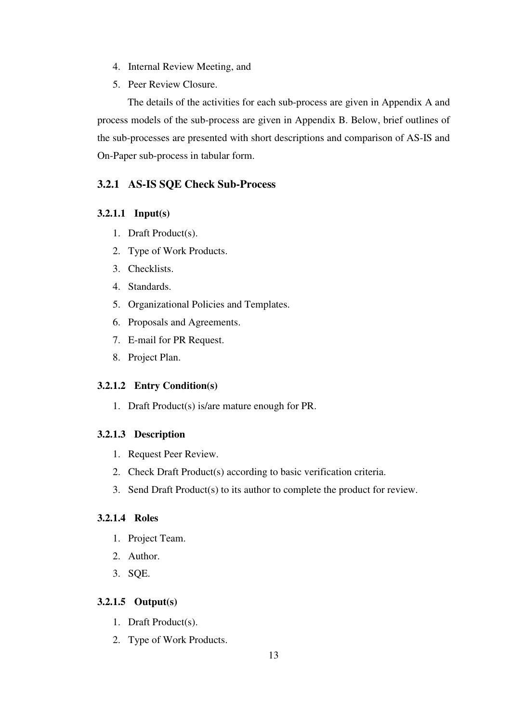- 4. Internal Review Meeting, and
- 5. Peer Review Closure.

The details of the activities for each sub-process are given in Appendix A and process models of the sub-process are given in Appendix B. Below, brief outlines of the sub-processes are presented with short descriptions and comparison of AS-IS and On-Paper sub-process in tabular form.

## **3.2.1 AS-IS SQE Check Sub-Process**

### **3.2.1.1 Input(s)**

- 1. Draft Product(s).
- 2. Type of Work Products.
- 3. Checklists.
- 4. Standards.
- 5. Organizational Policies and Templates.
- 6. Proposals and Agreements.
- 7. E-mail for PR Request.
- 8. Project Plan.

## **3.2.1.2 Entry Condition(s)**

1. Draft Product(s) is/are mature enough for PR.

## **3.2.1.3 Description**

- 1. Request Peer Review.
- 2. Check Draft Product(s) according to basic verification criteria.
- 3. Send Draft Product(s) to its author to complete the product for review.

### **3.2.1.4 Roles**

- 1. Project Team.
- 2. Author.
- 3. SQE.

## **3.2.1.5 Output(s)**

- 1. Draft Product(s).
- 2. Type of Work Products.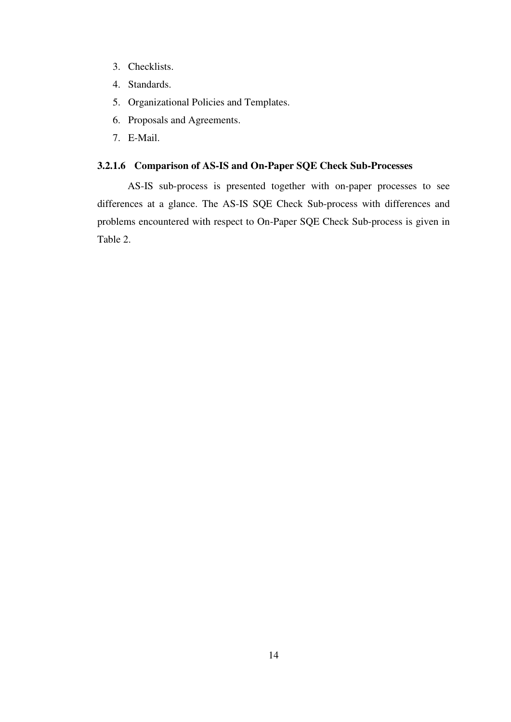- 3. Checklists.
- 4. Standards.
- 5. Organizational Policies and Templates.
- 6. Proposals and Agreements.
- 7. E-Mail.

## **3.2.1.6 Comparison of AS-IS and On-Paper SQE Check Sub-Processes**

AS-IS sub-process is presented together with on-paper processes to see differences at a glance. The AS-IS SQE Check Sub-process with differences and problems encountered with respect to On-Paper SQE Check Sub-process is given in Table 2.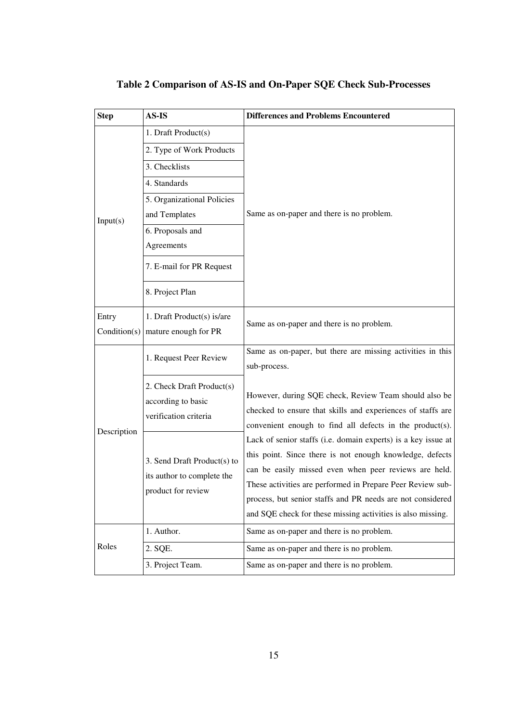| <b>Step</b>  | AS-IS                                                                           | <b>Differences and Problems Encountered</b>                   |  |
|--------------|---------------------------------------------------------------------------------|---------------------------------------------------------------|--|
|              | 1. Draft Product(s)                                                             |                                                               |  |
|              | 2. Type of Work Products                                                        | Same as on-paper and there is no problem.                     |  |
|              | 3. Checklists                                                                   |                                                               |  |
|              | 4. Standards                                                                    |                                                               |  |
|              | 5. Organizational Policies                                                      |                                                               |  |
| Input(s)     | and Templates                                                                   |                                                               |  |
|              | 6. Proposals and                                                                |                                                               |  |
|              | Agreements                                                                      |                                                               |  |
|              | 7. E-mail for PR Request                                                        |                                                               |  |
|              | 8. Project Plan                                                                 |                                                               |  |
| Entry        | 1. Draft Product(s) is/are                                                      | Same as on-paper and there is no problem.                     |  |
| Condition(s) | mature enough for PR                                                            |                                                               |  |
|              | 1. Request Peer Review                                                          | Same as on-paper, but there are missing activities in this    |  |
|              |                                                                                 | sub-process.                                                  |  |
|              | 2. Check Draft Product(s)<br>according to basic<br>verification criteria        | However, during SQE check, Review Team should also be         |  |
|              |                                                                                 | checked to ensure that skills and experiences of staffs are   |  |
| Description  |                                                                                 | convenient enough to find all defects in the product(s).      |  |
|              |                                                                                 | Lack of senior staffs (i.e. domain experts) is a key issue at |  |
|              | 3. Send Draft Product(s) to<br>its author to complete the<br>product for review | this point. Since there is not enough knowledge, defects      |  |
|              |                                                                                 | can be easily missed even when peer reviews are held.         |  |
|              |                                                                                 | These activities are performed in Prepare Peer Review sub-    |  |
|              |                                                                                 | process, but senior staffs and PR needs are not considered    |  |
|              |                                                                                 | and SQE check for these missing activities is also missing.   |  |
| Roles        | 1. Author.                                                                      | Same as on-paper and there is no problem.                     |  |
|              | 2. SQE.                                                                         | Same as on-paper and there is no problem.                     |  |
|              | 3. Project Team.                                                                | Same as on-paper and there is no problem.                     |  |

## **Table 2 Comparison of AS-IS and On-Paper SQE Check Sub-Processes**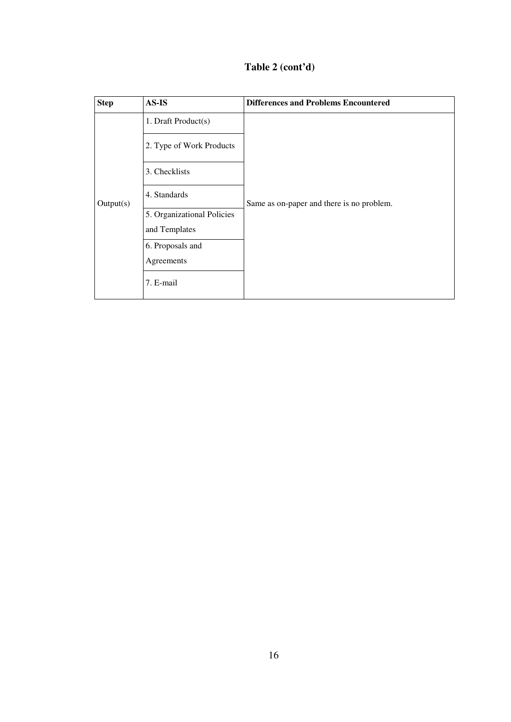|  | Table 2 (cont'd) |  |
|--|------------------|--|
|  |                  |  |

| <b>Step</b> | $AS$ -IS                   | <b>Differences and Problems Encountered</b> |
|-------------|----------------------------|---------------------------------------------|
| Output(s)   | 1. Draft Product(s)        | Same as on-paper and there is no problem.   |
|             | 2. Type of Work Products   |                                             |
|             | 3. Checklists              |                                             |
|             | 4. Standards               |                                             |
|             | 5. Organizational Policies |                                             |
|             | and Templates              |                                             |
|             | 6. Proposals and           |                                             |
|             | Agreements                 |                                             |
|             | 7. E-mail                  |                                             |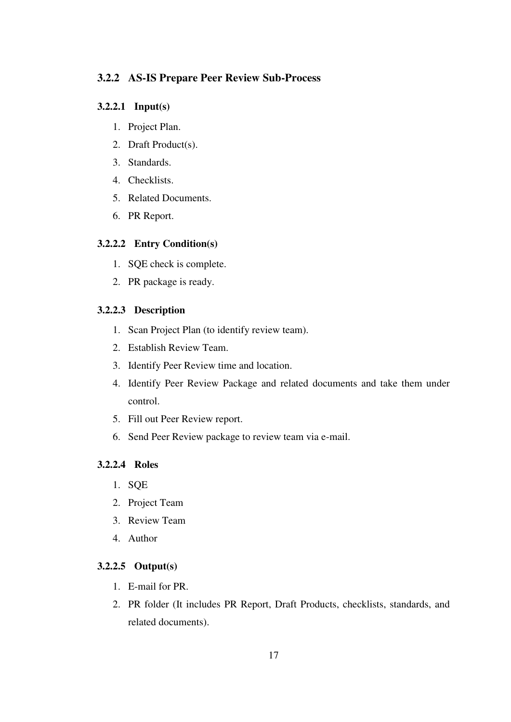#### **3.2.2 AS-IS Prepare Peer Review Sub-Process**

#### **3.2.2.1 Input(s)**

- 1. Project Plan.
- 2. Draft Product(s).
- 3. Standards.
- 4. Checklists.
- 5. Related Documents.
- 6. PR Report.

#### **3.2.2.2 Entry Condition(s)**

- 1. SQE check is complete.
- 2. PR package is ready.

#### **3.2.2.3 Description**

- 1. Scan Project Plan (to identify review team).
- 2. Establish Review Team.
- 3. Identify Peer Review time and location.
- 4. Identify Peer Review Package and related documents and take them under control.
- 5. Fill out Peer Review report.
- 6. Send Peer Review package to review team via e-mail.

#### **3.2.2.4 Roles**

- 1. SQE
- 2. Project Team
- 3. Review Team
- 4. Author

#### **3.2.2.5 Output(s)**

- 1. E-mail for PR.
- 2. PR folder (It includes PR Report, Draft Products, checklists, standards, and related documents).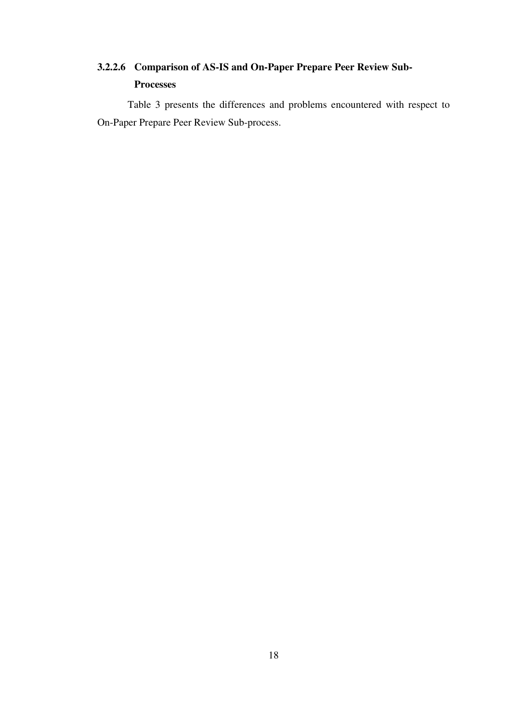## **3.2.2.6 Comparison of AS-IS and On-Paper Prepare Peer Review Sub-Processes**

Table 3 presents the differences and problems encountered with respect to On-Paper Prepare Peer Review Sub-process.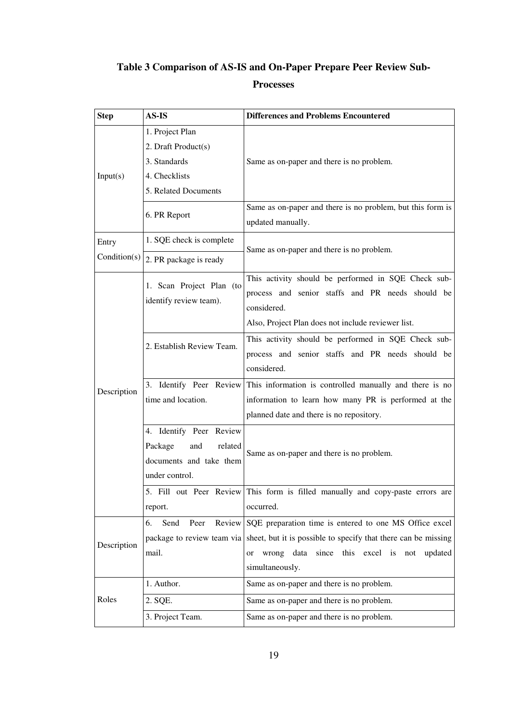## **Table 3 Comparison of AS-IS and On-Paper Prepare Peer Review Sub-**

## **Processes**

| <b>Step</b>           | AS-IS                                                                                             | <b>Differences and Problems Encountered</b>                                                                                                                                                                       |
|-----------------------|---------------------------------------------------------------------------------------------------|-------------------------------------------------------------------------------------------------------------------------------------------------------------------------------------------------------------------|
| Input(s)              | 1. Project Plan<br>2. Draft Product(s)<br>3. Standards<br>4. Checklists                           | Same as on-paper and there is no problem.                                                                                                                                                                         |
|                       | 5. Related Documents<br>6. PR Report                                                              | Same as on-paper and there is no problem, but this form is                                                                                                                                                        |
| Entry<br>Condition(s) | 1. SQE check is complete                                                                          | updated manually.<br>Same as on-paper and there is no problem.                                                                                                                                                    |
| Description           | 2. PR package is ready<br>1. Scan Project Plan (to<br>identify review team).                      | This activity should be performed in SQE Check sub-<br>process and senior staffs and PR needs should be<br>considered.<br>Also, Project Plan does not include reviewer list.                                      |
|                       | 2. Establish Review Team.                                                                         | This activity should be performed in SQE Check sub-<br>process and senior staffs and PR needs should be<br>considered.                                                                                            |
|                       | 3. Identify Peer Review<br>time and location.                                                     | This information is controlled manually and there is no<br>information to learn how many PR is performed at the<br>planned date and there is no repository.                                                       |
|                       | 4. Identify Peer Review<br>Package<br>and<br>related<br>documents and take them<br>under control. | Same as on-paper and there is no problem.                                                                                                                                                                         |
|                       | report.                                                                                           | 5. Fill out Peer Review This form is filled manually and copy-paste errors are<br>occurred.                                                                                                                       |
| Description           | Send<br>Peer<br>6.<br>package to review team via<br>mail.                                         | Review SQE preparation time is entered to one MS Office excel<br>sheet, but it is possible to specify that there can be missing<br>wrong data since this excel is not updated<br><sub>or</sub><br>simultaneously. |
|                       | 1. Author.                                                                                        | Same as on-paper and there is no problem.                                                                                                                                                                         |
| Roles                 | 2. SQE.                                                                                           | Same as on-paper and there is no problem.                                                                                                                                                                         |
|                       | 3. Project Team.                                                                                  | Same as on-paper and there is no problem.                                                                                                                                                                         |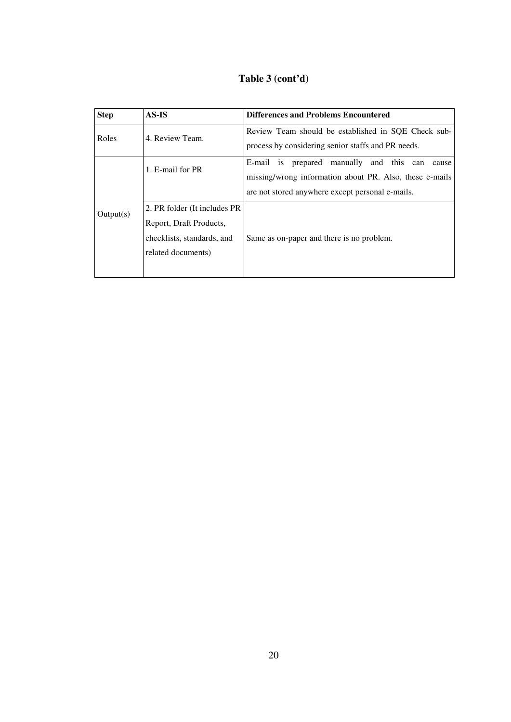### **Table 3 (cont'd)**

| <b>Step</b> | AS-IS                         | <b>Differences and Problems Encountered</b>             |
|-------------|-------------------------------|---------------------------------------------------------|
| Roles       | 4. Review Team.               | Review Team should be established in SQE Check sub-     |
|             |                               | process by considering senior staffs and PR needs.      |
| Output(s)   | 1. E-mail for PR              | E-mail is prepared manually and this can<br>cause       |
|             |                               | missing/wrong information about PR. Also, these e-mails |
|             |                               | are not stored anywhere except personal e-mails.        |
|             | 2. PR folder (It includes PR) |                                                         |
|             | Report, Draft Products,       |                                                         |
|             | checklists, standards, and    | Same as on-paper and there is no problem.               |
|             | related documents)            |                                                         |
|             |                               |                                                         |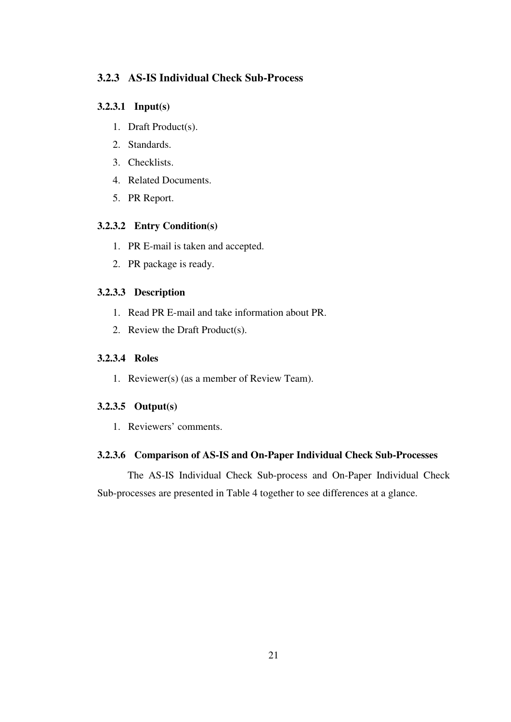## **3.2.3 AS-IS Individual Check Sub-Process**

## **3.2.3.1 Input(s)**

- 1. Draft Product(s).
- 2. Standards.
- 3. Checklists.
- 4. Related Documents.
- 5. PR Report.

## **3.2.3.2 Entry Condition(s)**

- 1. PR E-mail is taken and accepted.
- 2. PR package is ready.

## **3.2.3.3 Description**

- 1. Read PR E-mail and take information about PR.
- 2. Review the Draft Product(s).

#### **3.2.3.4 Roles**

1. Reviewer(s) (as a member of Review Team).

## **3.2.3.5 Output(s)**

1. Reviewers' comments.

## **3.2.3.6 Comparison of AS-IS and On-Paper Individual Check Sub-Processes**

The AS-IS Individual Check Sub-process and On-Paper Individual Check Sub-processes are presented in Table 4 together to see differences at a glance.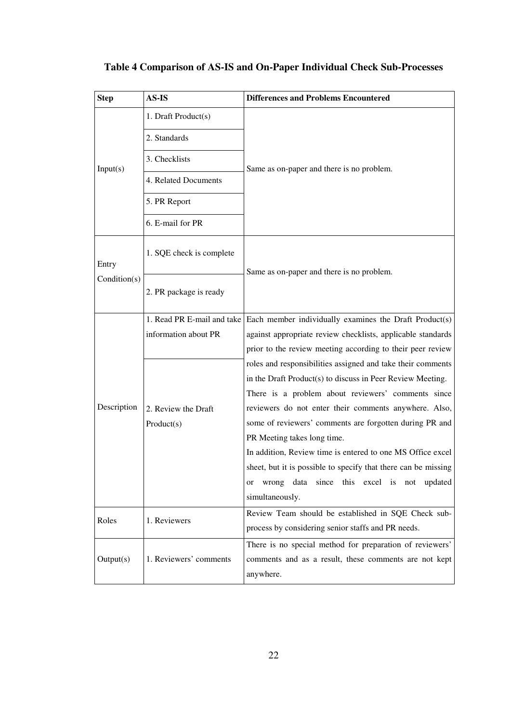| <b>Step</b>  | AS-IS                      | <b>Differences and Problems Encountered</b>                    |  |
|--------------|----------------------------|----------------------------------------------------------------|--|
|              | 1. Draft Product(s)        |                                                                |  |
| Input(s)     | 2. Standards               |                                                                |  |
|              | 3. Checklists              | Same as on-paper and there is no problem.                      |  |
|              | 4. Related Documents       |                                                                |  |
|              | 5. PR Report               |                                                                |  |
|              | 6. E-mail for PR           |                                                                |  |
| Entry        | 1. SQE check is complete   | Same as on-paper and there is no problem.                      |  |
| Condition(s) | 2. PR package is ready     |                                                                |  |
|              | 1. Read PR E-mail and take | Each member individually examines the Draft Product(s)         |  |
|              | information about PR       | against appropriate review checklists, applicable standards    |  |
|              |                            | prior to the review meeting according to their peer review     |  |
|              |                            | roles and responsibilities assigned and take their comments    |  |
|              |                            | in the Draft Product(s) to discuss in Peer Review Meeting.     |  |
|              |                            | There is a problem about reviewers' comments since             |  |
| Description  | 2. Review the Draft        | reviewers do not enter their comments anywhere. Also,          |  |
|              | Product(s)                 | some of reviewers' comments are forgotten during PR and        |  |
|              |                            | PR Meeting takes long time.                                    |  |
|              |                            | In addition, Review time is entered to one MS Office excel     |  |
|              |                            | sheet, but it is possible to specify that there can be missing |  |
|              |                            | wrong data since this excel is not updated<br>or               |  |
|              |                            | simultaneously.                                                |  |
| Roles        | 1. Reviewers               | Review Team should be established in SQE Check sub-            |  |
|              |                            | process by considering senior staffs and PR needs.             |  |
|              |                            | There is no special method for preparation of reviewers'       |  |
| Output(s)    | 1. Reviewers' comments     | comments and as a result, these comments are not kept          |  |
|              |                            | anywhere.                                                      |  |

# **Table 4 Comparison of AS-IS and On-Paper Individual Check Sub-Processes**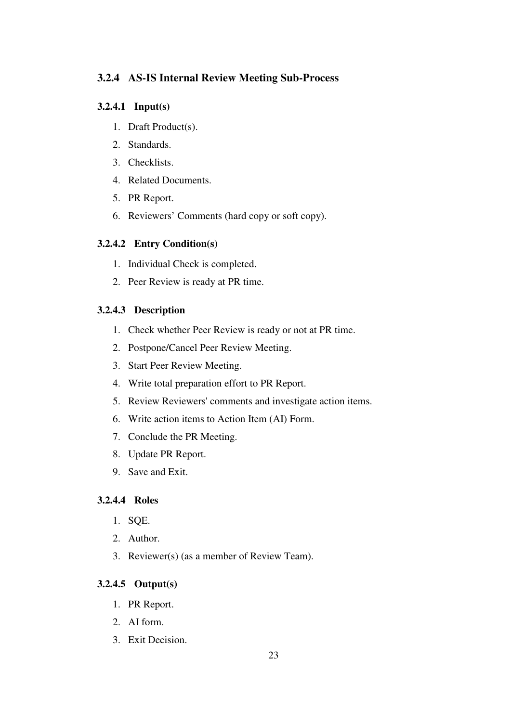## **3.2.4 AS-IS Internal Review Meeting Sub-Process**

## **3.2.4.1 Input(s)**

- 1. Draft Product(s).
- 2. Standards.
- 3. Checklists.
- 4. Related Documents.
- 5. PR Report.
- 6. Reviewers' Comments (hard copy or soft copy).

## **3.2.4.2 Entry Condition(s)**

- 1. Individual Check is completed.
- 2. Peer Review is ready at PR time.

## **3.2.4.3 Description**

- 1. Check whether Peer Review is ready or not at PR time.
- 2. Postpone/Cancel Peer Review Meeting.
- 3. Start Peer Review Meeting.
- 4. Write total preparation effort to PR Report.
- 5. Review Reviewers' comments and investigate action items.
- 6. Write action items to Action Item (AI) Form.
- 7. Conclude the PR Meeting.
- 8. Update PR Report.
- 9. Save and Exit.

## **3.2.4.4 Roles**

- 1. SQE.
- 2. Author.
- 3. Reviewer(s) (as a member of Review Team).

## **3.2.4.5 Output(s)**

- 1. PR Report.
- 2. AI form.
- 3. Exit Decision.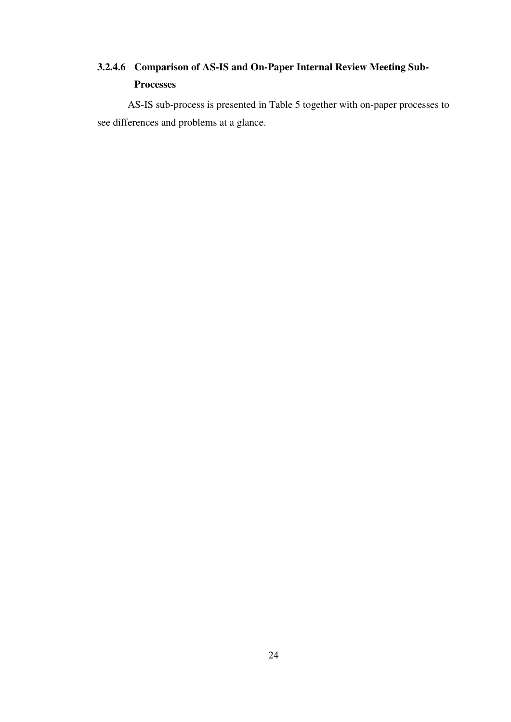## **3.2.4.6 Comparison of AS-IS and On-Paper Internal Review Meeting Sub-Processes**

AS-IS sub-process is presented in Table 5 together with on-paper processes to see differences and problems at a glance.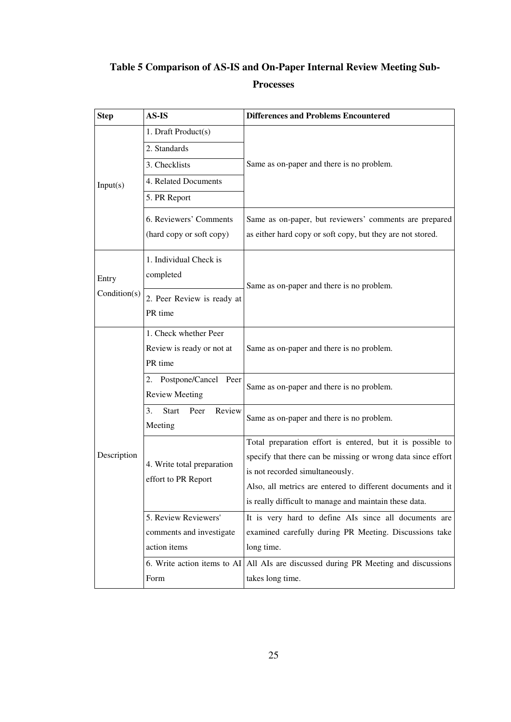# **Table 5 Comparison of AS-IS and On-Paper Internal Review Meeting Sub-**

## **Processes**

| <b>Step</b>  | <b>AS-IS</b>                                                  | <b>Differences and Problems Encountered</b>                                                                                                                                                                                                                                            |  |  |
|--------------|---------------------------------------------------------------|----------------------------------------------------------------------------------------------------------------------------------------------------------------------------------------------------------------------------------------------------------------------------------------|--|--|
|              | 1. Draft Product(s)                                           |                                                                                                                                                                                                                                                                                        |  |  |
| Input(s)     | 2. Standards                                                  |                                                                                                                                                                                                                                                                                        |  |  |
|              | 3. Checklists                                                 | Same as on-paper and there is no problem.                                                                                                                                                                                                                                              |  |  |
|              | 4. Related Documents                                          |                                                                                                                                                                                                                                                                                        |  |  |
|              | 5. PR Report                                                  |                                                                                                                                                                                                                                                                                        |  |  |
|              | 6. Reviewers' Comments<br>(hard copy or soft copy)            | Same as on-paper, but reviewers' comments are prepared<br>as either hard copy or soft copy, but they are not stored.                                                                                                                                                                   |  |  |
| Entry        | 1. Individual Check is<br>completed                           | Same as on-paper and there is no problem.                                                                                                                                                                                                                                              |  |  |
| Condition(s) | 2. Peer Review is ready at<br>PR time                         |                                                                                                                                                                                                                                                                                        |  |  |
|              | 1. Check whether Peer<br>Review is ready or not at<br>PR time | Same as on-paper and there is no problem.                                                                                                                                                                                                                                              |  |  |
|              | 2. Postpone/Cancel Peer<br><b>Review Meeting</b>              | Same as on-paper and there is no problem.                                                                                                                                                                                                                                              |  |  |
|              | 3.<br><b>Start</b><br>Review<br>Peer<br>Meeting               | Same as on-paper and there is no problem.                                                                                                                                                                                                                                              |  |  |
| Description  | 4. Write total preparation<br>effort to PR Report             | Total preparation effort is entered, but it is possible to<br>specify that there can be missing or wrong data since effort<br>is not recorded simultaneously.<br>Also, all metrics are entered to different documents and it<br>is really difficult to manage and maintain these data. |  |  |
|              | 5. Review Reviewers'                                          | It is very hard to define AIs since all documents are                                                                                                                                                                                                                                  |  |  |
|              | comments and investigate<br>action items                      | examined carefully during PR Meeting. Discussions take<br>long time.                                                                                                                                                                                                                   |  |  |
|              | 6. Write action items to AI<br>Form                           | All AIs are discussed during PR Meeting and discussions<br>takes long time.                                                                                                                                                                                                            |  |  |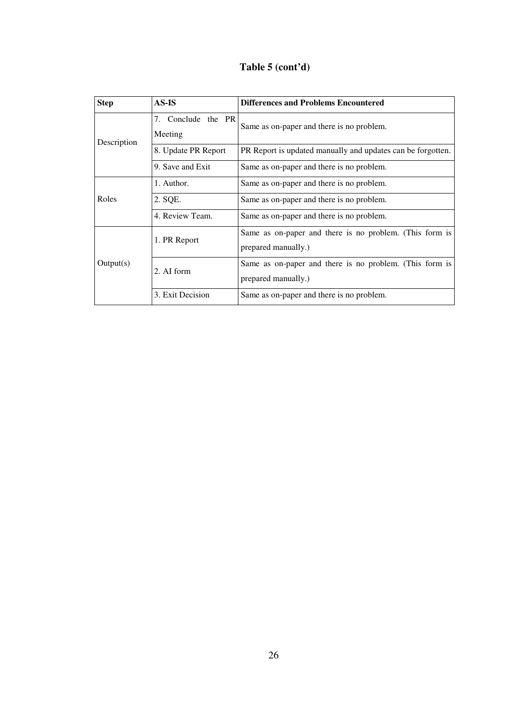## **Table 5 (cont'd)**

| <b>Step</b> | AS-IS                         | <b>Differences and Problems Encountered</b>                                    |  |
|-------------|-------------------------------|--------------------------------------------------------------------------------|--|
| Description | 7. Conclude the PR<br>Meeting | Same as on-paper and there is no problem.                                      |  |
|             | 8. Update PR Report           | PR Report is updated manually and updates can be forgotten.                    |  |
|             | 9. Save and Exit              | Same as on-paper and there is no problem.                                      |  |
|             | 1. Author.                    | Same as on-paper and there is no problem.                                      |  |
| Roles       | 2. SQE.                       | Same as on-paper and there is no problem.                                      |  |
|             | 4. Review Team.               | Same as on-paper and there is no problem.                                      |  |
|             | 1. PR Report                  | Same as on-paper and there is no problem. (This form is<br>prepared manually.) |  |
| Output(s)   | 2. AI form                    | Same as on-paper and there is no problem. (This form is<br>prepared manually.) |  |
|             | 3. Exit Decision              | Same as on-paper and there is no problem.                                      |  |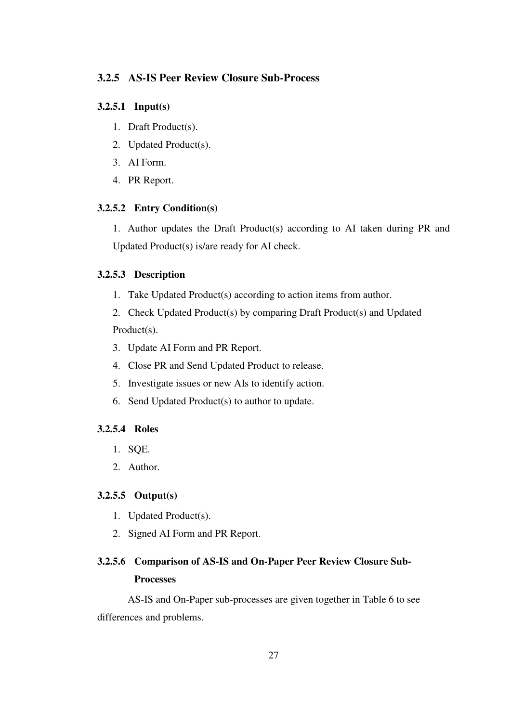## **3.2.5 AS-IS Peer Review Closure Sub-Process**

## **3.2.5.1 Input(s)**

- 1. Draft Product(s).
- 2. Updated Product(s).
- 3. AI Form.
- 4. PR Report.

## **3.2.5.2 Entry Condition(s)**

1. Author updates the Draft Product(s) according to AI taken during PR and Updated Product(s) is/are ready for AI check.

### **3.2.5.3 Description**

- 1. Take Updated Product(s) according to action items from author.
- 2. Check Updated Product(s) by comparing Draft Product(s) and Updated Product(s).
- 3. Update AI Form and PR Report.
- 4. Close PR and Send Updated Product to release.
- 5. Investigate issues or new AIs to identify action.
- 6. Send Updated Product(s) to author to update.

## **3.2.5.4 Roles**

- 1. SQE.
- 2. Author.

### **3.2.5.5 Output(s)**

- 1. Updated Product(s).
- 2. Signed AI Form and PR Report.

## **3.2.5.6 Comparison of AS-IS and On-Paper Peer Review Closure Sub-Processes**

 AS-IS and On-Paper sub-processes are given together in Table 6 to see differences and problems.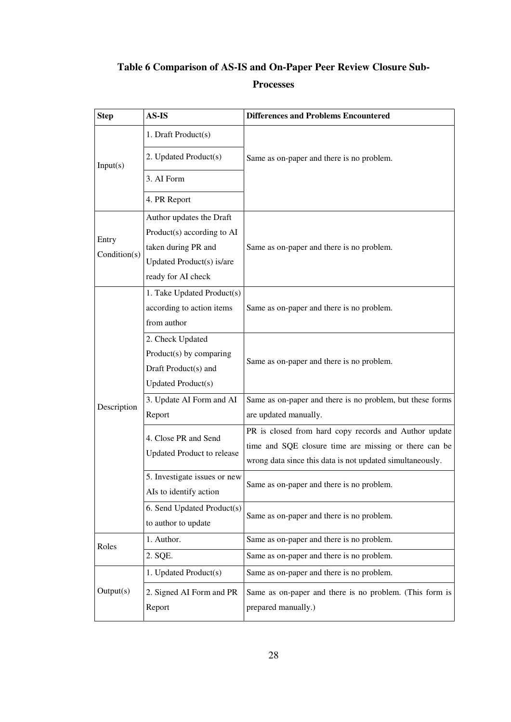# **Table 6 Comparison of AS-IS and On-Paper Peer Review Closure Sub-**

## **Processes**

| <b>Step</b>  | AS-IS                             | <b>Differences and Problems Encountered</b>               |  |
|--------------|-----------------------------------|-----------------------------------------------------------|--|
|              | 1. Draft Product(s)               | Same as on-paper and there is no problem.                 |  |
| Input(s)     | 2. Updated Product(s)             |                                                           |  |
|              | 3. AI Form                        |                                                           |  |
|              | 4. PR Report                      |                                                           |  |
|              | Author updates the Draft          |                                                           |  |
| Entry        | Product(s) according to AI        |                                                           |  |
| Condition(s) | taken during PR and               | Same as on-paper and there is no problem.                 |  |
|              | Updated Product(s) is/are         |                                                           |  |
|              | ready for AI check                |                                                           |  |
|              | 1. Take Updated Product(s)        |                                                           |  |
|              | according to action items         | Same as on-paper and there is no problem.                 |  |
|              | from author                       |                                                           |  |
|              | 2. Check Updated                  |                                                           |  |
|              | Product(s) by comparing           |                                                           |  |
|              | Draft Product(s) and              | Same as on-paper and there is no problem.                 |  |
|              | <b>Updated Product(s)</b>         |                                                           |  |
|              | 3. Update AI Form and AI          | Same as on-paper and there is no problem, but these forms |  |
| Description  | Report                            | are updated manually.                                     |  |
|              | 4. Close PR and Send              | PR is closed from hard copy records and Author update     |  |
|              |                                   | time and SQE closure time are missing or there can be     |  |
|              | <b>Updated Product to release</b> | wrong data since this data is not updated simultaneously. |  |
|              | 5. Investigate issues or new      | Same as on-paper and there is no problem.                 |  |
|              | AIs to identify action            |                                                           |  |
|              | 6. Send Updated Product(s)        | Same as on-paper and there is no problem.                 |  |
|              | to author to update               |                                                           |  |
| Roles        | 1. Author.                        | Same as on-paper and there is no problem.                 |  |
|              | 2. SQE.                           | Same as on-paper and there is no problem.                 |  |
|              | 1. Updated Product(s)             | Same as on-paper and there is no problem.                 |  |
| Output(s)    | 2. Signed AI Form and PR          | Same as on-paper and there is no problem. (This form is   |  |
|              | Report                            | prepared manually.)                                       |  |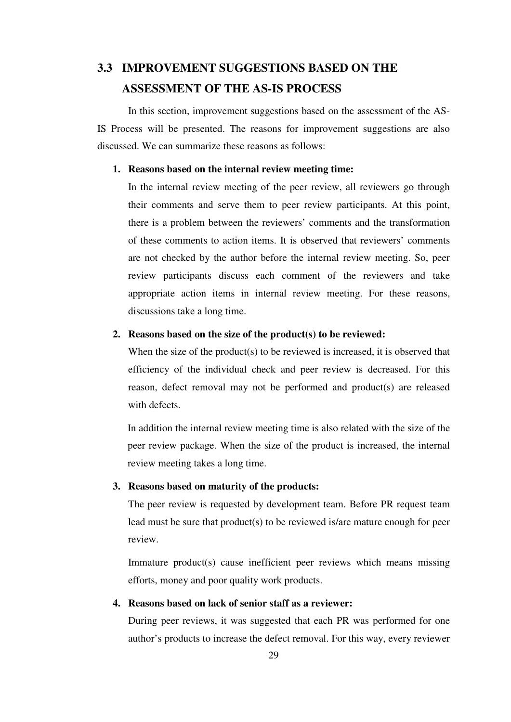# **3.3 IMPROVEMENT SUGGESTIONS BASED ON THE ASSESSMENT OF THE AS-IS PROCESS**

In this section, improvement suggestions based on the assessment of the AS-IS Process will be presented. The reasons for improvement suggestions are also discussed. We can summarize these reasons as follows:

## **1. Reasons based on the internal review meeting time:**

In the internal review meeting of the peer review, all reviewers go through their comments and serve them to peer review participants. At this point, there is a problem between the reviewers' comments and the transformation of these comments to action items. It is observed that reviewers' comments are not checked by the author before the internal review meeting. So, peer review participants discuss each comment of the reviewers and take appropriate action items in internal review meeting. For these reasons, discussions take a long time.

## **2. Reasons based on the size of the product(s) to be reviewed:**

When the size of the product(s) to be reviewed is increased, it is observed that efficiency of the individual check and peer review is decreased. For this reason, defect removal may not be performed and product(s) are released with defects.

In addition the internal review meeting time is also related with the size of the peer review package. When the size of the product is increased, the internal review meeting takes a long time.

## **3. Reasons based on maturity of the products:**

The peer review is requested by development team. Before PR request team lead must be sure that product(s) to be reviewed is/are mature enough for peer review.

Immature product(s) cause inefficient peer reviews which means missing efforts, money and poor quality work products.

## **4. Reasons based on lack of senior staff as a reviewer:**

During peer reviews, it was suggested that each PR was performed for one author's products to increase the defect removal. For this way, every reviewer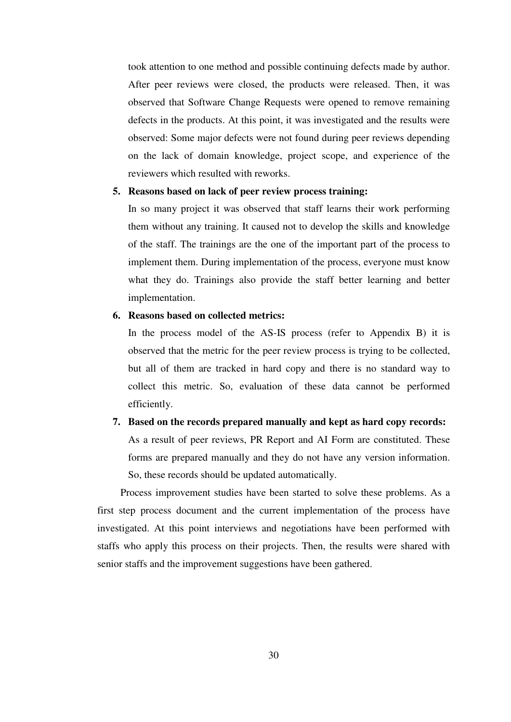took attention to one method and possible continuing defects made by author. After peer reviews were closed, the products were released. Then, it was observed that Software Change Requests were opened to remove remaining defects in the products. At this point, it was investigated and the results were observed: Some major defects were not found during peer reviews depending on the lack of domain knowledge, project scope, and experience of the reviewers which resulted with reworks.

## **5. Reasons based on lack of peer review process training:**

In so many project it was observed that staff learns their work performing them without any training. It caused not to develop the skills and knowledge of the staff. The trainings are the one of the important part of the process to implement them. During implementation of the process, everyone must know what they do. Trainings also provide the staff better learning and better implementation.

## **6. Reasons based on collected metrics:**

In the process model of the AS-IS process (refer to Appendix B) it is observed that the metric for the peer review process is trying to be collected, but all of them are tracked in hard copy and there is no standard way to collect this metric. So, evaluation of these data cannot be performed efficiently.

# **7. Based on the records prepared manually and kept as hard copy records:**  As a result of peer reviews, PR Report and AI Form are constituted. These forms are prepared manually and they do not have any version information. So, these records should be updated automatically.

Process improvement studies have been started to solve these problems. As a first step process document and the current implementation of the process have investigated. At this point interviews and negotiations have been performed with staffs who apply this process on their projects. Then, the results were shared with senior staffs and the improvement suggestions have been gathered.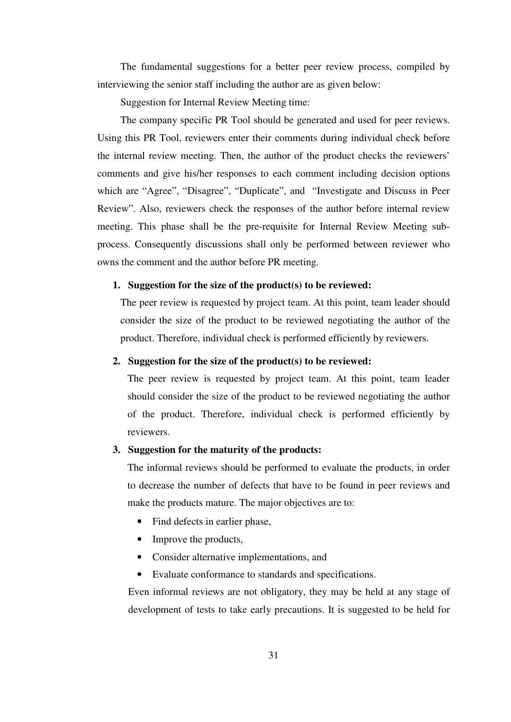The fundamental suggestions for a better peer review process, compiled by interviewing the senior staff including the author are as given below:

Suggestion for Internal Review Meeting time:

The company specific PR Tool should be generated and used for peer reviews. Using this PR Tool, reviewers enter their comments during individual check before the internal review meeting. Then, the author of the product checks the reviewers' comments and give his/her responses to each comment including decision options which are "Agree", "Disagree", "Duplicate", and "Investigate and Discuss in Peer Review". Also, reviewers check the responses of the author before internal review meeting. This phase shall be the pre-requisite for Internal Review Meeting subprocess. Consequently discussions shall only be performed between reviewer who owns the comment and the author before PR meeting.

## **1. Suggestion for the size of the product(s) to be reviewed:**

The peer review is requested by project team. At this point, team leader should consider the size of the product to be reviewed negotiating the author of the product. Therefore, individual check is performed efficiently by reviewers.

## **2. Suggestion for the size of the product(s) to be reviewed:**

The peer review is requested by project team. At this point, team leader should consider the size of the product to be reviewed negotiating the author of the product. Therefore, individual check is performed efficiently by reviewers.

## **3. Suggestion for the maturity of the products:**

The informal reviews should be performed to evaluate the products, in order to decrease the number of defects that have to be found in peer reviews and make the products mature. The major objectives are to:

- Find defects in earlier phase.
- Improve the products,
- Consider alternative implementations, and
- Evaluate conformance to standards and specifications.

Even informal reviews are not obligatory, they may be held at any stage of development of tests to take early precautions. It is suggested to be held for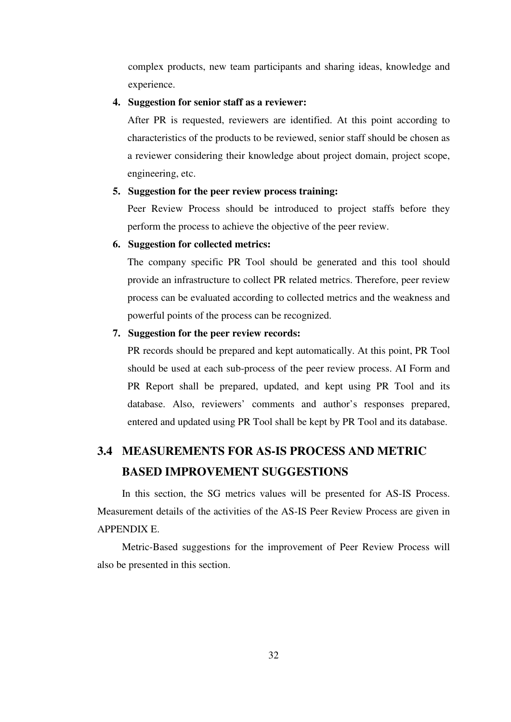complex products, new team participants and sharing ideas, knowledge and experience.

## **4. Suggestion for senior staff as a reviewer:**

After PR is requested, reviewers are identified. At this point according to characteristics of the products to be reviewed, senior staff should be chosen as a reviewer considering their knowledge about project domain, project scope, engineering, etc.

## **5. Suggestion for the peer review process training:**

Peer Review Process should be introduced to project staffs before they perform the process to achieve the objective of the peer review.

## **6. Suggestion for collected metrics:**

The company specific PR Tool should be generated and this tool should provide an infrastructure to collect PR related metrics. Therefore, peer review process can be evaluated according to collected metrics and the weakness and powerful points of the process can be recognized.

## **7. Suggestion for the peer review records:**

PR records should be prepared and kept automatically. At this point, PR Tool should be used at each sub-process of the peer review process. AI Form and PR Report shall be prepared, updated, and kept using PR Tool and its database. Also, reviewers' comments and author's responses prepared, entered and updated using PR Tool shall be kept by PR Tool and its database.

# **3.4 MEASUREMENTS FOR AS-IS PROCESS AND METRIC BASED IMPROVEMENT SUGGESTIONS**

In this section, the SG metrics values will be presented for AS-IS Process. Measurement details of the activities of the AS-IS Peer Review Process are given in APPENDIX E.

Metric-Based suggestions for the improvement of Peer Review Process will also be presented in this section.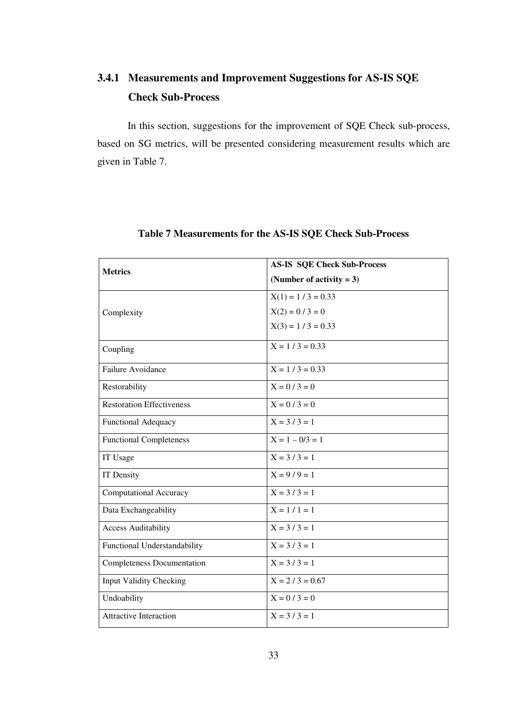# **3.4.1 Measurements and Improvement Suggestions for AS-IS SQE Check Sub-Process**

In this section, suggestions for the improvement of SQE Check sub-process, based on SG metrics, will be presented considering measurement results which are given in Table 7.

| <b>Metrics</b>                    | <b>AS-IS SQE Check Sub-Process</b> |  |
|-----------------------------------|------------------------------------|--|
|                                   | (Number of activity $= 3$ )        |  |
|                                   | $X(1) = 1 / 3 = 0.33$              |  |
| Complexity                        | $X(2) = 0 / 3 = 0$                 |  |
|                                   | $X(3) = 1 / 3 = 0.33$              |  |
| Coupling                          | $X = 1/3 = 0.33$                   |  |
| Failure Avoidance                 | $X = 1 / 3 = 0.33$                 |  |
| Restorability                     | $X = 0/3 = 0$                      |  |
| <b>Restoration Effectiveness</b>  | $X = 0/3 = 0$                      |  |
| <b>Functional Adequacy</b>        | $X = 3 / 3 = 1$                    |  |
| <b>Functional Completeness</b>    | $X = 1 - 0/3 = 1$                  |  |
| IT Usage                          | $X = 3/3 = 1$                      |  |
| <b>IT Density</b>                 | $X = 9/9 = 1$                      |  |
| Computational Accuracy            | $X = 3 / 3 = 1$                    |  |
| Data Exchangeability              | $X = 1 / 1 = 1$                    |  |
| <b>Access Auditability</b>        | $X = 3 / 3 = 1$                    |  |
| Functional Understandability      | $X = 3/3 = 1$                      |  |
| <b>Completeness Documentation</b> | $X = 3/3 = 1$                      |  |
| <b>Input Validity Checking</b>    | $X = 2/3 = 0.67$                   |  |
| Undoability                       | $X = 0 / 3 = 0$                    |  |
| <b>Attractive Interaction</b>     | $X = 3/3 = 1$                      |  |

## **Table 7 Measurements for the AS-IS SQE Check Sub-Process**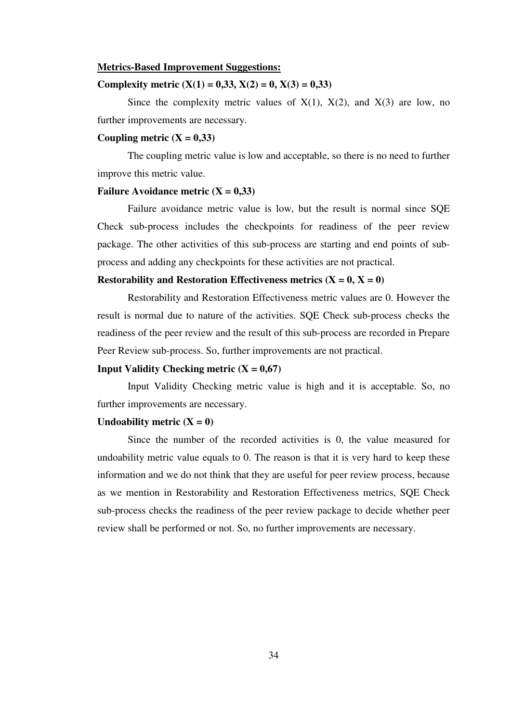### **Metrics-Based Improvement Suggestions:**

## **Complexity metric**  $(X(1) = 0.33, X(2) = 0, X(3) = 0.33)$

Since the complexity metric values of  $X(1)$ ,  $X(2)$ , and  $X(3)$  are low, no further improvements are necessary.

## Coupling metric  $(X = 0,33)$

The coupling metric value is low and acceptable, so there is no need to further improve this metric value.

### **Failure Avoidance metric**  $(X = 0,33)$

Failure avoidance metric value is low, but the result is normal since SQE Check sub-process includes the checkpoints for readiness of the peer review package. The other activities of this sub-process are starting and end points of subprocess and adding any checkpoints for these activities are not practical.

## **Restorability and Restoration Effectiveness metrics**  $(X = 0, X = 0)$

Restorability and Restoration Effectiveness metric values are 0. However the result is normal due to nature of the activities. SQE Check sub-process checks the readiness of the peer review and the result of this sub-process are recorded in Prepare Peer Review sub-process. So, further improvements are not practical.

#### **Input Validity Checking metric**  $(X = 0.67)$

Input Validity Checking metric value is high and it is acceptable. So, no further improvements are necessary.

### Undoability metric  $(X = 0)$

Since the number of the recorded activities is 0, the value measured for undoability metric value equals to 0. The reason is that it is very hard to keep these information and we do not think that they are useful for peer review process, because as we mention in Restorability and Restoration Effectiveness metrics, SQE Check sub-process checks the readiness of the peer review package to decide whether peer review shall be performed or not. So, no further improvements are necessary.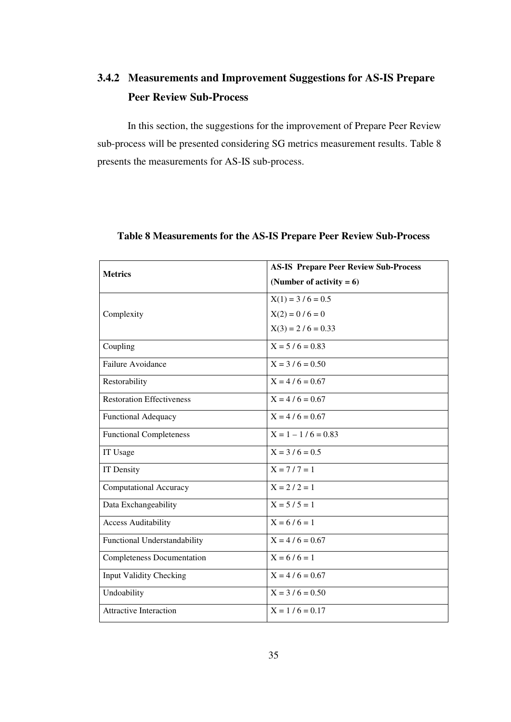# **3.4.2 Measurements and Improvement Suggestions for AS-IS Prepare Peer Review Sub-Process**

In this section, the suggestions for the improvement of Prepare Peer Review sub-process will be presented considering SG metrics measurement results. Table 8 presents the measurements for AS-IS sub-process.

| <b>Metrics</b>                    | <b>AS-IS Prepare Peer Review Sub-Process</b> |  |  |
|-----------------------------------|----------------------------------------------|--|--|
|                                   | (Number of activity $= 6$ )                  |  |  |
|                                   | $X(1) = 3 / 6 = 0.5$                         |  |  |
| Complexity                        | $X(2) = 0 / 6 = 0$                           |  |  |
|                                   | $X(3) = 2 / 6 = 0.33$                        |  |  |
| Coupling                          | $X = 5/6 = 0.83$                             |  |  |
| <b>Failure Avoidance</b>          | $X = 3/6 = 0.50$                             |  |  |
| Restorability                     | $X = 4/6 = 0.67$                             |  |  |
| <b>Restoration Effectiveness</b>  | $X = 4/6 = 0.67$                             |  |  |
| <b>Functional Adequacy</b>        | $X = 4/6 = 0.67$                             |  |  |
| <b>Functional Completeness</b>    | $X = 1 - 1/6 = 0.83$                         |  |  |
| IT Usage                          | $X = 3 / 6 = 0.5$                            |  |  |
| IT Density                        | $X = 7/7 = 1$                                |  |  |
| <b>Computational Accuracy</b>     | $X = 2/2 = 1$                                |  |  |
| Data Exchangeability              | $X = 5/5 = 1$                                |  |  |
| <b>Access Auditability</b>        | $X = 6/6 = 1$                                |  |  |
| Functional Understandability      | $X = 4/6 = 0.67$                             |  |  |
| <b>Completeness Documentation</b> | $X = 6/6 = 1$                                |  |  |
| <b>Input Validity Checking</b>    | $X = 4/6 = 0.67$                             |  |  |
| Undoability                       | $X = 3 / 6 = 0.50$                           |  |  |
| <b>Attractive Interaction</b>     | $X = 1/6 = 0.17$                             |  |  |

## **Table 8 Measurements for the AS-IS Prepare Peer Review Sub-Process**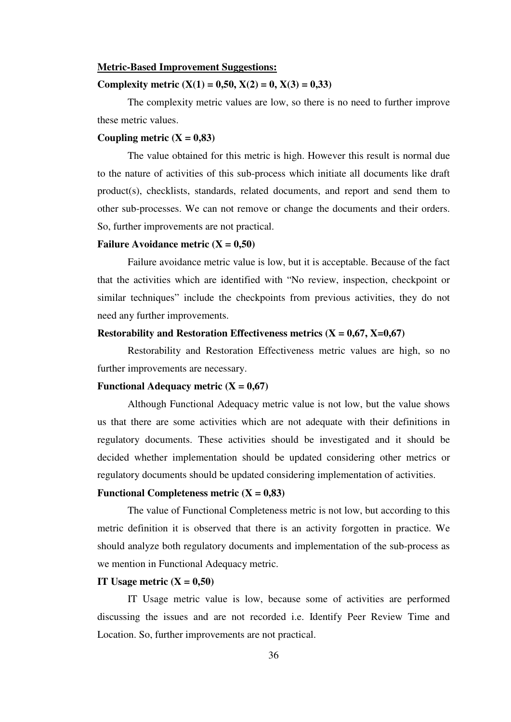#### **Metric-Based Improvement Suggestions:**

## **Complexity metric**  $(X(1) = 0.50, X(2) = 0, X(3) = 0.33)$

The complexity metric values are low, so there is no need to further improve these metric values.

## Coupling metric  $(X = 0.83)$

The value obtained for this metric is high. However this result is normal due to the nature of activities of this sub-process which initiate all documents like draft product(s), checklists, standards, related documents, and report and send them to other sub-processes. We can not remove or change the documents and their orders. So, further improvements are not practical.

#### **Failure Avoidance metric (X = 0,50)**

Failure avoidance metric value is low, but it is acceptable. Because of the fact that the activities which are identified with "No review, inspection, checkpoint or similar techniques" include the checkpoints from previous activities, they do not need any further improvements.

## **Restorability and Restoration Effectiveness metrics**  $(X = 0.67, X=0.67)$

Restorability and Restoration Effectiveness metric values are high, so no further improvements are necessary.

## **Functional Adequacy metric**  $(X = 0.67)$

 Although Functional Adequacy metric value is not low, but the value shows us that there are some activities which are not adequate with their definitions in regulatory documents. These activities should be investigated and it should be decided whether implementation should be updated considering other metrics or regulatory documents should be updated considering implementation of activities.

#### **Functional Completeness metric**  $(X = 0.83)$

The value of Functional Completeness metric is not low, but according to this metric definition it is observed that there is an activity forgotten in practice. We should analyze both regulatory documents and implementation of the sub-process as we mention in Functional Adequacy metric.

### **IT Usage metric**  $(X = 0.50)$

IT Usage metric value is low, because some of activities are performed discussing the issues and are not recorded i.e. Identify Peer Review Time and Location. So, further improvements are not practical.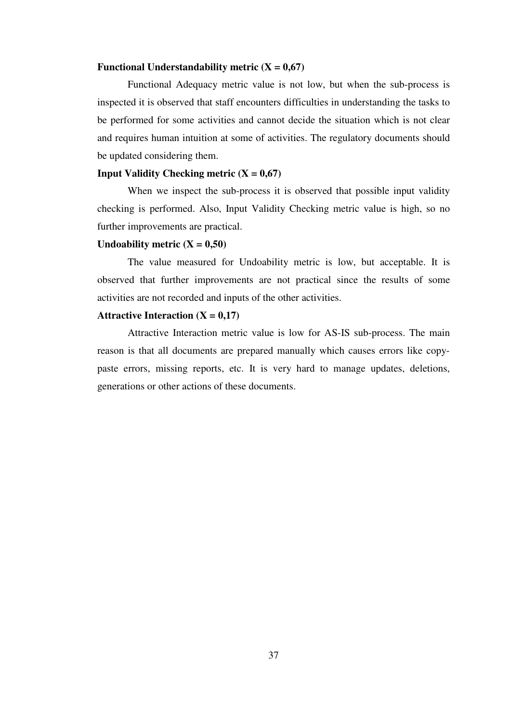### **Functional Understandability metric**  $(X = 0.67)$

Functional Adequacy metric value is not low, but when the sub-process is inspected it is observed that staff encounters difficulties in understanding the tasks to be performed for some activities and cannot decide the situation which is not clear and requires human intuition at some of activities. The regulatory documents should be updated considering them.

## **Input Validity Checking metric**  $(X = 0.67)$

When we inspect the sub-process it is observed that possible input validity checking is performed. Also, Input Validity Checking metric value is high, so no further improvements are practical.

## Undoability metric  $(X = 0.50)$

The value measured for Undoability metric is low, but acceptable. It is observed that further improvements are not practical since the results of some activities are not recorded and inputs of the other activities.

## **Attractive Interaction (** $X = 0.17$ **)**

 Attractive Interaction metric value is low for AS-IS sub-process. The main reason is that all documents are prepared manually which causes errors like copypaste errors, missing reports, etc. It is very hard to manage updates, deletions, generations or other actions of these documents.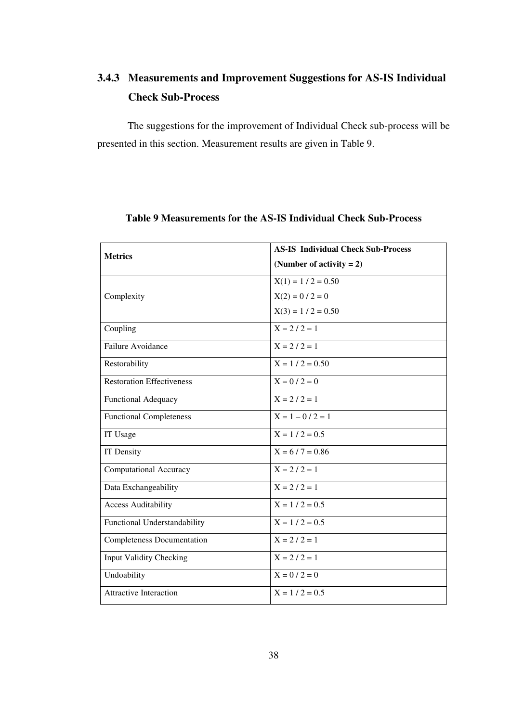# **3.4.3 Measurements and Improvement Suggestions for AS-IS Individual Check Sub-Process**

The suggestions for the improvement of Individual Check sub-process will be presented in this section. Measurement results are given in Table 9.

| <b>Metrics</b>                    | <b>AS-IS Individual Check Sub-Process</b> |  |
|-----------------------------------|-------------------------------------------|--|
|                                   | (Number of activity $= 2$ )               |  |
|                                   | $X(1) = 1 / 2 = 0.50$                     |  |
| Complexity                        | $X(2) = 0 / 2 = 0$                        |  |
|                                   | $X(3) = 1 / 2 = 0.50$                     |  |
| Coupling                          | $X = 2 / 2 = 1$                           |  |
| Failure Avoidance                 | $X = 2 / 2 = 1$                           |  |
| Restorability                     | $X = 1 / 2 = 0.50$                        |  |
| <b>Restoration Effectiveness</b>  | $X = 0 / 2 = 0$                           |  |
| Functional Adequacy               | $X = 2 / 2 = 1$                           |  |
| <b>Functional Completeness</b>    | $X = 1 - 0/2 = 1$                         |  |
| IT Usage                          | $X = 1 / 2 = 0.5$                         |  |
| IT Density                        | $X = 6 / 7 = 0.86$                        |  |
| <b>Computational Accuracy</b>     | $X = 2 / 2 = 1$                           |  |
| Data Exchangeability              | $X = 2 / 2 = 1$                           |  |
| <b>Access Auditability</b>        | $X = 1 / 2 = 0.5$                         |  |
| Functional Understandability      | $X = 1 / 2 = 0.5$                         |  |
| <b>Completeness Documentation</b> | $X = 2 / 2 = 1$                           |  |
| <b>Input Validity Checking</b>    | $X = 2 / 2 = 1$                           |  |
| Undoability                       | $X = 0 / 2 = 0$                           |  |
| <b>Attractive Interaction</b>     | $X = 1 / 2 = 0.5$                         |  |

## **Table 9 Measurements for the AS-IS Individual Check Sub-Process**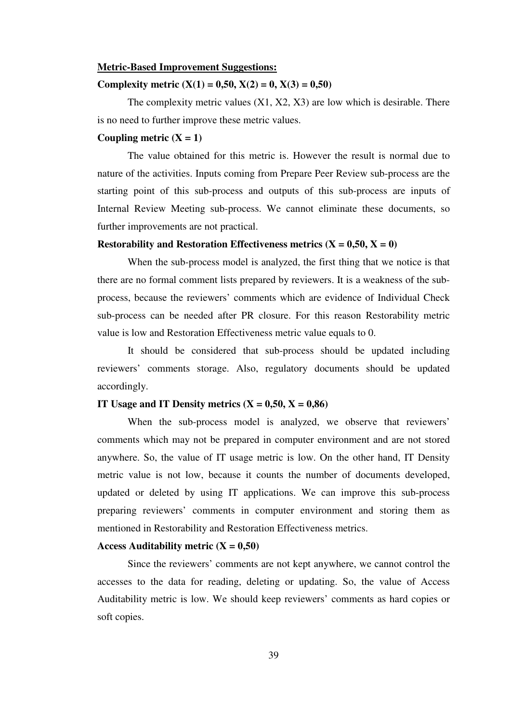### **Metric-Based Improvement Suggestions:**

## **Complexity metric (X(1) = 0,50, X(2) = 0, X(3) = 0,50)**

The complexity metric values (X1, X2, X3) are low which is desirable. There is no need to further improve these metric values.

### Coupling metric  $(X = 1)$

 The value obtained for this metric is. However the result is normal due to nature of the activities. Inputs coming from Prepare Peer Review sub-process are the starting point of this sub-process and outputs of this sub-process are inputs of Internal Review Meeting sub-process. We cannot eliminate these documents, so further improvements are not practical.

## **Restorability and Restoration Effectiveness metrics**  $(X = 0.50, X = 0)$

When the sub-process model is analyzed, the first thing that we notice is that there are no formal comment lists prepared by reviewers. It is a weakness of the subprocess, because the reviewers' comments which are evidence of Individual Check sub-process can be needed after PR closure. For this reason Restorability metric value is low and Restoration Effectiveness metric value equals to 0.

It should be considered that sub-process should be updated including reviewers' comments storage. Also, regulatory documents should be updated accordingly.

#### **IT Usage and IT Density metrics**  $(X = 0.50, X = 0.86)$

 When the sub-process model is analyzed, we observe that reviewers' comments which may not be prepared in computer environment and are not stored anywhere. So, the value of IT usage metric is low. On the other hand, IT Density metric value is not low, because it counts the number of documents developed, updated or deleted by using IT applications. We can improve this sub-process preparing reviewers' comments in computer environment and storing them as mentioned in Restorability and Restoration Effectiveness metrics.

## Access Auditability metric  $(X = 0.50)$

 Since the reviewers' comments are not kept anywhere, we cannot control the accesses to the data for reading, deleting or updating. So, the value of Access Auditability metric is low. We should keep reviewers' comments as hard copies or soft copies.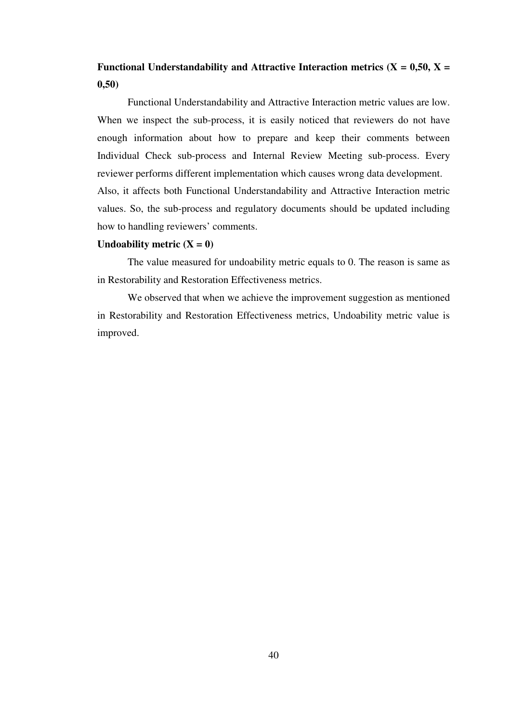## **Functional Understandability and Attractive Interaction metrics (** $X = 0.50$ **,**  $X = 0.50$ **) 0,50)**

Functional Understandability and Attractive Interaction metric values are low. When we inspect the sub-process, it is easily noticed that reviewers do not have enough information about how to prepare and keep their comments between Individual Check sub-process and Internal Review Meeting sub-process. Every reviewer performs different implementation which causes wrong data development. Also, it affects both Functional Understandability and Attractive Interaction metric values. So, the sub-process and regulatory documents should be updated including how to handling reviewers' comments.

## Undoability metric  $(X = 0)$

The value measured for undoability metric equals to 0. The reason is same as in Restorability and Restoration Effectiveness metrics.

We observed that when we achieve the improvement suggestion as mentioned in Restorability and Restoration Effectiveness metrics, Undoability metric value is improved.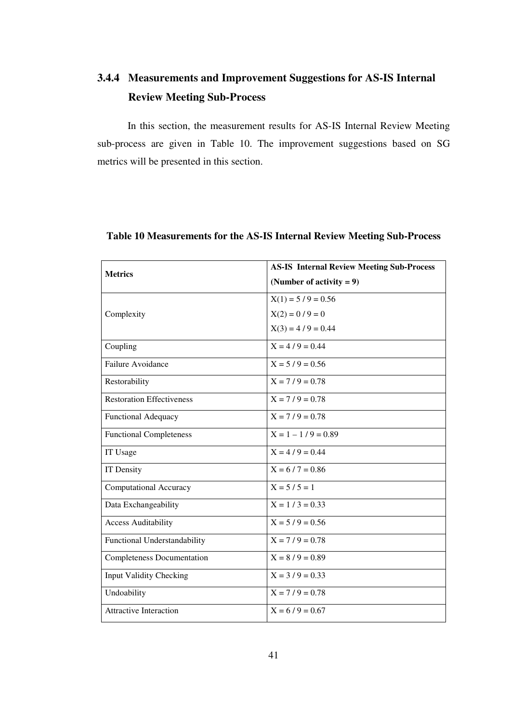# **3.4.4 Measurements and Improvement Suggestions for AS-IS Internal Review Meeting Sub-Process**

In this section, the measurement results for AS-IS Internal Review Meeting sub-process are given in Table 10. The improvement suggestions based on SG metrics will be presented in this section.

| <b>Metrics</b>                    | <b>AS-IS Internal Review Meeting Sub-Process</b> |  |
|-----------------------------------|--------------------------------------------------|--|
|                                   | (Number of activity $= 9$ )                      |  |
|                                   | $X(1) = 5/9 = 0.56$                              |  |
| Complexity                        | $X(2) = 0 / 9 = 0$                               |  |
|                                   | $X(3) = 4/9 = 0.44$                              |  |
| Coupling                          | $X = 4/9 = 0.44$                                 |  |
| Failure Avoidance                 | $X = 5/9 = 0.56$                                 |  |
| Restorability                     | $X = 7/9 = 0.78$                                 |  |
| <b>Restoration Effectiveness</b>  | $X = 7/9 = 0.78$                                 |  |
| <b>Functional Adequacy</b>        | $X = 7/9 = 0.78$                                 |  |
| <b>Functional Completeness</b>    | $X = 1 - 1/9 = 0.89$                             |  |
| IT Usage                          | $X = 4/9 = 0.44$                                 |  |
| IT Density                        | $X = 6 / 7 = 0.86$                               |  |
| <b>Computational Accuracy</b>     | $X = 5/5 = 1$                                    |  |
| Data Exchangeability              | $X = 1 / 3 = 0.33$                               |  |
| <b>Access Auditability</b>        | $X = 5/9 = 0.56$                                 |  |
| Functional Understandability      | $X = 7/9 = 0.78$                                 |  |
| <b>Completeness Documentation</b> | $X = 8/9 = 0.89$                                 |  |
| <b>Input Validity Checking</b>    | $X = 3/9 = 0.33$                                 |  |
| Undoability                       | $X = 7/9 = 0.78$                                 |  |
| <b>Attractive Interaction</b>     | $X = 6/9 = 0.67$                                 |  |

## **Table 10 Measurements for the AS-IS Internal Review Meeting Sub-Process**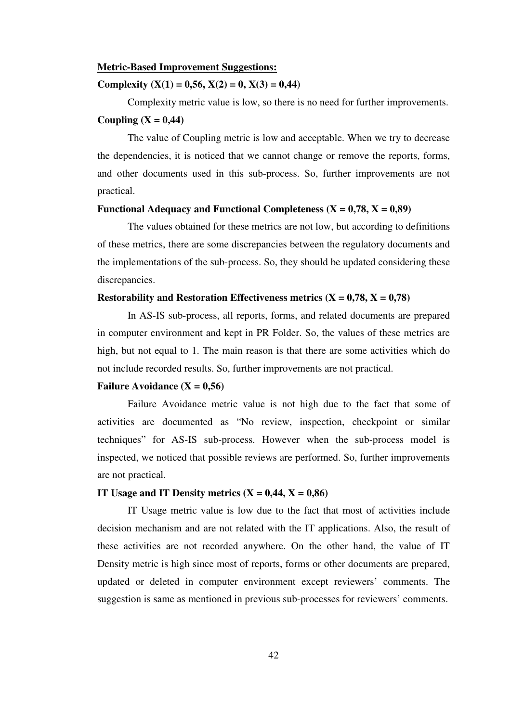## **Metric-Based Improvement Suggestions:**

## **Complexity**  $(X(1) = 0.56, X(2) = 0, X(3) = 0.44)$

 Complexity metric value is low, so there is no need for further improvements. Coupling  $(X = 0,44)$ 

 The value of Coupling metric is low and acceptable. When we try to decrease the dependencies, it is noticed that we cannot change or remove the reports, forms, and other documents used in this sub-process. So, further improvements are not practical.

## **Functional Adequacy and Functional Completeness**  $(X = 0.78, X = 0.89)$

 The values obtained for these metrics are not low, but according to definitions of these metrics, there are some discrepancies between the regulatory documents and the implementations of the sub-process. So, they should be updated considering these discrepancies.

## **Restorability and Restoration Effectiveness metrics**  $(X = 0.78, X = 0.78)$

 In AS-IS sub-process, all reports, forms, and related documents are prepared in computer environment and kept in PR Folder. So, the values of these metrics are high, but not equal to 1. The main reason is that there are some activities which do not include recorded results. So, further improvements are not practical.

## **Failure Avoidance (** $X = 0.56$ **)**

 Failure Avoidance metric value is not high due to the fact that some of activities are documented as "No review, inspection, checkpoint or similar techniques" for AS-IS sub-process. However when the sub-process model is inspected, we noticed that possible reviews are performed. So, further improvements are not practical.

#### **IT Usage and IT Density metrics**  $(X = 0.44, X = 0.86)$

 IT Usage metric value is low due to the fact that most of activities include decision mechanism and are not related with the IT applications. Also, the result of these activities are not recorded anywhere. On the other hand, the value of IT Density metric is high since most of reports, forms or other documents are prepared, updated or deleted in computer environment except reviewers' comments. The suggestion is same as mentioned in previous sub-processes for reviewers' comments.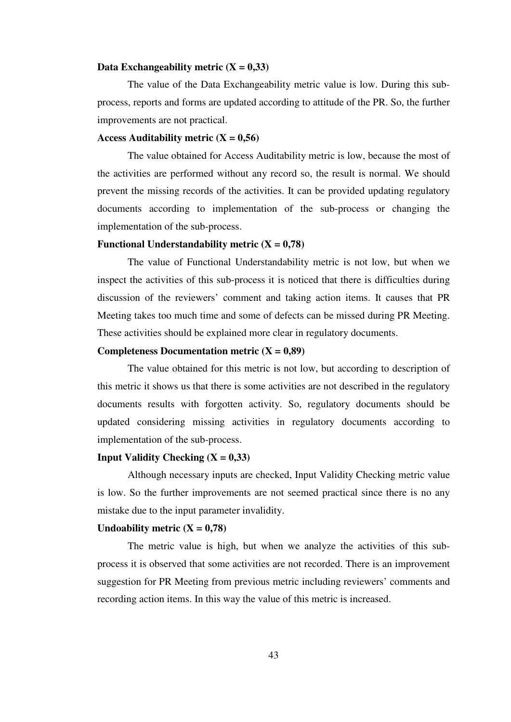#### Data Exchangeability metric  $(X = 0,33)$

 The value of the Data Exchangeability metric value is low. During this subprocess, reports and forms are updated according to attitude of the PR. So, the further improvements are not practical.

### Access Auditability metric  $(X = 0.56)$

 The value obtained for Access Auditability metric is low, because the most of the activities are performed without any record so, the result is normal. We should prevent the missing records of the activities. It can be provided updating regulatory documents according to implementation of the sub-process or changing the implementation of the sub-process.

## **Functional Understandability metric (X = 0,78)**

The value of Functional Understandability metric is not low, but when we inspect the activities of this sub-process it is noticed that there is difficulties during discussion of the reviewers' comment and taking action items. It causes that PR Meeting takes too much time and some of defects can be missed during PR Meeting. These activities should be explained more clear in regulatory documents.

### **Completeness Documentation metric (X = 0,89)**

The value obtained for this metric is not low, but according to description of this metric it shows us that there is some activities are not described in the regulatory documents results with forgotten activity. So, regulatory documents should be updated considering missing activities in regulatory documents according to implementation of the sub-process.

### **Input Validity Checking**  $(X = 0.33)$

 Although necessary inputs are checked, Input Validity Checking metric value is low. So the further improvements are not seemed practical since there is no any mistake due to the input parameter invalidity.

## Undoability metric  $(X = 0.78)$

The metric value is high, but when we analyze the activities of this subprocess it is observed that some activities are not recorded. There is an improvement suggestion for PR Meeting from previous metric including reviewers' comments and recording action items. In this way the value of this metric is increased.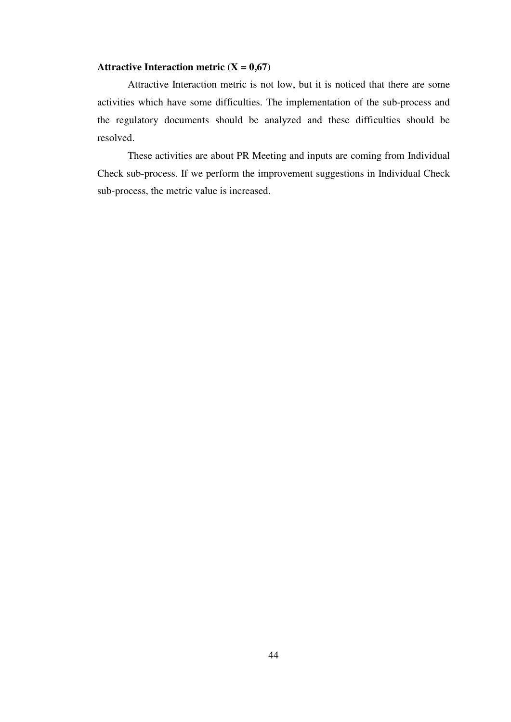## **Attractive Interaction metric**  $(X = 0.67)$

Attractive Interaction metric is not low, but it is noticed that there are some activities which have some difficulties. The implementation of the sub-process and the regulatory documents should be analyzed and these difficulties should be resolved.

These activities are about PR Meeting and inputs are coming from Individual Check sub-process. If we perform the improvement suggestions in Individual Check sub-process, the metric value is increased.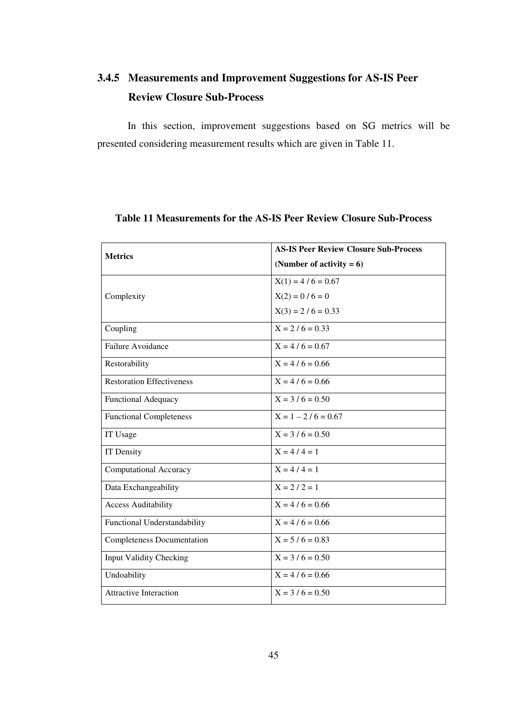# **3.4.5 Measurements and Improvement Suggestions for AS-IS Peer Review Closure Sub-Process**

In this section, improvement suggestions based on SG metrics will be presented considering measurement results which are given in Table 11.

| <b>Metrics</b>                    | <b>AS-IS Peer Review Closure Sub-Process</b> |  |  |
|-----------------------------------|----------------------------------------------|--|--|
|                                   | (Number of activity $= 6$ )                  |  |  |
|                                   | $X(1) = 4/6 = 0.67$                          |  |  |
| Complexity                        | $X(2) = 0 / 6 = 0$                           |  |  |
|                                   | $X(3) = 2 / 6 = 0.33$                        |  |  |
| Coupling                          | $X = 2/6 = 0.33$                             |  |  |
| <b>Failure Avoidance</b>          | $X = 4/6 = 0.67$                             |  |  |
| Restorability                     | $X = 4/6 = 0.66$                             |  |  |
| <b>Restoration Effectiveness</b>  | $X = 4/6 = 0.66$                             |  |  |
| <b>Functional Adequacy</b>        | $X = 3 / 6 = 0.50$                           |  |  |
| <b>Functional Completeness</b>    | $X = 1 - 2/6 = 0.67$                         |  |  |
| IT Usage                          | $X = 3 / 6 = 0.50$                           |  |  |
| <b>IT Density</b>                 | $X = 4/4 = 1$                                |  |  |
| <b>Computational Accuracy</b>     | $X = 4/4 = 1$                                |  |  |
| Data Exchangeability              | $X = 2/2 = 1$                                |  |  |
| <b>Access Auditability</b>        | $X = 4/6 = 0.66$                             |  |  |
| Functional Understandability      | $X = 4/6 = 0.66$                             |  |  |
| <b>Completeness Documentation</b> | $X = 5 / 6 = 0.83$                           |  |  |
| <b>Input Validity Checking</b>    | $X = 3 / 6 = 0.50$                           |  |  |
| Undoability                       | $X = 4 / 6 = 0.66$                           |  |  |
| <b>Attractive Interaction</b>     | $X = 3 / 6 = 0.50$                           |  |  |

## **Table 11 Measurements for the AS-IS Peer Review Closure Sub-Process**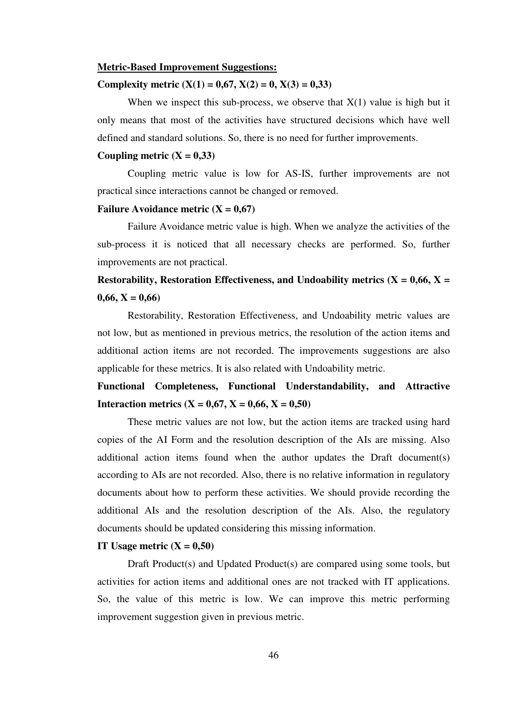### **Metric-Based Improvement Suggestions:**

## **Complexity metric**  $(X(1) = 0.67, X(2) = 0, X(3) = 0.33)$

When we inspect this sub-process, we observe that  $X(1)$  value is high but it only means that most of the activities have structured decisions which have well defined and standard solutions. So, there is no need for further improvements.

## Coupling metric  $(X = 0,33)$

 Coupling metric value is low for AS-IS, further improvements are not practical since interactions cannot be changed or removed.

## **Failure Avoidance metric**  $(X = 0.67)$

 Failure Avoidance metric value is high. When we analyze the activities of the sub-process it is noticed that all necessary checks are performed. So, further improvements are not practical.

## **Restorability, Restoration Effectiveness, and Undoability metrics (** $X = 0.66$ **,**  $X = 0$ **)**  $0.66, X = 0.66$

 Restorability, Restoration Effectiveness, and Undoability metric values are not low, but as mentioned in previous metrics, the resolution of the action items and additional action items are not recorded. The improvements suggestions are also applicable for these metrics. It is also related with Undoability metric.

**Functional Completeness, Functional Understandability, and Attractive Interaction metrics (X = 0,67, X = 0,66, X = 0,50)** 

 These metric values are not low, but the action items are tracked using hard copies of the AI Form and the resolution description of the AIs are missing. Also additional action items found when the author updates the Draft document(s) according to AIs are not recorded. Also, there is no relative information in regulatory documents about how to perform these activities. We should provide recording the additional AIs and the resolution description of the AIs. Also, the regulatory documents should be updated considering this missing information.

### **IT Usage metric**  $(X = 0.50)$

 Draft Product(s) and Updated Product(s) are compared using some tools, but activities for action items and additional ones are not tracked with IT applications. So, the value of this metric is low. We can improve this metric performing improvement suggestion given in previous metric.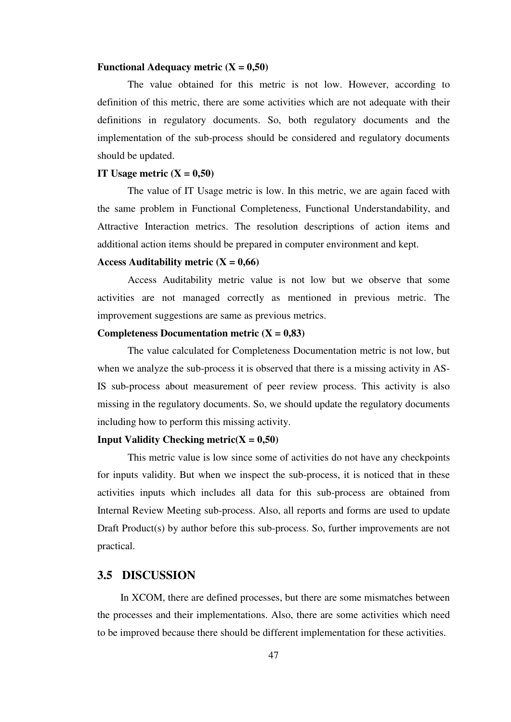#### **Functional Adequacy metric**  $(X = 0.50)$

 The value obtained for this metric is not low. However, according to definition of this metric, there are some activities which are not adequate with their definitions in regulatory documents. So, both regulatory documents and the implementation of the sub-process should be considered and regulatory documents should be updated.

#### **IT Usage metric**  $(X = 0.50)$

 The value of IT Usage metric is low. In this metric, we are again faced with the same problem in Functional Completeness, Functional Understandability, and Attractive Interaction metrics. The resolution descriptions of action items and additional action items should be prepared in computer environment and kept.

## Access Auditability metric  $(X = 0,66)$

 Access Auditability metric value is not low but we observe that some activities are not managed correctly as mentioned in previous metric. The improvement suggestions are same as previous metrics.

## **Completeness Documentation metric**  $(X = 0.83)$

 The value calculated for Completeness Documentation metric is not low, but when we analyze the sub-process it is observed that there is a missing activity in AS-IS sub-process about measurement of peer review process. This activity is also missing in the regulatory documents. So, we should update the regulatory documents including how to perform this missing activity.

### **Input Validity Checking metric(** $X = 0,50$ **)**

 This metric value is low since some of activities do not have any checkpoints for inputs validity. But when we inspect the sub-process, it is noticed that in these activities inputs which includes all data for this sub-process are obtained from Internal Review Meeting sub-process. Also, all reports and forms are used to update Draft Product(s) by author before this sub-process. So, further improvements are not practical.

### **3.5 DISCUSSION**

In XCOM, there are defined processes, but there are some mismatches between the processes and their implementations. Also, there are some activities which need to be improved because there should be different implementation for these activities.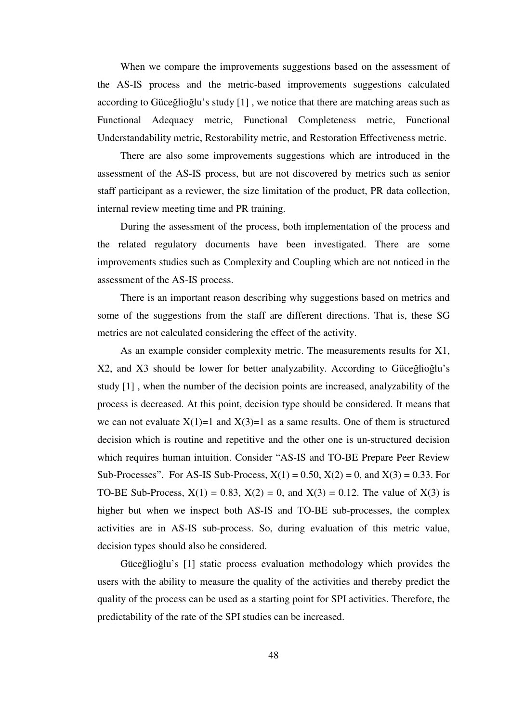When we compare the improvements suggestions based on the assessment of the AS-IS process and the metric-based improvements suggestions calculated according to Güceğlioğlu's study [1] , we notice that there are matching areas such as Functional Adequacy metric, Functional Completeness metric, Functional Understandability metric, Restorability metric, and Restoration Effectiveness metric.

There are also some improvements suggestions which are introduced in the assessment of the AS-IS process, but are not discovered by metrics such as senior staff participant as a reviewer, the size limitation of the product, PR data collection, internal review meeting time and PR training.

During the assessment of the process, both implementation of the process and the related regulatory documents have been investigated. There are some improvements studies such as Complexity and Coupling which are not noticed in the assessment of the AS-IS process.

There is an important reason describing why suggestions based on metrics and some of the suggestions from the staff are different directions. That is, these SG metrics are not calculated considering the effect of the activity.

As an example consider complexity metric. The measurements results for X1, X2, and X3 should be lower for better analyzability. According to Güceğlioğlu's study [1] , when the number of the decision points are increased, analyzability of the process is decreased. At this point, decision type should be considered. It means that we can not evaluate  $X(1)=1$  and  $X(3)=1$  as a same results. One of them is structured decision which is routine and repetitive and the other one is un-structured decision which requires human intuition. Consider "AS-IS and TO-BE Prepare Peer Review Sub-Processes". For AS-IS Sub-Process,  $X(1) = 0.50$ ,  $X(2) = 0$ , and  $X(3) = 0.33$ . For TO-BE Sub-Process,  $X(1) = 0.83$ ,  $X(2) = 0$ , and  $X(3) = 0.12$ . The value of  $X(3)$  is higher but when we inspect both AS-IS and TO-BE sub-processes, the complex activities are in AS-IS sub-process. So, during evaluation of this metric value, decision types should also be considered.

Güceğlioğlu's [1] static process evaluation methodology which provides the users with the ability to measure the quality of the activities and thereby predict the quality of the process can be used as a starting point for SPI activities. Therefore, the predictability of the rate of the SPI studies can be increased.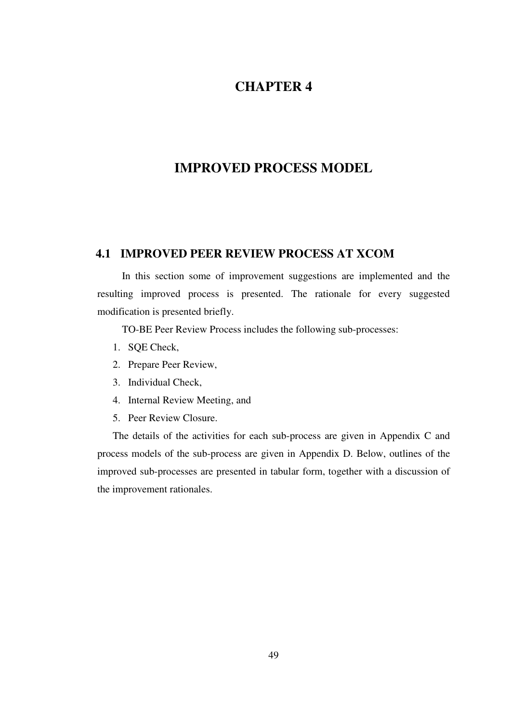## **CHAPTER 4**

## **IMPROVED PROCESS MODEL**

## **4.1 IMPROVED PEER REVIEW PROCESS AT XCOM**

In this section some of improvement suggestions are implemented and the resulting improved process is presented. The rationale for every suggested modification is presented briefly.

TO-BE Peer Review Process includes the following sub-processes:

- 1. SQE Check,
- 2. Prepare Peer Review,
- 3. Individual Check,
- 4. Internal Review Meeting, and
- 5. Peer Review Closure.

The details of the activities for each sub-process are given in Appendix C and process models of the sub-process are given in Appendix D. Below, outlines of the improved sub-processes are presented in tabular form, together with a discussion of the improvement rationales.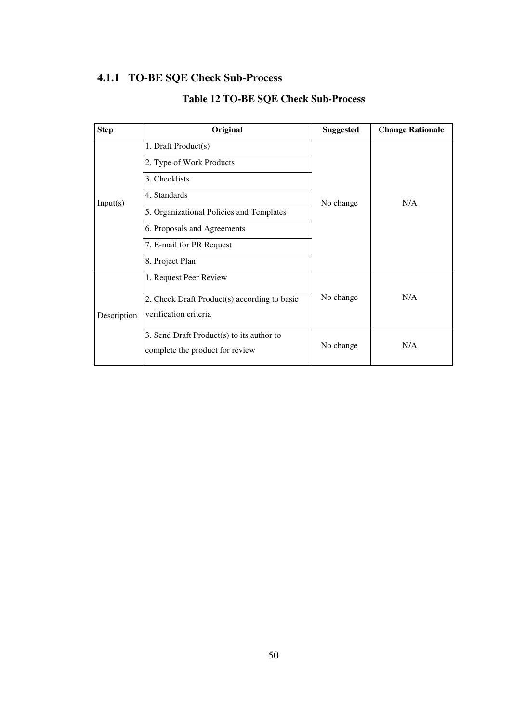# **4.1.1 TO-BE SQE Check Sub-Process**

| <b>Step</b> | Original                                     | <b>Suggested</b> | <b>Change Rationale</b> |
|-------------|----------------------------------------------|------------------|-------------------------|
| Input(s)    | 1. Draft Product(s)                          |                  |                         |
|             | 2. Type of Work Products                     |                  |                         |
|             | 3. Checklists                                |                  |                         |
|             | 4. Standards                                 | N/A<br>No change |                         |
|             | 5. Organizational Policies and Templates     |                  |                         |
|             | 6. Proposals and Agreements                  |                  |                         |
|             | 7. E-mail for PR Request                     |                  |                         |
|             | 8. Project Plan                              |                  |                         |
|             | 1. Request Peer Review                       |                  |                         |
| Description | 2. Check Draft Product(s) according to basic | No change        | N/A                     |
|             | verification criteria                        |                  |                         |
|             |                                              |                  |                         |
|             | 3. Send Draft Product(s) to its author to    |                  |                         |
|             | complete the product for review              | No change        | N/A                     |

## **Table 12 TO-BE SQE Check Sub-Process**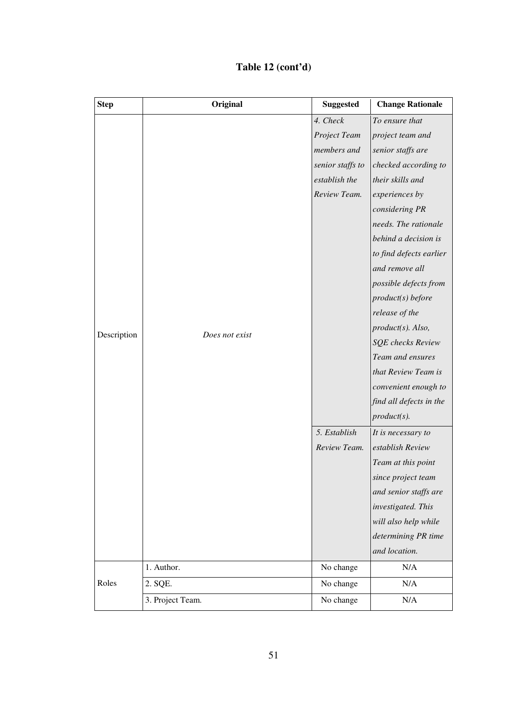## **Table 12 (cont'd)**

| <b>Step</b> | Original         | <b>Suggested</b> | <b>Change Rationale</b> |
|-------------|------------------|------------------|-------------------------|
|             |                  | 4. Check         | To ensure that          |
|             |                  | Project Team     | project team and        |
|             |                  | members and      | senior staffs are       |
|             |                  | senior staffs to | checked according to    |
|             |                  | establish the    | their skills and        |
|             |                  | Review Team.     | experiences by          |
|             |                  |                  | considering PR          |
|             |                  |                  | needs. The rationale    |
|             |                  |                  | behind a decision is    |
|             |                  |                  | to find defects earlier |
|             |                  |                  | and remove all          |
|             |                  |                  | possible defects from   |
|             |                  |                  | product(s) before       |
| Description | Does not exist   |                  | release of the          |
|             |                  |                  | product(s). Also,       |
|             |                  |                  | SQE checks Review       |
|             |                  |                  | Team and ensures        |
|             |                  |                  | that Review Team is     |
|             |                  |                  | convenient enough to    |
|             |                  |                  | find all defects in the |
|             |                  |                  | $product(s)$ .          |
|             |                  | 5. Establish     | It is necessary to      |
|             |                  | Review Team.     | establish Review        |
|             |                  |                  | Team at this point      |
|             |                  |                  | since project team      |
|             |                  |                  | and senior staffs are   |
|             |                  |                  | investigated. This      |
|             |                  |                  | will also help while    |
|             |                  |                  | determining PR time     |
|             |                  |                  | and location.           |
|             | 1. Author.       | No change        | N/A                     |
| Roles       | 2. SQE.          | No change        | N/A                     |
|             | 3. Project Team. | No change        | N/A                     |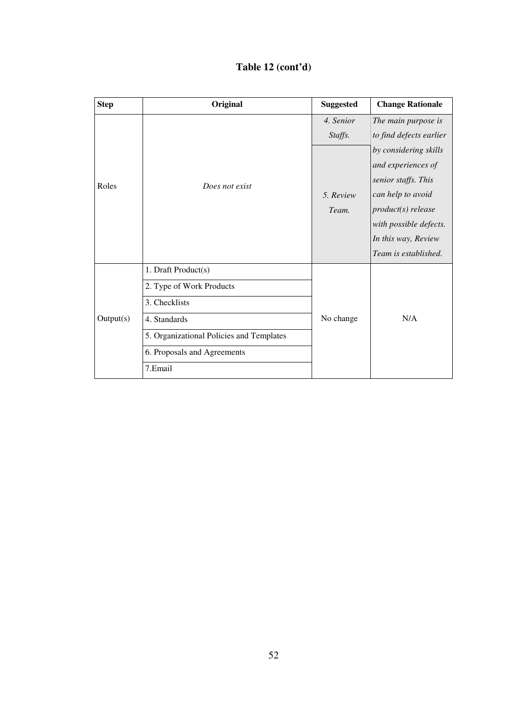| Table 12 (cont'd) |  |
|-------------------|--|
|-------------------|--|

| <b>Step</b> | Original                                 | <b>Suggested</b>     | <b>Change Rationale</b>                                                                                                                                                                |
|-------------|------------------------------------------|----------------------|----------------------------------------------------------------------------------------------------------------------------------------------------------------------------------------|
|             |                                          | 4. Senior<br>Staffs. | The main purpose is<br>to find defects earlier                                                                                                                                         |
| Roles       | Does not exist                           | 5. Review<br>Team.   | by considering skills<br>and experiences of<br>senior staffs. This<br>can help to avoid<br>product(s) release<br>with possible defects.<br>In this way, Review<br>Team is established. |
|             | 1. Draft Product(s)                      |                      |                                                                                                                                                                                        |
|             | 2. Type of Work Products                 |                      |                                                                                                                                                                                        |
|             | 3. Checklists                            |                      |                                                                                                                                                                                        |
| Output(s)   | 4. Standards                             | No change            | N/A                                                                                                                                                                                    |
|             | 5. Organizational Policies and Templates |                      |                                                                                                                                                                                        |
|             | 6. Proposals and Agreements              |                      |                                                                                                                                                                                        |
|             | 7.Email                                  |                      |                                                                                                                                                                                        |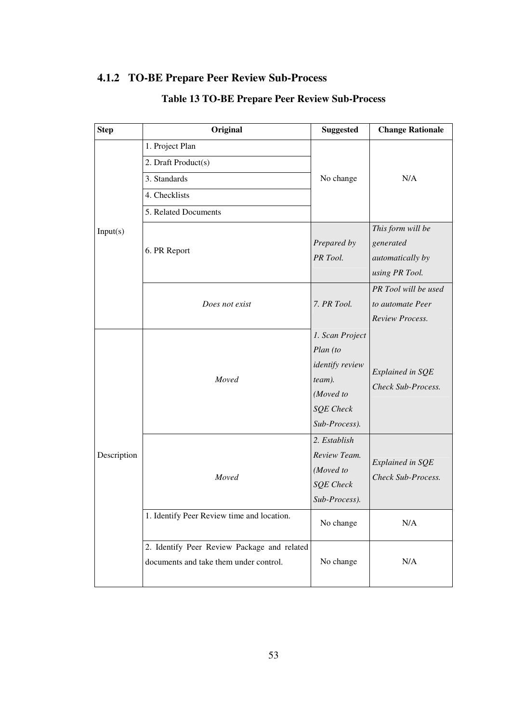## **4.1.2 TO-BE Prepare Peer Review Sub-Process**

| <b>Step</b>             | Original                                                                              | <b>Suggested</b>                                                                                                  | <b>Change Rationale</b>                                              |
|-------------------------|---------------------------------------------------------------------------------------|-------------------------------------------------------------------------------------------------------------------|----------------------------------------------------------------------|
| Input(s)<br>Description | 1. Project Plan                                                                       |                                                                                                                   | N/A                                                                  |
|                         | 2. Draft Product(s)                                                                   |                                                                                                                   |                                                                      |
|                         | 3. Standards                                                                          | No change                                                                                                         |                                                                      |
|                         | 4. Checklists                                                                         |                                                                                                                   |                                                                      |
|                         | 5. Related Documents                                                                  |                                                                                                                   |                                                                      |
|                         | 6. PR Report                                                                          | Prepared by<br>PR Tool.                                                                                           | This form will be<br>generated<br>automatically by<br>using PR Tool. |
|                         | Does not exist                                                                        | 7. PR Tool.                                                                                                       | PR Tool will be used<br>to automate Peer<br>Review Process.          |
|                         | Moved                                                                                 | 1. Scan Project<br>Plan (to<br><i>identify review</i><br>team).<br>(Moved to<br><b>SQE</b> Check<br>Sub-Process). | Explained in SQE<br>Check Sub-Process.                               |
|                         | Moved                                                                                 | 2. Establish<br>Review Team.<br>(Moved to<br><b>SQE</b> Check<br>Sub-Process).                                    | Explained in SQE<br>Check Sub-Process.                               |
|                         | 1. Identify Peer Review time and location.                                            | No change                                                                                                         | N/A                                                                  |
|                         | 2. Identify Peer Review Package and related<br>documents and take them under control. | No change                                                                                                         | N/A                                                                  |

# **Table 13 TO-BE Prepare Peer Review Sub-Process**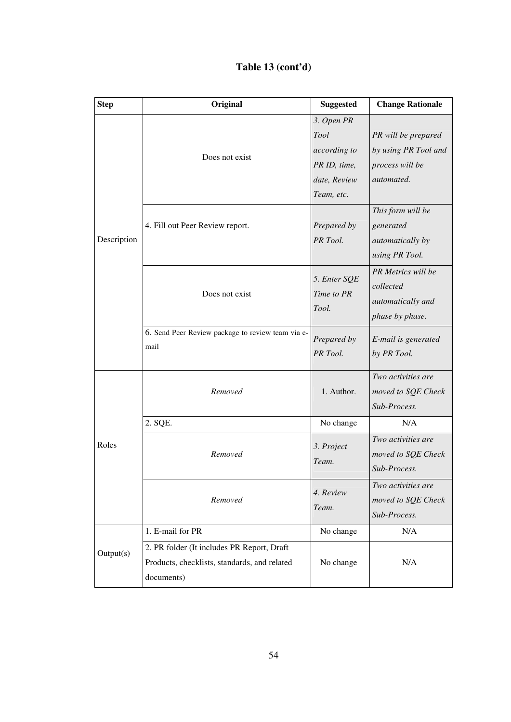| <b>Step</b> | Original                                                                                                 | <b>Suggested</b>                                                                 | <b>Change Rationale</b>                                                        |
|-------------|----------------------------------------------------------------------------------------------------------|----------------------------------------------------------------------------------|--------------------------------------------------------------------------------|
|             | Does not exist                                                                                           | 3. Open PR<br>Tool<br>according to<br>PR ID, time,<br>date, Review<br>Team, etc. | PR will be prepared<br>by using PR Tool and<br>process will be<br>automated.   |
| Description | 4. Fill out Peer Review report.                                                                          | Prepared by<br>PR Tool.                                                          | This form will be<br>generated<br><i>automatically by</i><br>using PR Tool.    |
|             | Does not exist                                                                                           | 5. Enter SQE<br>Time to PR<br>Tool.                                              | <b>PR</b> Metrics will be<br>collected<br>automatically and<br>phase by phase. |
|             | 6. Send Peer Review package to review team via e-<br>mail                                                | Prepared by<br>PR Tool.                                                          | E-mail is generated<br>by PR Tool.                                             |
|             | Removed                                                                                                  | 1. Author.                                                                       | Two activities are<br>moved to SQE Check<br>Sub-Process.                       |
|             | 2. SQE.                                                                                                  | No change                                                                        | N/A                                                                            |
| Roles       | Removed                                                                                                  | 3. Project<br>Team.                                                              | Two activities are<br>moved to SQE Check<br>Sub-Process.                       |
|             | Removed                                                                                                  | 4. Review<br>Team.                                                               | Two activities are<br>moved to SQE Check<br>Sub-Process.                       |
|             | 1. E-mail for PR                                                                                         | No change                                                                        | N/A                                                                            |
| Output(s)   | 2. PR folder (It includes PR Report, Draft<br>Products, checklists, standards, and related<br>documents) | No change                                                                        | N/A                                                                            |

## **Table 13 (cont'd)**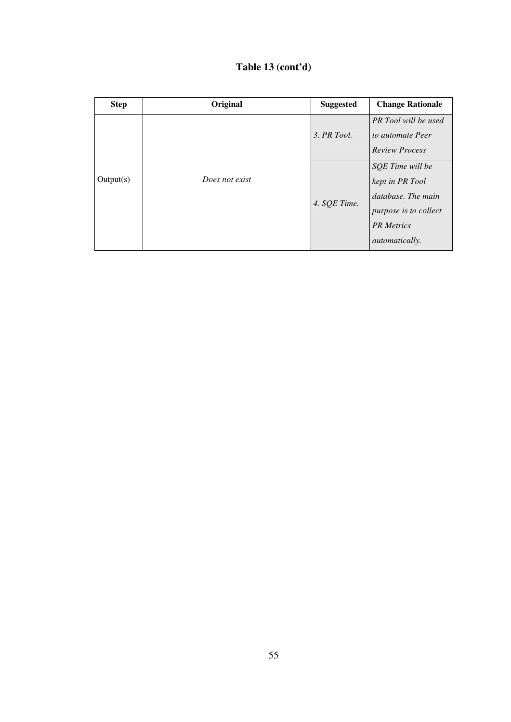| Table 13 (cont'd) |  |  |  |  |
|-------------------|--|--|--|--|
|-------------------|--|--|--|--|

| <b>Step</b> | Original       | <b>Suggested</b> | <b>Change Rationale</b>                                                                                                          |
|-------------|----------------|------------------|----------------------------------------------------------------------------------------------------------------------------------|
| Output(s)   | Does not exist | 3. PR Tool.      | <b>PR</b> Tool will be used<br>to automate Peer<br><b>Review Process</b>                                                         |
|             |                | 4. SQE Time.     | SQE Time will be<br>kept in PR Tool<br>database. The main<br>purpose is to collect<br><b>PR</b> Metrics<br><i>automatically.</i> |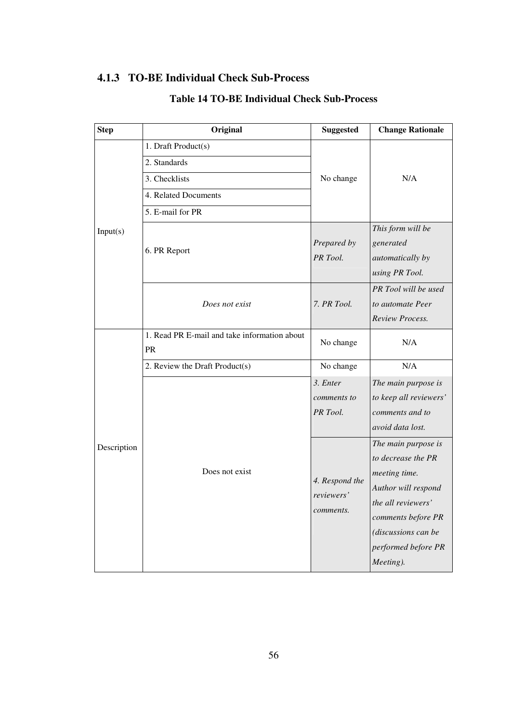## **4.1.3 TO-BE Individual Check Sub-Process**

| <b>Step</b> | Original                                           | <b>Suggested</b>                          | <b>Change Rationale</b>                                                                                                                                                                  |
|-------------|----------------------------------------------------|-------------------------------------------|------------------------------------------------------------------------------------------------------------------------------------------------------------------------------------------|
| Input(s)    | 1. Draft Product(s)                                |                                           | N/A                                                                                                                                                                                      |
|             | 2. Standards                                       |                                           |                                                                                                                                                                                          |
|             | 3. Checklists                                      | No change                                 |                                                                                                                                                                                          |
|             | 4. Related Documents                               |                                           |                                                                                                                                                                                          |
|             | 5. E-mail for PR                                   |                                           |                                                                                                                                                                                          |
|             | 6. PR Report                                       | Prepared by<br>PR Tool.                   | This form will be<br>generated<br>automatically by<br>using PR Tool.                                                                                                                     |
|             | Does not exist                                     | 7. PR Tool.                               | PR Tool will be used<br>to automate Peer<br>Review Process.                                                                                                                              |
|             | 1. Read PR E-mail and take information about<br>PR | No change                                 | N/A                                                                                                                                                                                      |
|             | 2. Review the Draft Product(s)                     | No change                                 | N/A                                                                                                                                                                                      |
|             |                                                    | 3. Enter                                  | The main purpose is                                                                                                                                                                      |
| Description |                                                    | comments to                               | to keep all reviewers'                                                                                                                                                                   |
|             | Does not exist                                     | PR Tool.                                  | comments and to                                                                                                                                                                          |
|             |                                                    |                                           | avoid data lost.                                                                                                                                                                         |
|             |                                                    | 4. Respond the<br>reviewers'<br>comments. | The main purpose is<br>to decrease the PR<br>meeting time.<br>Author will respond<br>the all reviewers'<br>comments before PR<br>(discussions can be<br>performed before PR<br>Meeting). |

## **Table 14 TO-BE Individual Check Sub-Process**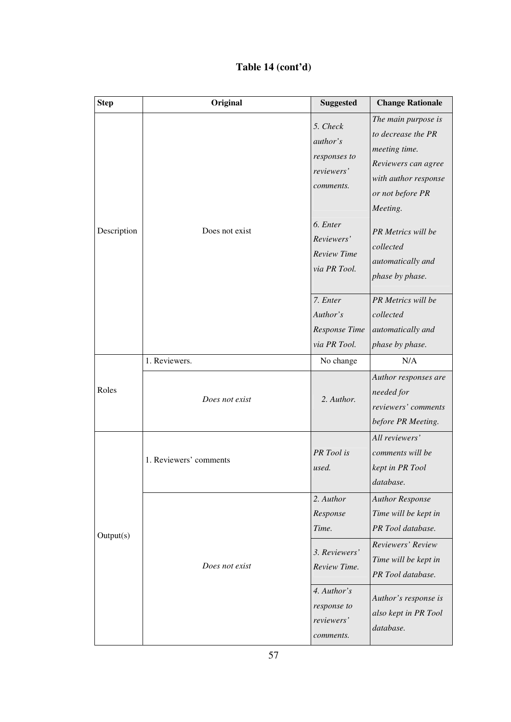## **Table 14 (cont'd)**

| <b>Step</b> | Original               | <b>Suggested</b>                                                       | <b>Change Rationale</b>                                                                                                                   |
|-------------|------------------------|------------------------------------------------------------------------|-------------------------------------------------------------------------------------------------------------------------------------------|
| Description |                        | 5. Check<br><i>author's</i><br>responses to<br>reviewers'<br>comments. | The main purpose is<br>to decrease the PR<br>meeting time.<br>Reviewers can agree<br>with author response<br>or not before PR<br>Meeting. |
|             | Does not exist         | 6. Enter<br>Reviewers'<br><b>Review Time</b><br>via PR Tool.           | PR Metrics will be<br>collected<br>automatically and<br>phase by phase.                                                                   |
|             |                        | 7. Enter<br>Author's<br>Response Time<br>via PR Tool.                  | PR Metrics will be<br>collected<br>automatically and<br>phase by phase.                                                                   |
|             | 1. Reviewers.          | No change                                                              | N/A                                                                                                                                       |
| Roles       | Does not exist         | 2. Author.                                                             | Author responses are<br>needed for<br>reviewers' comments<br>before PR Meeting.                                                           |
| Output(s)   | 1. Reviewers' comments | PR Tool is<br>used.                                                    | All reviewers'<br>comments will be<br>kept in PR Tool<br>database.                                                                        |
|             |                        | 2. Author<br>Response<br>Time.                                         | <b>Author Response</b><br>Time will be kept in<br>PR Tool database.                                                                       |
|             | Does not exist         | 3. Reviewers'<br>Review Time.                                          | Reviewers' Review<br>Time will be kept in<br>PR Tool database.                                                                            |
|             |                        | 4. Author's<br>response to<br>reviewers'<br>comments.                  | Author's response is<br>also kept in PR Tool<br>database.                                                                                 |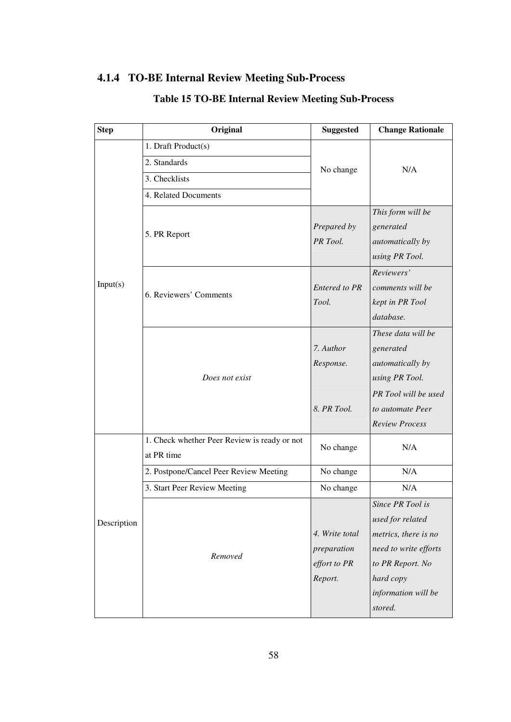## **4.1.4 TO-BE Internal Review Meeting Sub-Process**

| <b>Step</b> | Original                                                   | <b>Suggested</b>                                         | <b>Change Rationale</b>                                                                                                                                  |
|-------------|------------------------------------------------------------|----------------------------------------------------------|----------------------------------------------------------------------------------------------------------------------------------------------------------|
|             | 1. Draft Product(s)                                        |                                                          |                                                                                                                                                          |
|             | 2. Standards                                               | No change                                                | N/A                                                                                                                                                      |
|             | 3. Checklists                                              |                                                          |                                                                                                                                                          |
|             | 4. Related Documents                                       |                                                          |                                                                                                                                                          |
|             | 5. PR Report                                               | Prepared by<br>PR Tool.                                  | This form will be<br>generated<br>automatically by<br>using PR Tool.                                                                                     |
| Input(s)    | 6. Reviewers' Comments                                     | <b>Entered to PR</b><br>Tool.                            | Reviewers'<br>comments will be<br>kept in PR Tool<br>database.                                                                                           |
|             | Does not exist                                             | 7. Author<br>Response.                                   | These data will be<br>generated<br>automatically by<br>using PR Tool.                                                                                    |
|             |                                                            | 8. PR Tool.                                              | PR Tool will be used<br>to automate Peer<br><b>Review Process</b>                                                                                        |
|             | 1. Check whether Peer Review is ready or not<br>at PR time | No change                                                | N/A                                                                                                                                                      |
|             | 2. Postpone/Cancel Peer Review Meeting                     | No change                                                | N/A                                                                                                                                                      |
|             | 3. Start Peer Review Meeting                               | No change                                                | N/A                                                                                                                                                      |
| Description | Removed                                                    | 4. Write total<br>preparation<br>effort to PR<br>Report. | Since PR Tool is<br>used for related<br>metrics, there is no<br>need to write efforts<br>to PR Report. No<br>hard copy<br>information will be<br>stored. |

### **Table 15 TO-BE Internal Review Meeting Sub-Process**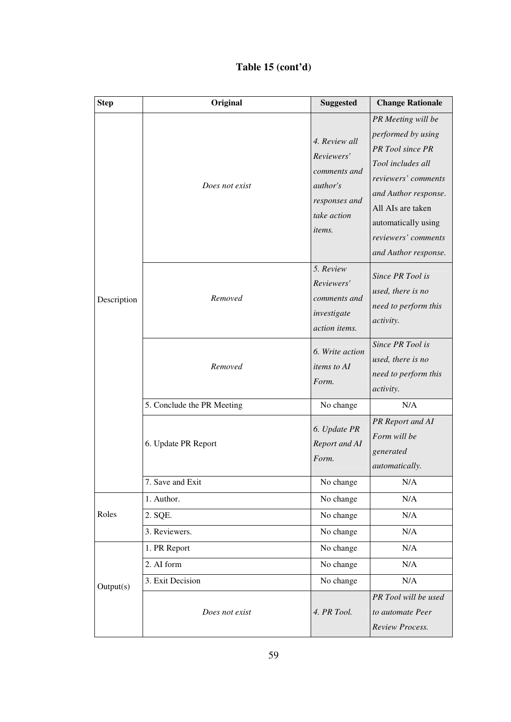## **Table 15 (cont'd)**

| <b>Step</b> | Original                   | <b>Suggested</b>                                                                                                | <b>Change Rationale</b>                                                                                                                                                                                                     |
|-------------|----------------------------|-----------------------------------------------------------------------------------------------------------------|-----------------------------------------------------------------------------------------------------------------------------------------------------------------------------------------------------------------------------|
|             | Does not exist             | 4. Review all<br>Reviewers'<br>comments and<br><i>author's</i><br>responses and<br>take action<br><i>items.</i> | PR Meeting will be<br>performed by using<br>PR Tool since PR<br>Tool includes all<br>reviewers' comments<br>and Author response.<br>All AIs are taken<br>automatically using<br>reviewers' comments<br>and Author response. |
| Description | Removed                    | 5. Review<br>Reviewers'<br>comments and<br>investigate<br>action items.                                         | Since PR Tool is<br>used, there is no<br>need to perform this<br><i>activity.</i>                                                                                                                                           |
|             | Removed                    | 6. Write action<br><i>items to AI</i><br>Form.                                                                  | Since PR Tool is<br>used, there is no<br>need to perform this<br><i>activity.</i>                                                                                                                                           |
|             | 5. Conclude the PR Meeting | No change                                                                                                       | N/A                                                                                                                                                                                                                         |
|             | 6. Update PR Report        | 6. Update PR<br>Report and AI<br>Form.                                                                          | PR Report and AI<br>Form will be<br>generated<br>automatically.                                                                                                                                                             |
|             | 7. Save and Exit           | No change                                                                                                       | N/A                                                                                                                                                                                                                         |
|             | 1. Author.                 | No change                                                                                                       | N/A                                                                                                                                                                                                                         |
| Roles       | 2. SQE.                    | No change                                                                                                       | N/A                                                                                                                                                                                                                         |
|             | 3. Reviewers.              | No change                                                                                                       | N/A                                                                                                                                                                                                                         |
| Output(s)   | 1. PR Report               | No change                                                                                                       | N/A                                                                                                                                                                                                                         |
|             | 2. AI form                 | No change                                                                                                       | N/A                                                                                                                                                                                                                         |
|             | 3. Exit Decision           | No change                                                                                                       | N/A                                                                                                                                                                                                                         |
|             | Does not exist             | 4. PR Tool.                                                                                                     | PR Tool will be used<br>to automate Peer<br>Review Process.                                                                                                                                                                 |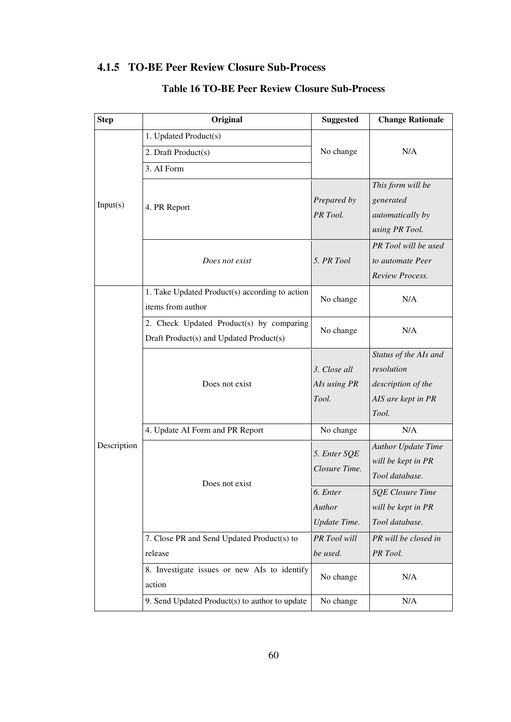### **4.1.5 TO-BE Peer Review Closure Sub-Process**

| <b>Step</b> | Original                                                                            | <b>Suggested</b>                      | <b>Change Rationale</b>                                                                  |
|-------------|-------------------------------------------------------------------------------------|---------------------------------------|------------------------------------------------------------------------------------------|
|             | 1. Updated Product(s)                                                               |                                       |                                                                                          |
|             | 2. Draft Product(s)                                                                 | No change                             | N/A                                                                                      |
|             | 3. AI Form                                                                          |                                       |                                                                                          |
| Input(s)    | 4. PR Report                                                                        | Prepared by<br>PR Tool.               | This form will be<br>generated<br>automatically by<br>using PR Tool.                     |
|             | Does not exist                                                                      | 5. PR Tool                            | PR Tool will be used<br>to automate Peer<br>Review Process.                              |
|             | 1. Take Updated Product(s) according to action<br>items from author                 | No change                             | N/A                                                                                      |
|             | 2. Check Updated Product(s) by comparing<br>Draft Product(s) and Updated Product(s) | No change                             | N/A                                                                                      |
|             | Does not exist                                                                      | 3. Close all<br>AIs using PR<br>Tool. | Status of the AIs and<br>resolution<br>description of the<br>AIS are kept in PR<br>Tool. |
|             | 4. Update AI Form and PR Report                                                     | No change                             | N/A                                                                                      |
| Description | Does not exist                                                                      | 5. Enter SQE<br>Closure Time.         | <b>Author Update Time</b><br>will be kept in PR<br>Tool database.                        |
|             |                                                                                     | 6. Enter<br>Author<br>Update Time.    | <b>SOE Closure Time</b><br>will be kept in PR<br>Tool database.                          |
|             | 7. Close PR and Send Updated Product(s) to<br>release                               | PR Tool will<br>be used.              | PR will be closed in<br>PR Tool.                                                         |
|             | 8. Investigate issues or new AIs to identify<br>action                              | No change                             | N/A                                                                                      |
|             | 9. Send Updated Product(s) to author to update                                      | No change                             | N/A                                                                                      |

### **Table 16 TO-BE Peer Review Closure Sub-Process**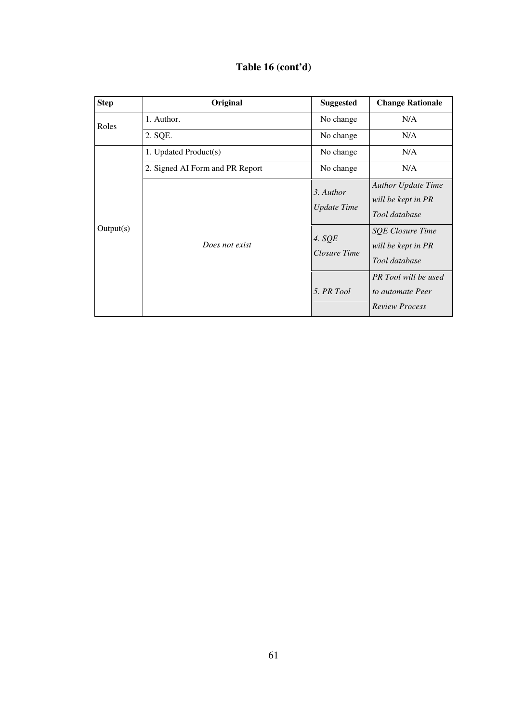| Table 16 (cont'd) |
|-------------------|
|-------------------|

| <b>Step</b> | Original                        | <b>Suggested</b>                | <b>Change Rationale</b>                                           |
|-------------|---------------------------------|---------------------------------|-------------------------------------------------------------------|
| Roles       | 1. Author.                      | No change                       | N/A                                                               |
|             | 2. SQE.                         | No change                       | N/A                                                               |
|             | 1. Updated Product(s)           | No change                       | N/A                                                               |
|             | 2. Signed AI Form and PR Report | No change                       | N/A                                                               |
| Output(s)   | Does not exist                  | 3. Author<br><b>Update Time</b> | <b>Author Update Time</b><br>will be kept in PR<br>Tool database  |
|             |                                 | 4. $SQE$<br>Closure Time        | <b>SQE Closure Time</b><br>will be kept in PR<br>Tool database    |
|             |                                 | 5. PR Tool                      | PR Tool will be used<br>to automate Peer<br><b>Review Process</b> |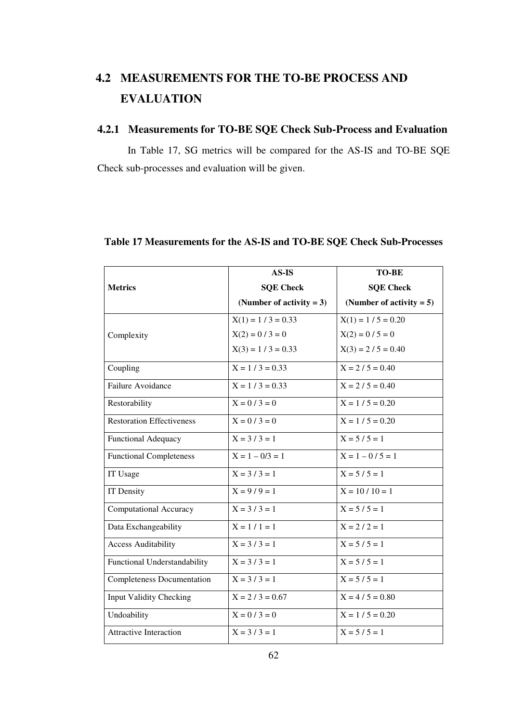# **4.2 MEASUREMENTS FOR THE TO-BE PROCESS AND EVALUATION**

### **4.2.1 Measurements for TO-BE SQE Check Sub-Process and Evaluation**

In Table 17, SG metrics will be compared for the AS-IS and TO-BE SQE Check sub-processes and evaluation will be given.

|                                   | <b>AS-IS</b>                | <b>TO-BE</b>                |
|-----------------------------------|-----------------------------|-----------------------------|
| <b>Metrics</b>                    | <b>SQE Check</b>            | <b>SQE Check</b>            |
|                                   | (Number of activity $= 3$ ) | (Number of activity $= 5$ ) |
|                                   | $X(1) = 1 / 3 = 0.33$       | $X(1) = 1 / 5 = 0.20$       |
| Complexity                        | $X(2) = 0 / 3 = 0$          | $X(2) = 0 / 5 = 0$          |
|                                   | $X(3) = 1 / 3 = 0.33$       | $X(3) = 2 / 5 = 0.40$       |
| Coupling                          | $X = 1 / 3 = 0.33$          | $X = 2 / 5 = 0.40$          |
| Failure Avoidance                 | $X = 1 / 3 = 0.33$          | $X = 2 / 5 = 0.40$          |
| Restorability                     | $X = 0 / 3 = 0$             | $X = 1 / 5 = 0.20$          |
| <b>Restoration Effectiveness</b>  | $X = 0 / 3 = 0$             | $X = 1 / 5 = 0.20$          |
| <b>Functional Adequacy</b>        | $X = 3 / 3 = 1$             | $X = 5/5 = 1$               |
| <b>Functional Completeness</b>    | $X = 1 - 0/3 = 1$           | $X = 1 - 0 / 5 = 1$         |
| IT Usage                          | $X = 3 / 3 = 1$             | $X = 5 / 5 = 1$             |
| IT Density                        | $X = 9 / 9 = 1$             | $X = 10 / 10 = 1$           |
| Computational Accuracy            | $X = 3 / 3 = 1$             | $X = 5/5 = 1$               |
| Data Exchangeability              | $X = 1 / 1 = 1$             | $X = 2 / 2 = 1$             |
| <b>Access Auditability</b>        | $X = 3 / 3 = 1$             | $X = 5/5 = 1$               |
| Functional Understandability      | $X = 3 / 3 = 1$             | $X = 5 / 5 = 1$             |
| <b>Completeness Documentation</b> | $X = 3 / 3 = 1$             | $X = 5 / 5 = 1$             |
| <b>Input Validity Checking</b>    | $X = 2 / 3 = 0.67$          | $X = 4 / 5 = 0.80$          |
| Undoability                       | $X = 0 / 3 = 0$             | $X = 1 / 5 = 0.20$          |
| <b>Attractive Interaction</b>     | $X = 3 / 3 = 1$             | $X = 5/5 = 1$               |

### **Table 17 Measurements for the AS-IS and TO-BE SQE Check Sub-Processes**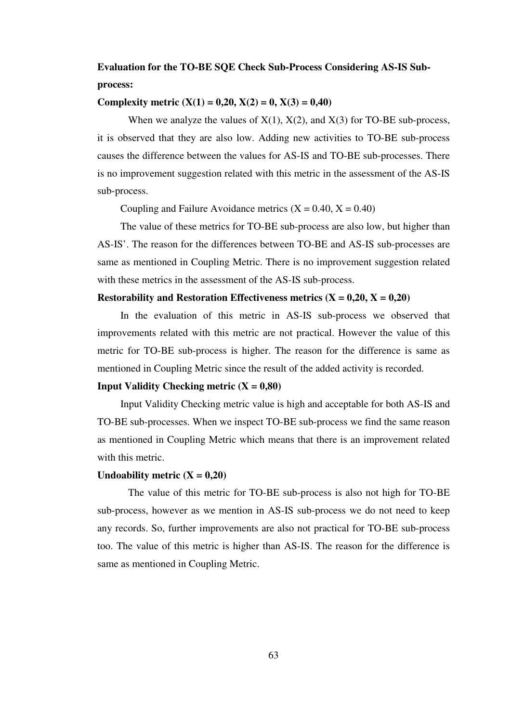## **Evaluation for the TO-BE SQE Check Sub-Process Considering AS-IS Subprocess:**

#### **Complexity metric**  $(X(1) = 0,20, X(2) = 0, X(3) = 0,40)$

When we analyze the values of  $X(1)$ ,  $X(2)$ , and  $X(3)$  for TO-BE sub-process, it is observed that they are also low. Adding new activities to TO-BE sub-process causes the difference between the values for AS-IS and TO-BE sub-processes. There is no improvement suggestion related with this metric in the assessment of the AS-IS sub-process.

Coupling and Failure Avoidance metrics  $(X = 0.40, X = 0.40)$ 

The value of these metrics for TO-BE sub-process are also low, but higher than AS-IS'. The reason for the differences between TO-BE and AS-IS sub-processes are same as mentioned in Coupling Metric. There is no improvement suggestion related with these metrics in the assessment of the AS-IS sub-process.

#### **Restorability and Restoration Effectiveness metrics**  $(X = 0.20, X = 0.20)$

In the evaluation of this metric in AS-IS sub-process we observed that improvements related with this metric are not practical. However the value of this metric for TO-BE sub-process is higher. The reason for the difference is same as mentioned in Coupling Metric since the result of the added activity is recorded.

#### **Input Validity Checking metric**  $(X = 0.80)$

Input Validity Checking metric value is high and acceptable for both AS-IS and TO-BE sub-processes. When we inspect TO-BE sub-process we find the same reason as mentioned in Coupling Metric which means that there is an improvement related with this metric.

#### Undoability metric  $(X = 0.20)$

The value of this metric for TO-BE sub-process is also not high for TO-BE sub-process, however as we mention in AS-IS sub-process we do not need to keep any records. So, further improvements are also not practical for TO-BE sub-process too. The value of this metric is higher than AS-IS. The reason for the difference is same as mentioned in Coupling Metric.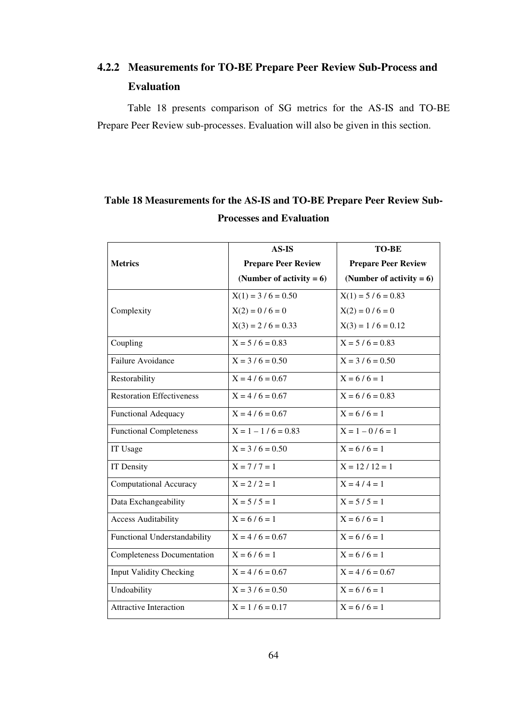# **4.2.2 Measurements for TO-BE Prepare Peer Review Sub-Process and Evaluation**

Table 18 presents comparison of SG metrics for the AS-IS and TO-BE Prepare Peer Review sub-processes. Evaluation will also be given in this section.

# **Table 18 Measurements for the AS-IS and TO-BE Prepare Peer Review Sub-Processes and Evaluation**

|                                   | $AS-IS$                     | <b>TO-BE</b>                |
|-----------------------------------|-----------------------------|-----------------------------|
| <b>Metrics</b>                    | <b>Prepare Peer Review</b>  | <b>Prepare Peer Review</b>  |
|                                   | (Number of activity $= 6$ ) | (Number of activity $= 6$ ) |
|                                   | $X(1) = 3 / 6 = 0.50$       | $X(1) = 5 / 6 = 0.83$       |
| Complexity                        | $X(2) = 0 / 6 = 0$          | $X(2) = 0 / 6 = 0$          |
|                                   | $X(3) = 2 / 6 = 0.33$       | $X(3) = 1 / 6 = 0.12$       |
| Coupling                          | $X = 5/6 = 0.83$            | $X = 5/6 = 0.83$            |
| Failure Avoidance                 | $X = 3 / 6 = 0.50$          | $X = 3 / 6 = 0.50$          |
| Restorability                     | $X = 4/6 = 0.67$            | $X = 6/6 = 1$               |
| <b>Restoration Effectiveness</b>  | $X = 4/6 = 0.67$            | $X = 6/6 = 0.83$            |
| <b>Functional Adequacy</b>        | $X = 4/6 = 0.67$            | $X = 6/6 = 1$               |
| <b>Functional Completeness</b>    | $X = 1 - 1/6 = 0.83$        | $X = 1 - 0/6 = 1$           |
| IT Usage                          | $X = 3/6 = 0.50$            | $X = 6/6 = 1$               |
| IT Density                        | $X = 7 / 7 = 1$             | $X = 12 / 12 = 1$           |
| <b>Computational Accuracy</b>     | $X = 2 / 2 = 1$             | $X = 4/4 = 1$               |
| Data Exchangeability              | $X = 5 / 5 = 1$             | $X = 5/5 = 1$               |
| <b>Access Auditability</b>        | $X = 6/6 = 1$               | $X = 6/6 = 1$               |
| Functional Understandability      | $X = 4/6 = 0.67$            | $X = 6/6 = 1$               |
| <b>Completeness Documentation</b> | $X = 6/6 = 1$               | $X = 6/6 = 1$               |
| <b>Input Validity Checking</b>    | $X = 4/6 = 0.67$            | $X = 4/6 = 0.67$            |
| Undoability                       | $X = 3 / 6 = 0.50$          | $X = 6/6 = 1$               |
| <b>Attractive Interaction</b>     | $X = 1 / 6 = 0.17$          | $X = 6/6 = 1$               |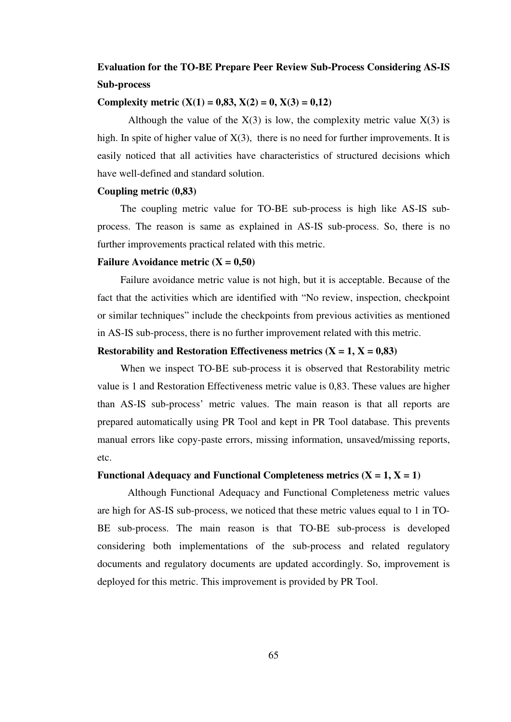## **Evaluation for the TO-BE Prepare Peer Review Sub-Process Considering AS-IS Sub-process**

#### **Complexity metric (X(1) = 0,83, X(2) = 0, X(3) = 0,12)**

Although the value of the  $X(3)$  is low, the complexity metric value  $X(3)$  is high. In spite of higher value of  $X(3)$ , there is no need for further improvements. It is easily noticed that all activities have characteristics of structured decisions which have well-defined and standard solution.

#### **Coupling metric (0,83)**

The coupling metric value for TO-BE sub-process is high like AS-IS subprocess. The reason is same as explained in AS-IS sub-process. So, there is no further improvements practical related with this metric.

#### **Failure Avoidance metric**  $(X = 0.50)$

Failure avoidance metric value is not high, but it is acceptable. Because of the fact that the activities which are identified with "No review, inspection, checkpoint or similar techniques" include the checkpoints from previous activities as mentioned in AS-IS sub-process, there is no further improvement related with this metric.

#### **Restorability and Restoration Effectiveness metrics**  $(X = 1, X = 0.83)$

When we inspect TO-BE sub-process it is observed that Restorability metric value is 1 and Restoration Effectiveness metric value is 0,83. These values are higher than AS-IS sub-process' metric values. The main reason is that all reports are prepared automatically using PR Tool and kept in PR Tool database. This prevents manual errors like copy-paste errors, missing information, unsaved/missing reports, etc.

#### **Functional Adequacy and Functional Completeness metrics**  $(X = 1, X = 1)$

 Although Functional Adequacy and Functional Completeness metric values are high for AS-IS sub-process, we noticed that these metric values equal to 1 in TO-BE sub-process. The main reason is that TO-BE sub-process is developed considering both implementations of the sub-process and related regulatory documents and regulatory documents are updated accordingly. So, improvement is deployed for this metric. This improvement is provided by PR Tool.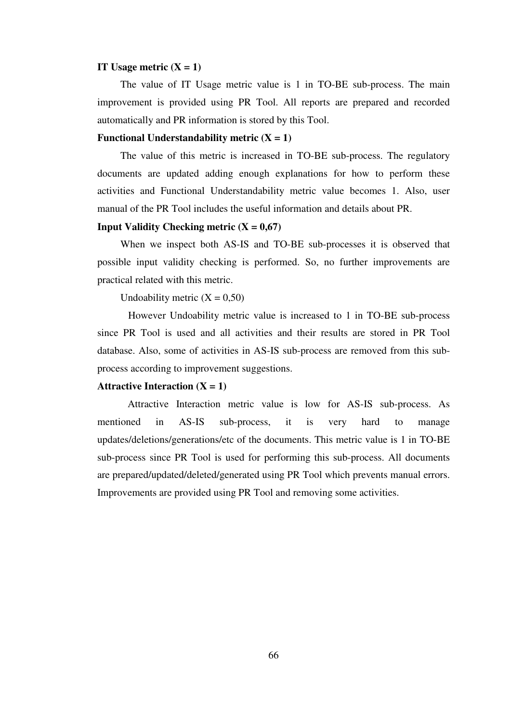#### **IT Usage metric**  $(X = 1)$

The value of IT Usage metric value is 1 in TO-BE sub-process. The main improvement is provided using PR Tool. All reports are prepared and recorded automatically and PR information is stored by this Tool.

#### **Functional Understandability metric**  $(X = 1)$

The value of this metric is increased in TO-BE sub-process. The regulatory documents are updated adding enough explanations for how to perform these activities and Functional Understandability metric value becomes 1. Also, user manual of the PR Tool includes the useful information and details about PR.

#### **Input Validity Checking metric**  $(X = 0.67)$

When we inspect both AS-IS and TO-BE sub-processes it is observed that possible input validity checking is performed. So, no further improvements are practical related with this metric.

Undoability metric  $(X = 0.50)$ 

However Undoability metric value is increased to 1 in TO-BE sub-process since PR Tool is used and all activities and their results are stored in PR Tool database. Also, some of activities in AS-IS sub-process are removed from this subprocess according to improvement suggestions.

#### **Attractive Interaction (** $X = 1$ **)**

 Attractive Interaction metric value is low for AS-IS sub-process. As mentioned in AS-IS sub-process, it is very hard to manage updates/deletions/generations/etc of the documents. This metric value is 1 in TO-BE sub-process since PR Tool is used for performing this sub-process. All documents are prepared/updated/deleted/generated using PR Tool which prevents manual errors. Improvements are provided using PR Tool and removing some activities.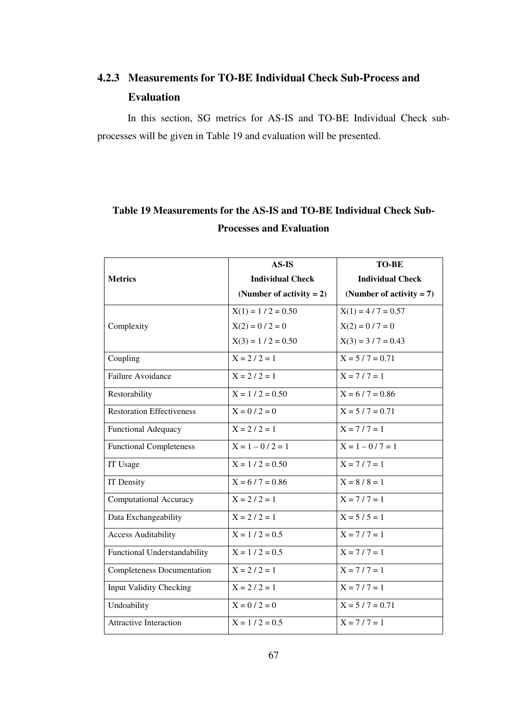# **4.2.3 Measurements for TO-BE Individual Check Sub-Process and Evaluation**

In this section, SG metrics for AS-IS and TO-BE Individual Check subprocesses will be given in Table 19 and evaluation will be presented.

|                                   | $AS-IS$                     | <b>TO-BE</b>                |
|-----------------------------------|-----------------------------|-----------------------------|
| <b>Metrics</b>                    | <b>Individual Check</b>     | <b>Individual Check</b>     |
|                                   | (Number of activity $= 2$ ) | (Number of activity $= 7$ ) |
|                                   | $X(1) = 1 / 2 = 0.50$       | $X(1) = 4 / 7 = 0.57$       |
| Complexity                        | $X(2) = 0 / 2 = 0$          | $X(2) = 0 / 7 = 0$          |
|                                   | $X(3) = 1 / 2 = 0.50$       | $X(3) = 3 / 7 = 0.43$       |
| Coupling                          | $X = 2 / 2 = 1$             | $X = 5 / 7 = 0.71$          |
| Failure Avoidance                 | $X = 2 / 2 = 1$             | $X = 7/7 = 1$               |
| Restorability                     | $X = 1 / 2 = 0.50$          | $X = 6 / 7 = 0.86$          |
| <b>Restoration Effectiveness</b>  | $X = 0 / 2 = 0$             | $X = 5 / 7 = 0.71$          |
| <b>Functional Adequacy</b>        | $X = 2 / 2 = 1$             | $X = 7 / 7 = 1$             |
| <b>Functional Completeness</b>    | $X = 1 - 0 / 2 = 1$         | $X = 1 - 0 / 7 = 1$         |
| IT Usage                          | $X = 1 / 2 = 0.50$          | $X = 7 / 7 = 1$             |
| IT Density                        | $X = 6 / 7 = 0.86$          | $X = 8 / 8 = 1$             |
| <b>Computational Accuracy</b>     | $X = 2 / 2 = 1$             | $X = 7 / 7 = 1$             |
| Data Exchangeability              | $X = 2 / 2 = 1$             | $X = 5 / 5 = 1$             |
| <b>Access Auditability</b>        | $X = 1 / 2 = 0.5$           | $X = 7 / 7 = 1$             |
| Functional Understandability      | $X = 1 / 2 = 0.5$           | $X = 7/7 = 1$               |
| <b>Completeness Documentation</b> | $X = 2 / 2 = 1$             | $X = 7/7 = 1$               |
| <b>Input Validity Checking</b>    | $X = 2 / 2 = 1$             | $X = 7 / 7 = 1$             |
| Undoability                       | $X = 0 / 2 = 0$             | $X = 5 / 7 = 0.71$          |
| <b>Attractive Interaction</b>     | $X = 1 / 2 = 0.5$           | $X = 7/7 = 1$               |

## **Table 19 Measurements for the AS-IS and TO-BE Individual Check Sub-Processes and Evaluation**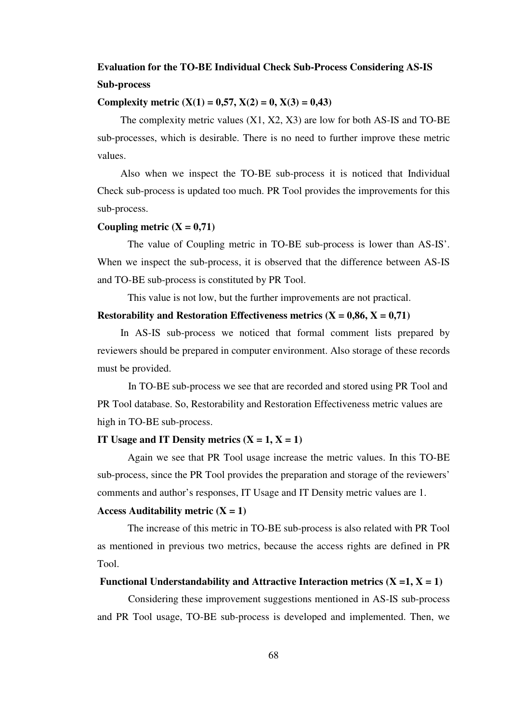## **Evaluation for the TO-BE Individual Check Sub-Process Considering AS-IS Sub-process**

#### **Complexity metric (X(1) = 0,57, X(2) = 0, X(3) = 0,43)**

The complexity metric values (X1, X2, X3) are low for both AS-IS and TO-BE sub-processes, which is desirable. There is no need to further improve these metric values.

Also when we inspect the TO-BE sub-process it is noticed that Individual Check sub-process is updated too much. PR Tool provides the improvements for this sub-process.

#### Coupling metric  $(X = 0.71)$

 The value of Coupling metric in TO-BE sub-process is lower than AS-IS'. When we inspect the sub-process, it is observed that the difference between AS-IS and TO-BE sub-process is constituted by PR Tool.

This value is not low, but the further improvements are not practical.

#### **Restorability and Restoration Effectiveness metrics (** $X = 0.86$ **,**  $X = 0.71$ **)**

In AS-IS sub-process we noticed that formal comment lists prepared by reviewers should be prepared in computer environment. Also storage of these records must be provided.

In TO-BE sub-process we see that are recorded and stored using PR Tool and PR Tool database. So, Restorability and Restoration Effectiveness metric values are high in TO-BE sub-process.

#### **IT Usage and IT Density metrics**  $(X = 1, X = 1)$

 Again we see that PR Tool usage increase the metric values. In this TO-BE sub-process, since the PR Tool provides the preparation and storage of the reviewers' comments and author's responses, IT Usage and IT Density metric values are 1.

#### Access Auditability metric  $(X = 1)$

 The increase of this metric in TO-BE sub-process is also related with PR Tool as mentioned in previous two metrics, because the access rights are defined in PR Tool.

#### **Functional Understandability and Attractive Interaction metrics**  $(X = 1, X = 1)$

Considering these improvement suggestions mentioned in AS-IS sub-process and PR Tool usage, TO-BE sub-process is developed and implemented. Then, we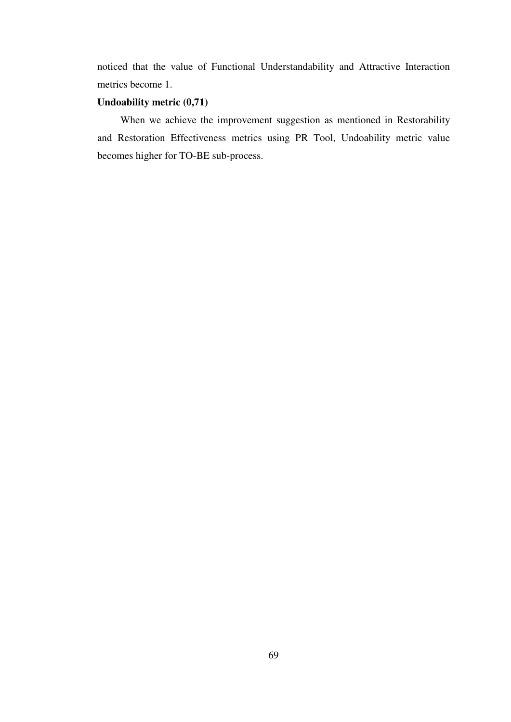noticed that the value of Functional Understandability and Attractive Interaction metrics become 1.

#### **Undoability metric (0,71)**

When we achieve the improvement suggestion as mentioned in Restorability and Restoration Effectiveness metrics using PR Tool, Undoability metric value becomes higher for TO-BE sub-process.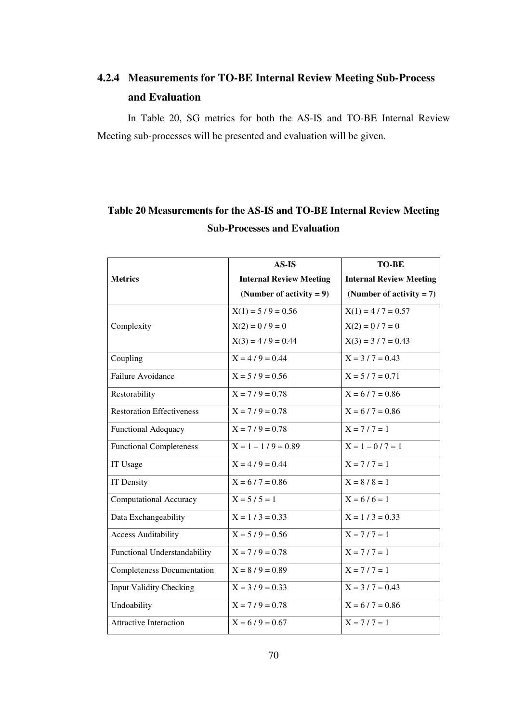# **4.2.4 Measurements for TO-BE Internal Review Meeting Sub-Process and Evaluation**

In Table 20, SG metrics for both the AS-IS and TO-BE Internal Review Meeting sub-processes will be presented and evaluation will be given.

|                                   | $AS$ -IS                       | <b>TO-BE</b>                   |
|-----------------------------------|--------------------------------|--------------------------------|
| <b>Metrics</b>                    | <b>Internal Review Meeting</b> | <b>Internal Review Meeting</b> |
|                                   | (Number of activity $= 9$ )    | (Number of activity $= 7$ )    |
|                                   | $X(1) = 5/9 = 0.56$            | $X(1) = 4 / 7 = 0.57$          |
| Complexity                        | $X(2) = 0/9 = 0$               | $X(2) = 0 / 7 = 0$             |
|                                   | $X(3) = 4/9 = 0.44$            | $X(3) = 3 / 7 = 0.43$          |
| Coupling                          | $X = 4/9 = 0.44$               | $X = 3 / 7 = 0.43$             |
| Failure Avoidance                 | $X = 5/9 = 0.56$               | $X = 5 / 7 = 0.71$             |
| Restorability                     | $X = 7/9 = 0.78$               | $X = 6 / 7 = 0.86$             |
| <b>Restoration Effectiveness</b>  | $X = 7/9 = 0.78$               | $X = 6 / 7 = 0.86$             |
| <b>Functional Adequacy</b>        | $X = 7/9 = 0.78$               | $X = 7/7 = 1$                  |
| <b>Functional Completeness</b>    | $X = 1 - 1/9 = 0.89$           | $X = 1 - 0 / 7 = 1$            |
| IT Usage                          | $X = 4/9 = 0.44$               | $X = 7/7 = 1$                  |
| <b>IT Density</b>                 | $X = 6 / 7 = 0.86$             | $X = 8 / 8 = 1$                |
| <b>Computational Accuracy</b>     | $X = 5 / 5 = 1$                | $X = 6/6 = 1$                  |
| Data Exchangeability              | $X = 1 / 3 = 0.33$             | $X = 1 / 3 = 0.33$             |
| <b>Access Auditability</b>        | $X = 5 / 9 = 0.56$             | $X = 7/7 = 1$                  |
| Functional Understandability      | $X = 7/9 = 0.78$               | $X = 7 / 7 = 1$                |
| <b>Completeness Documentation</b> | $X = 8 / 9 = 0.89$             | $X = 7 / 7 = 1$                |
| <b>Input Validity Checking</b>    | $X = 3 / 9 = 0.33$             | $X = 3 / 7 = 0.43$             |
| Undoability                       | $X = 7/9 = 0.78$               | $X = 6 / 7 = 0.86$             |
| <b>Attractive Interaction</b>     | $X = 6/9 = 0.67$               | $X = 7/7 = 1$                  |

## **Table 20 Measurements for the AS-IS and TO-BE Internal Review Meeting Sub-Processes and Evaluation**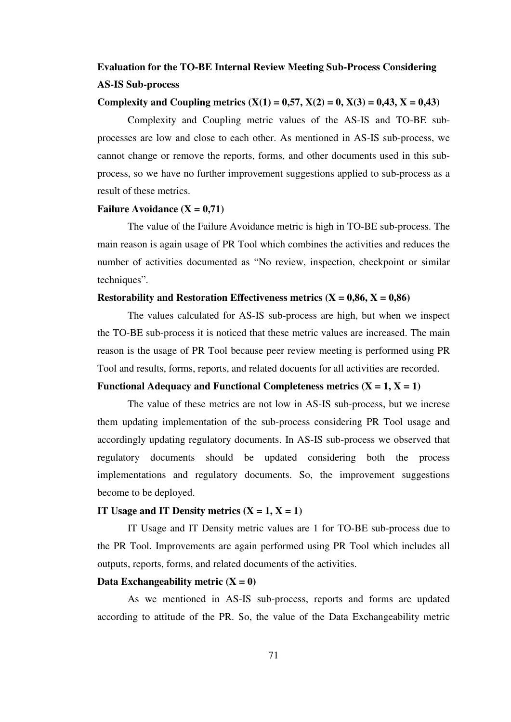## **Evaluation for the TO-BE Internal Review Meeting Sub-Process Considering AS-IS Sub-process**

#### Complexity and Coupling metrics  $(X(1) = 0.57, X(2) = 0, X(3) = 0.43, X = 0.43)$

 Complexity and Coupling metric values of the AS-IS and TO-BE subprocesses are low and close to each other. As mentioned in AS-IS sub-process, we cannot change or remove the reports, forms, and other documents used in this subprocess, so we have no further improvement suggestions applied to sub-process as a result of these metrics.

#### **Failure Avoidance (X = 0,71)**

 The value of the Failure Avoidance metric is high in TO-BE sub-process. The main reason is again usage of PR Tool which combines the activities and reduces the number of activities documented as "No review, inspection, checkpoint or similar techniques".

#### **Restorability and Restoration Effectiveness metrics**  $(X = 0.86, X = 0.86)$

 The values calculated for AS-IS sub-process are high, but when we inspect the TO-BE sub-process it is noticed that these metric values are increased. The main reason is the usage of PR Tool because peer review meeting is performed using PR Tool and results, forms, reports, and related docuents for all activities are recorded.

#### Functional Adequacy and Functional Completeness metrics  $(X = 1, X = 1)$

 The value of these metrics are not low in AS-IS sub-process, but we increse them updating implementation of the sub-process considering PR Tool usage and accordingly updating regulatory documents. In AS-IS sub-process we observed that regulatory documents should be updated considering both the process implementations and regulatory documents. So, the improvement suggestions become to be deployed.

#### **IT Usage and IT Density metrics**  $(X = 1, X = 1)$

 IT Usage and IT Density metric values are 1 for TO-BE sub-process due to the PR Tool. Improvements are again performed using PR Tool which includes all outputs, reports, forms, and related documents of the activities.

#### Data Exchangeability metric  $(X = 0)$

 As we mentioned in AS-IS sub-process, reports and forms are updated according to attitude of the PR. So, the value of the Data Exchangeability metric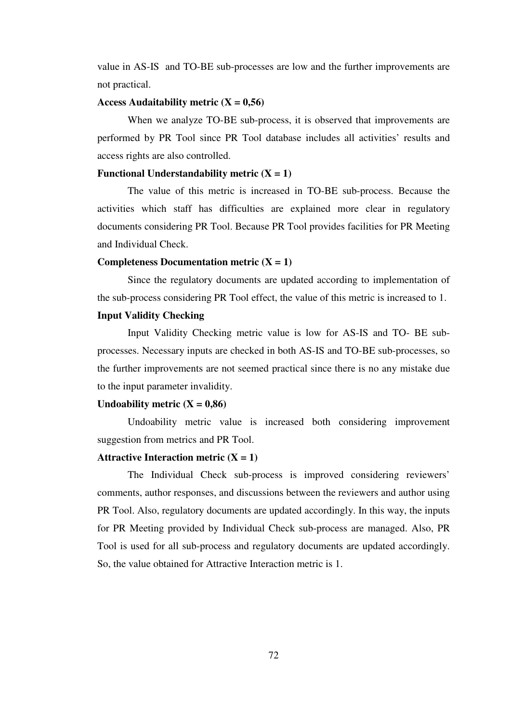value in AS-IS and TO-BE sub-processes are low and the further improvements are not practical.

#### Access Audaitability metric  $(X = 0.56)$

 When we analyze TO-BE sub-process, it is observed that improvements are performed by PR Tool since PR Tool database includes all activities' results and access rights are also controlled.

#### **Functional Understandability metric**  $(X = 1)$

 The value of this metric is increased in TO-BE sub-process. Because the activities which staff has difficulties are explained more clear in regulatory documents considering PR Tool. Because PR Tool provides facilities for PR Meeting and Individual Check.

#### **Completeness Documentation metric**  $(X = 1)$

 Since the regulatory documents are updated according to implementation of the sub-process considering PR Tool effect, the value of this metric is increased to 1.

#### **Input Validity Checking**

Input Validity Checking metric value is low for AS-IS and TO- BE subprocesses. Necessary inputs are checked in both AS-IS and TO-BE sub-processes, so the further improvements are not seemed practical since there is no any mistake due to the input parameter invalidity.

#### Undoability metric  $(X = 0.86)$

 Undoability metric value is increased both considering improvement suggestion from metrics and PR Tool.

#### **Attractive Interaction metric**  $(X = 1)$

 The Individual Check sub-process is improved considering reviewers' comments, author responses, and discussions between the reviewers and author using PR Tool. Also, regulatory documents are updated accordingly. In this way, the inputs for PR Meeting provided by Individual Check sub-process are managed. Also, PR Tool is used for all sub-process and regulatory documents are updated accordingly. So, the value obtained for Attractive Interaction metric is 1.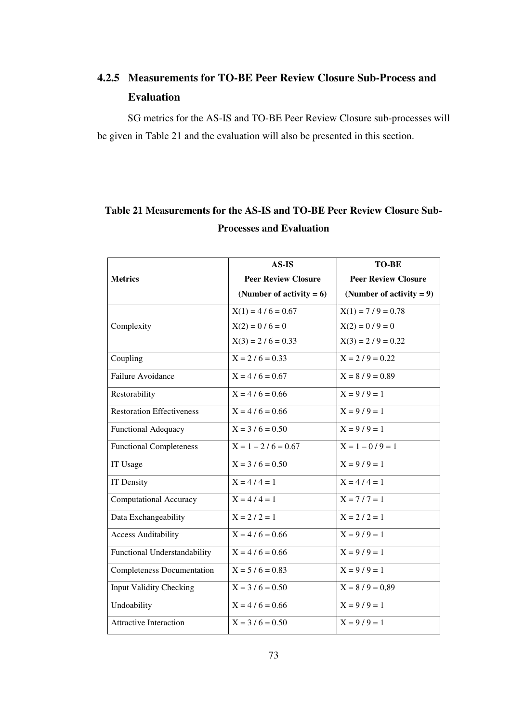# **4.2.5 Measurements for TO-BE Peer Review Closure Sub-Process and Evaluation**

SG metrics for the AS-IS and TO-BE Peer Review Closure sub-processes will be given in Table 21 and the evaluation will also be presented in this section.

## **Table 21 Measurements for the AS-IS and TO-BE Peer Review Closure Sub-Processes and Evaluation**

|                                   | $AS$ -IS                    | <b>TO-BE</b>                |
|-----------------------------------|-----------------------------|-----------------------------|
| <b>Metrics</b>                    | <b>Peer Review Closure</b>  | <b>Peer Review Closure</b>  |
|                                   | (Number of activity $= 6$ ) | (Number of activity $= 9$ ) |
|                                   | $X(1) = 4/6 = 0.67$         | $X(1) = 7/9 = 0.78$         |
| Complexity                        | $X(2) = 0 / 6 = 0$          | $X(2) = 0 / 9 = 0$          |
|                                   | $X(3) = 2 / 6 = 0.33$       | $X(3) = 2 / 9 = 0.22$       |
| Coupling                          | $X = 2 / 6 = 0.33$          | $X = 2/9 = 0.22$            |
| Failure Avoidance                 | $X = 4/6 = 0.67$            | $X = 8 / 9 = 0.89$          |
| Restorability                     | $X = 4/6 = 0.66$            | $X = 9/9 = 1$               |
| <b>Restoration Effectiveness</b>  | $X = 4/6 = 0.66$            | $X = 9/9 = 1$               |
| <b>Functional Adequacy</b>        | $X = 3 / 6 = 0.50$          | $X = 9/9 = 1$               |
| <b>Functional Completeness</b>    | $X = 1 - 2 / 6 = 0.67$      | $X = 1 - 0/9 = 1$           |
| IT Usage                          | $X = 3 / 6 = 0.50$          | $X = 9 / 9 = 1$             |
| IT Density                        | $X = 4/4 = 1$               | $X = 4/4 = 1$               |
| <b>Computational Accuracy</b>     | $X = 4/4 = 1$               | $X = 7/7 = 1$               |
| Data Exchangeability              | $X = 2 / 2 = 1$             | $X = 2 / 2 = 1$             |
| <b>Access Auditability</b>        | $X = 4/6 = 0.66$            | $X = 9 / 9 = 1$             |
| Functional Understandability      | $X = 4/6 = 0.66$            | $X = 9/9 = 1$               |
| <b>Completeness Documentation</b> | $X = 5 / 6 = 0.83$          | $X = 9 / 9 = 1$             |
| <b>Input Validity Checking</b>    | $X = 3 / 6 = 0.50$          | $X = 8 / 9 = 0.89$          |
| Undoability                       | $X = 4/6 = 0.66$            | $X = 9/9 = 1$               |
| <b>Attractive Interaction</b>     | $X = 3 / 6 = 0.50$          | $X = 9/9 = 1$               |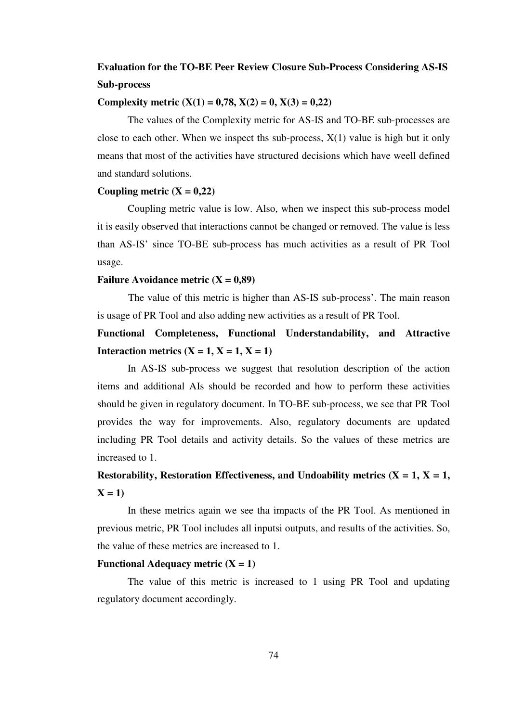## **Evaluation for the TO-BE Peer Review Closure Sub-Process Considering AS-IS Sub-process**

#### **Complexity metric (X(1) = 0,78, X(2) = 0, X(3) = 0,22)**

 The values of the Complexity metric for AS-IS and TO-BE sub-processes are close to each other. When we inspect ths sub-process,  $X(1)$  value is high but it only means that most of the activities have structured decisions which have weell defined and standard solutions.

#### Coupling metric  $(X = 0,22)$

 Coupling metric value is low. Also, when we inspect this sub-process model it is easily observed that interactions cannot be changed or removed. The value is less than AS-IS' since TO-BE sub-process has much activities as a result of PR Tool usage.

#### **Failure Avoidance metric (X = 0,89)**

The value of this metric is higher than AS-IS sub-process'. The main reason is usage of PR Tool and also adding new activities as a result of PR Tool.

**Functional Completeness, Functional Understandability, and Attractive Interaction metrics (X = 1, X = 1, X = 1)** 

 In AS-IS sub-process we suggest that resolution description of the action items and additional AIs should be recorded and how to perform these activities should be given in regulatory document. In TO-BE sub-process, we see that PR Tool provides the way for improvements. Also, regulatory documents are updated including PR Tool details and activity details. So the values of these metrics are increased to 1.

# **Restorability, Restoration Effectiveness, and Undoability metrics (** $X = 1$ **,**  $X = 1$ **,**  $X = 1$

 In these metrics again we see tha impacts of the PR Tool. As mentioned in previous metric, PR Tool includes all inputsi outputs, and results of the activities. So, the value of these metrics are increased to 1.

#### **Functional Adequacy metric**  $(X = 1)$

 The value of this metric is increased to 1 using PR Tool and updating regulatory document accordingly.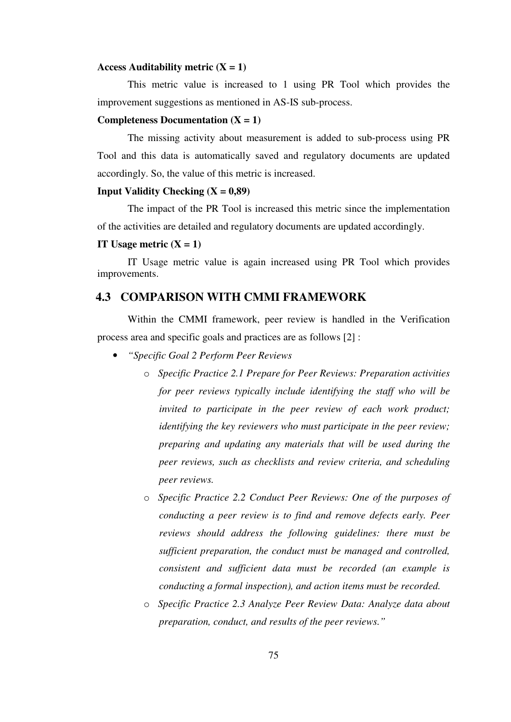#### **Access Auditability metric (X = 1)**

 This metric value is increased to 1 using PR Tool which provides the improvement suggestions as mentioned in AS-IS sub-process.

#### **Completeness Documentation (X = 1)**

 The missing activity about measurement is added to sub-process using PR Tool and this data is automatically saved and regulatory documents are updated accordingly. So, the value of this metric is increased.

#### **Input Validity Checking**  $(X = 0.89)$

 The impact of the PR Tool is increased this metric since the implementation of the activities are detailed and regulatory documents are updated accordingly.

#### **IT Usage metric**  $(X = 1)$

 IT Usage metric value is again increased using PR Tool which provides improvements.

### **4.3 COMPARISON WITH CMMI FRAMEWORK**

Within the CMMI framework, peer review is handled in the Verification process area and specific goals and practices are as follows [2] :

- *"Specific Goal 2 Perform Peer Reviews* 
	- o *Specific Practice 2.1 Prepare for Peer Reviews: Preparation activities for peer reviews typically include identifying the staff who will be invited to participate in the peer review of each work product; identifying the key reviewers who must participate in the peer review; preparing and updating any materials that will be used during the peer reviews, such as checklists and review criteria, and scheduling peer reviews.*
	- o *Specific Practice 2.2 Conduct Peer Reviews: One of the purposes of conducting a peer review is to find and remove defects early. Peer reviews should address the following guidelines: there must be sufficient preparation, the conduct must be managed and controlled, consistent and sufficient data must be recorded (an example is conducting a formal inspection), and action items must be recorded.*
	- o *Specific Practice 2.3 Analyze Peer Review Data: Analyze data about preparation, conduct, and results of the peer reviews."*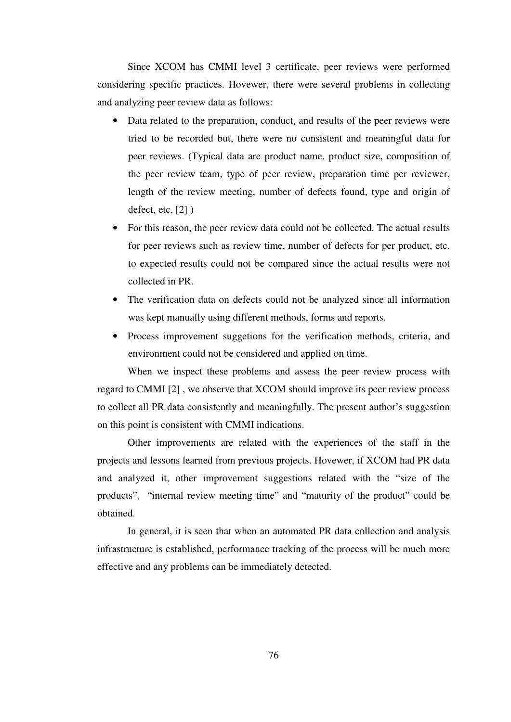Since XCOM has CMMI level 3 certificate, peer reviews were performed considering specific practices. Hovewer, there were several problems in collecting and analyzing peer review data as follows:

- Data related to the preparation, conduct, and results of the peer reviews were tried to be recorded but, there were no consistent and meaningful data for peer reviews. (Typical data are product name, product size, composition of the peer review team, type of peer review, preparation time per reviewer, length of the review meeting, number of defects found, type and origin of defect, etc. [2] )
- For this reason, the peer review data could not be collected. The actual results for peer reviews such as review time, number of defects for per product, etc. to expected results could not be compared since the actual results were not collected in PR.
- The verification data on defects could not be analyzed since all information was kept manually using different methods, forms and reports.
- Process improvement suggetions for the verification methods, criteria, and environment could not be considered and applied on time.

When we inspect these problems and assess the peer review process with regard to CMMI [2] , we observe that XCOM should improve its peer review process to collect all PR data consistently and meaningfully. The present author's suggestion on this point is consistent with CMMI indications.

 Other improvements are related with the experiences of the staff in the projects and lessons learned from previous projects. Hovewer, if XCOM had PR data and analyzed it, other improvement suggestions related with the "size of the products", "internal review meeting time" and "maturity of the product" could be obtained.

 In general, it is seen that when an automated PR data collection and analysis infrastructure is established, performance tracking of the process will be much more effective and any problems can be immediately detected.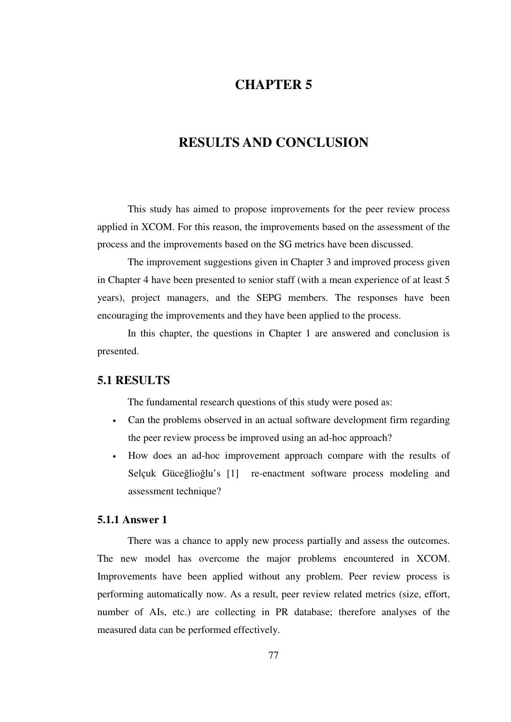### **CHAPTER 5**

### **RESULTS AND CONCLUSION**

This study has aimed to propose improvements for the peer review process applied in XCOM. For this reason, the improvements based on the assessment of the process and the improvements based on the SG metrics have been discussed.

The improvement suggestions given in Chapter 3 and improved process given in Chapter 4 have been presented to senior staff (with a mean experience of at least 5 years), project managers, and the SEPG members. The responses have been encouraging the improvements and they have been applied to the process.

In this chapter, the questions in Chapter 1 are answered and conclusion is presented.

### **5.1 RESULTS**

The fundamental research questions of this study were posed as:

- Can the problems observed in an actual software development firm regarding the peer review process be improved using an ad-hoc approach?
- How does an ad-hoc improvement approach compare with the results of Selçuk Güceğlioğlu's [1] re-enactment software process modeling and assessment technique?

#### **5.1.1 Answer 1**

There was a chance to apply new process partially and assess the outcomes. The new model has overcome the major problems encountered in XCOM. Improvements have been applied without any problem. Peer review process is performing automatically now. As a result, peer review related metrics (size, effort, number of AIs, etc.) are collecting in PR database; therefore analyses of the measured data can be performed effectively.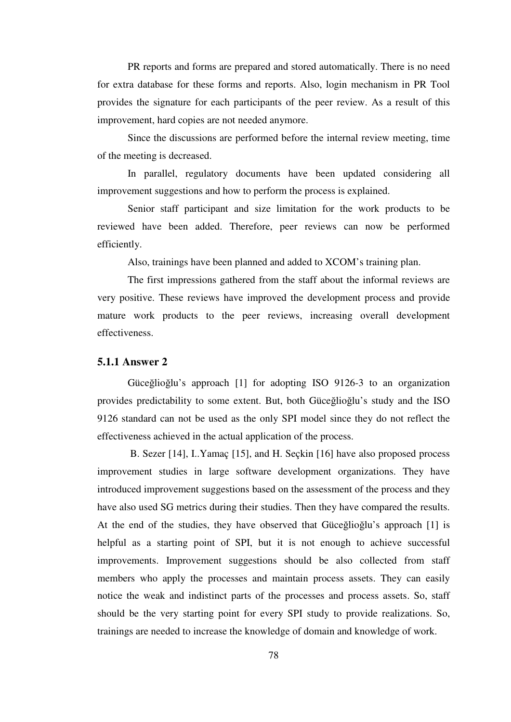PR reports and forms are prepared and stored automatically. There is no need for extra database for these forms and reports. Also, login mechanism in PR Tool provides the signature for each participants of the peer review. As a result of this improvement, hard copies are not needed anymore.

Since the discussions are performed before the internal review meeting, time of the meeting is decreased.

In parallel, regulatory documents have been updated considering all improvement suggestions and how to perform the process is explained.

Senior staff participant and size limitation for the work products to be reviewed have been added. Therefore, peer reviews can now be performed efficiently.

Also, trainings have been planned and added to XCOM's training plan.

The first impressions gathered from the staff about the informal reviews are very positive. These reviews have improved the development process and provide mature work products to the peer reviews, increasing overall development effectiveness.

#### **5.1.1 Answer 2**

Güceğlioğlu's approach [1] for adopting ISO 9126-3 to an organization provides predictability to some extent. But, both Güceğlioğlu's study and the ISO 9126 standard can not be used as the only SPI model since they do not reflect the effectiveness achieved in the actual application of the process.

 B. Sezer [14], I..Yamaç [15], and H. Seçkin [16] have also proposed process improvement studies in large software development organizations. They have introduced improvement suggestions based on the assessment of the process and they have also used SG metrics during their studies. Then they have compared the results. At the end of the studies, they have observed that Güceğlioğlu's approach [1] is helpful as a starting point of SPI, but it is not enough to achieve successful improvements. Improvement suggestions should be also collected from staff members who apply the processes and maintain process assets. They can easily notice the weak and indistinct parts of the processes and process assets. So, staff should be the very starting point for every SPI study to provide realizations. So, trainings are needed to increase the knowledge of domain and knowledge of work.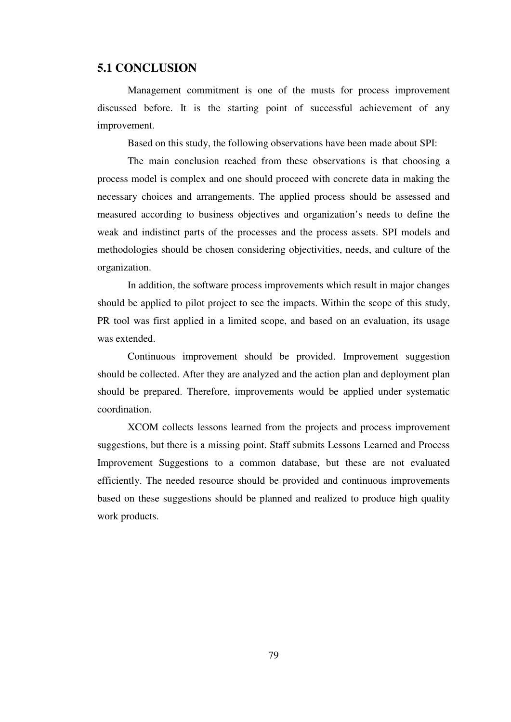#### **5.1 CONCLUSION**

Management commitment is one of the musts for process improvement discussed before. It is the starting point of successful achievement of any improvement.

Based on this study, the following observations have been made about SPI:

The main conclusion reached from these observations is that choosing a process model is complex and one should proceed with concrete data in making the necessary choices and arrangements. The applied process should be assessed and measured according to business objectives and organization's needs to define the weak and indistinct parts of the processes and the process assets. SPI models and methodologies should be chosen considering objectivities, needs, and culture of the organization.

In addition, the software process improvements which result in major changes should be applied to pilot project to see the impacts. Within the scope of this study, PR tool was first applied in a limited scope, and based on an evaluation, its usage was extended.

Continuous improvement should be provided. Improvement suggestion should be collected. After they are analyzed and the action plan and deployment plan should be prepared. Therefore, improvements would be applied under systematic coordination.

XCOM collects lessons learned from the projects and process improvement suggestions, but there is a missing point. Staff submits Lessons Learned and Process Improvement Suggestions to a common database, but these are not evaluated efficiently. The needed resource should be provided and continuous improvements based on these suggestions should be planned and realized to produce high quality work products.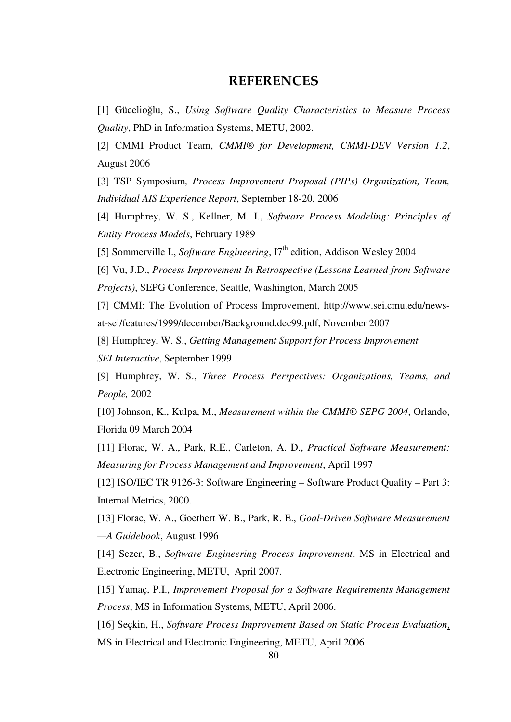### REFERENCES

[1] Gücelioğlu, S., *Using Software Quality Characteristics to Measure Process Quality*, PhD in Information Systems, METU, 2002.

[2] CMMI Product Team, *CMMI® for Development, CMMI-DEV Version 1.2*, August 2006

[3] TSP Symposium*, Process Improvement Proposal (PIPs) Organization, Team, Individual AIS Experience Report*, September 18-20, 2006

[4] Humphrey, W. S., Kellner, M. I., *Software Process Modeling: Principles of Entity Process Models*, February 1989

[5] Sommerville I., *Software Engineering*, I7<sup>th</sup> edition, Addison Wesley 2004

[6] Vu, J.D., *Process Improvement In Retrospective (Lessons Learned from Software Projects)*, SEPG Conference, Seattle, Washington, March 2005

[7] CMMI: The Evolution of Process Improvement, http://www.sei.cmu.edu/newsat-sei/features/1999/december/Background.dec99.pdf, November 2007

[8] Humphrey, W. S., *Getting Management Support for Process Improvement SEI Interactive*, September 1999

[9] Humphrey, W. S., *Three Process Perspectives: Organizations, Teams, and People,* 2002

[10] Johnson, K., Kulpa, M., *Measurement within the CMMI® SEPG 2004*, Orlando, Florida 09 March 2004

[11] Florac, W. A., Park, R.E., Carleton, A. D., *Practical Software Measurement: Measuring for Process Management and Improvement*, April 1997

[12] ISO/IEC TR 9126-3: Software Engineering – Software Product Quality – Part 3: Internal Metrics, 2000.

[13] Florac, W. A., Goethert W. B., Park, R. E., *Goal-Driven Software Measurement —A Guidebook*, August 1996

[14] Sezer, B., *Software Engineering Process Improvement*, MS in Electrical and Electronic Engineering, METU, April 2007.

[15] Yamaç, P.I., *Improvement Proposal for a Software Requirements Management Process*, MS in Information Systems, METU, April 2006.

[16] Seçkin, H., *Software Process Improvement Based on Static Process Evaluation*, MS in Electrical and Electronic Engineering, METU, April 2006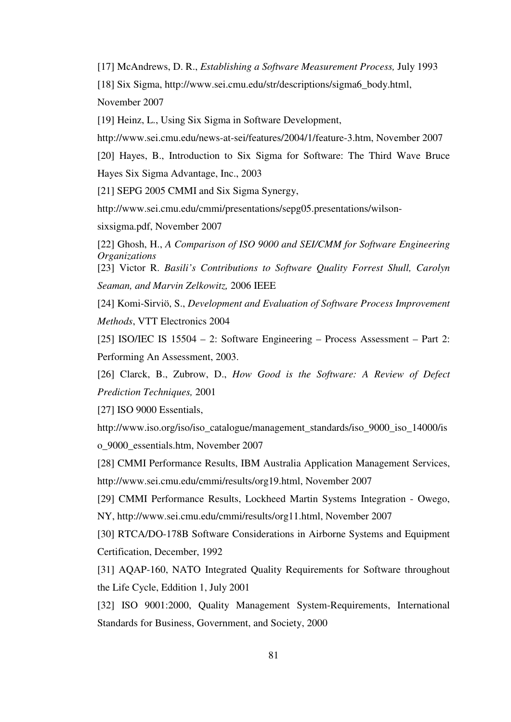[17] McAndrews, D. R., *Establishing a Software Measurement Process,* July 1993 [18] Six Sigma, http://www.sei.cmu.edu/str/descriptions/sigma6\_body.html, November 2007

[19] Heinz, L., Using Six Sigma in Software Development,

http://www.sei.cmu.edu/news-at-sei/features/2004/1/feature-3.htm, November 2007

[20] Hayes, B., Introduction to Six Sigma for Software: The Third Wave Bruce Hayes Six Sigma Advantage, Inc., 2003

[21] SEPG 2005 CMMI and Six Sigma Synergy,

http://www.sei.cmu.edu/cmmi/presentations/sepg05.presentations/wilson-

sixsigma.pdf, November 2007

[22] Ghosh, H., *A Comparison of ISO 9000 and SEI/CMM for Software Engineering Organizations*

[23] Victor R. *Basili's Contributions to Software Quality Forrest Shull, Carolyn Seaman, and Marvin Zelkowitz,* 2006 IEEE

[24] Komi-Sirviö, S., *Development and Evaluation of Software Process Improvement Methods*, VTT Electronics 2004

[25] ISO/IEC IS 15504 – 2: Software Engineering – Process Assessment – Part 2: Performing An Assessment, 2003.

[26] Clarck, B., Zubrow, D., *How Good is the Software: A Review of Defect Prediction Techniques,* 2001

[27] ISO 9000 Essentials,

http://www.iso.org/iso/iso\_catalogue/management\_standards/iso\_9000\_iso\_14000/is o\_9000\_essentials.htm, November 2007

[28] CMMI Performance Results, IBM Australia Application Management Services, http://www.sei.cmu.edu/cmmi/results/org19.html, November 2007

[29] CMMI Performance Results, Lockheed Martin Systems Integration - Owego, NY, http://www.sei.cmu.edu/cmmi/results/org11.html, November 2007

[30] RTCA/DO-178B Software Considerations in Airborne Systems and Equipment Certification, December, 1992

[31] AQAP-160, NATO Integrated Quality Requirements for Software throughout the Life Cycle, Eddition 1, July 2001

[32] ISO 9001:2000, Quality Management System-Requirements, International Standards for Business, Government, and Society, 2000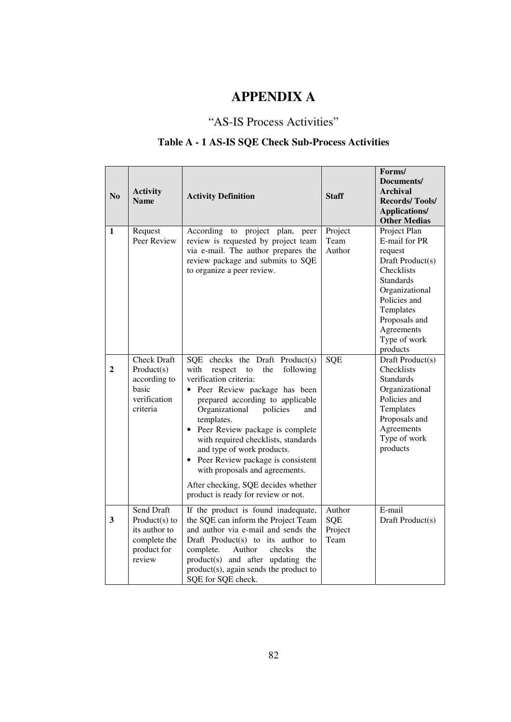# **APPENDIX A**

## "AS-IS Process Activities"

## **Table A - 1 AS-IS SQE Check Sub-Process Activities**

| N <sub>o</sub>          | <b>Activity</b><br><b>Name</b>                                                           | <b>Activity Definition</b>                                                                                                                                                                                                                                                                                                                                                                                                                                                                                           | <b>Staff</b>                     | Forms/<br>Documents/<br><b>Archival</b><br><b>Records/Tools/</b><br><b>Applications/</b><br><b>Other Medias</b>                                                                                          |
|-------------------------|------------------------------------------------------------------------------------------|----------------------------------------------------------------------------------------------------------------------------------------------------------------------------------------------------------------------------------------------------------------------------------------------------------------------------------------------------------------------------------------------------------------------------------------------------------------------------------------------------------------------|----------------------------------|----------------------------------------------------------------------------------------------------------------------------------------------------------------------------------------------------------|
| 1                       | Request<br>Peer Review                                                                   | According to project plan, peer<br>review is requested by project team<br>via e-mail. The author prepares the<br>review package and submits to SQE<br>to organize a peer review.                                                                                                                                                                                                                                                                                                                                     | Project<br>Team<br>Author        | Project Plan<br>E-mail for PR<br>request<br>Draft Product(s)<br>Checklists<br><b>Standards</b><br>Organizational<br>Policies and<br>Templates<br>Proposals and<br>Agreements<br>Type of work<br>products |
| $\overline{2}$          | <b>Check Draft</b><br>Product(s)<br>according to<br>basic<br>verification<br>criteria    | SQE checks the Draft Product(s)<br>with<br>respect<br>following<br>to<br>the<br>verification criteria:<br>Peer Review package has been<br>prepared according to applicable<br>Organizational<br>policies<br>and<br>templates.<br>Peer Review package is complete<br>$\bullet$<br>with required checklists, standards<br>and type of work products.<br>Peer Review package is consistent<br>$\bullet$<br>with proposals and agreements.<br>After checking, SQE decides whether<br>product is ready for review or not. | SQE                              | Draft Product(s)<br>Checklists<br><b>Standards</b><br>Organizational<br>Policies and<br>Templates<br>Proposals and<br>Agreements<br>Type of work<br>products                                             |
| $\overline{\mathbf{3}}$ | Send Draft<br>Product $(s)$ to<br>its author to<br>complete the<br>product for<br>review | If the product is found inadequate,<br>the SQE can inform the Project Team<br>and author via e-mail and sends the<br>Draft Product(s) to its author to<br>complete.<br>Author<br>checks<br>the<br>product(s) and after updating the<br>product(s), again sends the product to<br>SQE for SQE check.                                                                                                                                                                                                                  | Author<br>SQE<br>Project<br>Team | E-mail<br>Draft Product(s)                                                                                                                                                                               |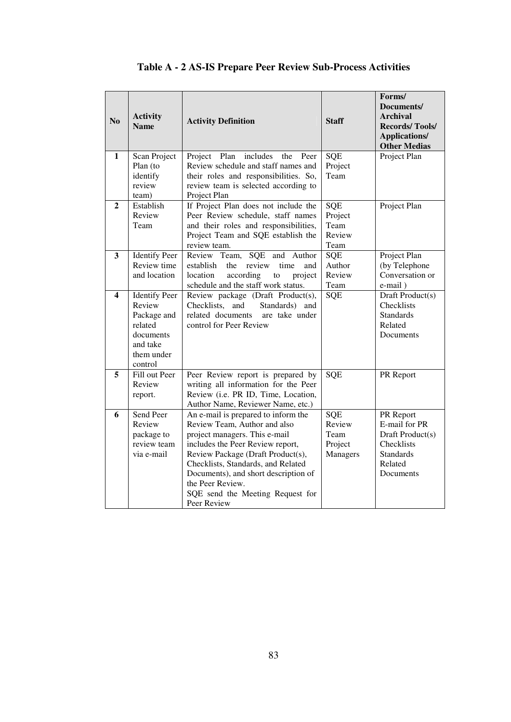| N <sub>o</sub> | <b>Activity</b><br><b>Name</b>      | <b>Activity Definition</b>                                                          | <b>Staff</b>         | Forms/<br>Documents/<br><b>Archival</b><br><b>Records/Tools/</b><br><b>Applications/</b><br><b>Other Medias</b> |
|----------------|-------------------------------------|-------------------------------------------------------------------------------------|----------------------|-----------------------------------------------------------------------------------------------------------------|
| 1              | Scan Project                        | Project Plan includes<br>the<br>Peer                                                | <b>SOE</b>           | Project Plan                                                                                                    |
|                | Plan (to<br>identify                | Review schedule and staff names and<br>their roles and responsibilities. So,        | Project<br>Team      |                                                                                                                 |
|                | review                              | review team is selected according to                                                |                      |                                                                                                                 |
|                | team)                               | Project Plan                                                                        |                      |                                                                                                                 |
| $\mathbf{2}$   | Establish<br>Review                 | If Project Plan does not include the<br>Peer Review schedule, staff names           | SQE<br>Project       | Project Plan                                                                                                    |
|                | Team                                | and their roles and responsibilities,                                               | Team                 |                                                                                                                 |
|                |                                     | Project Team and SQE establish the                                                  | Review               |                                                                                                                 |
|                |                                     | review team.                                                                        | Team                 |                                                                                                                 |
| 3              | <b>Identify Peer</b><br>Review time | Review Team,<br><b>SQE</b><br>and Author                                            | <b>SQE</b><br>Author | Project Plan                                                                                                    |
|                | and location                        | establish<br>the<br>review<br>time<br>and<br>location<br>according<br>project<br>to | Review               | (by Telephone<br>Conversation or                                                                                |
|                |                                     | schedule and the staff work status.                                                 | Team                 | e-mail)                                                                                                         |
| 4              | <b>Identify Peer</b>                | Review package (Draft Product(s),                                                   | SQE                  | Draft Product(s)                                                                                                |
|                | Review                              | Checklists, and<br>Standards) and                                                   |                      | Checklists                                                                                                      |
|                | Package and<br>related              | related documents<br>are take under<br>control for Peer Review                      |                      | <b>Standards</b><br>Related                                                                                     |
|                | documents                           |                                                                                     |                      | Documents                                                                                                       |
|                | and take                            |                                                                                     |                      |                                                                                                                 |
|                | them under                          |                                                                                     |                      |                                                                                                                 |
| 5              | control<br>Fill out Peer            | Peer Review report is prepared by                                                   | SQE                  | PR Report                                                                                                       |
|                | Review                              | writing all information for the Peer                                                |                      |                                                                                                                 |
|                | report.                             | Review (i.e. PR ID, Time, Location,                                                 |                      |                                                                                                                 |
|                |                                     | Author Name, Reviewer Name, etc.)                                                   |                      |                                                                                                                 |
| 6              | Send Peer<br>Review                 | An e-mail is prepared to inform the<br>Review Team, Author and also                 | SQE<br>Review        | PR Report<br>E-mail for PR                                                                                      |
|                | package to                          | project managers. This e-mail                                                       | Team                 | Draft Product(s)                                                                                                |
|                | review team                         | includes the Peer Review report,                                                    | Project              | Checklists                                                                                                      |
|                | via e-mail                          | Review Package (Draft Product(s),                                                   | Managers             | <b>Standards</b>                                                                                                |
|                |                                     | Checklists, Standards, and Related                                                  |                      | Related                                                                                                         |
|                |                                     | Documents), and short description of<br>the Peer Review.                            |                      | Documents                                                                                                       |
|                |                                     | SQE send the Meeting Request for                                                    |                      |                                                                                                                 |
|                |                                     | Peer Review                                                                         |                      |                                                                                                                 |

# **Table A - 2 AS-IS Prepare Peer Review Sub-Process Activities**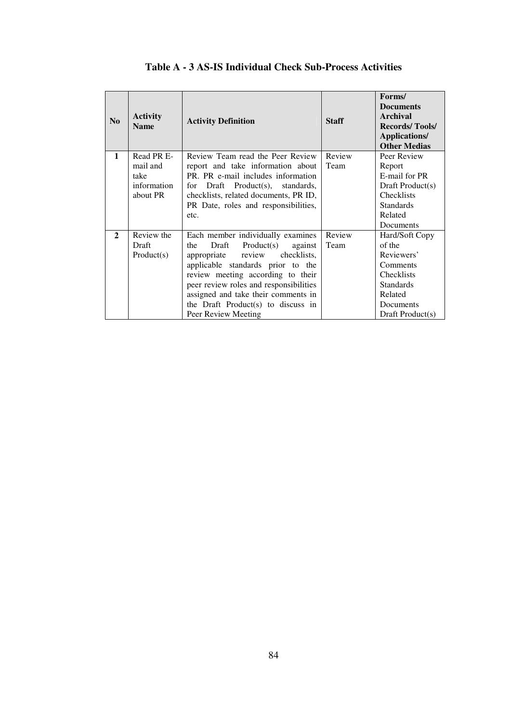| No           | <b>Activity</b><br><b>Name</b> | <b>Activity Definition</b>               | <b>Staff</b> | Forms/<br><b>Documents</b><br>Archival<br><b>Records/Tools/</b><br><b>Applications/</b><br><b>Other Medias</b> |
|--------------|--------------------------------|------------------------------------------|--------------|----------------------------------------------------------------------------------------------------------------|
| 1            | Read PR E-                     | Review Team read the Peer Review         | Review       | Peer Review                                                                                                    |
|              | mail and                       | report and take information about        | Team         | Report                                                                                                         |
|              | take                           | PR. PR e-mail includes information       |              | E-mail for PR                                                                                                  |
|              | information                    | for Draft Product(s), standards,         |              | Draft $Product(s)$                                                                                             |
|              | about PR                       | checklists, related documents, PR ID,    |              | Checklists                                                                                                     |
|              |                                | PR Date, roles and responsibilities,     |              | <b>Standards</b><br>Related                                                                                    |
|              |                                | etc.                                     |              | <b>Documents</b>                                                                                               |
| $\mathbf{2}$ | Review the                     |                                          | Review       |                                                                                                                |
|              | Draft                          | Each member individually examines<br>the | Team         | Hard/Soft Copy<br>of the                                                                                       |
|              |                                | Product(s)<br>against<br>Draft           |              |                                                                                                                |
|              | Product(s)                     | checklists,<br>appropriate review        |              | Reviewers'                                                                                                     |
|              |                                | applicable standards prior to the        |              | Comments                                                                                                       |
|              |                                | review meeting according to their        |              | Checklists                                                                                                     |
|              |                                | peer review roles and responsibilities   |              | <b>Standards</b>                                                                                               |
|              |                                | assigned and take their comments in      |              | Related                                                                                                        |
|              |                                | the Draft Product(s) to discuss in       |              | Documents                                                                                                      |
|              |                                | Peer Review Meeting                      |              | Draft Product(s)                                                                                               |

### **Table A - 3 AS-IS Individual Check Sub-Process Activities**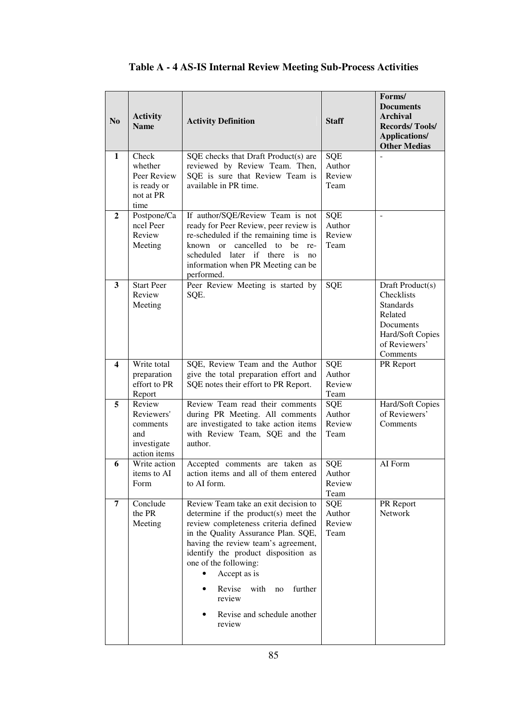| N <sub>0</sub>   | <b>Activity</b><br><b>Name</b>                                         | <b>Activity Definition</b>                                                                                                                                                                                                                                                                                                                                                         | <b>Staff</b>                           | Forms/<br><b>Documents</b><br><b>Archival</b><br><b>Records/Tools/</b><br><b>Applications/</b><br><b>Other Medias</b>       |
|------------------|------------------------------------------------------------------------|------------------------------------------------------------------------------------------------------------------------------------------------------------------------------------------------------------------------------------------------------------------------------------------------------------------------------------------------------------------------------------|----------------------------------------|-----------------------------------------------------------------------------------------------------------------------------|
| 1                | Check<br>whether<br>Peer Review<br>is ready or<br>not at PR<br>time    | SQE checks that Draft Product(s) are<br>reviewed by Review Team. Then,<br>SQE is sure that Review Team is<br>available in PR time.                                                                                                                                                                                                                                                 | SQE<br>Author<br>Review<br>Team        |                                                                                                                             |
| $\boldsymbol{2}$ | Postpone/Ca<br>ncel Peer<br>Review<br>Meeting                          | If author/SQE/Review Team is not<br>ready for Peer Review, peer review is<br>re-scheduled if the remaining time is<br>cancelled to be<br>known or<br>re-<br>scheduled later if there is<br>no<br>information when PR Meeting can be<br>performed.                                                                                                                                  | <b>SQE</b><br>Author<br>Review<br>Team | ÷,                                                                                                                          |
| $\mathbf{3}$     | <b>Start Peer</b><br>Review<br>Meeting                                 | Peer Review Meeting is started by<br>SQE.                                                                                                                                                                                                                                                                                                                                          | <b>SQE</b>                             | Draft Product(s)<br>Checklists<br><b>Standards</b><br>Related<br>Documents<br>Hard/Soft Copies<br>of Reviewers'<br>Comments |
| 4                | Write total<br>preparation<br>effort to PR<br>Report                   | SQE, Review Team and the Author<br>give the total preparation effort and<br>SQE notes their effort to PR Report.                                                                                                                                                                                                                                                                   | SQE<br>Author<br>Review<br>Team        | PR Report                                                                                                                   |
| 5                | Review<br>Reviewers'<br>comments<br>and<br>investigate<br>action items | Review Team read their comments<br>during PR Meeting. All comments<br>are investigated to take action items<br>with Review Team, SQE and the<br>author.                                                                                                                                                                                                                            | SQE<br>Author<br>Review<br>Team        | Hard/Soft Copies<br>of Reviewers'<br>Comments                                                                               |
| 6                | Write action<br>items to AI<br>Form                                    | Accepted comments are taken as<br>action items and all of them entered<br>to AI form.                                                                                                                                                                                                                                                                                              | <b>SQE</b><br>Author<br>Review<br>Team | AI Form                                                                                                                     |
| 7                | Conclude<br>the PR<br>Meeting                                          | Review Team take an exit decision to<br>determine if the product(s) meet the<br>review completeness criteria defined<br>in the Quality Assurance Plan. SQE,<br>having the review team's agreement,<br>identify the product disposition as<br>one of the following:<br>Accept as is<br>Revise<br>with<br>further<br>no<br>٠<br>review<br>Revise and schedule another<br>٠<br>review | SQE<br>Author<br>Review<br>Team        | PR Report<br><b>Network</b>                                                                                                 |

# **Table A - 4 AS-IS Internal Review Meeting Sub-Process Activities**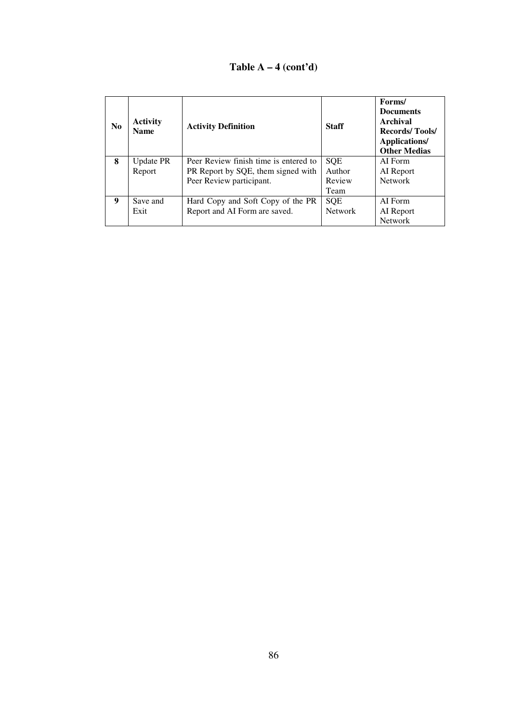### **Table A – 4 (cont'd)**

| N <sub>0</sub> | <b>Activity</b><br><b>Name</b> | <b>Activity Definition</b>            | <b>Staff</b>   | Forms/<br><b>Documents</b><br>Archival<br><b>Records/Tools/</b><br>Applications/<br><b>Other Medias</b> |
|----------------|--------------------------------|---------------------------------------|----------------|---------------------------------------------------------------------------------------------------------|
| 8              | <b>Update PR</b>               | Peer Review finish time is entered to | <b>SOE</b>     | AI Form                                                                                                 |
|                | Report                         | PR Report by SQE, them signed with    | Author         | AI Report                                                                                               |
|                |                                | Peer Review participant.              | Review         | <b>Network</b>                                                                                          |
|                |                                |                                       | Team           |                                                                                                         |
| 9              | Save and                       | Hard Copy and Soft Copy of the PR     | <b>SQE</b>     | AI Form                                                                                                 |
|                | Exit                           | Report and AI Form are saved.         | <b>Network</b> | AI Report                                                                                               |
|                |                                |                                       |                | <b>Network</b>                                                                                          |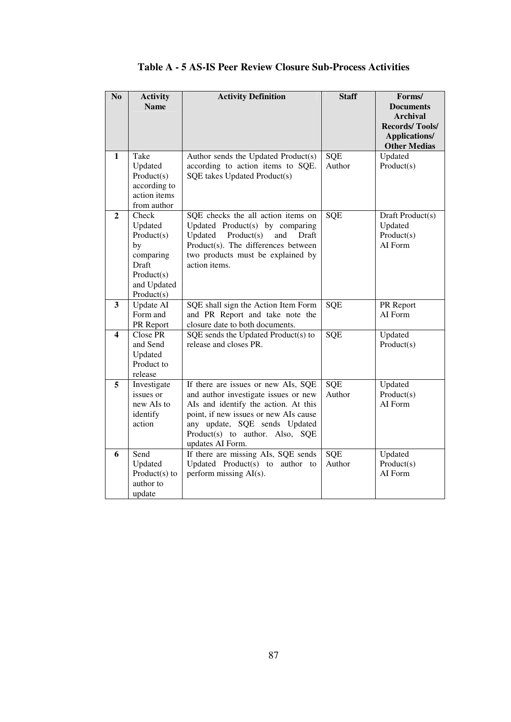| No           | <b>Activity</b>  | <b>Activity Definition</b>                          | <b>Staff</b> | Forms/                               |
|--------------|------------------|-----------------------------------------------------|--------------|--------------------------------------|
|              | <b>Name</b>      |                                                     |              | <b>Documents</b>                     |
|              |                  |                                                     |              | <b>Archival</b>                      |
|              |                  |                                                     |              | <b>Records/Tools/</b>                |
|              |                  |                                                     |              | Applications/<br><b>Other Medias</b> |
| 1            | Take             | Author sends the Updated Product(s)                 | SQE          | Updated                              |
|              | Updated          | according to action items to SQE.                   | Author       | Product(s)                           |
|              | Product(s)       | SQE takes Updated Product(s)                        |              |                                      |
|              | according to     |                                                     |              |                                      |
|              | action items     |                                                     |              |                                      |
|              | from author      |                                                     |              |                                      |
| $\mathbf{2}$ | Check            | SQE checks the all action items on                  | SQE          | Draft Product(s)                     |
|              | Updated          | Updated Product(s) by comparing                     |              | Updated                              |
|              | Product(s)       | Updated<br>Product(s)<br>and<br>Draft               |              | Product(s)                           |
|              | by               | Product(s). The differences between                 |              | AI Form                              |
|              | comparing        | two products must be explained by                   |              |                                      |
|              | Draft            | action items.                                       |              |                                      |
|              | Product(s)       |                                                     |              |                                      |
|              | and Updated      |                                                     |              |                                      |
|              | Product(s)       |                                                     |              |                                      |
| 3            | <b>Update AI</b> | SQE shall sign the Action Item Form                 | SQE          | PR Report                            |
|              | Form and         | and PR Report and take note the                     |              | AI Form                              |
|              | PR Report        | closure date to both documents.                     |              |                                      |
| 4            | Close PR         | SQE sends the Updated Product(s) to                 | SQE          | Updated                              |
|              | and Send         | release and closes PR.                              |              | Product(s)                           |
|              | Updated          |                                                     |              |                                      |
|              | Product to       |                                                     |              |                                      |
|              | release          |                                                     |              |                                      |
| 5            | Investigate      | If there are issues or new AIs, SQE                 | <b>SQE</b>   | Updated                              |
|              | issues or        | and author investigate issues or new                | Author       | Product(s)                           |
|              | new AIs to       | AIs and identify the action. At this                |              | AI Form                              |
|              | identify         | point, if new issues or new AIs cause               |              |                                      |
|              | action           | any update, SQE sends Updated                       |              |                                      |
|              |                  | Product(s) to author. Also, SQE<br>updates AI Form. |              |                                      |
| 6            | Send             | If there are missing AIs, SQE sends                 | SQE          | Updated                              |
|              | Updated          | Updated Product(s) to author to                     | Author       | Product(s)                           |
|              | $Product(s)$ to  | perform missing AI(s).                              |              | AI Form                              |
|              | author to        |                                                     |              |                                      |
|              | update           |                                                     |              |                                      |

### **Table A - 5 AS-IS Peer Review Closure Sub-Process Activities**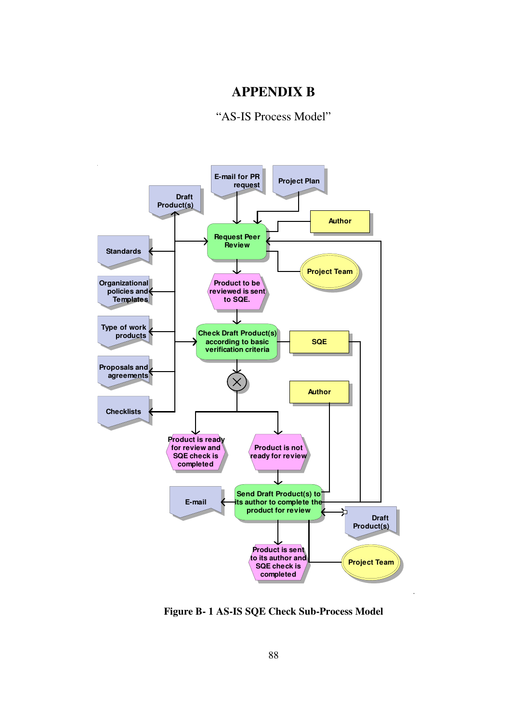# **APPENDIX B**

"AS-IS Process Model"



**Figure B- 1 AS-IS SQE Check Sub-Process Model**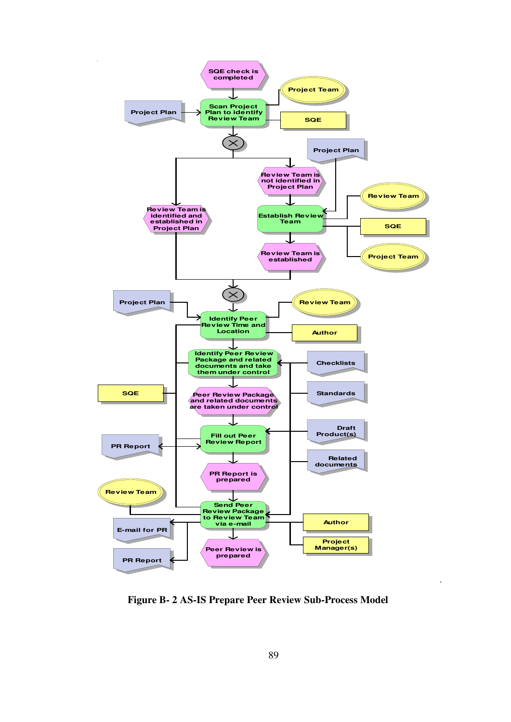

**Figure B- 2 AS-IS Prepare Peer Review Sub-Process Model**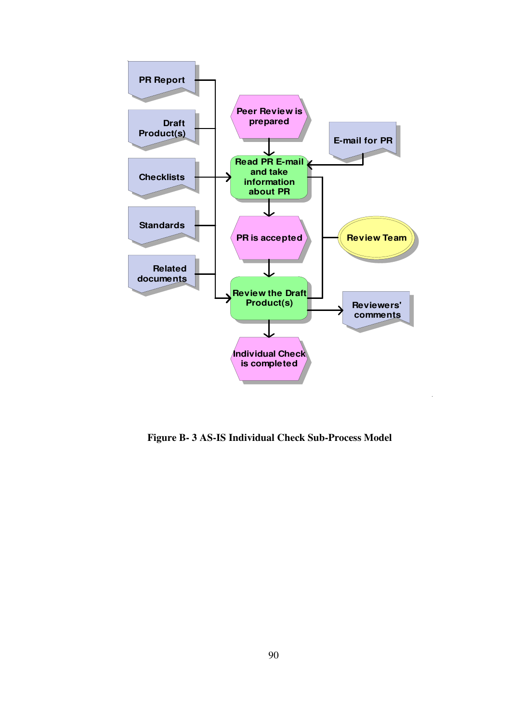

 **Figure B- 3 AS-IS Individual Check Sub-Process Model**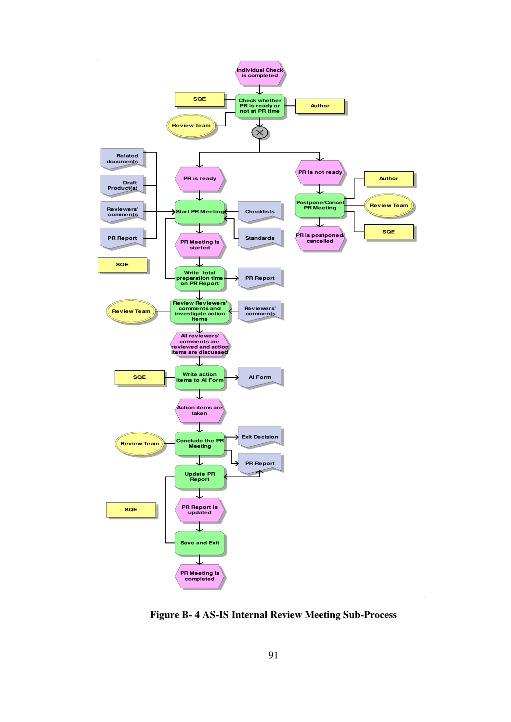

**Figure B- 4 AS-IS Internal Review Meeting Sub-Process**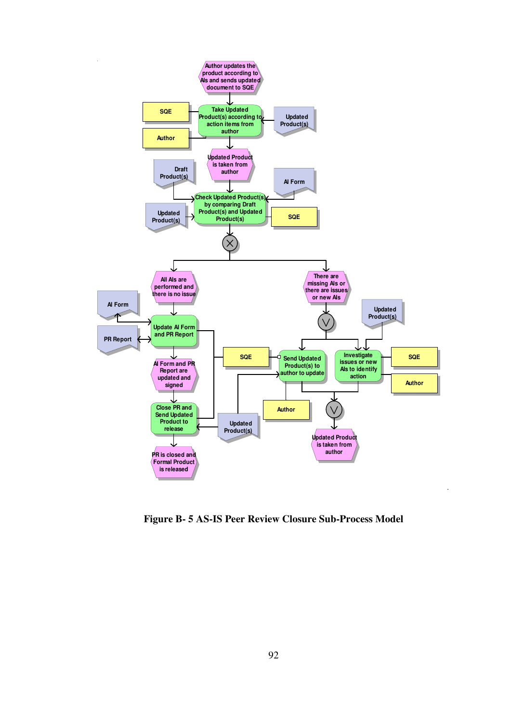

**Figure B- 5 AS-IS Peer Review Closure Sub-Process Model**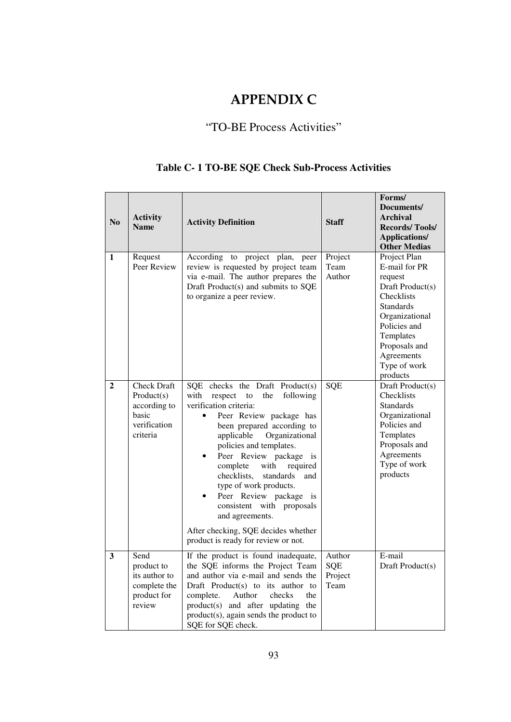# APPENDIX C

# "TO-BE Process Activities"

# **Table C- 1 TO-BE SQE Check Sub-Process Activities**

| $\bf No$     | <b>Activity</b><br><b>Name</b>                                                        | <b>Activity Definition</b>                                                                                                                                                                                                                                                                                                                                                                                                                                                                                                |                                  | Forms/<br>Documents/<br><b>Archival</b><br><b>Records/Tools/</b><br><b>Applications/</b><br><b>Other Medias</b>                                                                                          |  |
|--------------|---------------------------------------------------------------------------------------|---------------------------------------------------------------------------------------------------------------------------------------------------------------------------------------------------------------------------------------------------------------------------------------------------------------------------------------------------------------------------------------------------------------------------------------------------------------------------------------------------------------------------|----------------------------------|----------------------------------------------------------------------------------------------------------------------------------------------------------------------------------------------------------|--|
| 1            | Request<br>Peer Review                                                                | According<br>to project plan, peer<br>review is requested by project team<br>via e-mail. The author prepares the<br>Draft Product(s) and submits to SQE<br>to organize a peer review.                                                                                                                                                                                                                                                                                                                                     | Project<br>Team<br>Author        | Project Plan<br>E-mail for PR<br>request<br>Draft Product(s)<br>Checklists<br><b>Standards</b><br>Organizational<br>Policies and<br>Templates<br>Proposals and<br>Agreements<br>Type of work<br>products |  |
| $\mathbf{2}$ | <b>Check Draft</b><br>Product(s)<br>according to<br>basic<br>verification<br>criteria | SQE checks the Draft Product(s)<br>with<br>following<br>respect<br>the<br>to<br>verification criteria:<br>Peer Review package has<br>been prepared according to<br>applicable<br>Organizational<br>policies and templates.<br>Peer Review package<br>$\bullet$<br>is<br>complete<br>with<br>required<br>checklists,<br>standards<br>and<br>type of work products.<br>Peer Review package is<br>consistent with proposals<br>and agreements.<br>After checking, SQE decides whether<br>product is ready for review or not. | SQE                              | Draft Product(s)<br>Checklists<br><b>Standards</b><br>Organizational<br>Policies and<br>Templates<br>Proposals and<br>Agreements<br>Type of work<br>products                                             |  |
| 3            | Send<br>product to<br>its author to<br>complete the<br>product for<br>review          | If the product is found inadequate,<br>the SQE informs the Project Team<br>and author via e-mail and sends the<br>Draft Product(s) to its author to<br>complete.<br>Author<br>checks<br>the<br>product(s) and after updating the<br>product(s), again sends the product to<br>SQE for SQE check.                                                                                                                                                                                                                          | Author<br>SQE<br>Project<br>Team | E-mail<br>Draft Product(s)                                                                                                                                                                               |  |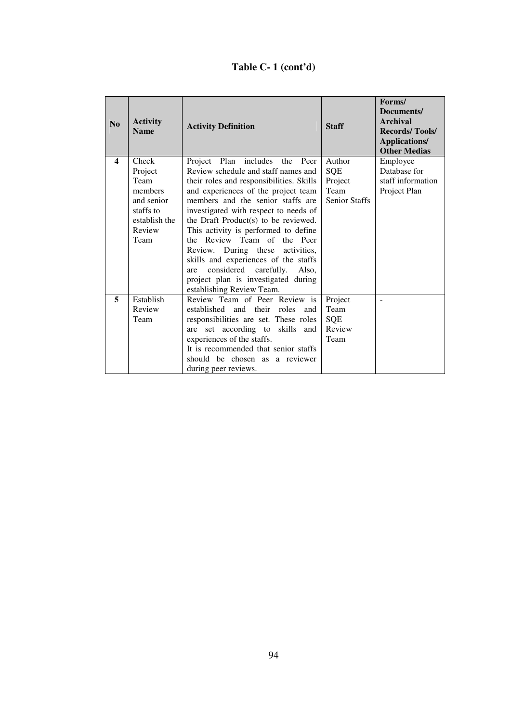# **Table C- 1 (cont'd)**

| No               | <b>Activity</b><br><b>Name</b> | <b>Activity Definition</b>                                 | <b>Staff</b>         | Forms/<br>Documents/<br>Archival<br><b>Records/Tools/</b><br><b>Applications/</b><br><b>Other Medias</b> |
|------------------|--------------------------------|------------------------------------------------------------|----------------------|----------------------------------------------------------------------------------------------------------|
| $\boldsymbol{4}$ | Check                          | Project Plan includes the Peer                             | Author               | Employee                                                                                                 |
|                  | Project                        | Review schedule and staff names and                        | SQE                  | Database for                                                                                             |
|                  | Team                           | their roles and responsibilities. Skills                   | Project              | staff information                                                                                        |
|                  | members                        | and experiences of the project team                        | Team                 | Project Plan                                                                                             |
|                  | and senior                     | members and the senior staffs are                          | <b>Senior Staffs</b> |                                                                                                          |
|                  | staffs to                      | investigated with respect to needs of                      |                      |                                                                                                          |
|                  | establish the                  | the Draft Product(s) to be reviewed.                       |                      |                                                                                                          |
|                  | Review                         | This activity is performed to define                       |                      |                                                                                                          |
|                  | Team                           | the Review Team of the Peer                                |                      |                                                                                                          |
|                  |                                | Review. During these activities,                           |                      |                                                                                                          |
|                  |                                | skills and experiences of the staffs                       |                      |                                                                                                          |
|                  |                                | considered carefully. Also,<br>are                         |                      |                                                                                                          |
|                  |                                | project plan is investigated during                        |                      |                                                                                                          |
| 5                | Establish                      | establishing Review Team.<br>Review Team of Peer Review is | Project              |                                                                                                          |
|                  | Review                         | established and their roles<br>and                         | Team                 |                                                                                                          |
|                  | Team                           | responsibilities are set. These roles                      | SQE                  |                                                                                                          |
|                  |                                | are set according to skills and                            | Review               |                                                                                                          |
|                  |                                | experiences of the staffs.                                 | Team                 |                                                                                                          |
|                  |                                | It is recommended that senior staffs                       |                      |                                                                                                          |
|                  |                                | should be chosen as a reviewer                             |                      |                                                                                                          |
|                  |                                | during peer reviews.                                       |                      |                                                                                                          |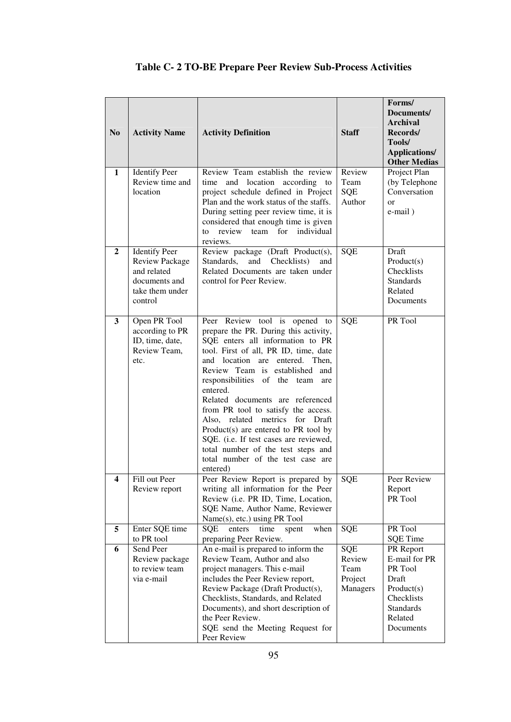| N <sub>0</sub> | <b>Activity Name</b>                                                                                        | <b>Activity Definition</b>                                                                                                                                                                                                                                                                                                                                                                                                                                                                                                                                            | <b>Staff</b>                                 | Forms/<br>Documents/<br><b>Archival</b><br>Records/<br>Tools/<br><b>Applications/</b><br><b>Other Medias</b>           |
|----------------|-------------------------------------------------------------------------------------------------------------|-----------------------------------------------------------------------------------------------------------------------------------------------------------------------------------------------------------------------------------------------------------------------------------------------------------------------------------------------------------------------------------------------------------------------------------------------------------------------------------------------------------------------------------------------------------------------|----------------------------------------------|------------------------------------------------------------------------------------------------------------------------|
| $\mathbf{1}$   | <b>Identify Peer</b><br>Review time and<br>location                                                         | Review Team establish the review<br>and location according to<br>time<br>project schedule defined in Project<br>Plan and the work status of the staffs.<br>During setting peer review time, it is<br>considered that enough time is given<br>review<br>for individual<br>team<br>to<br>reviews.                                                                                                                                                                                                                                                                       | Review<br>Team<br>SQE<br>Author              | Project Plan<br>(by Telephone<br>Conversation<br>$\alpha$ r<br>e-mail)                                                 |
| $\overline{2}$ | <b>Identify Peer</b><br><b>Review Package</b><br>and related<br>documents and<br>take them under<br>control | Review package (Draft Product(s),<br>and<br>Standards,<br>Checklists)<br>and<br>Related Documents are taken under<br>control for Peer Review.                                                                                                                                                                                                                                                                                                                                                                                                                         | SQE                                          | Draft<br>Product(s)<br>Checklists<br><b>Standards</b><br>Related<br>Documents                                          |
| 3              | Open PR Tool<br>according to PR<br>ID, time, date,<br>Review Team,<br>etc.                                  | Peer Review tool is opened to<br>prepare the PR. During this activity,<br>SQE enters all information to PR<br>tool. First of all, PR ID, time, date<br>and location are entered. Then,<br>Review Team is established<br>and<br>responsibilities of the team<br>are<br>entered.<br>Related documents are referenced<br>from PR tool to satisfy the access.<br>Also, related metrics for Draft<br>Product(s) are entered to PR tool by<br>SQE. (i.e. If test cases are reviewed,<br>total number of the test steps and<br>total number of the test case are<br>entered) | <b>SQE</b>                                   | PR Tool                                                                                                                |
| 4              | Fill out Peer<br>Review report                                                                              | Peer Review Report is prepared by<br>writing all information for the Peer<br>Review (i.e. PR ID, Time, Location,<br>SQE Name, Author Name, Reviewer<br>Name(s), etc.) using PR Tool                                                                                                                                                                                                                                                                                                                                                                                   | <b>SQE</b>                                   | Peer Review<br>Report<br>PR Tool                                                                                       |
| 5              | Enter SQE time<br>to PR tool                                                                                | <b>SQE</b><br>enters<br>time<br>when<br>spent<br>preparing Peer Review.                                                                                                                                                                                                                                                                                                                                                                                                                                                                                               | SQE                                          | PR Tool<br><b>SQE</b> Time                                                                                             |
| 6              | Send Peer<br>Review package<br>to review team<br>via e-mail                                                 | An e-mail is prepared to inform the<br>Review Team, Author and also<br>project managers. This e-mail<br>includes the Peer Review report,<br>Review Package (Draft Product(s),<br>Checklists, Standards, and Related<br>Documents), and short description of<br>the Peer Review.<br>SQE send the Meeting Request for<br>Peer Review                                                                                                                                                                                                                                    | SQE<br>Review<br>Team<br>Project<br>Managers | PR Report<br>E-mail for PR<br>PR Tool<br>Draft<br>Product(s)<br>Checklists<br><b>Standards</b><br>Related<br>Documents |

# **Table C- 2 TO-BE Prepare Peer Review Sub-Process Activities**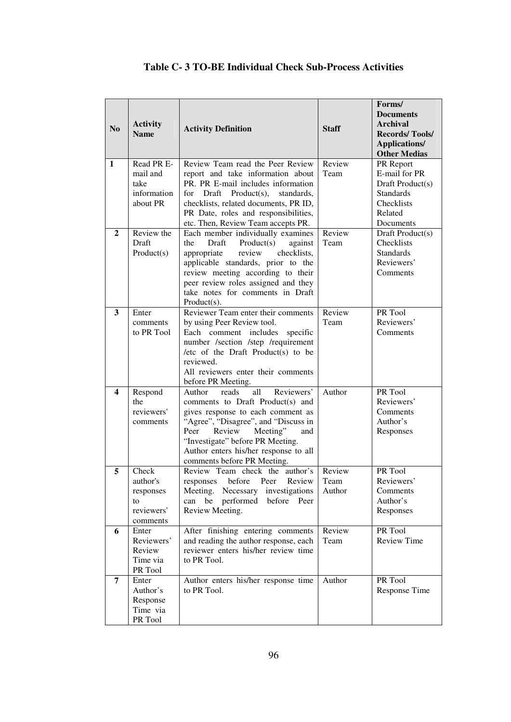| N <sub>0</sub>          | <b>Activity</b><br><b>Name</b>              | <b>Activity Definition</b>                                                                | <b>Staff</b>   | Forms/<br><b>Documents</b><br><b>Archival</b><br><b>Records/Tools/</b><br>Applications/<br><b>Other Medias</b> |
|-------------------------|---------------------------------------------|-------------------------------------------------------------------------------------------|----------------|----------------------------------------------------------------------------------------------------------------|
| $\mathbf{1}$            | Read PR E-                                  | Review Team read the Peer Review                                                          | Review<br>Team | PR Report                                                                                                      |
|                         | mail and                                    | report and take information about                                                         |                | E-mail for PR                                                                                                  |
|                         | take                                        | PR. PR E-mail includes information                                                        |                | Draft Product(s)                                                                                               |
|                         | information                                 | for<br>Draft Product(s),<br>standards,                                                    |                | <b>Standards</b><br>Checklists                                                                                 |
|                         |                                             | about PR<br>checklists, related documents, PR ID,<br>PR Date, roles and responsibilities, |                | Related                                                                                                        |
|                         |                                             | etc. Then, Review Team accepts PR.                                                        |                | Documents                                                                                                      |
| $\mathbf{2}$            | Review the                                  | Each member individually examines                                                         | Review         | Draft Product(s)                                                                                               |
|                         | Draft                                       | the<br>Draft<br>Product(s)<br>against                                                     | Team           | Checklists                                                                                                     |
|                         | Product(s)                                  | appropriate<br>review<br>checklists,                                                      |                | <b>Standards</b>                                                                                               |
|                         |                                             | applicable standards, prior to the                                                        |                | Reviewers'                                                                                                     |
|                         |                                             | review meeting according to their                                                         |                | Comments                                                                                                       |
|                         |                                             | peer review roles assigned and they<br>take notes for comments in Draft                   |                |                                                                                                                |
|                         |                                             | $Product(s)$ .                                                                            |                |                                                                                                                |
| $\mathbf{3}$            | Reviewer Team enter their comments<br>Enter |                                                                                           | Review         | PR Tool                                                                                                        |
|                         | by using Peer Review tool.<br>comments      |                                                                                           | Team           | Reviewers'                                                                                                     |
|                         | to PR Tool                                  | Each comment includes specific                                                            |                | Comments                                                                                                       |
|                         |                                             | number /section /step /requirement                                                        |                |                                                                                                                |
|                         |                                             | /etc of the Draft Product(s) to be                                                        |                |                                                                                                                |
|                         |                                             | reviewed.                                                                                 |                |                                                                                                                |
|                         |                                             | All reviewers enter their comments                                                        |                |                                                                                                                |
| $\overline{\mathbf{4}}$ | Respond                                     | before PR Meeting.<br>Reviewers'<br>reads<br>all<br>Author                                | Author         | PR Tool                                                                                                        |
|                         | the                                         | comments to Draft Product(s) and                                                          |                | Reviewers'                                                                                                     |
|                         | reviewers'                                  | gives response to each comment as                                                         |                | Comments                                                                                                       |
|                         | comments                                    | "Agree", "Disagree", and "Discuss in                                                      |                | Author's                                                                                                       |
|                         |                                             | Peer<br>Review<br>Meeting"<br>and                                                         |                | Responses                                                                                                      |
|                         |                                             | "Investigate" before PR Meeting.                                                          |                |                                                                                                                |
|                         |                                             | Author enters his/her response to all                                                     |                |                                                                                                                |
| 5                       | Check                                       | comments before PR Meeting.<br>Review Team check the author's                             | Review         | PR Tool                                                                                                        |
|                         | author's                                    | responses before Peer Review                                                              | Team           | Reviewers'                                                                                                     |
|                         | responses                                   | Meeting. Necessary investigations                                                         | Author         | Comments                                                                                                       |
|                         | to                                          | can be performed<br>before Peer                                                           |                | Author's                                                                                                       |
|                         | reviewers'                                  | Review Meeting.                                                                           |                | Responses                                                                                                      |
|                         | comments                                    |                                                                                           |                |                                                                                                                |
| 6                       | Enter                                       | After finishing entering comments                                                         | Review         | PR Tool                                                                                                        |
|                         | Reviewers'<br>Review                        | and reading the author response, each<br>reviewer enters his/her review time              | Team           | <b>Review Time</b>                                                                                             |
|                         | Time via                                    | to PR Tool.                                                                               |                |                                                                                                                |
|                         | PR Tool                                     |                                                                                           |                |                                                                                                                |
| 7                       | Enter                                       | Author enters his/her response time                                                       | Author         | PR Tool                                                                                                        |
|                         | Author's                                    | to PR Tool.                                                                               |                | Response Time                                                                                                  |
|                         | Response                                    |                                                                                           |                |                                                                                                                |
|                         | Time via                                    |                                                                                           |                |                                                                                                                |
|                         | PR Tool                                     |                                                                                           |                |                                                                                                                |

#### **Table C- 3 TO-BE Individual Check Sub-Process Activities**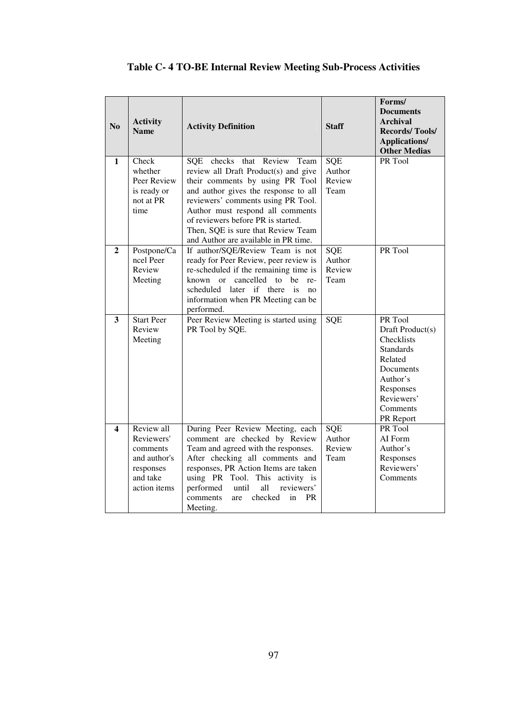| N <sub>o</sub>          | <b>Activity</b><br><b>Name</b>                                                                | <b>Activity Definition</b>                                                                                                                                                                                                                                                                                                                   | <b>Staff</b>                           | Forms/<br><b>Documents</b><br>Archival<br><b>Records/Tools/</b><br><b>Applications/</b><br><b>Other Medias</b>                                               |
|-------------------------|-----------------------------------------------------------------------------------------------|----------------------------------------------------------------------------------------------------------------------------------------------------------------------------------------------------------------------------------------------------------------------------------------------------------------------------------------------|----------------------------------------|--------------------------------------------------------------------------------------------------------------------------------------------------------------|
| 1                       | Check<br>whether<br>Peer Review<br>is ready or<br>not at PR<br>time                           | SQE checks that Review Team<br>review all Draft Product(s) and give<br>their comments by using PR Tool<br>and author gives the response to all<br>reviewers' comments using PR Tool.<br>Author must respond all comments<br>of reviewers before PR is started.<br>Then, SQE is sure that Review Team<br>and Author are available in PR time. | SQE<br>Author<br>Review<br>Team        | PR Tool                                                                                                                                                      |
| $\mathbf{2}$            | Postpone/Ca<br>ncel Peer<br>Review<br>Meeting                                                 | If author/SQE/Review Team is not<br>ready for Peer Review, peer review is<br>re-scheduled if the remaining time is<br>cancelled to be<br>known or<br>re-<br>later if there is<br>scheduled<br>no<br>information when PR Meeting can be<br>performed.                                                                                         | <b>SQE</b><br>Author<br>Review<br>Team | PR Tool                                                                                                                                                      |
| $\overline{\mathbf{3}}$ | <b>Start Peer</b><br>Review<br>Meeting                                                        | Peer Review Meeting is started using<br>PR Tool by SQE.                                                                                                                                                                                                                                                                                      | SQE                                    | PR Tool<br>Draft Product(s)<br><b>Checklists</b><br><b>Standards</b><br>Related<br>Documents<br>Author's<br>Responses<br>Reviewers'<br>Comments<br>PR Report |
| 4                       | Review all<br>Reviewers'<br>comments<br>and author's<br>responses<br>and take<br>action items | During Peer Review Meeting, each<br>comment are checked by Review<br>Team and agreed with the responses.<br>After checking all comments and<br>responses, PR Action Items are taken<br>using PR Tool. This activity is<br>performed<br>until<br>all<br>reviewers'<br>checked<br><b>PR</b><br>comments<br>are<br>in<br>Meeting.               | SQE<br>Author<br>Review<br>Team        | PR Tool<br>AI Form<br>Author's<br>Responses<br>Reviewers'<br>Comments                                                                                        |

# **Table C- 4 TO-BE Internal Review Meeting Sub-Process Activities**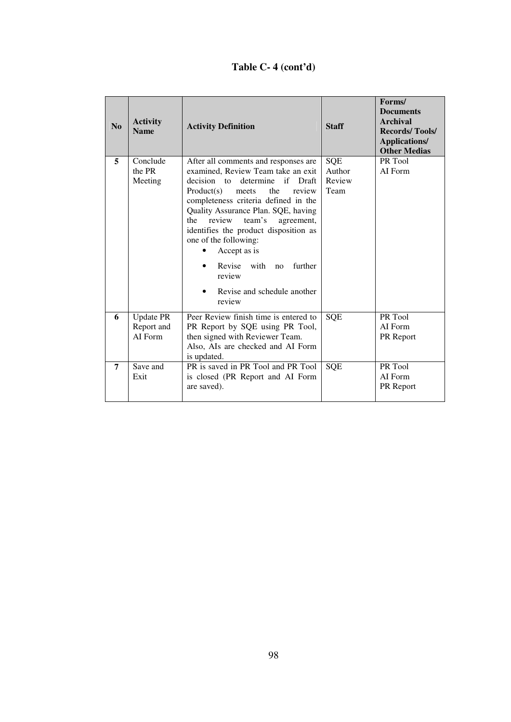# **Table C- 4 (cont'd)**

| N <sub>0</sub> | <b>Activity</b><br><b>Name</b>            | <b>Activity Definition</b>                                                                                                                                                                                                                                                                                                                                                                                                                              | <b>Staff</b>                           | Forms/<br><b>Documents</b><br><b>Archival</b><br><b>Records/Tools/</b><br><b>Applications/</b><br><b>Other Medias</b> |
|----------------|-------------------------------------------|---------------------------------------------------------------------------------------------------------------------------------------------------------------------------------------------------------------------------------------------------------------------------------------------------------------------------------------------------------------------------------------------------------------------------------------------------------|----------------------------------------|-----------------------------------------------------------------------------------------------------------------------|
| 5              | Conclude<br>the PR<br>Meeting             | After all comments and responses are<br>examined, Review Team take an exit<br>decision to<br>determine if Draft<br>the<br>Product(s)<br>review<br>meets<br>completeness criteria defined in the<br>Quality Assurance Plan. SQE, having<br>the<br>review<br>team's<br>agreement,<br>identifies the product disposition as<br>one of the following:<br>Accept as is<br>Revise<br>with<br>further<br>no<br>review<br>Revise and schedule another<br>review | <b>SQE</b><br>Author<br>Review<br>Team | PR Tool<br>AI Form                                                                                                    |
| 6              | <b>Update PR</b><br>Report and<br>AI Form | Peer Review finish time is entered to<br>PR Report by SQE using PR Tool,<br>then signed with Reviewer Team.<br>Also, AIs are checked and AI Form<br>is updated.                                                                                                                                                                                                                                                                                         | <b>SQE</b>                             | PR Tool<br>AI Form<br>PR Report                                                                                       |
| $\overline{7}$ | Save and<br>Exit                          | PR is saved in PR Tool and PR Tool<br>is closed (PR Report and AI Form<br>are saved).                                                                                                                                                                                                                                                                                                                                                                   | <b>SQE</b>                             | PR Tool<br>AI Form<br>PR Report                                                                                       |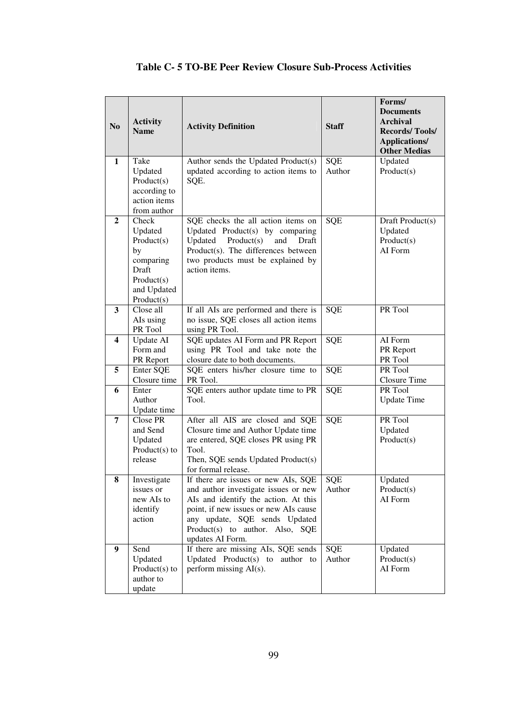| N <sub>0</sub> | <b>Activity</b><br><b>Name</b>                                                                        | <b>Activity Definition</b>                                                                                                                                                                                                                           | <b>Staff</b>  | Forms/<br><b>Documents</b><br><b>Archival</b><br><b>Records/Tools/</b><br><b>Applications/</b><br><b>Other Medias</b> |
|----------------|-------------------------------------------------------------------------------------------------------|------------------------------------------------------------------------------------------------------------------------------------------------------------------------------------------------------------------------------------------------------|---------------|-----------------------------------------------------------------------------------------------------------------------|
| 1              | Take<br>Updated<br>Product(s)<br>according to<br>action items<br>from author                          | Author sends the Updated Product(s)<br>updated according to action items to<br>SQE.                                                                                                                                                                  | SQE<br>Author | Updated<br>Product(s)                                                                                                 |
| $\overline{2}$ | Check<br>Updated<br>Product(s)<br>by<br>comparing<br>Draft<br>Product(s)<br>and Updated<br>Product(s) | SQE checks the all action items on<br>Updated Product(s) by comparing<br>Product(s)<br>Updated<br>and<br>Draft<br>Product(s). The differences between<br>two products must be explained by<br>action items.                                          | <b>SQE</b>    | Draft Product(s)<br>Updated<br>Product(s)<br>AI Form                                                                  |
| 3              | Close all<br>AIs using<br>PR Tool                                                                     | If all AIs are performed and there is<br>no issue, SQE closes all action items<br>using PR Tool.                                                                                                                                                     | SQE           | PR Tool                                                                                                               |
| 4              | <b>Update AI</b><br>Form and<br>PR Report                                                             | SQE updates AI Form and PR Report<br>using PR Tool and take note the<br>closure date to both documents.                                                                                                                                              | SQE           | AI Form<br>PR Report<br>PR Tool                                                                                       |
| 5              | Enter SQE<br>Closure time                                                                             | SQE enters his/her closure time to<br>PR Tool.                                                                                                                                                                                                       | SQE           | PR Tool<br>Closure Time                                                                                               |
| 6              | Enter<br>Author<br>Update time                                                                        | SQE enters author update time to PR<br>Tool.                                                                                                                                                                                                         | SQE           | PR Tool<br><b>Update Time</b>                                                                                         |
| 7              | Close PR<br>and Send<br>Updated<br>Product(s) to<br>release                                           | After all AIS are closed and SQE<br>Closure time and Author Update time<br>are entered, SQE closes PR using PR<br>Tool.<br>Then, SQE sends Updated Product(s)<br>for formal release.                                                                 | SQE           | PR Tool<br>Updated<br>Product(s)                                                                                      |
| 8              | Investigate<br>issues or<br>new AIs to<br>identify<br>action                                          | If there are issues or new AIs, SQE<br>and author investigate issues or new<br>AIs and identify the action. At this<br>point, if new issues or new AIs cause<br>any update, SQE sends Updated<br>Product(s) to author. Also, SQE<br>updates AI Form. | SQE<br>Author | Updated<br>Product(s)<br>AI Form                                                                                      |
| 9              | Send<br>Updated<br>Product $(s)$ to<br>author to<br>update                                            | If there are missing AIs, SQE sends<br>Updated Product(s) to author to<br>perform missing AI(s).                                                                                                                                                     | SQE<br>Author | Updated<br>Product(s)<br>AI Form                                                                                      |

#### **Table C- 5 TO-BE Peer Review Closure Sub-Process Activities**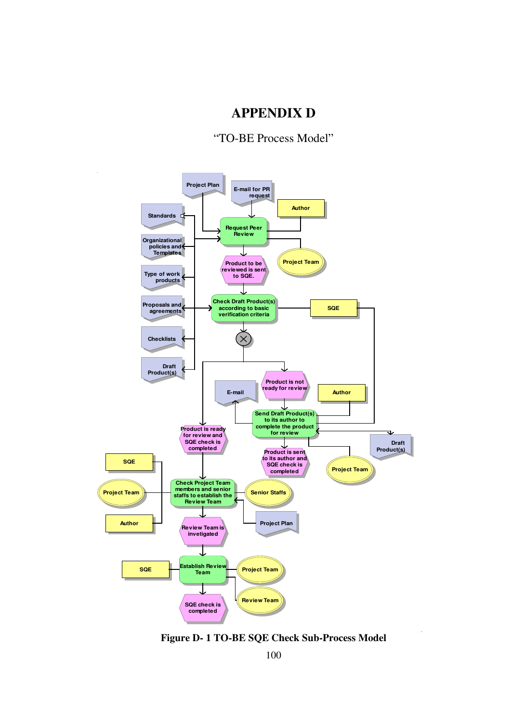# **APPENDIX D**

#### "TO-BE Process Model"



**Figure D- 1 TO-BE SQE Check Sub-Process Model**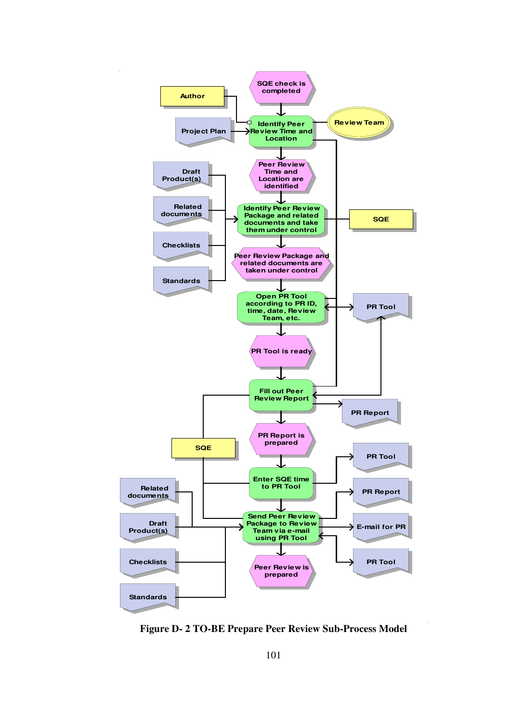

**Figure D- 2 TO-BE Prepare Peer Review Sub-Process Model**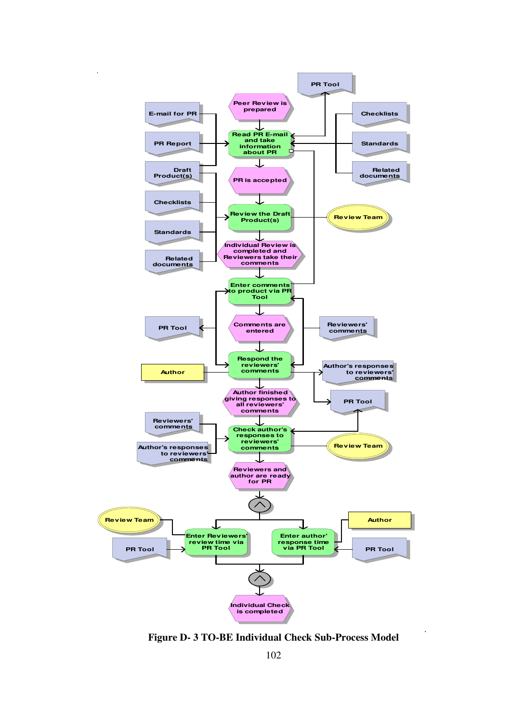

**Figure D- 3 TO-BE Individual Check Sub-Process Model**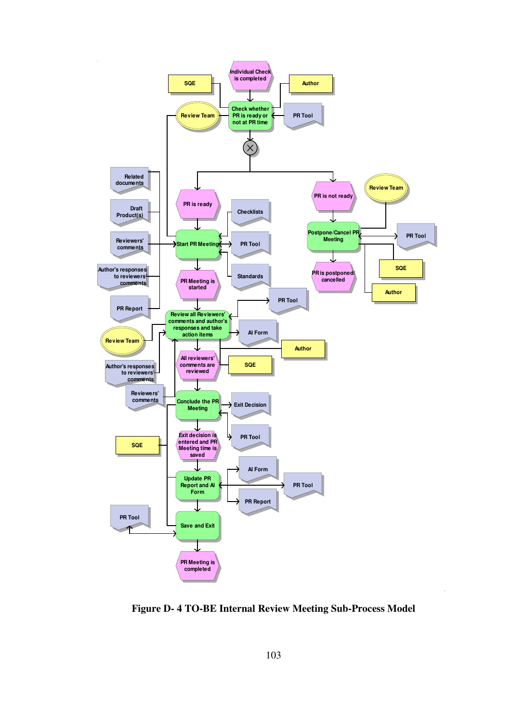

**Figure D- 4 TO-BE Internal Review Meeting Sub-Process Model**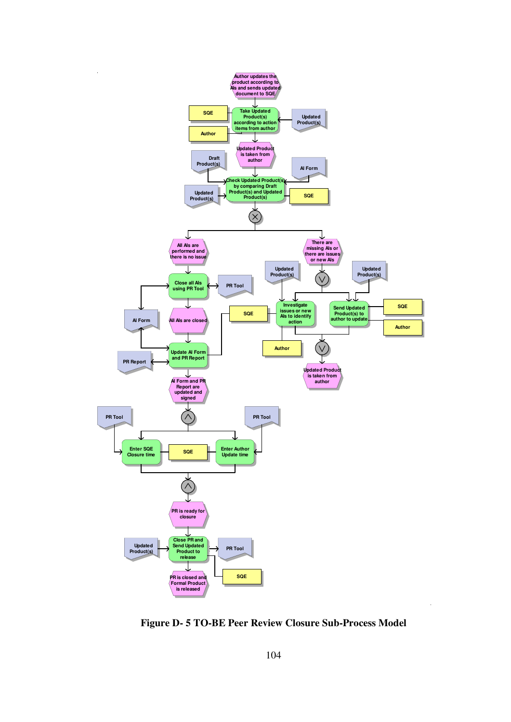

**Figure D- 5 TO-BE Peer Review Closure Sub-Process Model**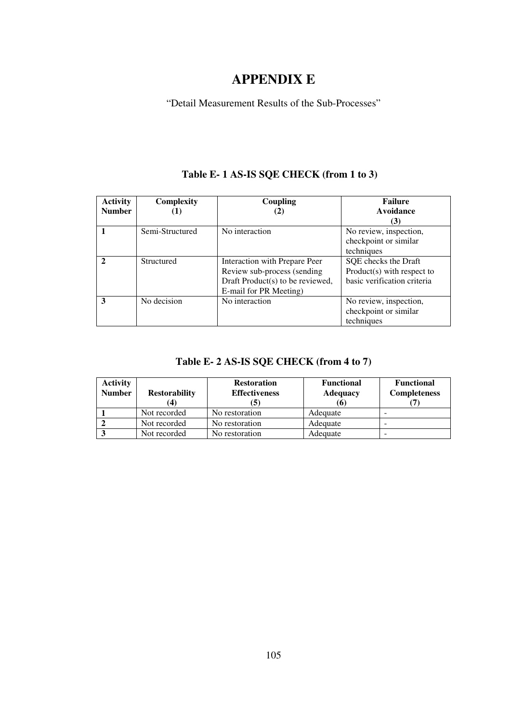# **APPENDIX E**

"Detail Measurement Results of the Sub-Processes"

#### **Activity Number Complexity (1) Coupling (2) Failure Avoidance (3) 1 1 Semi-Structured** No interaction No review, inspection, checkpoint or similar techniques **2 Structured** Interaction with Prepare Peer Review sub-process (sending Draft Product(s) to be reviewed, E-mail for PR Meeting) SQE checks the Draft Product(s) with respect to basic verification criteria **3** No decision No interaction No review, inspection, checkpoint or similar techniques

### **Table E- 1 AS-IS SQE CHECK (from 1 to 3)**

#### **Table E- 2 AS-IS SQE CHECK (from 4 to 7)**

| <b>Activity</b><br><b>Number</b> | <b>Restorability</b> | <b>Restoration</b><br><b>Effectiveness</b> | <b>Functional</b><br><b>Adequacy</b><br>(6) | <b>Functional</b><br><b>Completeness</b> |
|----------------------------------|----------------------|--------------------------------------------|---------------------------------------------|------------------------------------------|
|                                  | Not recorded         | No restoration                             | Adequate                                    |                                          |
|                                  | Not recorded         | No restoration                             | Adequate                                    |                                          |
|                                  | Not recorded         | No restoration                             | Adequate                                    |                                          |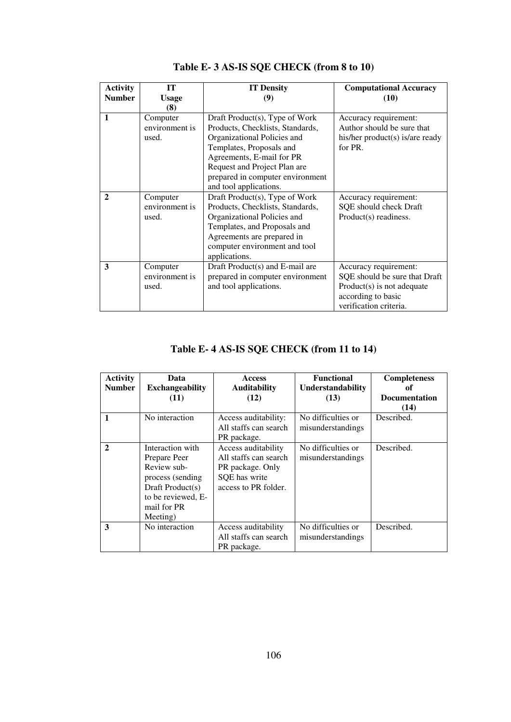| <b>Activity</b> | <b>IT</b>                           | <b>IT Density</b>                                                                                                                                                                                                              | <b>Computational Accuracy</b>                                                                                                          |
|-----------------|-------------------------------------|--------------------------------------------------------------------------------------------------------------------------------------------------------------------------------------------------------------------------------|----------------------------------------------------------------------------------------------------------------------------------------|
| <b>Number</b>   | <b>Usage</b>                        | (9)                                                                                                                                                                                                                            | (10)                                                                                                                                   |
|                 | (8)                                 |                                                                                                                                                                                                                                |                                                                                                                                        |
| $\mathbf{1}$    | Computer<br>environment is<br>used. | Draft Product(s), Type of Work<br>Products, Checklists, Standards,<br>Organizational Policies and<br>Templates, Proposals and<br>Agreements, E-mail for PR<br>Request and Project Plan are<br>prepared in computer environment | Accuracy requirement:<br>Author should be sure that<br>his/her product(s) is/are ready<br>for PR.                                      |
|                 |                                     | and tool applications.                                                                                                                                                                                                         |                                                                                                                                        |
| $\mathbf{2}$    | Computer<br>environment is<br>used. | Draft Product(s), Type of Work<br>Products, Checklists, Standards,<br>Organizational Policies and<br>Templates, and Proposals and<br>Agreements are prepared in<br>computer environment and tool<br>applications.              | Accuracy requirement:<br>SQE should check Draft<br>Product(s) readiness.                                                               |
| 3               | Computer<br>environment is<br>used. | Draft Product(s) and E-mail are<br>prepared in computer environment<br>and tool applications.                                                                                                                                  | Accuracy requirement:<br>SQE should be sure that Draft<br>$Product(s)$ is not adequate<br>according to basic<br>verification criteria. |

# **Table E- 3 AS-IS SQE CHECK (from 8 to 10)**

# **Table E- 4 AS-IS SQE CHECK (from 11 to 14)**

| <b>Activity</b><br><b>Number</b> | Data<br><b>Exchangeability</b>                                                                                                           | <b>Access</b><br><b>Auditability</b>                                                                      | <b>Functional</b><br>Understandability  | <b>Completeness</b><br>of    |
|----------------------------------|------------------------------------------------------------------------------------------------------------------------------------------|-----------------------------------------------------------------------------------------------------------|-----------------------------------------|------------------------------|
|                                  | (11)                                                                                                                                     | (12)                                                                                                      | (13)                                    | <b>Documentation</b><br>(14) |
| $\mathbf{1}$                     | No interaction                                                                                                                           | Access auditability:<br>All staffs can search<br>PR package.                                              | No difficulties or<br>misunderstandings | Described.                   |
| $\mathbf{2}$                     | Interaction with<br>Prepare Peer<br>Review sub-<br>process (sending<br>Draft Product(s)<br>to be reviewed, E-<br>mail for PR<br>Meeting) | Access auditability<br>All staffs can search<br>PR package. Only<br>SQE has write<br>access to PR folder. | No difficulties or<br>misunderstandings | Described.                   |
| 3                                | No interaction                                                                                                                           | Access auditability<br>All staffs can search<br>PR package.                                               | No difficulties or<br>misunderstandings | Described.                   |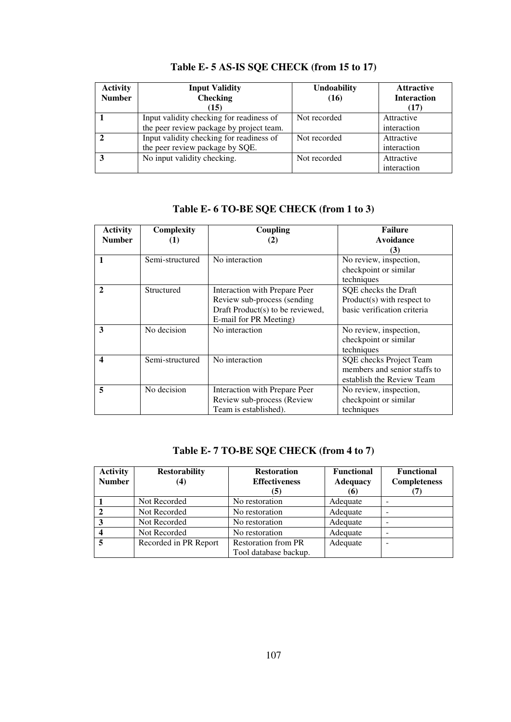| <b>Activity</b><br><b>Number</b> | <b>Input Validity</b><br><b>Checking</b><br>(15) | <b>Undoability</b><br>(16) | <b>Attractive</b><br><b>Interaction</b><br>(17) |
|----------------------------------|--------------------------------------------------|----------------------------|-------------------------------------------------|
|                                  | Input validity checking for readiness of         | Not recorded               | Attractive                                      |
|                                  | the peer review package by project team.         |                            | interaction                                     |
|                                  | Input validity checking for readiness of         | Not recorded               | Attractive                                      |
|                                  | the peer review package by SQE.                  |                            | interaction                                     |
| 3                                | No input validity checking.                      | Not recorded               | Attractive                                      |
|                                  |                                                  |                            | interaction                                     |

# **Table E- 5 AS-IS SQE CHECK (from 15 to 17)**

#### **Table E- 6 TO-BE SQE CHECK (from 1 to 3)**

| <b>Activity</b><br><b>Number</b> | Complexity<br>(1) | Coupling<br>(2)                                                                                                            | <b>Failure</b><br>Avoidance<br>(3)                                                   |
|----------------------------------|-------------------|----------------------------------------------------------------------------------------------------------------------------|--------------------------------------------------------------------------------------|
| 1                                | Semi-structured   | No interaction                                                                                                             | No review, inspection,<br>checkpoint or similar<br>techniques                        |
| $\mathbf{2}$                     | Structured        | Interaction with Prepare Peer<br>Review sub-process (sending<br>Draft Product(s) to be reviewed,<br>E-mail for PR Meeting) | SQE checks the Draft<br>$Product(s)$ with respect to<br>basic verification criteria  |
| 3                                | No decision       | No interaction                                                                                                             | No review, inspection,<br>checkpoint or similar<br>techniques                        |
| $\boldsymbol{4}$                 | Semi-structured   | No interaction                                                                                                             | SQE checks Project Team<br>members and senior staffs to<br>establish the Review Team |
| 5                                | No decision       | Interaction with Prepare Peer<br>Review sub-process (Review<br>Team is established).                                       | No review, inspection,<br>checkpoint or similar<br>techniques                        |

# **Table E- 7 TO-BE SQE CHECK (from 4 to 7)**

| <b>Activity</b> | <b>Restorability</b>  | <b>Restoration</b>         | <b>Functional</b> | <b>Functional</b>   |
|-----------------|-----------------------|----------------------------|-------------------|---------------------|
| <b>Number</b>   | $\bf(4)$              | <b>Effectiveness</b>       | <b>Adequacy</b>   | <b>Completeness</b> |
|                 |                       | (5)                        | (6)               |                     |
|                 | Not Recorded          | No restoration             | Adequate          |                     |
|                 | Not Recorded          | No restoration             | Adequate          |                     |
| 3               | Not Recorded          | No restoration             | Adequate          |                     |
|                 | Not Recorded          | No restoration             | Adequate          | -                   |
|                 | Recorded in PR Report | <b>Restoration from PR</b> | Adequate          |                     |
|                 |                       | Tool database backup.      |                   |                     |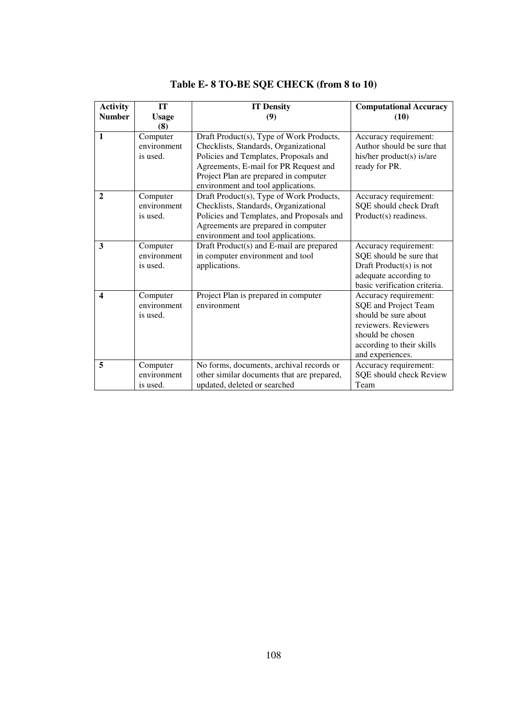| <b>Activity</b><br><b>Number</b> | IT<br><b>Usage</b><br>(8)           | <b>IT Density</b><br>(9)                                                                                                                                                                                                                           | <b>Computational Accuracy</b><br>(10)                                                                                                                              |
|----------------------------------|-------------------------------------|----------------------------------------------------------------------------------------------------------------------------------------------------------------------------------------------------------------------------------------------------|--------------------------------------------------------------------------------------------------------------------------------------------------------------------|
| $\mathbf{1}$                     | Computer<br>environment<br>is used. | Draft Product(s), Type of Work Products,<br>Checklists, Standards, Organizational<br>Policies and Templates, Proposals and<br>Agreements, E-mail for PR Request and<br>Project Plan are prepared in computer<br>environment and tool applications. | Accuracy requirement:<br>Author should be sure that<br>his/her product(s) is/are<br>ready for PR.                                                                  |
| $\mathbf{2}$                     | Computer<br>environment<br>is used. | Draft Product(s), Type of Work Products,<br>Checklists, Standards, Organizational<br>Policies and Templates, and Proposals and<br>Agreements are prepared in computer<br>environment and tool applications.                                        | Accuracy requirement:<br>SQE should check Draft<br>Product(s) readiness.                                                                                           |
| 3                                | Computer<br>environment<br>is used. | Draft Product(s) and E-mail are prepared<br>in computer environment and tool<br>applications.                                                                                                                                                      | Accuracy requirement:<br>SQE should be sure that<br>Draft Product $(s)$ is not<br>adequate according to<br>basic verification criteria.                            |
| $\overline{\mathbf{4}}$          | Computer<br>environment<br>is used. | Project Plan is prepared in computer<br>environment                                                                                                                                                                                                | Accuracy requirement:<br>SQE and Project Team<br>should be sure about<br>reviewers. Reviewers<br>should be chosen<br>according to their skills<br>and experiences. |
| 5                                | Computer<br>environment<br>is used. | No forms, documents, archival records or<br>other similar documents that are prepared,<br>updated, deleted or searched                                                                                                                             | Accuracy requirement:<br>SQE should check Review<br>Team                                                                                                           |

# **Table E- 8 TO-BE SQE CHECK (from 8 to 10)**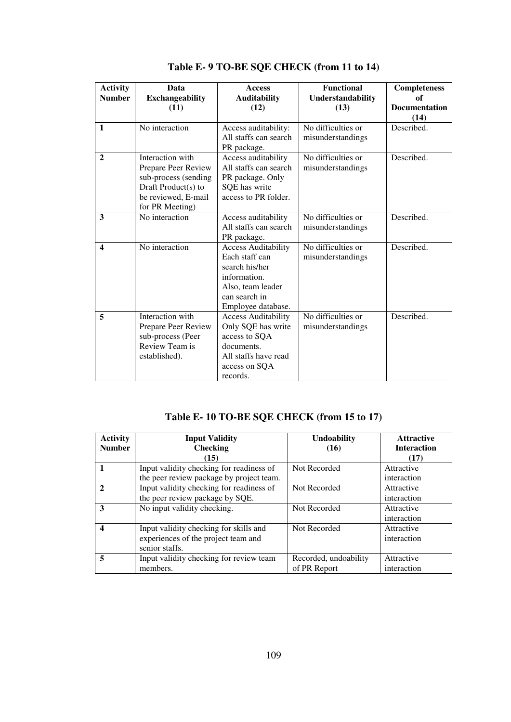| <b>Activity</b><br><b>Number</b> | Data<br><b>Exchangeability</b><br>(11)                                                                                           | <b>Access</b><br><b>Auditability</b><br>(12)                                                                                               | <b>Functional</b><br>Understandability<br>(13) | <b>Completeness</b><br>of<br><b>Documentation</b><br>(14) |
|----------------------------------|----------------------------------------------------------------------------------------------------------------------------------|--------------------------------------------------------------------------------------------------------------------------------------------|------------------------------------------------|-----------------------------------------------------------|
| $\mathbf{1}$                     | No interaction                                                                                                                   | Access auditability:<br>All staffs can search<br>PR package.                                                                               | No difficulties or<br>misunderstandings        | Described.                                                |
| $\overline{2}$                   | Interaction with<br>Prepare Peer Review<br>sub-process (sending<br>Draft Product(s) to<br>be reviewed, E-mail<br>for PR Meeting) | Access auditability<br>All staffs can search<br>PR package. Only<br>SQE has write<br>access to PR folder.                                  | No difficulties or<br>misunderstandings        | Described.                                                |
| 3                                | No interaction                                                                                                                   | Access auditability<br>All staffs can search<br>PR package.                                                                                | No difficulties or<br>misunderstandings        | Described.                                                |
| $\overline{\mathbf{4}}$          | No interaction                                                                                                                   | <b>Access Auditability</b><br>Each staff can<br>search his/her<br>information.<br>Also, team leader<br>can search in<br>Employee database. | No difficulties or<br>misunderstandings        | Described.                                                |
| 5                                | Interaction with<br>Prepare Peer Review<br>sub-process (Peer<br>Review Team is<br>established).                                  | <b>Access Auditability</b><br>Only SQE has write<br>access to SQA<br>documents.<br>All staffs have read<br>access on SQA<br>records.       | No difficulties or<br>misunderstandings        | Described.                                                |

**Table E- 9 TO-BE SQE CHECK (from 11 to 14)** 

# **Table E- 10 TO-BE SQE CHECK (from 15 to 17)**

| <b>Activity</b>  | <b>Input Validity</b>                                                                           | <b>Undoability</b>                    | <b>Attractive</b>          |
|------------------|-------------------------------------------------------------------------------------------------|---------------------------------------|----------------------------|
| <b>Number</b>    | <b>Checking</b><br>(15)                                                                         | (16)                                  | <b>Interaction</b><br>(17) |
|                  | Input validity checking for readiness of<br>the peer review package by project team.            | Not Recorded                          | Attractive<br>interaction  |
| $\mathbf{2}$     | Input validity checking for readiness of<br>the peer review package by SQE.                     | Not Recorded                          | Attractive<br>interaction  |
| 3                | No input validity checking.                                                                     | Not Recorded                          | Attractive<br>interaction  |
| $\boldsymbol{4}$ | Input validity checking for skills and<br>experiences of the project team and<br>senior staffs. | Not Recorded                          | Attractive<br>interaction  |
| 5                | Input validity checking for review team<br>members.                                             | Recorded, undoability<br>of PR Report | Attractive<br>interaction  |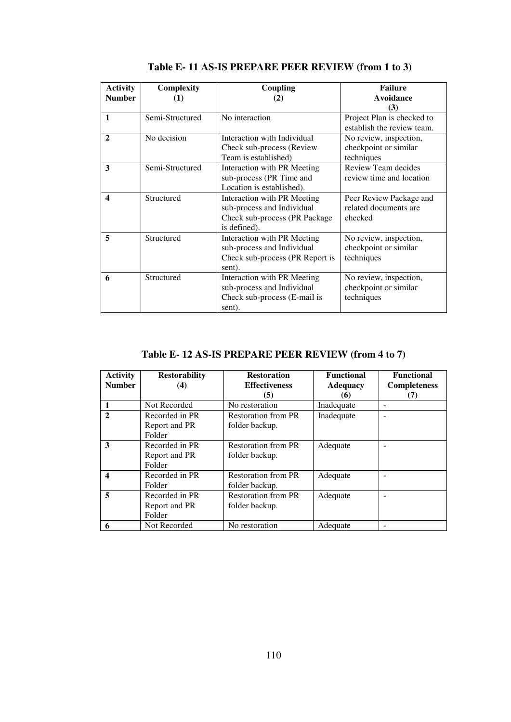| <b>Activity</b>  | Complexity      | Coupling                                                                                                    | <b>Failure</b>                                                  |
|------------------|-----------------|-------------------------------------------------------------------------------------------------------------|-----------------------------------------------------------------|
| <b>Number</b>    | (1)             | (2)                                                                                                         | <b>Avoidance</b>                                                |
| 1                | Semi-Structured | No interaction                                                                                              | (3)<br>Project Plan is checked to<br>establish the review team. |
| $\mathbf{2}$     | No decision     | Interaction with Individual<br>Check sub-process (Review<br>Team is established)                            | No review, inspection,<br>checkpoint or similar<br>techniques   |
| 3                | Semi-Structured | Interaction with PR Meeting<br>sub-process (PR Time and<br>Location is established).                        | Review Team decides<br>review time and location                 |
| $\boldsymbol{4}$ | Structured      | Interaction with PR Meeting<br>sub-process and Individual<br>Check sub-process (PR Package)<br>is defined). | Peer Review Package and<br>related documents are<br>checked     |
| 5                | Structured      | Interaction with PR Meeting<br>sub-process and Individual<br>Check sub-process (PR Report is<br>sent).      | No review, inspection,<br>checkpoint or similar<br>techniques   |
| 6                | Structured      | Interaction with PR Meeting<br>sub-process and Individual<br>Check sub-process (E-mail is<br>sent).         | No review, inspection,<br>checkpoint or similar<br>techniques   |

**Table E- 11 AS-IS PREPARE PEER REVIEW (from 1 to 3)** 

# **Table E- 12 AS-IS PREPARE PEER REVIEW (from 4 to 7)**

| <b>Activity</b><br><b>Number</b> | <b>Restorability</b><br>(4)               | <b>Restoration</b><br><b>Effectiveness</b><br>(5) | <b>Functional</b><br><b>Adequacy</b><br>(6) | <b>Functional</b><br><b>Completeness</b><br>(7) |
|----------------------------------|-------------------------------------------|---------------------------------------------------|---------------------------------------------|-------------------------------------------------|
|                                  | Not Recorded                              | No restoration                                    | Inadequate                                  |                                                 |
| $\mathbf{2}$                     | Recorded in PR<br>Report and PR<br>Folder | <b>Restoration from PR</b><br>folder backup.      | Inadequate                                  |                                                 |
| 3                                | Recorded in PR<br>Report and PR<br>Folder | <b>Restoration from PR</b><br>folder backup.      | Adequate                                    |                                                 |
| 4                                | Recorded in PR<br>Folder                  | <b>Restoration from PR</b><br>folder backup.      | Adequate                                    |                                                 |
| 5                                | Recorded in PR<br>Report and PR<br>Folder | <b>Restoration from PR</b><br>folder backup.      | Adequate                                    |                                                 |
| 6                                | Not Recorded                              | No restoration                                    | Adequate                                    |                                                 |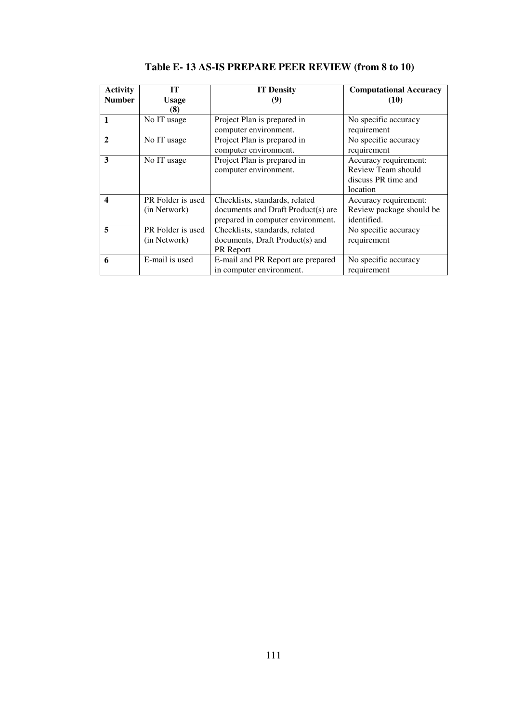| <b>Activity</b> | IТ                | <b>IT Density</b>                  | <b>Computational Accuracy</b> |
|-----------------|-------------------|------------------------------------|-------------------------------|
| <b>Number</b>   | <b>Usage</b>      | (9)                                | (10)                          |
|                 | (8)               |                                    |                               |
|                 | No IT usage       | Project Plan is prepared in        | No specific accuracy          |
|                 |                   | computer environment.              | requirement                   |
| $\mathbf{2}$    | No IT usage       | Project Plan is prepared in        | No specific accuracy          |
|                 |                   | computer environment.              | requirement                   |
| 3               | No IT usage       | Project Plan is prepared in        | Accuracy requirement:         |
|                 |                   | computer environment.              | Review Team should            |
|                 |                   |                                    | discuss PR time and           |
|                 |                   |                                    | location                      |
| 4               | PR Folder is used | Checklists, standards, related     | Accuracy requirement:         |
|                 | (in Network)      | documents and Draft Product(s) are | Review package should be      |
|                 |                   | prepared in computer environment.  | identified.                   |
| 5               | PR Folder is used | Checklists, standards, related     | No specific accuracy          |
|                 | (in Network)      | documents, Draft Product(s) and    | requirement                   |
|                 |                   | <b>PR</b> Report                   |                               |
| 6               | E-mail is used    | E-mail and PR Report are prepared  | No specific accuracy          |
|                 |                   | in computer environment.           | requirement                   |

**Table E- 13 AS-IS PREPARE PEER REVIEW (from 8 to 10)**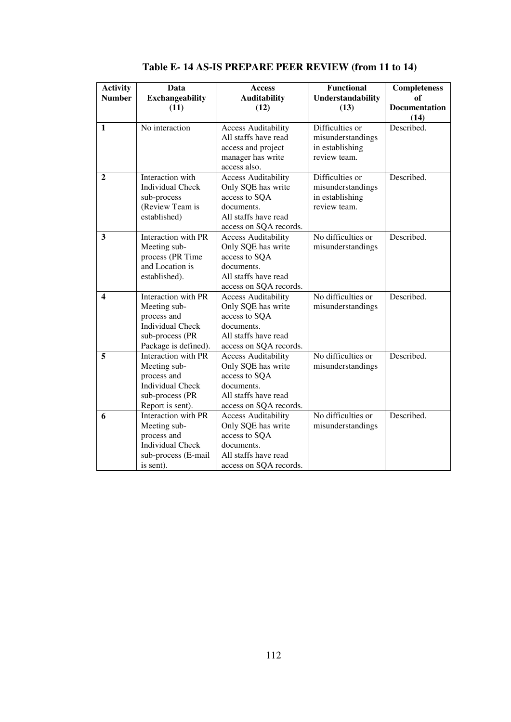| <b>Activity</b> | Data                    | <b>Access</b>              | <b>Functional</b>  | <b>Completeness</b>  |
|-----------------|-------------------------|----------------------------|--------------------|----------------------|
| <b>Number</b>   | <b>Exchangeability</b>  | <b>Auditability</b>        | Understandability  | of                   |
|                 | (11)                    | (12)                       | (13)               | <b>Documentation</b> |
|                 |                         |                            |                    | (14)                 |
| $\mathbf{1}$    | No interaction          | <b>Access Auditability</b> | Difficulties or    | Described.           |
|                 |                         | All staffs have read       | misunderstandings  |                      |
|                 |                         | access and project         | in establishing    |                      |
|                 |                         | manager has write          | review team.       |                      |
|                 |                         | access also.               |                    |                      |
| $\mathbf{2}$    | Interaction with        | <b>Access Auditability</b> | Difficulties or    | Described.           |
|                 | <b>Individual Check</b> | Only SQE has write         | misunderstandings  |                      |
|                 | sub-process             | access to SQA              | in establishing    |                      |
|                 | (Review Team is         | documents.                 | review team.       |                      |
|                 | established)            | All staffs have read       |                    |                      |
|                 |                         | access on SQA records.     |                    |                      |
| 3               | Interaction with PR     | <b>Access Auditability</b> | No difficulties or | Described.           |
|                 | Meeting sub-            | Only SQE has write         | misunderstandings  |                      |
|                 | process (PR Time        | access to SQA              |                    |                      |
|                 | and Location is         | documents.                 |                    |                      |
|                 | established).           | All staffs have read       |                    |                      |
|                 |                         | access on SQA records.     |                    |                      |
| 4               | Interaction with PR     | <b>Access Auditability</b> | No difficulties or | Described.           |
|                 | Meeting sub-            | Only SQE has write         | misunderstandings  |                      |
|                 | process and             | access to SQA              |                    |                      |
|                 | <b>Individual Check</b> | documents.                 |                    |                      |
|                 | sub-process (PR         | All staffs have read       |                    |                      |
|                 | Package is defined).    | access on SQA records.     |                    |                      |
| 5               | Interaction with PR     | <b>Access Auditability</b> | No difficulties or | Described.           |
|                 | Meeting sub-            | Only SQE has write         | misunderstandings  |                      |
|                 | process and             | access to SQA              |                    |                      |
|                 | <b>Individual Check</b> | documents.                 |                    |                      |
|                 | sub-process (PR         | All staffs have read       |                    |                      |
|                 | Report is sent).        | access on SQA records.     |                    |                      |
| 6               | Interaction with PR     | <b>Access Auditability</b> | No difficulties or | Described.           |
|                 | Meeting sub-            | Only SQE has write         | misunderstandings  |                      |
|                 | process and             | access to SQA              |                    |                      |
|                 | <b>Individual Check</b> | documents.                 |                    |                      |
|                 | sub-process (E-mail     | All staffs have read       |                    |                      |
|                 | is sent).               | access on SQA records.     |                    |                      |

**Table E- 14 AS-IS PREPARE PEER REVIEW (from 11 to 14)**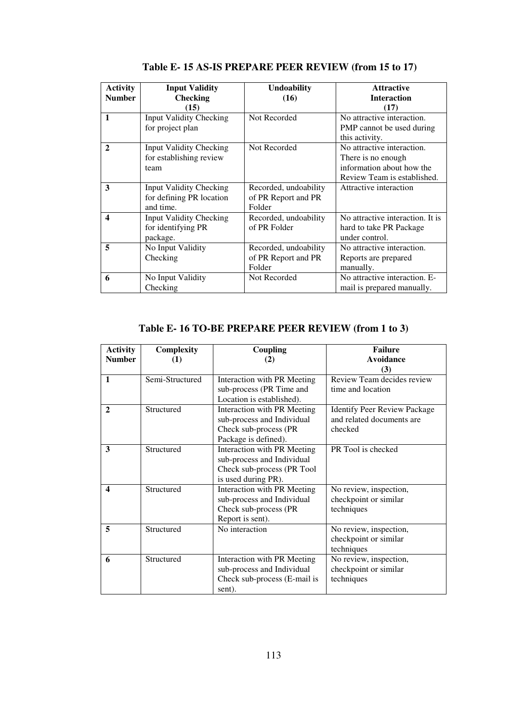| <b>Activity</b><br><b>Number</b> | <b>Input Validity</b><br><b>Checking</b><br>(15)                        | <b>Undoability</b><br>(16)                             | <b>Attractive</b><br><b>Interaction</b><br>(17)                                                               |
|----------------------------------|-------------------------------------------------------------------------|--------------------------------------------------------|---------------------------------------------------------------------------------------------------------------|
| $\mathbf{1}$                     | <b>Input Validity Checking</b><br>for project plan                      | Not Recorded                                           | No attractive interaction.<br>PMP cannot be used during<br>this activity.                                     |
| $\mathbf{2}$                     | <b>Input Validity Checking</b><br>for establishing review<br>team       | Not Recorded                                           | No attractive interaction.<br>There is no enough.<br>information about how the<br>Review Team is established. |
| 3                                | <b>Input Validity Checking</b><br>for defining PR location<br>and time. | Recorded, undoability<br>of PR Report and PR<br>Folder | Attractive interaction                                                                                        |
| $\overline{\mathbf{4}}$          | <b>Input Validity Checking</b><br>for identifying PR<br>package.        | Recorded, undoability<br>of PR Folder                  | No attractive interaction. It is<br>hard to take PR Package<br>under control.                                 |
| 5                                | No Input Validity<br>Checking                                           | Recorded, undoability<br>of PR Report and PR<br>Folder | No attractive interaction.<br>Reports are prepared<br>manually.                                               |
| 6                                | No Input Validity<br>Checking                                           | Not Recorded                                           | No attractive interaction. E-<br>mail is prepared manually.                                                   |

**Table E- 15 AS-IS PREPARE PEER REVIEW (from 15 to 17)** 

**Table E- 16 TO-BE PREPARE PEER REVIEW (from 1 to 3)** 

| <b>Activity</b><br><b>Number</b> | Complexity<br>(1) | Coupling<br>(2)                                                                                                | <b>Failure</b><br>Avoidance<br>(3)                                          |
|----------------------------------|-------------------|----------------------------------------------------------------------------------------------------------------|-----------------------------------------------------------------------------|
| 1                                | Semi-Structured   | Interaction with PR Meeting<br>sub-process (PR Time and<br>Location is established).                           | Review Team decides review<br>time and location                             |
| $\mathbf{2}$                     | Structured        | Interaction with PR Meeting<br>sub-process and Individual<br>Check sub-process (PR<br>Package is defined).     | <b>Identify Peer Review Package</b><br>and related documents are<br>checked |
| 3                                | Structured        | Interaction with PR Meeting<br>sub-process and Individual<br>Check sub-process (PR Tool<br>is used during PR). | PR Tool is checked                                                          |
| $\boldsymbol{4}$                 | Structured        | Interaction with PR Meeting<br>sub-process and Individual<br>Check sub-process (PR<br>Report is sent).         | No review, inspection,<br>checkpoint or similar<br>techniques               |
| 5                                | Structured        | No interaction                                                                                                 | No review, inspection,<br>checkpoint or similar<br>techniques               |
| 6                                | Structured        | Interaction with PR Meeting<br>sub-process and Individual<br>Check sub-process (E-mail is<br>sent).            | No review, inspection,<br>checkpoint or similar<br>techniques               |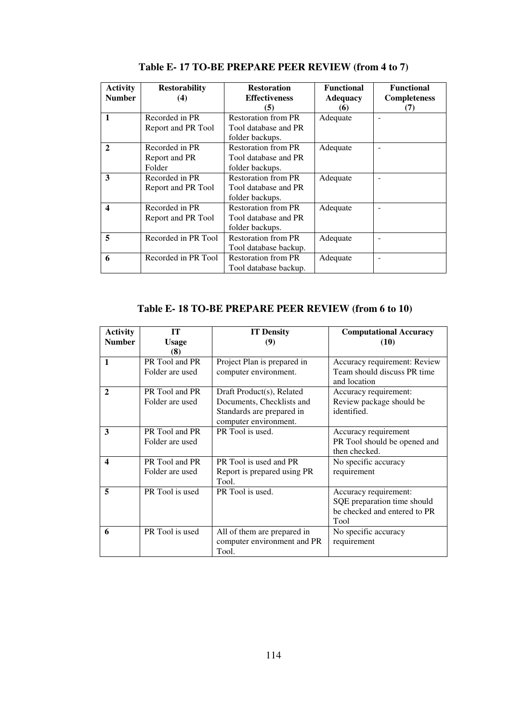| <b>Activity</b><br><b>Number</b> | <b>Restorability</b><br>(4) | <b>Restoration</b><br><b>Effectiveness</b><br>(5) | <b>Functional</b><br><b>Adequacy</b><br>(6) | <b>Functional</b><br><b>Completeness</b><br>(7) |
|----------------------------------|-----------------------------|---------------------------------------------------|---------------------------------------------|-------------------------------------------------|
| $\mathbf{1}$                     | Recorded in PR              | <b>Restoration from PR</b>                        | Adequate                                    |                                                 |
|                                  | Report and PR Tool          | Tool database and PR<br>folder backups.           |                                             |                                                 |
| $\mathbf{2}$                     | Recorded in PR              | <b>Restoration from PR</b>                        | Adequate                                    | $\overline{\phantom{a}}$                        |
|                                  | Report and PR               | Tool database and PR                              |                                             |                                                 |
|                                  | Folder                      | folder backups.                                   |                                             |                                                 |
| 3                                | Recorded in PR              | <b>Restoration from PR</b>                        | Adequate                                    |                                                 |
|                                  | Report and PR Tool          | Tool database and PR                              |                                             |                                                 |
|                                  |                             | folder backups.                                   |                                             |                                                 |
| $\boldsymbol{4}$                 | Recorded in PR              | <b>Restoration from PR</b>                        | Adequate                                    |                                                 |
|                                  | Report and PR Tool          | Tool database and PR                              |                                             |                                                 |
|                                  |                             | folder backups.                                   |                                             |                                                 |
| 5                                | Recorded in PR Tool         | <b>Restoration from PR</b>                        | Adequate                                    |                                                 |
|                                  |                             | Tool database backup.                             |                                             |                                                 |
| 6                                | Recorded in PR Tool         | <b>Restoration from PR</b>                        | Adequate                                    | $\overline{\phantom{a}}$                        |
|                                  |                             | Tool database backup.                             |                                             |                                                 |

**Table E- 17 TO-BE PREPARE PEER REVIEW (from 4 to 7)** 

| <b>Activity</b>         | <b>IT</b>       | <b>IT Density</b>           | <b>Computational Accuracy</b>               |
|-------------------------|-----------------|-----------------------------|---------------------------------------------|
| <b>Number</b>           | <b>Usage</b>    | (9)                         | (10)                                        |
|                         | (8)             |                             |                                             |
| $\mathbf{1}$            | PR Tool and PR  | Project Plan is prepared in | Accuracy requirement: Review                |
|                         | Folder are used | computer environment.       | Team should discuss PR time<br>and location |
| 2                       | PR Tool and PR  | Draft Product(s), Related   | Accuracy requirement:                       |
|                         | Folder are used | Documents, Checklists and   | Review package should be                    |
|                         |                 | Standards are prepared in   | identified.                                 |
|                         |                 | computer environment.       |                                             |
| 3                       | PR Tool and PR  | PR Tool is used.            | Accuracy requirement                        |
|                         | Folder are used |                             | PR Tool should be opened and                |
|                         |                 |                             | then checked.                               |
| $\overline{\mathbf{4}}$ | PR Tool and PR  | PR Tool is used and PR      | No specific accuracy                        |
|                         | Folder are used | Report is prepared using PR | requirement                                 |
|                         |                 | Tool.                       |                                             |
| 5                       | PR Tool is used | PR Tool is used.            | Accuracy requirement:                       |
|                         |                 |                             | SQE preparation time should                 |
|                         |                 |                             | be checked and entered to PR                |
|                         |                 |                             | Tool                                        |
| 6                       | PR Tool is used | All of them are prepared in | No specific accuracy                        |
|                         |                 | computer environment and PR | requirement                                 |
|                         |                 | Tool.                       |                                             |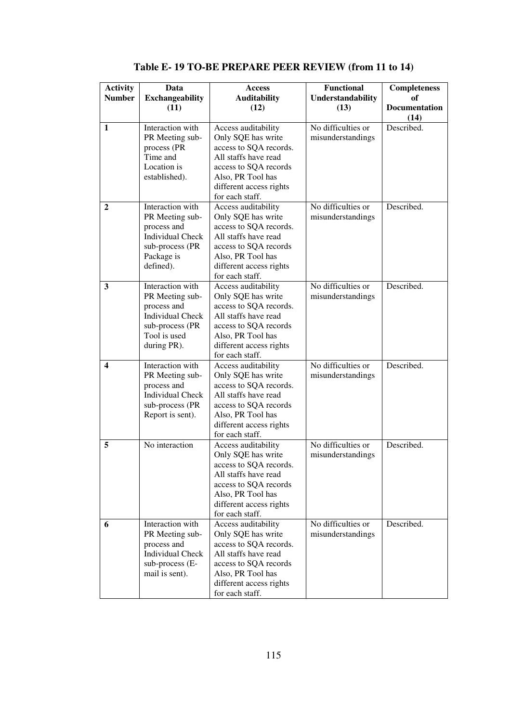| <b>Activity</b><br><b>Number</b> | Data<br><b>Exchangeability</b>                                                                                                  | Access<br><b>Auditability</b>                                                                                                                                                           | <b>Functional</b><br>Understandability  | <b>Completeness</b><br>оf |
|----------------------------------|---------------------------------------------------------------------------------------------------------------------------------|-----------------------------------------------------------------------------------------------------------------------------------------------------------------------------------------|-----------------------------------------|---------------------------|
|                                  | (11)                                                                                                                            | (12)                                                                                                                                                                                    | (13)                                    | Documentation<br>(14)     |
| $\mathbf{1}$                     | Interaction with<br>PR Meeting sub-<br>process (PR<br>Time and<br>Location is<br>established).                                  | Access auditability<br>Only SQE has write<br>access to SQA records.<br>All staffs have read<br>access to SQA records<br>Also, PR Tool has<br>different access rights<br>for each staff. | No difficulties or<br>misunderstandings | Described.                |
| $\mathbf{2}$                     | Interaction with<br>PR Meeting sub-<br>process and<br><b>Individual Check</b><br>sub-process (PR<br>Package is<br>defined).     | Access auditability<br>Only SQE has write<br>access to SQA records.<br>All staffs have read<br>access to SQA records<br>Also, PR Tool has<br>different access rights<br>for each staff. | No difficulties or<br>misunderstandings | Described.                |
| 3                                | Interaction with<br>PR Meeting sub-<br>process and<br><b>Individual Check</b><br>sub-process (PR<br>Tool is used<br>during PR). | Access auditability<br>Only SQE has write<br>access to SQA records.<br>All staffs have read<br>access to SQA records<br>Also, PR Tool has<br>different access rights<br>for each staff. | No difficulties or<br>misunderstandings | Described.                |
| 4                                | Interaction with<br>PR Meeting sub-<br>process and<br><b>Individual Check</b><br>sub-process (PR<br>Report is sent).            | Access auditability<br>Only SQE has write<br>access to SQA records.<br>All staffs have read<br>access to SQA records<br>Also, PR Tool has<br>different access rights<br>for each staff. | No difficulties or<br>misunderstandings | Described.                |
| 5                                | No interaction                                                                                                                  | Access auditability<br>Only SQE has write<br>access to SQA records.<br>All staffs have read<br>access to SQA records<br>Also, PR Tool has<br>different access rights<br>for each staff. | No difficulties or<br>misunderstandings | Described.                |
| 6                                | Interaction with<br>PR Meeting sub-<br>process and<br><b>Individual Check</b><br>sub-process (E-<br>mail is sent).              | Access auditability<br>Only SQE has write<br>access to SQA records.<br>All staffs have read<br>access to SQA records<br>Also, PR Tool has<br>different access rights<br>for each staff. | No difficulties or<br>misunderstandings | Described.                |

**Table E- 19 TO-BE PREPARE PEER REVIEW (from 11 to 14)**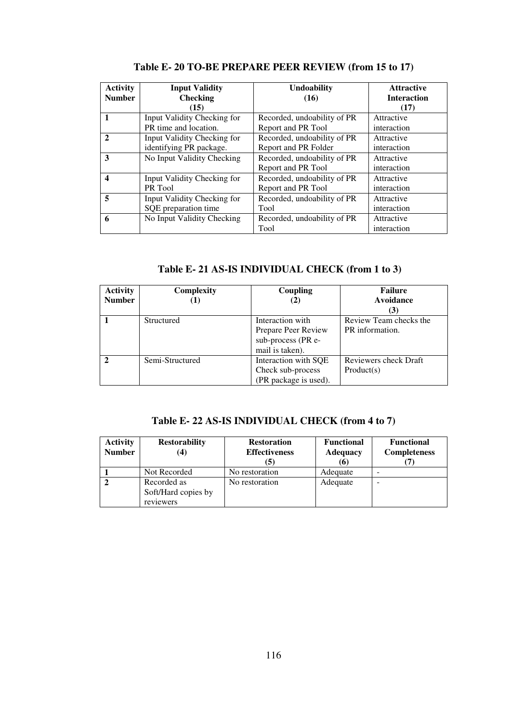| <b>Activity</b> | <b>Input Validity</b>       | <b>Undoability</b>          | <b>Attractive</b>  |
|-----------------|-----------------------------|-----------------------------|--------------------|
| <b>Number</b>   | <b>Checking</b>             | (16)                        | <b>Interaction</b> |
|                 | (15)                        |                             | (17)               |
| $\mathbf{1}$    | Input Validity Checking for | Recorded, undoability of PR | Attractive         |
|                 | PR time and location.       | Report and PR Tool          | interaction        |
| $\mathfrak{D}$  | Input Validity Checking for | Recorded, undoability of PR | Attractive         |
|                 | identifying PR package.     | Report and PR Folder        | interaction        |
| 3               | No Input Validity Checking  | Recorded, undoability of PR | Attractive         |
|                 |                             | Report and PR Tool          | interaction        |
| 4               | Input Validity Checking for | Recorded, undoability of PR | Attractive         |
|                 | PR Tool                     | Report and PR Tool          | interaction        |
| 5               | Input Validity Checking for | Recorded, undoability of PR | Attractive         |
|                 | SQE preparation time        | Tool                        | interaction        |
| 6               | No Input Validity Checking  | Recorded, undoability of PR | Attractive         |
|                 |                             | Tool                        | interaction        |

**Table E- 20 TO-BE PREPARE PEER REVIEW (from 15 to 17)** 

**Table E- 21 AS-IS INDIVIDUAL CHECK (from 1 to 3)** 

| <b>Activity</b><br><b>Number</b> | Complexity      | Coupling<br>(2)       | <b>Failure</b><br>Avoidance |
|----------------------------------|-----------------|-----------------------|-----------------------------|
|                                  |                 |                       | (3)                         |
|                                  | Structured      | Interaction with      | Review Team checks the      |
|                                  |                 | Prepare Peer Review   | PR information.             |
|                                  |                 | sub-process (PR e-    |                             |
|                                  |                 | mail is taken).       |                             |
|                                  | Semi-Structured | Interaction with SQE  | Reviewers check Draft       |
|                                  |                 | Check sub-process     | Product(s)                  |
|                                  |                 | (PR package is used). |                             |

|  |  | Table E-22 AS-IS INDIVIDUAL CHECK (from 4 to 7) |  |  |  |
|--|--|-------------------------------------------------|--|--|--|
|--|--|-------------------------------------------------|--|--|--|

| <b>Activity</b><br><b>Number</b> | <b>Restorability</b><br>(4)                     | <b>Restoration</b><br><b>Effectiveness</b><br>(5) | <b>Functional</b><br><b>Adequacy</b><br>(6) | <b>Functional</b><br><b>Completeness</b> |
|----------------------------------|-------------------------------------------------|---------------------------------------------------|---------------------------------------------|------------------------------------------|
|                                  | Not Recorded                                    | No restoration                                    | Adequate                                    |                                          |
|                                  | Recorded as<br>Soft/Hard copies by<br>reviewers | No restoration                                    | Adequate                                    | -                                        |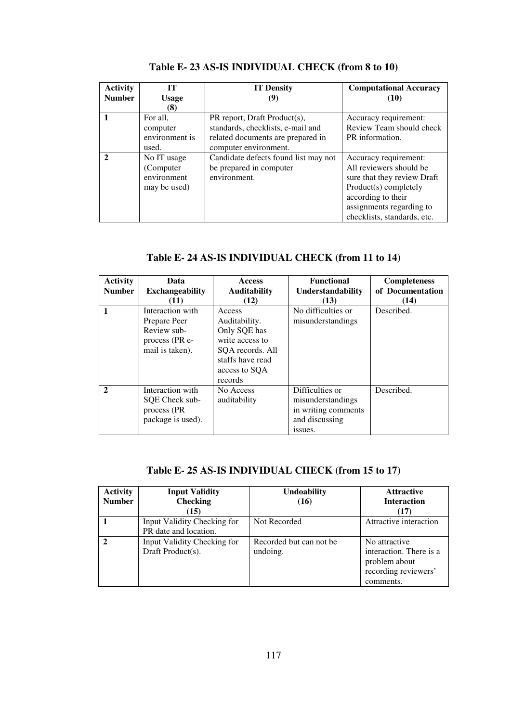| <b>Activity</b><br><b>Number</b> | тт<br><b>Usage</b> | <b>IT Density</b><br>(Y)             | <b>Computational Accuracy</b><br>(10) |
|----------------------------------|--------------------|--------------------------------------|---------------------------------------|
|                                  | (8)                |                                      |                                       |
|                                  | For all.           | PR report, Draft Product(s),         | Accuracy requirement:                 |
|                                  | computer           | standards, checklists, e-mail and    | Review Team should check              |
|                                  | environment is     | related documents are prepared in    | PR information.                       |
|                                  | used.              | computer environment.                |                                       |
| $\mathfrak{D}$                   | No IT usage        | Candidate defects found list may not | Accuracy requirement:                 |
|                                  | (Computer)         | be prepared in computer              | All reviewers should be               |
|                                  | environment        | environment.                         | sure that they review Draft           |
|                                  | may be used)       |                                      | Product(s) completely                 |
|                                  |                    |                                      | according to their                    |
|                                  |                    |                                      | assignments regarding to              |
|                                  |                    |                                      | checklists, standards, etc.           |

**Table E- 23 AS-IS INDIVIDUAL CHECK (from 8 to 10)** 

| Table E- 24 AS-IS INDIVIDUAL CHECK (from 11 to 14) |  |  |  |
|----------------------------------------------------|--|--|--|
|                                                    |  |  |  |

| <b>Activity</b><br><b>Number</b> | Data<br><b>Exchangeability</b><br>(11)                                               | <b>Access</b><br><b>Auditability</b><br>(12)                                                                                   | <b>Functional</b><br>Understandability<br>(13)                                           | <b>Completeness</b><br>of Documentation<br>(14) |
|----------------------------------|--------------------------------------------------------------------------------------|--------------------------------------------------------------------------------------------------------------------------------|------------------------------------------------------------------------------------------|-------------------------------------------------|
|                                  | Interaction with<br>Prepare Peer<br>Review sub-<br>process (PR e-<br>mail is taken). | Access<br>Auditability.<br>Only SQE has<br>write access to<br>SQA records. All<br>staffs have read<br>access to SQA<br>records | No difficulties or<br>misunderstandings                                                  | Described.                                      |
| $\mathbf{2}$                     | Interaction with<br>SOE Check sub-<br>process (PR)<br>package is used).              | No Access<br>auditability                                                                                                      | Difficulties or<br>misunderstandings<br>in writing comments<br>and discussing<br>issues. | Described.                                      |

# **Table E- 25 AS-IS INDIVIDUAL CHECK (from 15 to 17)**

| <b>Activity</b> | <b>Input Validity</b>                                | <b>Undoability</b>                  | <b>Attractive</b>                                                                              |
|-----------------|------------------------------------------------------|-------------------------------------|------------------------------------------------------------------------------------------------|
| <b>Number</b>   | <b>Checking</b>                                      | (16)                                | <b>Interaction</b>                                                                             |
|                 | (15)                                                 |                                     | (17)                                                                                           |
|                 | Input Validity Checking for<br>PR date and location. | Not Recorded                        | Attractive interaction                                                                         |
|                 | Input Validity Checking for<br>Draft Product(s).     | Recorded but can not be<br>undoing. | No attractive<br>interaction. There is a<br>problem about<br>recording reviewers'<br>comments. |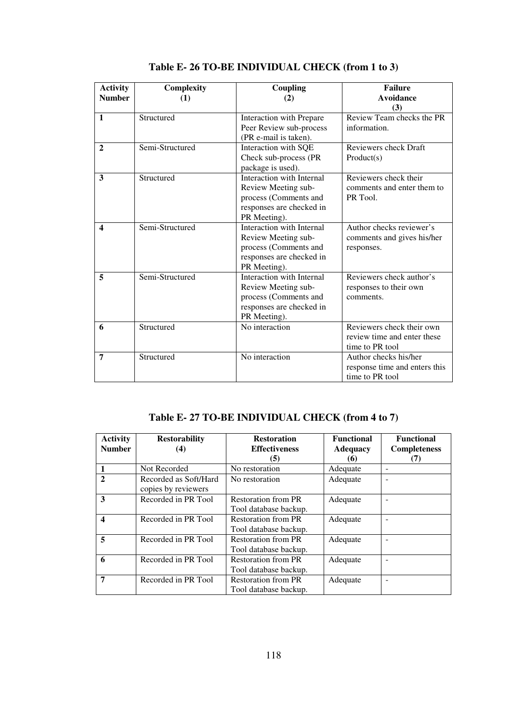| <b>Activity</b><br><b>Number</b> | Complexity<br>(1) | <b>Coupling</b><br>(2)                                                                                                | <b>Failure</b><br><b>Avoidance</b><br>(3)                                   |
|----------------------------------|-------------------|-----------------------------------------------------------------------------------------------------------------------|-----------------------------------------------------------------------------|
| $\mathbf{1}$                     | Structured        | Interaction with Prepare<br>Peer Review sub-process<br>(PR e-mail is taken).                                          | Review Team checks the PR<br>information.                                   |
| $\mathbf{2}$                     | Semi-Structured   | Interaction with SQE<br>Check sub-process (PR<br>package is used).                                                    | Reviewers check Draft<br>Product(s)                                         |
| $\mathbf{3}$                     | Structured        | Interaction with Internal<br>Review Meeting sub-<br>process (Comments and<br>responses are checked in<br>PR Meeting). | Reviewers check their<br>comments and enter them to<br>PR Tool.             |
| $\blacktriangle$                 | Semi-Structured   | Interaction with Internal<br>Review Meeting sub-<br>process (Comments and<br>responses are checked in<br>PR Meeting). | Author checks reviewer's<br>comments and gives his/her<br>responses.        |
| 5                                | Semi-Structured   | Interaction with Internal<br>Review Meeting sub-<br>process (Comments and<br>responses are checked in<br>PR Meeting). | Reviewers check author's<br>responses to their own<br>comments.             |
| 6                                | Structured        | No interaction                                                                                                        | Reviewers check their own<br>review time and enter these<br>time to PR tool |
| 7                                | Structured        | No interaction                                                                                                        | Author checks his/her<br>response time and enters this<br>time to PR tool   |

**Table E- 26 TO-BE INDIVIDUAL CHECK (from 1 to 3)** 

#### **Table E- 27 TO-BE INDIVIDUAL CHECK (from 4 to 7)**

| <b>Activity</b><br><b>Number</b> | <b>Restorability</b><br>(4)                  | <b>Restoration</b><br><b>Effectiveness</b><br>(5)   | <b>Functional</b><br><b>Adequacy</b><br>(6) | <b>Functional</b><br><b>Completeness</b> |
|----------------------------------|----------------------------------------------|-----------------------------------------------------|---------------------------------------------|------------------------------------------|
|                                  | Not Recorded                                 | No restoration                                      | Adequate                                    |                                          |
| $\mathbf{2}$                     | Recorded as Soft/Hard<br>copies by reviewers | No restoration                                      | Adequate                                    |                                          |
| 3                                | Recorded in PR Tool                          | <b>Restoration from PR</b><br>Tool database backup. | Adequate                                    |                                          |
| $\overline{\mathbf{4}}$          | Recorded in PR Tool                          | <b>Restoration from PR</b><br>Tool database backup. | Adequate                                    |                                          |
| 5                                | Recorded in PR Tool                          | <b>Restoration from PR</b><br>Tool database backup. | Adequate                                    |                                          |
| 6                                | Recorded in PR Tool                          | <b>Restoration from PR</b><br>Tool database backup. | Adequate                                    |                                          |
| 7                                | Recorded in PR Tool                          | <b>Restoration from PR</b><br>Tool database backup. | Adequate                                    |                                          |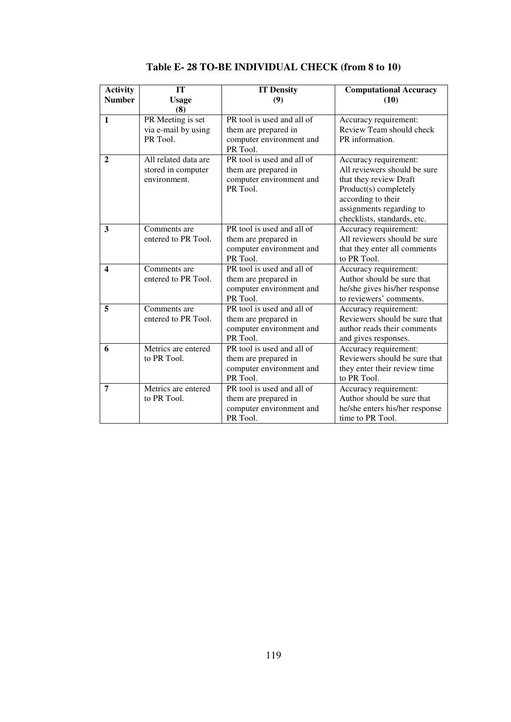| <b>Activity</b><br><b>Number</b> | <b>IT</b><br><b>Usage</b><br>(8)                           | <b>IT Density</b><br>(9)                                                                   | <b>Computational Accuracy</b><br>(10)                                                                                                                                                     |
|----------------------------------|------------------------------------------------------------|--------------------------------------------------------------------------------------------|-------------------------------------------------------------------------------------------------------------------------------------------------------------------------------------------|
| $\mathbf{1}$                     | PR Meeting is set<br>via e-mail by using<br>PR Tool.       | PR tool is used and all of<br>them are prepared in<br>computer environment and<br>PR Tool. | Accuracy requirement:<br>Review Team should check<br>PR information.                                                                                                                      |
| $\overline{2}$                   | All related data are<br>stored in computer<br>environment. | PR tool is used and all of<br>them are prepared in<br>computer environment and<br>PR Tool. | Accuracy requirement:<br>All reviewers should be sure<br>that they review Draft<br>Product(s) completely<br>according to their<br>assignments regarding to<br>checklists, standards, etc. |
| 3                                | Comments are<br>entered to PR Tool.                        | PR tool is used and all of<br>them are prepared in<br>computer environment and<br>PR Tool. | Accuracy requirement:<br>All reviewers should be sure<br>that they enter all comments<br>to PR Tool.                                                                                      |
| $\blacktriangle$                 | Comments are<br>entered to PR Tool.                        | PR tool is used and all of<br>them are prepared in<br>computer environment and<br>PR Tool. | Accuracy requirement:<br>Author should be sure that<br>he/she gives his/her response<br>to reviewers' comments.                                                                           |
| 5                                | Comments are<br>entered to PR Tool.                        | PR tool is used and all of<br>them are prepared in<br>computer environment and<br>PR Tool. | Accuracy requirement:<br>Reviewers should be sure that<br>author reads their comments<br>and gives responses.                                                                             |
| 6                                | Metrics are entered<br>to PR Tool.                         | PR tool is used and all of<br>them are prepared in<br>computer environment and<br>PR Tool. | Accuracy requirement:<br>Reviewers should be sure that<br>they enter their review time<br>to PR Tool.                                                                                     |
| $\overline{7}$                   | Metrics are entered<br>to PR Tool.                         | PR tool is used and all of<br>them are prepared in<br>computer environment and<br>PR Tool. | Accuracy requirement:<br>Author should be sure that<br>he/she enters his/her response<br>time to PR Tool.                                                                                 |

**Table E- 28 TO-BE INDIVIDUAL CHECK (from 8 to 10)**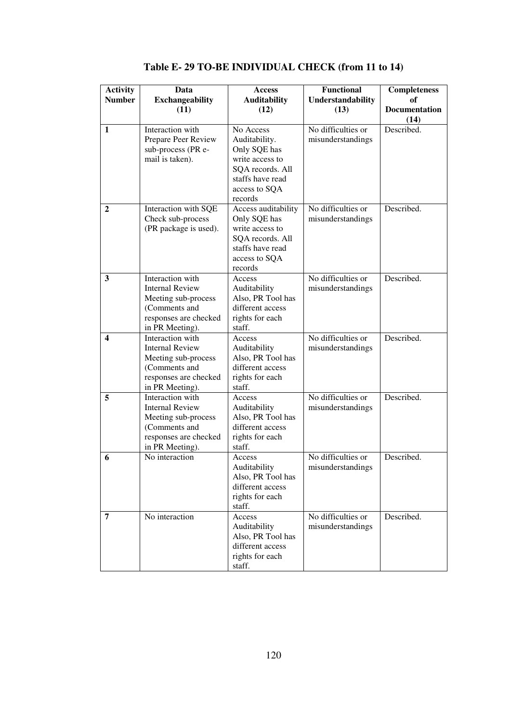| <b>Activity</b>         | Data                                      | Access                                | <b>Functional</b>  | Completeness         |
|-------------------------|-------------------------------------------|---------------------------------------|--------------------|----------------------|
| <b>Number</b>           | Exchangeability                           | <b>Auditability</b>                   | Understandability  | of                   |
|                         | (11)                                      | (12)                                  | (13)               | <b>Documentation</b> |
|                         |                                           |                                       |                    | (14)                 |
| $\mathbf{1}$            | Interaction with                          | No Access                             | No difficulties or | Described.           |
|                         | Prepare Peer Review<br>sub-process (PR e- | Auditability.<br>Only SQE has         | misunderstandings  |                      |
|                         | mail is taken).                           | write access to                       |                    |                      |
|                         |                                           | SQA records. All                      |                    |                      |
|                         |                                           | staffs have read                      |                    |                      |
|                         |                                           | access to SQA                         |                    |                      |
|                         |                                           | records                               |                    |                      |
| $\mathbf{2}$            | Interaction with SQE                      | Access auditability                   | No difficulties or | Described.           |
|                         | Check sub-process                         | Only SQE has                          | misunderstandings  |                      |
|                         | (PR package is used).                     | write access to<br>SQA records. All   |                    |                      |
|                         |                                           | staffs have read                      |                    |                      |
|                         |                                           | access to SQA                         |                    |                      |
|                         |                                           | records                               |                    |                      |
| $\overline{\mathbf{3}}$ | Interaction with                          | Access                                | No difficulties or | Described.           |
|                         | <b>Internal Review</b>                    | Auditability                          | misunderstandings  |                      |
|                         | Meeting sub-process                       | Also, PR Tool has                     |                    |                      |
|                         | (Comments and<br>responses are checked    | different access                      |                    |                      |
|                         | in PR Meeting).                           | rights for each<br>staff.             |                    |                      |
| 4                       | Interaction with                          | Access                                | No difficulties or | Described.           |
|                         | <b>Internal Review</b>                    | Auditability                          | misunderstandings  |                      |
|                         | Meeting sub-process                       | Also, PR Tool has                     |                    |                      |
|                         | (Comments and                             | different access                      |                    |                      |
|                         | responses are checked                     | rights for each                       |                    |                      |
|                         | in PR Meeting).<br>Interaction with       | staff.                                | No difficulties or | Described.           |
| 5                       | <b>Internal Review</b>                    | Access<br>Auditability                | misunderstandings  |                      |
|                         | Meeting sub-process                       | Also, PR Tool has                     |                    |                      |
|                         | (Comments and                             | different access                      |                    |                      |
|                         | responses are checked                     | rights for each                       |                    |                      |
|                         | in PR Meeting).                           | staff.                                |                    |                      |
| 6                       | No interaction                            | Access                                | No difficulties or | Described.           |
|                         |                                           | Auditability                          | misunderstandings  |                      |
|                         |                                           | Also, PR Tool has<br>different access |                    |                      |
|                         |                                           | rights for each                       |                    |                      |
|                         |                                           | staff.                                |                    |                      |
| 7                       | No interaction                            | Access                                | No difficulties or | Described.           |
|                         |                                           | Auditability                          | misunderstandings  |                      |
|                         |                                           | Also, PR Tool has                     |                    |                      |
|                         |                                           | different access                      |                    |                      |
|                         |                                           | rights for each                       |                    |                      |
|                         |                                           | staff.                                |                    |                      |

**Table E- 29 TO-BE INDIVIDUAL CHECK (from 11 to 14)**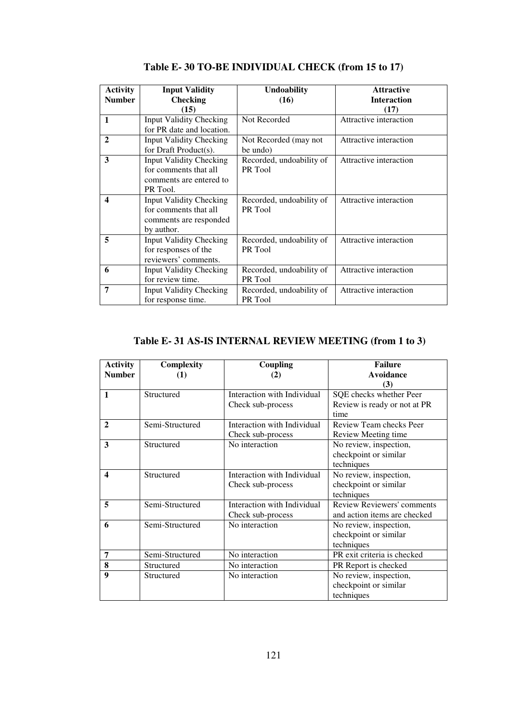| <b>Activity</b> | <b>Input Validity</b>          | <b>Undoability</b>       | <b>Attractive</b>      |
|-----------------|--------------------------------|--------------------------|------------------------|
| <b>Number</b>   | <b>Checking</b>                | (16)                     | <b>Interaction</b>     |
|                 | (15)                           |                          | (17)                   |
| $\mathbf{1}$    | <b>Input Validity Checking</b> | Not Recorded             | Attractive interaction |
|                 | for PR date and location.      |                          |                        |
| $\mathbf{2}$    | <b>Input Validity Checking</b> | Not Recorded (may not    | Attractive interaction |
|                 | for Draft Product(s).          | be undo)                 |                        |
| 3               | <b>Input Validity Checking</b> | Recorded, undoability of | Attractive interaction |
|                 | for comments that all          | PR Tool                  |                        |
|                 | comments are entered to        |                          |                        |
|                 | PR Tool.                       |                          |                        |
| 4               | <b>Input Validity Checking</b> | Recorded, undoability of | Attractive interaction |
|                 | for comments that all          | PR Tool                  |                        |
|                 | comments are responded         |                          |                        |
|                 | by author.                     |                          |                        |
| 5               | <b>Input Validity Checking</b> | Recorded, undoability of | Attractive interaction |
|                 | for responses of the           | PR Tool                  |                        |
|                 | reviewers' comments.           |                          |                        |
| 6               | <b>Input Validity Checking</b> | Recorded, undoability of | Attractive interaction |
|                 | for review time.               | PR Tool                  |                        |
| 7               | <b>Input Validity Checking</b> | Recorded, undoability of | Attractive interaction |
|                 | for response time.             | PR Tool                  |                        |

**Table E- 30 TO-BE INDIVIDUAL CHECK (from 15 to 17)** 

#### **Table E- 31 AS-IS INTERNAL REVIEW MEETING (from 1 to 3)**

| <b>Activity</b><br><b>Number</b> | Complexity<br>(1) | Coupling<br>(2)             | <b>Failure</b><br>Avoidance       |
|----------------------------------|-------------------|-----------------------------|-----------------------------------|
|                                  |                   |                             | (3)                               |
| $\mathbf{1}$                     | Structured        | Interaction with Individual | SQE checks whether Peer           |
|                                  |                   | Check sub-process           | Review is ready or not at PR      |
|                                  |                   |                             | time                              |
| $\mathbf{2}$                     | Semi-Structured   | Interaction with Individual | Review Team checks Peer           |
|                                  |                   | Check sub-process           | Review Meeting time               |
| 3                                | Structured        | No interaction              | No review, inspection,            |
|                                  |                   |                             | checkpoint or similar             |
|                                  |                   |                             | techniques                        |
| $\boldsymbol{4}$                 | Structured        | Interaction with Individual | No review, inspection,            |
|                                  |                   | Check sub-process           | checkpoint or similar             |
|                                  |                   |                             | techniques                        |
| 5                                | Semi-Structured   | Interaction with Individual | <b>Review Reviewers' comments</b> |
|                                  |                   | Check sub-process           | and action items are checked      |
| 6                                | Semi-Structured   | No interaction              | No review, inspection,            |
|                                  |                   |                             | checkpoint or similar             |
|                                  |                   |                             | techniques                        |
| 7                                | Semi-Structured   | No interaction              | PR exit criteria is checked       |
| 8                                | Structured        | No interaction              | PR Report is checked              |
| 9                                | Structured        | No interaction              | No review, inspection,            |
|                                  |                   |                             | checkpoint or similar             |
|                                  |                   |                             | techniques                        |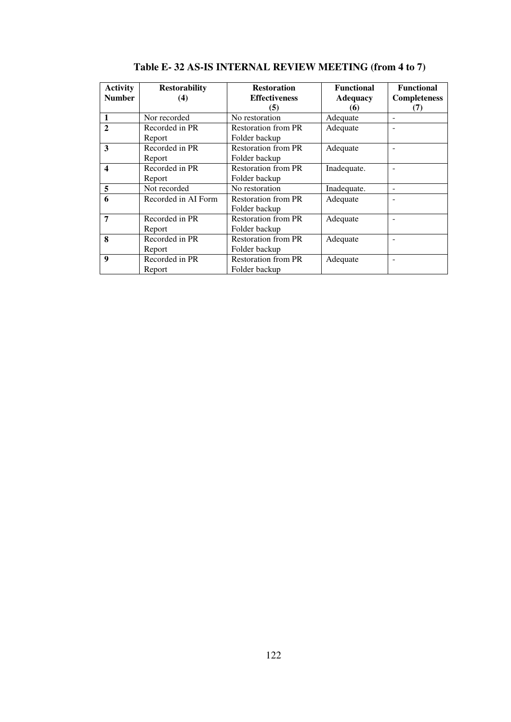| <b>Activity</b><br><b>Number</b> | <b>Restorability</b><br>(4) | <b>Restoration</b><br><b>Effectiveness</b><br>(5) | <b>Functional</b><br><b>Adequacy</b><br>(6) | <b>Functional</b><br><b>Completeness</b><br>(7) |
|----------------------------------|-----------------------------|---------------------------------------------------|---------------------------------------------|-------------------------------------------------|
| $\mathbf{1}$                     | Nor recorded                | No restoration                                    | Adequate                                    |                                                 |
| $\mathbf{2}$                     | Recorded in PR<br>Report    | <b>Restoration from PR</b><br>Folder backup       | Adequate                                    |                                                 |
| 3                                | Recorded in PR<br>Report    | <b>Restoration from PR</b><br>Folder backup       | Adequate                                    |                                                 |
| $\boldsymbol{4}$                 | Recorded in PR<br>Report    | <b>Restoration from PR</b><br>Folder backup       | Inadequate.                                 |                                                 |
| 5                                | Not recorded                | No restoration                                    | Inadequate.                                 |                                                 |
| 6                                | Recorded in AI Form         | <b>Restoration from PR</b><br>Folder backup       | Adequate                                    |                                                 |
| 7                                | Recorded in PR<br>Report    | <b>Restoration from PR</b><br>Folder backup       | Adequate                                    |                                                 |
| 8                                | Recorded in PR<br>Report    | <b>Restoration from PR</b><br>Folder backup       | Adequate                                    |                                                 |
| $\boldsymbol{Q}$                 | Recorded in PR<br>Report    | <b>Restoration from PR</b><br>Folder backup       | Adequate                                    |                                                 |

**Table E- 32 AS-IS INTERNAL REVIEW MEETING (from 4 to 7)**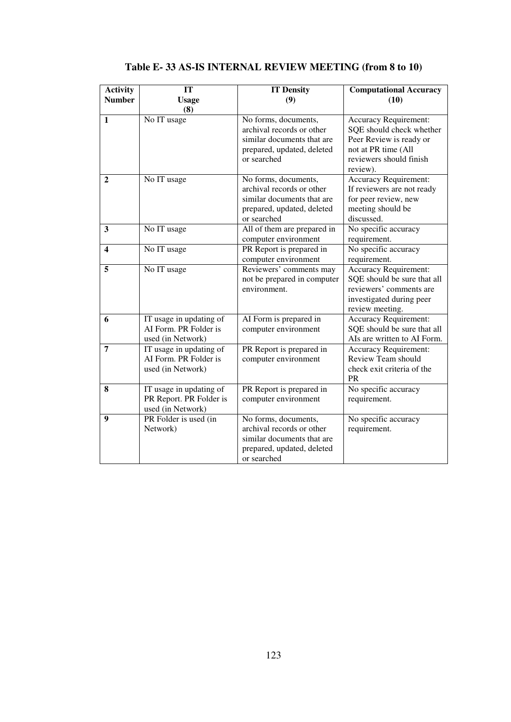| <b>Activity</b><br><b>Number</b> | IT<br><b>Usage</b><br>(8)                                               | <b>IT Density</b><br>(9)                                                                                                     | <b>Computational Accuracy</b><br>(10)                                                                                                             |
|----------------------------------|-------------------------------------------------------------------------|------------------------------------------------------------------------------------------------------------------------------|---------------------------------------------------------------------------------------------------------------------------------------------------|
| $\mathbf{1}$                     | No IT usage                                                             | No forms, documents,<br>archival records or other<br>similar documents that are<br>prepared, updated, deleted<br>or searched | <b>Accuracy Requirement:</b><br>SQE should check whether<br>Peer Review is ready or<br>not at PR time (All<br>reviewers should finish<br>review). |
| $\mathbf{2}$                     | No IT usage                                                             | No forms, documents,<br>archival records or other<br>similar documents that are<br>prepared, updated, deleted<br>or searched | Accuracy Requirement:<br>If reviewers are not ready<br>for peer review, new<br>meeting should be<br>discussed.                                    |
| 3                                | No IT usage                                                             | All of them are prepared in<br>computer environment                                                                          | No specific accuracy<br>requirement.                                                                                                              |
| $\overline{\mathbf{4}}$          | No IT usage                                                             | PR Report is prepared in<br>computer environment                                                                             | No specific accuracy<br>requirement.                                                                                                              |
| 5                                | No IT usage                                                             | Reviewers' comments may<br>not be prepared in computer<br>environment.                                                       | <b>Accuracy Requirement:</b><br>SQE should be sure that all<br>reviewers' comments are<br>investigated during peer<br>review meeting.             |
| 6                                | IT usage in updating of<br>AI Form. PR Folder is<br>used (in Network)   | AI Form is prepared in<br>computer environment                                                                               | <b>Accuracy Requirement:</b><br>SQE should be sure that all<br>AIs are written to AI Form.                                                        |
| 7                                | IT usage in updating of<br>AI Form. PR Folder is<br>used (in Network)   | PR Report is prepared in<br>computer environment                                                                             | <b>Accuracy Requirement:</b><br>Review Team should<br>check exit criteria of the<br><b>PR</b>                                                     |
| 8                                | IT usage in updating of<br>PR Report. PR Folder is<br>used (in Network) | PR Report is prepared in<br>computer environment                                                                             | No specific accuracy<br>requirement.                                                                                                              |
| 9                                | PR Folder is used (in<br>Network)                                       | No forms, documents,<br>archival records or other<br>similar documents that are<br>prepared, updated, deleted<br>or searched | No specific accuracy<br>requirement.                                                                                                              |

# **Table E- 33 AS-IS INTERNAL REVIEW MEETING (from 8 to 10)**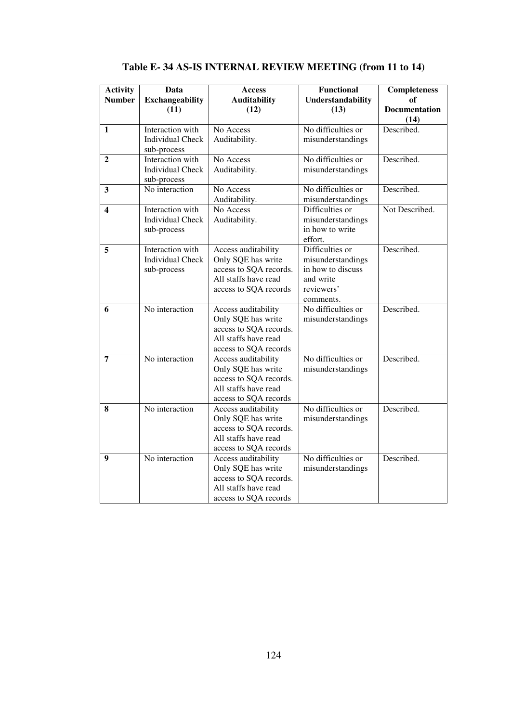| <b>Activity</b><br><b>Number</b> | Data<br><b>Exchangeability</b><br>(11)                     | <b>Access</b><br><b>Auditability</b><br>(12)                                                                         | <b>Functional</b><br><b>Understandability</b><br>(13)                                             | Completeness<br>of<br><b>Documentation</b> |
|----------------------------------|------------------------------------------------------------|----------------------------------------------------------------------------------------------------------------------|---------------------------------------------------------------------------------------------------|--------------------------------------------|
|                                  |                                                            |                                                                                                                      |                                                                                                   | (14)                                       |
| 1                                | Interaction with<br><b>Individual Check</b><br>sub-process | No Access<br>Auditability.                                                                                           | No difficulties or<br>misunderstandings                                                           | Described.                                 |
| 2                                | Interaction with<br><b>Individual Check</b><br>sub-process | No Access<br>Auditability.                                                                                           | No difficulties or<br>misunderstandings                                                           | Described.                                 |
| $\overline{\mathbf{3}}$          | No interaction                                             | No Access<br>Auditability.                                                                                           | No difficulties or<br>misunderstandings                                                           | Described.                                 |
| 4                                | Interaction with<br><b>Individual Check</b><br>sub-process | No Access<br>Auditability.                                                                                           | Difficulties or<br>misunderstandings<br>in how to write<br>effort.                                | Not Described.                             |
| 5                                | Interaction with<br><b>Individual Check</b><br>sub-process | Access auditability<br>Only SQE has write<br>access to SQA records.<br>All staffs have read<br>access to SQA records | Difficulties or<br>misunderstandings<br>in how to discuss<br>and write<br>reviewers'<br>comments. | Described.                                 |
| 6                                | No interaction                                             | Access auditability<br>Only SQE has write<br>access to SQA records.<br>All staffs have read<br>access to SQA records | No difficulties or<br>misunderstandings                                                           | Described.                                 |
| 7                                | No interaction                                             | Access auditability<br>Only SQE has write<br>access to SQA records.<br>All staffs have read<br>access to SQA records | No difficulties or<br>misunderstandings                                                           | Described.                                 |
| 8                                | No interaction                                             | Access auditability<br>Only SQE has write<br>access to SQA records.<br>All staffs have read<br>access to SQA records | No difficulties or<br>misunderstandings                                                           | Described.                                 |
| 9                                | No interaction                                             | Access auditability<br>Only SQE has write<br>access to SQA records.<br>All staffs have read<br>access to SQA records | No difficulties or<br>misunderstandings                                                           | Described.                                 |

**Table E- 34 AS-IS INTERNAL REVIEW MEETING (from 11 to 14)**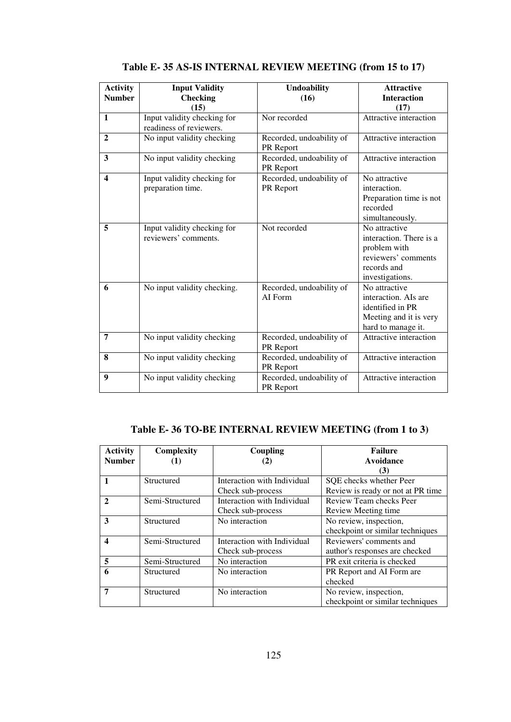| <b>Activity</b><br><b>Number</b> | <b>Input Validity</b><br><b>Checking</b>            | <b>Undoability</b><br>(16)            | <b>Attractive</b><br><b>Interaction</b>                                                                           |
|----------------------------------|-----------------------------------------------------|---------------------------------------|-------------------------------------------------------------------------------------------------------------------|
| $\mathbf{1}$                     | (15)<br>Input validity checking for                 | Nor recorded                          | (17)<br>Attractive interaction                                                                                    |
|                                  | readiness of reviewers.                             |                                       |                                                                                                                   |
| $\overline{2}$                   | No input validity checking                          | Recorded, undoability of<br>PR Report | Attractive interaction                                                                                            |
| 3                                | No input validity checking                          | Recorded, undoability of<br>PR Report | Attractive interaction                                                                                            |
| 4                                | Input validity checking for<br>preparation time.    | Recorded, undoability of<br>PR Report | No attractive<br>interaction.<br>Preparation time is not<br>recorded<br>simultaneously.                           |
| 5                                | Input validity checking for<br>reviewers' comments. | Not recorded                          | No attractive<br>interaction. There is a<br>problem with<br>reviewers' comments<br>records and<br>investigations. |
| 6                                | No input validity checking.                         | Recorded, undoability of<br>AI Form   | No attractive<br>interaction. AIs are<br>identified in PR<br>Meeting and it is very<br>hard to manage it.         |
| $\overline{7}$                   | No input validity checking                          | Recorded, undoability of<br>PR Report | Attractive interaction                                                                                            |
| 8                                | No input validity checking                          | Recorded, undoability of<br>PR Report | Attractive interaction                                                                                            |
| 9                                | No input validity checking                          | Recorded, undoability of<br>PR Report | Attractive interaction                                                                                            |

#### **Table E- 35 AS-IS INTERNAL REVIEW MEETING (from 15 to 17)**

# **Table E- 36 TO-BE INTERNAL REVIEW MEETING (from 1 to 3)**

| <b>Activity</b>  | Complexity      | Coupling                    | <b>Failure</b>                    |
|------------------|-----------------|-----------------------------|-----------------------------------|
| <b>Number</b>    |                 | (2)                         | Avoidance                         |
|                  |                 |                             | (3)                               |
|                  | Structured      | Interaction with Individual | SQE checks whether Peer           |
|                  |                 | Check sub-process           | Review is ready or not at PR time |
| $\mathbf{2}$     | Semi-Structured | Interaction with Individual | Review Team checks Peer           |
|                  |                 | Check sub-process           | Review Meeting time.              |
| 3                | Structured      | No interaction              | No review, inspection,            |
|                  |                 |                             | checkpoint or similar techniques  |
| $\boldsymbol{4}$ | Semi-Structured | Interaction with Individual | Reviewers' comments and           |
|                  |                 | Check sub-process           | author's responses are checked    |
| 5                | Semi-Structured | No interaction              | PR exit criteria is checked       |
| 6                | Structured      | No interaction              | PR Report and AI Form are         |
|                  |                 |                             | checked                           |
| 7                | Structured      | No interaction              | No review, inspection,            |
|                  |                 |                             | checkpoint or similar techniques  |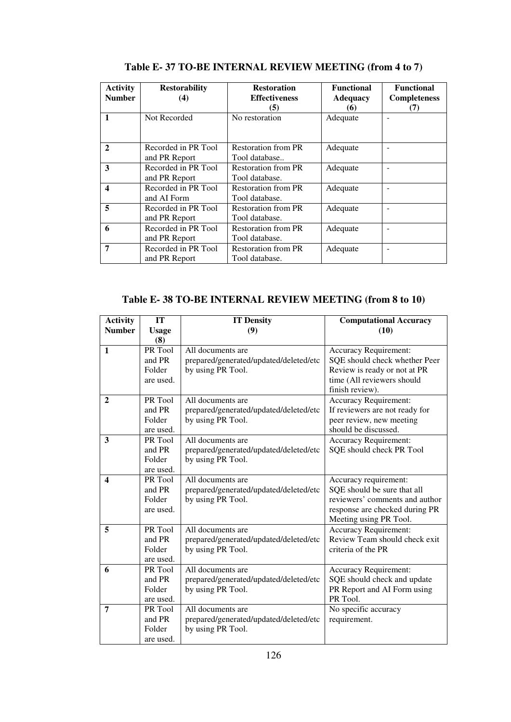| <b>Activity</b><br><b>Number</b> | <b>Restorability</b><br>(4)          | <b>Restoration</b><br><b>Effectiveness</b><br>(5) | <b>Functional</b><br><b>Adequacy</b><br>(6) | <b>Functional</b><br><b>Completeness</b><br>(7) |
|----------------------------------|--------------------------------------|---------------------------------------------------|---------------------------------------------|-------------------------------------------------|
| $\mathbf{1}$                     | Not Recorded                         | No restoration                                    | Adequate                                    |                                                 |
| $\mathbf{2}$                     | Recorded in PR Tool<br>and PR Report | <b>Restoration from PR</b><br>Tool database       | Adequate                                    |                                                 |
| 3                                | Recorded in PR Tool<br>and PR Report | <b>Restoration from PR</b><br>Tool database.      | Adequate                                    |                                                 |
| 4                                | Recorded in PR Tool<br>and AI Form   | <b>Restoration from PR</b><br>Tool database.      | Adequate                                    |                                                 |
| 5                                | Recorded in PR Tool<br>and PR Report | <b>Restoration from PR</b><br>Tool database.      | Adequate                                    |                                                 |
| 6                                | Recorded in PR Tool<br>and PR Report | <b>Restoration from PR</b><br>Tool database.      | Adequate                                    |                                                 |
| 7                                | Recorded in PR Tool<br>and PR Report | <b>Restoration from PR</b><br>Tool database.      | Adequate                                    |                                                 |

**Table E- 37 TO-BE INTERNAL REVIEW MEETING (from 4 to 7)**

**Table E- 38 TO-BE INTERNAL REVIEW MEETING (from 8 to 10)**

| <b>Activity</b>  | IT                   | <b>IT Density</b>                                           | <b>Computational Accuracy</b>           |
|------------------|----------------------|-------------------------------------------------------------|-----------------------------------------|
| <b>Number</b>    | <b>Usage</b>         | (9)                                                         | (10)                                    |
|                  | (8)                  |                                                             |                                         |
| $\mathbf{1}$     | PR Tool              | All documents are                                           | <b>Accuracy Requirement:</b>            |
|                  | and PR               | prepared/generated/updated/deleted/etc                      | SQE should check whether Peer           |
|                  | Folder               | by using PR Tool.                                           | Review is ready or not at PR            |
|                  | are used.            |                                                             | time (All reviewers should              |
|                  |                      |                                                             | finish review).                         |
| $\overline{2}$   | PR Tool              | All documents are                                           | <b>Accuracy Requirement:</b>            |
|                  | and PR               | prepared/generated/updated/deleted/etc                      | If reviewers are not ready for          |
|                  | Folder               | by using PR Tool.                                           | peer review, new meeting                |
|                  | are used.            |                                                             | should be discussed.                    |
| 3                | PR Tool              | All documents are                                           | <b>Accuracy Requirement:</b>            |
|                  | and PR               | prepared/generated/updated/deleted/etc                      | SQE should check PR Tool                |
|                  | Folder               | by using PR Tool.                                           |                                         |
|                  | are used.            |                                                             |                                         |
| $\boldsymbol{4}$ | PR Tool              | All documents are                                           | Accuracy requirement:                   |
|                  | and PR               | prepared/generated/updated/deleted/etc                      | SQE should be sure that all             |
|                  | Folder               | by using PR Tool.                                           | reviewers' comments and author          |
|                  | are used.            |                                                             | response are checked during PR          |
|                  |                      |                                                             | Meeting using PR Tool.                  |
| 5                | PR Tool              | All documents are                                           | <b>Accuracy Requirement:</b>            |
|                  | and PR               | prepared/generated/updated/deleted/etc                      | Review Team should check exit           |
|                  | Folder               | by using PR Tool.                                           | criteria of the PR                      |
|                  | are used.<br>PR Tool | All documents are                                           |                                         |
| 6                | and PR               |                                                             | <b>Accuracy Requirement:</b>            |
|                  | Folder               | prepared/generated/updated/deleted/etc                      | SQE should check and update             |
|                  | are used.            | by using PR Tool.                                           | PR Report and AI Form using<br>PR Tool. |
| 7                | PR Tool              | All documents are                                           | No specific accuracy                    |
|                  | and PR               |                                                             | requirement.                            |
|                  | Folder               | prepared/generated/updated/deleted/etc<br>by using PR Tool. |                                         |
|                  | are used.            |                                                             |                                         |
|                  |                      |                                                             |                                         |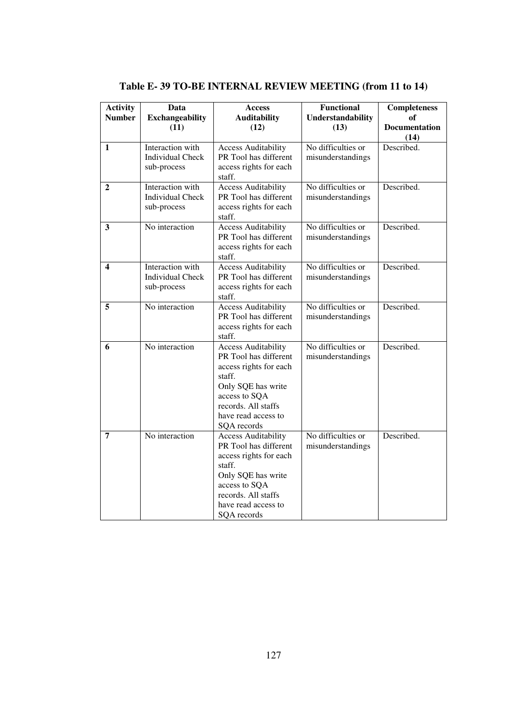| <b>Activity</b><br><b>Number</b> | <b>Data</b><br><b>Exchangeability</b>                             | Access<br><b>Auditability</b>                                                                                                                                                               | <b>Functional</b><br>Understandability  | <b>Completeness</b><br>of    |
|----------------------------------|-------------------------------------------------------------------|---------------------------------------------------------------------------------------------------------------------------------------------------------------------------------------------|-----------------------------------------|------------------------------|
|                                  | (11)                                                              | (12)                                                                                                                                                                                        | (13)                                    | <b>Documentation</b><br>(14) |
| 1                                | <b>Interaction</b> with<br><b>Individual Check</b><br>sub-process | <b>Access Auditability</b><br>PR Tool has different<br>access rights for each<br>staff.                                                                                                     | No difficulties or<br>misunderstandings | Described.                   |
| 2                                | <b>Interaction</b> with<br><b>Individual Check</b><br>sub-process | <b>Access Auditability</b><br>PR Tool has different<br>access rights for each<br>staff.                                                                                                     | No difficulties or<br>misunderstandings | Described.                   |
| 3                                | No interaction                                                    | <b>Access Auditability</b><br>PR Tool has different<br>access rights for each<br>staff.                                                                                                     | No difficulties or<br>misunderstandings | Described.                   |
| 4                                | Interaction with<br><b>Individual Check</b><br>sub-process        | <b>Access Auditability</b><br>PR Tool has different<br>access rights for each<br>staff.                                                                                                     | No difficulties or<br>misunderstandings | Described.                   |
| 5                                | No interaction                                                    | <b>Access Auditability</b><br>PR Tool has different<br>access rights for each<br>staff.                                                                                                     | No difficulties or<br>misunderstandings | Described.                   |
| 6                                | No interaction                                                    | <b>Access Auditability</b><br>PR Tool has different<br>access rights for each<br>staff.<br>Only SQE has write<br>access to SQA<br>records. All staffs<br>have read access to<br>SQA records | No difficulties or<br>misunderstandings | Described.                   |
| 7                                | No interaction                                                    | <b>Access Auditability</b><br>PR Tool has different<br>access rights for each<br>staff.<br>Only SQE has write<br>access to SQA<br>records. All staffs<br>have read access to<br>SQA records | No difficulties or<br>misunderstandings | Described.                   |

**Table E- 39 TO-BE INTERNAL REVIEW MEETING (from 11 to 14)**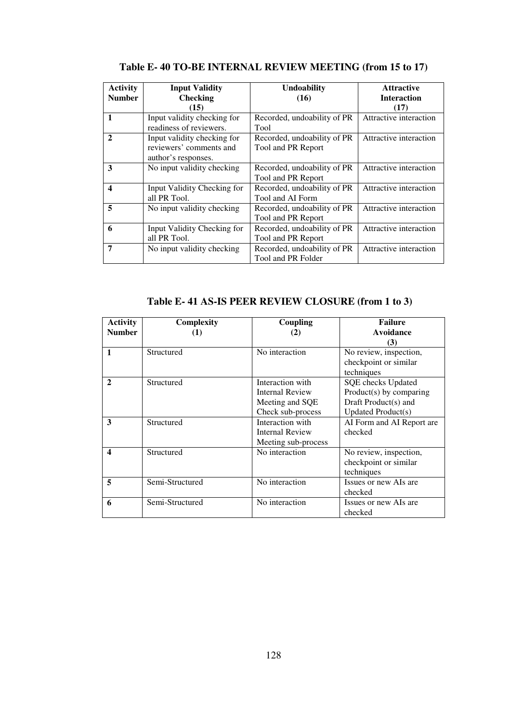| <b>Activity</b>         | <b>Input Validity</b>       | <b>Undoability</b>          | <b>Attractive</b>      |
|-------------------------|-----------------------------|-----------------------------|------------------------|
| <b>Number</b>           | <b>Checking</b>             | (16)                        | <b>Interaction</b>     |
|                         | (15)                        |                             | (17)                   |
| 1                       | Input validity checking for | Recorded, undoability of PR | Attractive interaction |
|                         | readiness of reviewers.     | Tool                        |                        |
| $\overline{2}$          | Input validity checking for | Recorded, undoability of PR | Attractive interaction |
|                         | reviewers' comments and     | Tool and PR Report          |                        |
|                         | author's responses.         |                             |                        |
| 3                       | No input validity checking  | Recorded, undoability of PR | Attractive interaction |
|                         |                             | Tool and PR Report          |                        |
| $\overline{\mathbf{4}}$ | Input Validity Checking for | Recorded, undoability of PR | Attractive interaction |
|                         | all PR Tool.                | Tool and AI Form            |                        |
| 5                       | No input validity checking  | Recorded, undoability of PR | Attractive interaction |
|                         |                             | Tool and PR Report          |                        |
| 6                       | Input Validity Checking for | Recorded, undoability of PR | Attractive interaction |
|                         | all PR Tool.                | Tool and PR Report          |                        |
| 7                       | No input validity checking  | Recorded, undoability of PR | Attractive interaction |
|                         |                             | Tool and PR Folder          |                        |

**Table E- 40 TO-BE INTERNAL REVIEW MEETING (from 15 to 17)** 

**Table E- 41 AS-IS PEER REVIEW CLOSURE (from 1 to 3)** 

| <b>Activity</b>  | Complexity      | Coupling               | <b>Failure</b>            |
|------------------|-----------------|------------------------|---------------------------|
| <b>Number</b>    | (1)             | (2)                    | Avoidance                 |
|                  |                 |                        | (3)                       |
| 1                | Structured      | No interaction         | No review, inspection,    |
|                  |                 |                        | checkpoint or similar     |
|                  |                 |                        | techniques                |
| $\mathbf{2}$     | Structured      | Interaction with       | SQE checks Updated        |
|                  |                 | <b>Internal Review</b> | $Product(s)$ by comparing |
|                  |                 | Meeting and SQE        | Draft Product(s) and      |
|                  |                 | Check sub-process      | <b>Updated Product(s)</b> |
| 3                | Structured      | Interaction with       | AI Form and AI Report are |
|                  |                 | <b>Internal Review</b> | checked                   |
|                  |                 | Meeting sub-process    |                           |
| $\boldsymbol{4}$ | Structured      | No interaction         | No review, inspection,    |
|                  |                 |                        | checkpoint or similar     |
|                  |                 |                        | techniques                |
| 5                | Semi-Structured | No interaction         | Issues or new AIs are     |
|                  |                 |                        | checked                   |
| 6                | Semi-Structured | No interaction         | Issues or new AIs are     |
|                  |                 |                        | checked                   |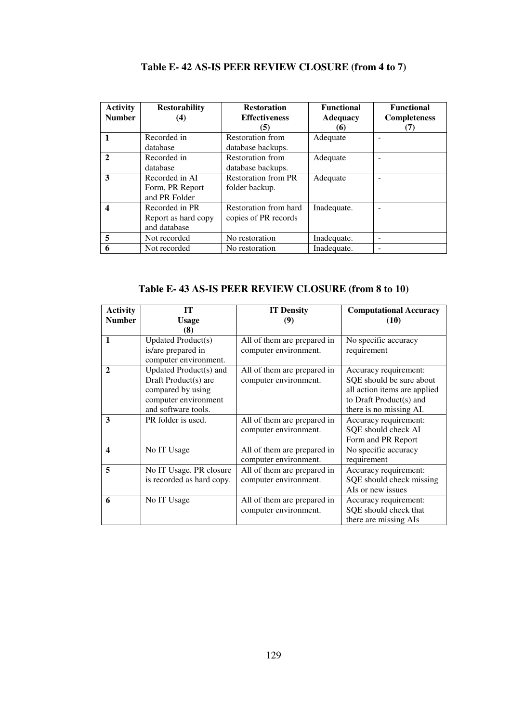| <b>Activity</b><br><b>Number</b> | <b>Restorability</b><br>(4)                           | <b>Restoration</b><br><b>Effectiveness</b><br>(5) | <b>Functional</b><br><b>Adequacy</b><br>(6) | <b>Functional</b><br><b>Completeness</b><br>(7) |
|----------------------------------|-------------------------------------------------------|---------------------------------------------------|---------------------------------------------|-------------------------------------------------|
|                                  | Recorded in<br>database                               | <b>Restoration from</b><br>database backups.      | Adequate                                    | -                                               |
| 2                                | Recorded in<br>database                               | Restoration from<br>database backups.             | Adequate                                    |                                                 |
| 3                                | Recorded in AI<br>Form, PR Report<br>and PR Folder    | <b>Restoration from PR</b><br>folder backup.      | Adequate                                    |                                                 |
| $\overline{\mathbf{4}}$          | Recorded in PR<br>Report as hard copy<br>and database | Restoration from hard<br>copies of PR records     | Inadequate.                                 |                                                 |
| 5                                | Not recorded                                          | No restoration                                    | Inadequate.                                 | -                                               |
| 6                                | Not recorded                                          | No restoration                                    | Inadequate.                                 |                                                 |

**Table E- 42 AS-IS PEER REVIEW CLOSURE (from 4 to 7)**

**Table E- 43 AS-IS PEER REVIEW CLOSURE (from 8 to 10)** 

| <b>Activity</b> | IТ                        | <b>IT Density</b>           | <b>Computational Accuracy</b> |
|-----------------|---------------------------|-----------------------------|-------------------------------|
| <b>Number</b>   | <b>Usage</b>              | (9)                         | (10)                          |
|                 | (8)                       |                             |                               |
| 1               | <b>Updated Product(s)</b> | All of them are prepared in | No specific accuracy          |
|                 | is/are prepared in        | computer environment.       | requirement                   |
|                 | computer environment.     |                             |                               |
| $\mathbf{2}$    | Updated Product(s) and    | All of them are prepared in | Accuracy requirement:         |
|                 | Draft Product(s) are      | computer environment.       | SQE should be sure about      |
|                 | compared by using         |                             | all action items are applied  |
|                 | computer environment      |                             | to Draft Product(s) and       |
|                 | and software tools.       |                             | there is no missing AI.       |
| 3               | PR folder is used.        | All of them are prepared in | Accuracy requirement:         |
|                 |                           | computer environment.       | SQE should check AI           |
|                 |                           |                             | Form and PR Report            |
| 4               | No IT Usage               | All of them are prepared in | No specific accuracy          |
|                 |                           | computer environment.       | requirement                   |
| 5               | No IT Usage. PR closure   | All of them are prepared in | Accuracy requirement:         |
|                 | is recorded as hard copy. | computer environment.       | SQE should check missing      |
|                 |                           |                             | AIs or new issues             |
| 6               | No IT Usage               | All of them are prepared in | Accuracy requirement:         |
|                 |                           | computer environment.       | SQE should check that         |
|                 |                           |                             | there are missing AIs         |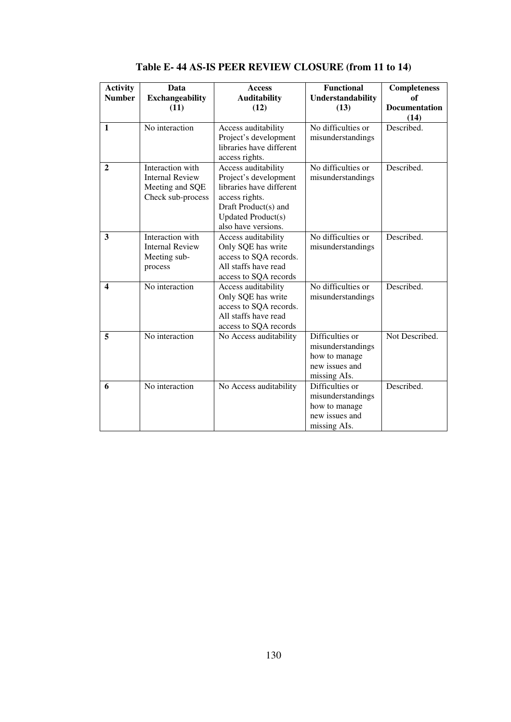| <b>Activity</b><br><b>Number</b> | Data<br><b>Exchangeability</b>                                                     | <b>Access</b><br><b>Auditability</b>                                                                                                                                   | <b>Functional</b><br>Understandability                                                  | <b>Completeness</b><br>of    |
|----------------------------------|------------------------------------------------------------------------------------|------------------------------------------------------------------------------------------------------------------------------------------------------------------------|-----------------------------------------------------------------------------------------|------------------------------|
|                                  | (11)                                                                               | (12)                                                                                                                                                                   | (13)                                                                                    | <b>Documentation</b><br>(14) |
| $\mathbf{1}$                     | No interaction                                                                     | Access auditability<br>Project's development<br>libraries have different<br>access rights.                                                                             | No difficulties or<br>misunderstandings                                                 | Described.                   |
| $\mathbf{2}$                     | Interaction with<br><b>Internal Review</b><br>Meeting and SQE<br>Check sub-process | Access auditability<br>Project's development<br>libraries have different<br>access rights.<br>Draft Product(s) and<br><b>Updated Product(s)</b><br>also have versions. | No difficulties or<br>misunderstandings                                                 | Described.                   |
| 3                                | Interaction with<br><b>Internal Review</b><br>Meeting sub-<br>process              | Access auditability<br>Only SQE has write<br>access to SQA records.<br>All staffs have read<br>access to SQA records                                                   | No difficulties or<br>misunderstandings                                                 | Described.                   |
| $\boldsymbol{4}$                 | No interaction                                                                     | Access auditability<br>Only SQE has write<br>access to SQA records.<br>All staffs have read<br>access to SQA records                                                   | No difficulties or<br>misunderstandings                                                 | Described.                   |
| 5                                | No interaction                                                                     | No Access auditability                                                                                                                                                 | Difficulties or<br>misunderstandings<br>how to manage<br>new issues and<br>missing AIs. | Not Described.               |
| 6                                | No interaction                                                                     | No Access auditability                                                                                                                                                 | Difficulties or<br>misunderstandings<br>how to manage<br>new issues and<br>missing AIs. | Described.                   |

**Table E- 44 AS-IS PEER REVIEW CLOSURE (from 11 to 14)**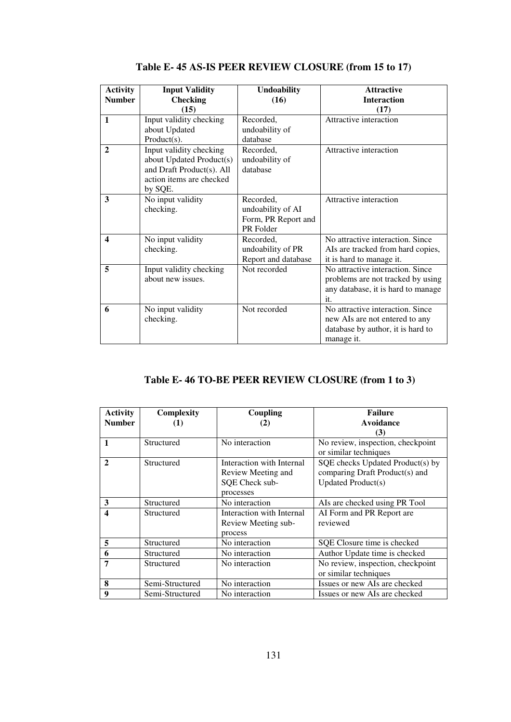| <b>Activity</b> | <b>Input Validity</b>                                                                                                   | <b>Undoability</b>                                                 | <b>Attractive</b>                                                                                                     |
|-----------------|-------------------------------------------------------------------------------------------------------------------------|--------------------------------------------------------------------|-----------------------------------------------------------------------------------------------------------------------|
| <b>Number</b>   | <b>Checking</b>                                                                                                         | (16)                                                               | <b>Interaction</b>                                                                                                    |
|                 | (15)                                                                                                                    |                                                                    | (17)                                                                                                                  |
| $\mathbf{1}$    | Input validity checking<br>about Updated<br>$Product(s)$ .                                                              | Recorded,<br>undoability of<br>database                            | Attractive interaction                                                                                                |
| $\mathbf{2}$    | Input validity checking<br>about Updated Product(s)<br>and Draft Product(s). All<br>action items are checked<br>by SQE. | Recorded,<br>undoability of<br>database                            | Attractive interaction                                                                                                |
| 3               | No input validity<br>checking.                                                                                          | Recorded,<br>undoability of AI<br>Form, PR Report and<br>PR Folder | Attractive interaction                                                                                                |
| 4               | No input validity<br>checking.                                                                                          | Recorded,<br>undoability of PR<br>Report and database              | No attractive interaction. Since<br>AIs are tracked from hard copies,<br>it is hard to manage it.                     |
| 5               | Input validity checking<br>about new issues.                                                                            | Not recorded                                                       | No attractive interaction. Since<br>problems are not tracked by using<br>any database, it is hard to manage<br>it.    |
| 6               | No input validity<br>checking.                                                                                          | Not recorded                                                       | No attractive interaction. Since<br>new AIs are not entered to any<br>database by author, it is hard to<br>manage it. |

**Table E- 45 AS-IS PEER REVIEW CLOSURE (from 15 to 17)** 

### **Table E- 46 TO-BE PEER REVIEW CLOSURE (from 1 to 3)**

| <b>Activity</b> | Complexity      | Coupling                  | <b>Failure</b>                    |
|-----------------|-----------------|---------------------------|-----------------------------------|
| <b>Number</b>   |                 | (2)                       | Avoidance                         |
|                 |                 |                           | (3)                               |
| $\mathbf{1}$    | Structured      | No interaction            | No review, inspection, checkpoint |
|                 |                 |                           | or similar techniques             |
| $\mathbf{2}$    | Structured      | Interaction with Internal | SQE checks Updated Product(s) by  |
|                 |                 | Review Meeting and        | comparing Draft Product(s) and    |
|                 |                 | SQE Check sub-            | <b>Updated Product(s)</b>         |
|                 |                 | processes                 |                                   |
| 3               | Structured      | No interaction            | AIs are checked using PR Tool     |
| 4               | Structured      | Interaction with Internal | AI Form and PR Report are         |
|                 |                 | Review Meeting sub-       | reviewed                          |
|                 |                 | process                   |                                   |
| 5               | Structured      | No interaction            | SQE Closure time is checked       |
| 6               | Structured      | No interaction            | Author Update time is checked     |
| 7               | Structured      | No interaction            | No review, inspection, checkpoint |
|                 |                 |                           | or similar techniques             |
| 8               | Semi-Structured | No interaction            | Issues or new AIs are checked     |
| 9               | Semi-Structured | No interaction            | Issues or new AIs are checked     |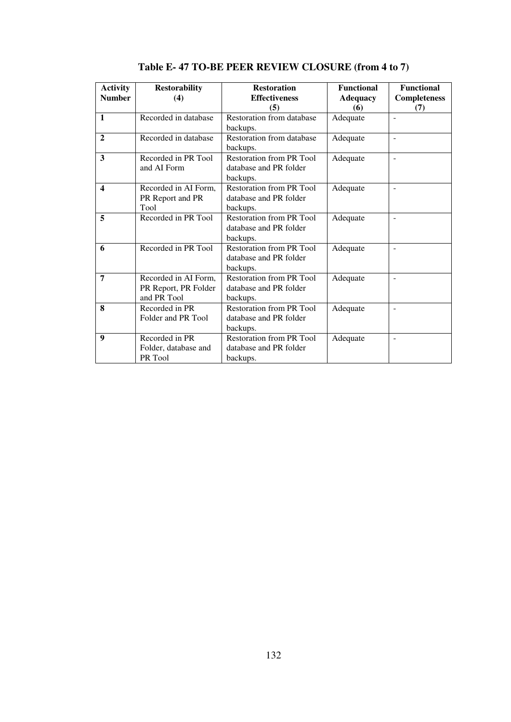| <b>Activity</b><br><b>Number</b> | <b>Restorability</b><br>(4)                                 | <b>Restoration</b><br><b>Effectiveness</b><br>(5)                     | <b>Functional</b><br><b>Adequacy</b><br>(6) | <b>Functional</b><br><b>Completeness</b><br>(7) |
|----------------------------------|-------------------------------------------------------------|-----------------------------------------------------------------------|---------------------------------------------|-------------------------------------------------|
| $\mathbf{1}$                     | Recorded in database                                        | Restoration from database<br>backups.                                 | Adequate                                    |                                                 |
| $\mathbf{2}$                     | Recorded in database                                        | Restoration from database<br>backups.                                 | Adequate                                    | $\overline{a}$                                  |
| 3                                | Recorded in PR Tool<br>and AI Form                          | Restoration from PR Tool<br>database and PR folder<br>backups.        | Adequate                                    | $\overline{\phantom{a}}$                        |
| $\overline{\mathbf{4}}$          | Recorded in AI Form,<br>PR Report and PR<br>Tool            | Restoration from PR Tool<br>database and PR folder<br>backups.        | Adequate                                    |                                                 |
| 5                                | Recorded in PR Tool                                         | Restoration from PR Tool<br>database and PR folder<br>backups.        | Adequate                                    | $\overline{a}$                                  |
| 6                                | Recorded in PR Tool                                         | <b>Restoration from PR Tool</b><br>database and PR folder<br>backups. | Adequate                                    | $\overline{\phantom{a}}$                        |
| 7                                | Recorded in AI Form,<br>PR Report, PR Folder<br>and PR Tool | Restoration from PR Tool<br>database and PR folder<br>backups.        | Adequate                                    | $\overline{a}$                                  |
| 8                                | Recorded in PR<br>Folder and PR Tool                        | <b>Restoration from PR Tool</b><br>database and PR folder<br>backups. | Adequate                                    | $\overline{a}$                                  |
| 9                                | Recorded in PR<br>Folder, database and<br>PR Tool           | <b>Restoration from PR Tool</b><br>database and PR folder<br>backups. | Adequate                                    | $\overline{\phantom{a}}$                        |

**Table E- 47 TO-BE PEER REVIEW CLOSURE (from 4 to 7)**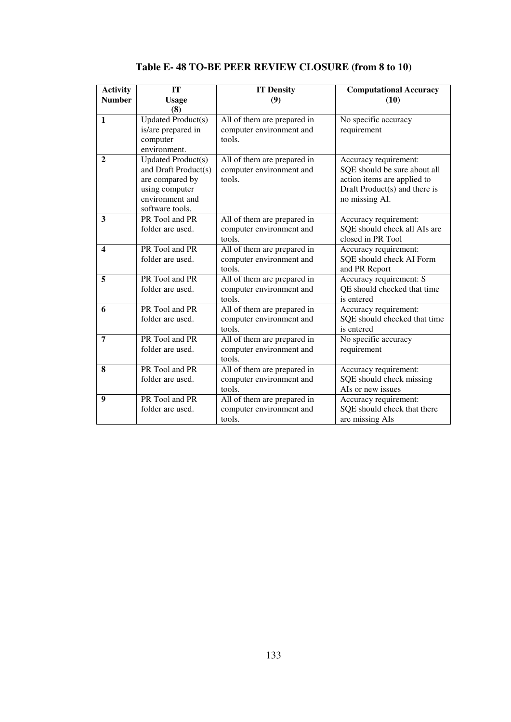| <b>Activity</b><br><b>Number</b> | IT<br><b>Usage</b><br>(8)                                                                                                    | <b>IT Density</b><br>(9)                                          | <b>Computational Accuracy</b><br>(10)                                                                                                   |
|----------------------------------|------------------------------------------------------------------------------------------------------------------------------|-------------------------------------------------------------------|-----------------------------------------------------------------------------------------------------------------------------------------|
| $\mathbf{1}$                     | <b>Updated Product(s)</b><br>is/are prepared in<br>computer<br>environment.                                                  | All of them are prepared in<br>computer environment and<br>tools. | No specific accuracy<br>requirement                                                                                                     |
| $\mathbf{2}$                     | <b>Updated Product(s)</b><br>and Draft Product(s)<br>are compared by<br>using computer<br>environment and<br>software tools. | All of them are prepared in<br>computer environment and<br>tools. | Accuracy requirement:<br>SQE should be sure about all<br>action items are applied to<br>Draft Product(s) and there is<br>no missing AI. |
| 3                                | PR Tool and PR<br>folder are used.                                                                                           | All of them are prepared in<br>computer environment and<br>tools. | Accuracy requirement:<br>SQE should check all AIs are<br>closed in PR Tool                                                              |
| $\overline{\mathbf{4}}$          | PR Tool and PR<br>folder are used.                                                                                           | All of them are prepared in<br>computer environment and<br>tools. | Accuracy requirement:<br>SQE should check AI Form<br>and PR Report                                                                      |
| 5                                | PR Tool and PR<br>folder are used.                                                                                           | All of them are prepared in<br>computer environment and<br>tools. | Accuracy requirement: S<br>QE should checked that time<br>is entered                                                                    |
| 6                                | PR Tool and PR<br>folder are used.                                                                                           | All of them are prepared in<br>computer environment and<br>tools. | Accuracy requirement:<br>SQE should checked that time<br>is entered                                                                     |
| 7                                | PR Tool and PR<br>folder are used.                                                                                           | All of them are prepared in<br>computer environment and<br>tools. | No specific accuracy<br>requirement                                                                                                     |
| 8                                | PR Tool and PR<br>folder are used.                                                                                           | All of them are prepared in<br>computer environment and<br>tools. | Accuracy requirement:<br>SQE should check missing<br>AIs or new issues                                                                  |
| 9                                | PR Tool and PR<br>folder are used.                                                                                           | All of them are prepared in<br>computer environment and<br>tools. | Accuracy requirement:<br>SQE should check that there<br>are missing AIs                                                                 |

**Table E- 48 TO-BE PEER REVIEW CLOSURE (from 8 to 10)**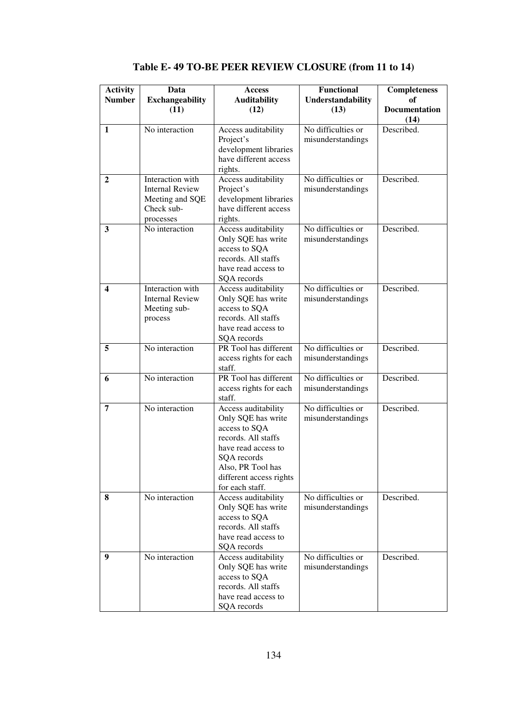| <b>Activity</b><br><b>Number</b> | Data<br><b>Exchangeability</b>                                                           | Access<br><b>Auditability</b>                                                                                                                                                              | <b>Functional</b><br>Understandability  | <b>Completeness</b><br>оf |
|----------------------------------|------------------------------------------------------------------------------------------|--------------------------------------------------------------------------------------------------------------------------------------------------------------------------------------------|-----------------------------------------|---------------------------|
|                                  | (11)                                                                                     | (12)                                                                                                                                                                                       | (13)                                    | Documentation<br>(14)     |
| $\mathbf{1}$                     | No interaction                                                                           | Access auditability<br>Project's<br>development libraries<br>have different access<br>rights.                                                                                              | No difficulties or<br>misunderstandings | Described.                |
| $\mathbf{2}$                     | Interaction with<br><b>Internal Review</b><br>Meeting and SQE<br>Check sub-<br>processes | Access auditability<br>Project's<br>development libraries<br>have different access<br>rights.                                                                                              | No difficulties or<br>misunderstandings | Described.                |
| 3                                | No interaction                                                                           | Access auditability<br>Only SQE has write<br>access to SQA<br>records. All staffs<br>have read access to<br>SQA records                                                                    | No difficulties or<br>misunderstandings | Described.                |
| 4                                | Interaction with<br><b>Internal Review</b><br>Meeting sub-<br>process                    | Access auditability<br>Only SQE has write<br>access to SQA<br>records. All staffs<br>have read access to<br>SQA records                                                                    | No difficulties or<br>misunderstandings | Described.                |
| 5                                | No interaction                                                                           | PR Tool has different<br>access rights for each<br>staff.                                                                                                                                  | No difficulties or<br>misunderstandings | Described.                |
| 6                                | No interaction                                                                           | PR Tool has different<br>access rights for each<br>staff.                                                                                                                                  | No difficulties or<br>misunderstandings | Described.                |
| 7                                | No interaction                                                                           | Access auditability<br>Only SQE has write<br>access to SQA<br>records. All staffs<br>have read access to<br>SQA records<br>Also, PR Tool has<br>different access rights<br>for each staff. | No difficulties or<br>misunderstandings | Described.                |
| 8                                | No interaction                                                                           | Access auditability<br>Only SQE has write<br>access to SQA<br>records. All staffs<br>have read access to<br>SQA records                                                                    | No difficulties or<br>misunderstandings | Described.                |
| 9                                | No interaction                                                                           | Access auditability<br>Only SQE has write<br>access to SQA<br>records. All staffs<br>have read access to<br>SQA records                                                                    | No difficulties or<br>misunderstandings | Described.                |

**Table E- 49 TO-BE PEER REVIEW CLOSURE (from 11 to 14)**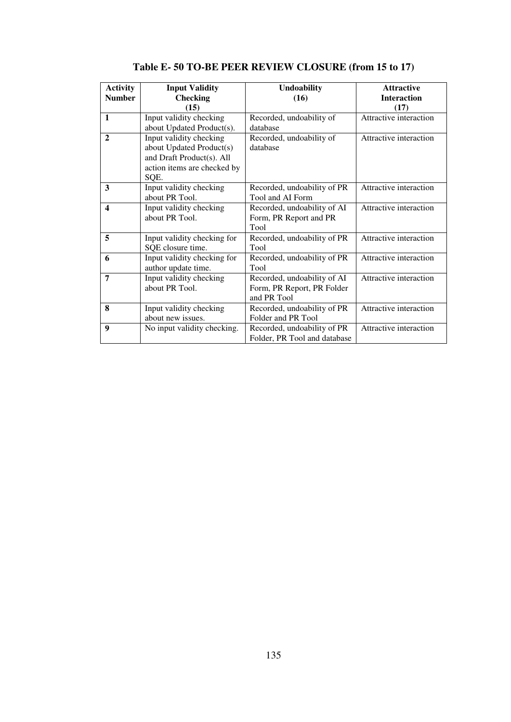| <b>Activity</b><br><b>Number</b> | <b>Input Validity</b><br><b>Checking</b><br>(15)                                                                        | <b>Undoability</b><br>(16)                                               | <b>Attractive</b><br><b>Interaction</b><br>(17) |
|----------------------------------|-------------------------------------------------------------------------------------------------------------------------|--------------------------------------------------------------------------|-------------------------------------------------|
| $\mathbf{1}$                     | Input validity checking<br>about Updated Product(s).                                                                    | Recorded, undoability of<br>database                                     | Attractive interaction                          |
| $\mathbf{2}$                     | Input validity checking<br>about Updated Product(s)<br>and Draft Product(s). All<br>action items are checked by<br>SQE. | Recorded, undoability of<br>database                                     | Attractive interaction                          |
| 3                                | Input validity checking<br>about PR Tool.                                                                               | Recorded, undoability of PR<br>Tool and AI Form                          | Attractive interaction                          |
| $\boldsymbol{4}$                 | Input validity checking<br>about PR Tool.                                                                               | Recorded, undoability of AI<br>Form, PR Report and PR<br>Tool            | Attractive interaction                          |
| 5                                | Input validity checking for<br>SQE closure time.                                                                        | Recorded, undoability of PR<br>Tool                                      | Attractive interaction                          |
| 6                                | Input validity checking for<br>author update time.                                                                      | Recorded, undoability of PR<br>Tool                                      | Attractive interaction                          |
| 7                                | Input validity checking<br>about PR Tool.                                                                               | Recorded, undoability of AI<br>Form, PR Report, PR Folder<br>and PR Tool | Attractive interaction                          |
| 8                                | Input validity checking<br>about new issues.                                                                            | Recorded, undoability of PR<br>Folder and PR Tool                        | Attractive interaction                          |
| $\boldsymbol{9}$                 | No input validity checking.                                                                                             | Recorded, undoability of PR<br>Folder, PR Tool and database              | Attractive interaction                          |

**Table E- 50 TO-BE PEER REVIEW CLOSURE (from 15 to 17)**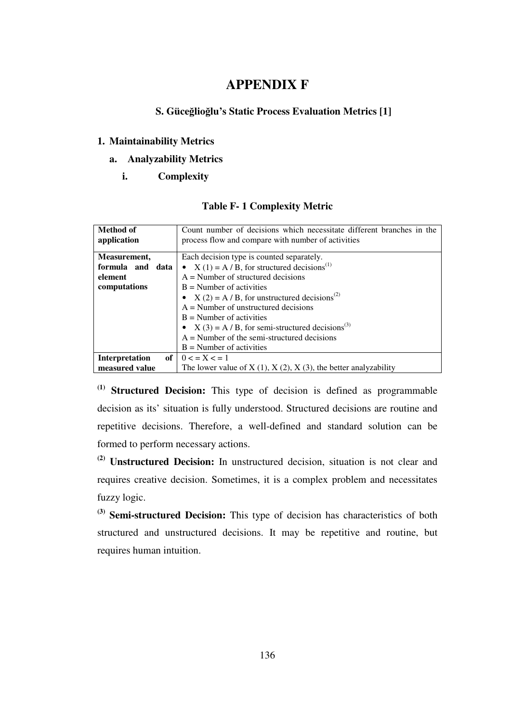### **APPENDIX F**

#### **S. Güce**ğ**lio**ğ**lu's Static Process Evaluation Metrics [1]**

#### **1. Maintainability Metrics**

#### **a. Analyzability Metrics**

#### **i. Complexity**

| Method of<br>application    | Count number of decisions which necessitate different branches in the<br>process flow and compare with number of activities |  |
|-----------------------------|-----------------------------------------------------------------------------------------------------------------------------|--|
| Measurement,                | Each decision type is counted separately.                                                                                   |  |
| formula and<br>data         | • $X(1) = A/B$ , for structured decisions <sup>(1)</sup>                                                                    |  |
| element                     | $A =$ Number of structured decisions                                                                                        |  |
| computations                | $B =$ Number of activities                                                                                                  |  |
|                             | • $X(2) = A/B$ , for unstructured decisions <sup>(2)</sup>                                                                  |  |
|                             | $A =$ Number of unstructured decisions                                                                                      |  |
|                             | $B =$ Number of activities                                                                                                  |  |
|                             | • $X(3) = A/B$ , for semi-structured decisions <sup>(3)</sup>                                                               |  |
|                             | $A =$ Number of the semi-structured decisions                                                                               |  |
|                             | $B =$ Number of activities                                                                                                  |  |
| of<br><b>Interpretation</b> | $0 < x \leq 1$                                                                                                              |  |
| measured value              | The lower value of $X(1)$ , $X(2)$ , $X(3)$ , the better analyzability                                                      |  |

#### **Table F- 1 Complexity Metric**

**(1) Structured Decision:** This type of decision is defined as programmable decision as its' situation is fully understood. Structured decisions are routine and repetitive decisions. Therefore, a well-defined and standard solution can be formed to perform necessary actions.

**(2) Unstructured Decision:** In unstructured decision, situation is not clear and requires creative decision. Sometimes, it is a complex problem and necessitates fuzzy logic.

**(3) Semi-structured Decision:** This type of decision has characteristics of both structured and unstructured decisions. It may be repetitive and routine, but requires human intuition.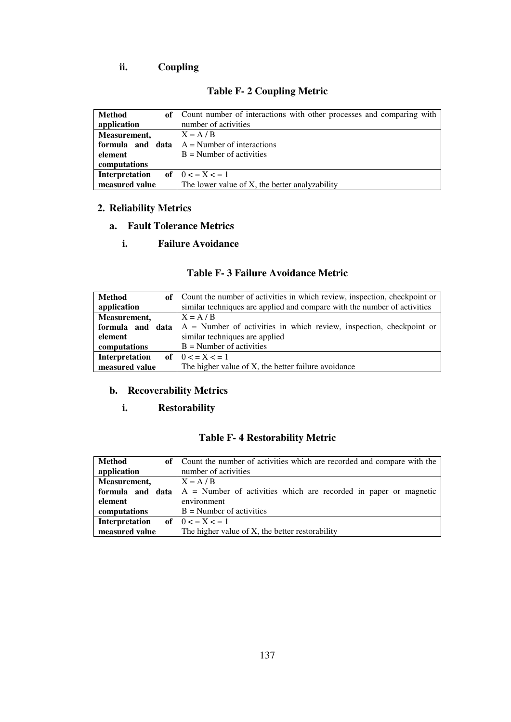# **ii. Coupling**

# **Table F- 2 Coupling Metric**

| Method<br>of <sub>1</sub> | Count number of interactions with other processes and comparing with |  |
|---------------------------|----------------------------------------------------------------------|--|
| application               | number of activities                                                 |  |
| Measurement,              | $X = A / B$                                                          |  |
| formula and data          | $A =$ Number of interactions                                         |  |
| element                   | $B =$ Number of activities                                           |  |
| computations              |                                                                      |  |
| <b>Interpretation</b>     | of $0 < x \leq 1$                                                    |  |
| measured value            | The lower value of X, the better analyzability                       |  |

### **2. Reliability Metrics**

#### **a. Fault Tolerance Metrics**

#### **i. Failure Avoidance**

|  |  | Table F-3 Failure Avoidance Metric |  |
|--|--|------------------------------------|--|
|--|--|------------------------------------|--|

| Method           | of   Count the number of activities in which review, inspection, checkpoint or |
|------------------|--------------------------------------------------------------------------------|
| application      | similar techniques are applied and compare with the number of activities       |
| Measurement,     | $X = A / B$                                                                    |
| formula and data | $A =$ Number of activities in which review, inspection, checkpoint or          |
| element          | similar techniques are applied                                                 |
| computations     | $B =$ Number of activities                                                     |
| Interpretation   | of $0 < x < 1$                                                                 |
| measured value   | The higher value of X, the better failure avoidance                            |

# **b. Recoverability Metrics**

#### **i. Restorability**

# **Table F- 4 Restorability Metric**

| Method              | of   Count the number of activities which are recorded and compare with the |
|---------------------|-----------------------------------------------------------------------------|
| application         | number of activities                                                        |
| <b>Measurement,</b> | $X = A / B$                                                                 |
| formula and data    | $A =$ Number of activities which are recorded in paper or magnetic          |
| element             | environment                                                                 |
| computations        | $B =$ Number of activities                                                  |
| Interpretation      | of $0 < x < 1$                                                              |
| measured value      | The higher value of X, the better restorability                             |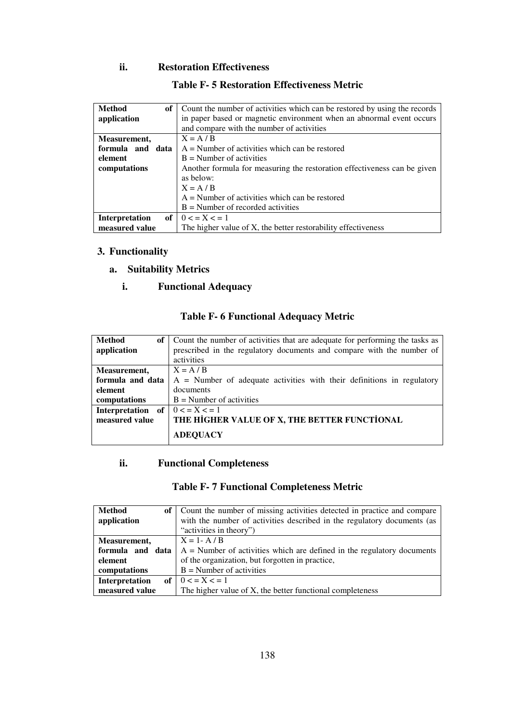#### **ii. Restoration Effectiveness**

| <b>Method</b><br>оf  | Count the number of activities which can be restored by using the records |
|----------------------|---------------------------------------------------------------------------|
| application          | in paper based or magnetic environment when an abnormal event occurs      |
|                      | and compare with the number of activities                                 |
| Measurement,         | $X = A / B$                                                               |
| formula and data     | $A =$ Number of activities which can be restored                          |
| element              | $B =$ Number of activities                                                |
| computations         | Another formula for measuring the restoration effectiveness can be given  |
|                      | as below:                                                                 |
|                      | $X = A / B$                                                               |
|                      | $A =$ Number of activities which can be restored                          |
|                      | $B =$ Number of recorded activities                                       |
| оf<br>Interpretation | $0 < x \leq 1$                                                            |
| measured value       | The higher value of X, the better restorability effectiveness             |

#### **Table F- 5 Restoration Effectiveness Metric**

### **3. Functionality**

- **a. Suitability Metrics** 
	- **i. Functional Adequacy**

### **Table F- 6 Functional Adequacy Metric**

| Method            | of   Count the number of activities that are adequate for performing the tasks as |
|-------------------|-----------------------------------------------------------------------------------|
| application       | prescribed in the regulatory documents and compare with the number of             |
|                   | activities                                                                        |
| Measurement,      | $X = A / B$                                                                       |
| formula and data  | $A =$ Number of adequate activities with their definitions in regulatory          |
| element           | documents                                                                         |
| computations      | $B =$ Number of activities                                                        |
| Interpretation of | $0 < x \leq 1$                                                                    |
| measured value    | THE HIGHER VALUE OF X, THE BETTER FUNCTIONAL                                      |
|                   | <b>ADEQUACY</b>                                                                   |

#### **ii. Functional Completeness**

### **Table F- 7 Functional Completeness Metric**

| Method           | of   Count the number of missing activities detected in practice and compare |
|------------------|------------------------------------------------------------------------------|
| application      | with the number of activities described in the regulatory documents (as      |
|                  | "activities in theory")                                                      |
| Measurement,     | $X = 1 - A / B$                                                              |
| formula and data | $A =$ Number of activities which are defined in the regulatory documents     |
| element          | of the organization, but forgotten in practice,                              |
| computations     | $B =$ Number of activities                                                   |
| Interpretation   | of $0 \le x \le 1$                                                           |
| measured value   | The higher value of X, the better functional completeness                    |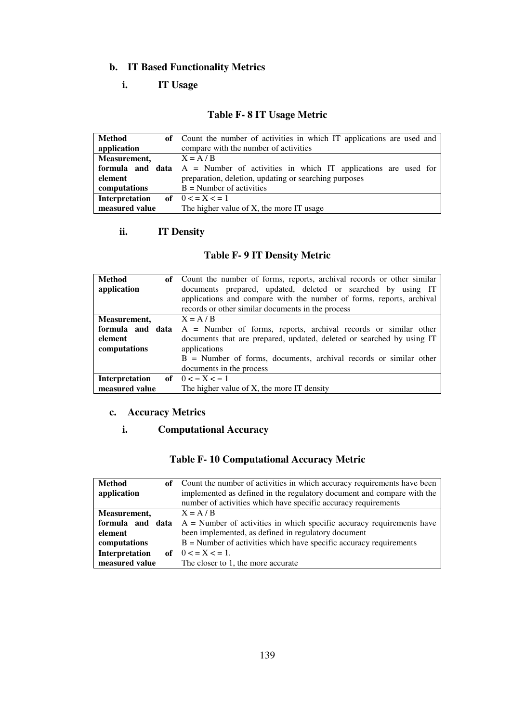### **b. IT Based Functionality Metrics**

### **i. IT Usage**

### **Table F- 8 IT Usage Metric**

| Method           | of Count the number of activities in which IT applications are used and |
|------------------|-------------------------------------------------------------------------|
| application      | compare with the number of activities                                   |
| Measurement,     | $X = A / B$                                                             |
| formula and data | $A =$ Number of activities in which IT applications are used for        |
| element          | preparation, deletion, updating or searching purposes                   |
| computations     | $B =$ Number of activities                                              |
| Interpretation   | of $0 < x < 1$                                                          |
| measured value   | The higher value of X, the more IT usage                                |

### **ii. IT Density**

### **Table F- 9 IT Density Metric**

| <b>Method</b><br>of 1 | Count the number of forms, reports, archival records or other similar |
|-----------------------|-----------------------------------------------------------------------|
| application           | documents prepared, updated, deleted or searched by using IT          |
|                       | applications and compare with the number of forms, reports, archival  |
|                       | records or other similar documents in the process                     |
| Measurement,          | $X = A / B$                                                           |
| formula and data      | $A =$ Number of forms, reports, archival records or similar other     |
| element               | documents that are prepared, updated, deleted or searched by using IT |
| computations          | applications                                                          |
|                       | $B =$ Number of forms, documents, archival records or similar other   |
|                       | documents in the process                                              |
| Interpretation        | of $0 < x \leq 1$                                                     |
| measured value        | The higher value of X, the more IT density                            |

#### **c. Accuracy Metrics**

### **i. Computational Accuracy**

# **Table F- 10 Computational Accuracy Metric**

| <b>Method</b><br>оf | Count the number of activities in which accuracy requirements have been |
|---------------------|-------------------------------------------------------------------------|
| application         | implemented as defined in the regulatory document and compare with the  |
|                     | number of activities which have specific accuracy requirements          |
| Measurement,        | $X = A / B$                                                             |
| formula and data    | $A =$ Number of activities in which specific accuracy requirements have |
| element             | been implemented, as defined in regulatory document                     |
| computations        | $B =$ Number of activities which have specific accuracy requirements    |
| Interpretation      | of $0 < x < 1$ .                                                        |
| measured value      | The closer to 1, the more accurate                                      |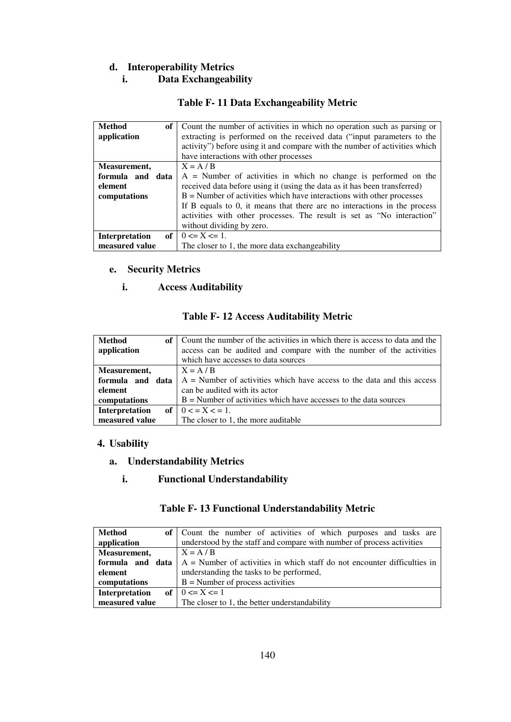### **d. Interoperability Metrics**

#### **i. Data Exchangeability**

#### **Table F- 11 Data Exchangeability Metric**

| <b>Method</b><br>of         | Count the number of activities in which no operation such as parsing or    |
|-----------------------------|----------------------------------------------------------------------------|
| application                 | extracting is performed on the received data ("input parameters to the     |
|                             | activity") before using it and compare with the number of activities which |
|                             | have interactions with other processes                                     |
| Measurement,                | $X = A / B$                                                                |
| formula and data            | $A =$ Number of activities in which no change is performed on the          |
| element                     | received data before using it (using the data as it has been transferred)  |
| computations                | $B =$ Number of activities which have interactions with other processes    |
|                             | If B equals to 0, it means that there are no interactions in the process   |
|                             | activities with other processes. The result is set as "No interaction"     |
|                             | without dividing by zero.                                                  |
| of<br><b>Interpretation</b> | $0 \le X \le 1$ .                                                          |
| measured value              | The closer to 1, the more data exchangeability                             |

#### **e. Security Metrics**

#### **i. Access Auditability**

#### **Table F- 12 Access Auditability Metric**

| <b>Method</b><br>of<br>application | Count the number of the activities in which there is access to data and the<br>access can be audited and compare with the number of the activities<br>which have accesses to data sources |
|------------------------------------|-------------------------------------------------------------------------------------------------------------------------------------------------------------------------------------------|
| Measurement,                       | $X = A / B$                                                                                                                                                                               |
| formula and data                   | $A =$ Number of activities which have access to the data and this access                                                                                                                  |
| element                            | can be audited with its actor                                                                                                                                                             |
| computations                       | $B =$ Number of activities which have accesses to the data sources                                                                                                                        |
| Interpretation                     | of $0 < x \leq 1$ .                                                                                                                                                                       |
| measured value                     | The closer to 1, the more auditable                                                                                                                                                       |

#### **4. Usability**

### **a. Understandability Metrics**

#### **i. Functional Understandability**

#### **Table F- 13 Functional Understandability Metric**

| Method           | of Count the number of activities of which purposes and tasks are          |
|------------------|----------------------------------------------------------------------------|
| application      | understood by the staff and compare with number of process activities      |
| Measurement,     | $X = A / B$                                                                |
| formula and data | $A =$ Number of activities in which staff do not encounter difficulties in |
| element          | understanding the tasks to be performed,                                   |
| computations     | $B =$ Number of process activities                                         |
| Interpretation   | of $0 \le X \le 1$                                                         |
| measured value   | The closer to 1, the better understandability                              |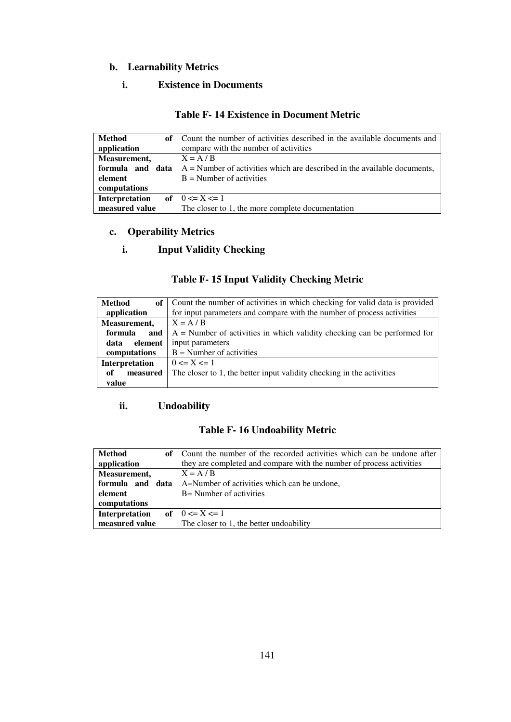### **b. Learnability Metrics**

#### **i. Existence in Documents**

#### **Table F- 14 Existence in Document Metric**

| Method<br>оf     | Count the number of activities described in the available documents and    |
|------------------|----------------------------------------------------------------------------|
| application      | compare with the number of activities                                      |
| Measurement,     | $X = A / B$                                                                |
| formula and data | $A =$ Number of activities which are described in the available documents, |
| element          | $B =$ Number of activities                                                 |
| computations     |                                                                            |
| Interpretation   | of $0 \le X \le 1$                                                         |
| measured value   | The closer to 1, the more complete documentation                           |

# **c. Operability Metrics**

#### **i. Input Validity Checking**

# **Table F- 15 Input Validity Checking Metric**

| <b>Method</b>   | of   Count the number of activities in which checking for valid data is provided |
|-----------------|----------------------------------------------------------------------------------|
| application     | for input parameters and compare with the number of process activities           |
| Measurement,    | $X = A / B$                                                                      |
| formula<br>and  | $A =$ Number of activities in which validity checking can be performed for       |
| element<br>data | input parameters                                                                 |
| computations    | $B =$ Number of activities                                                       |
| Interpretation  | $0 \le X \le 1$                                                                  |
| measured<br>оf  | The closer to 1, the better input validity checking in the activities            |
| value           |                                                                                  |

### **ii. Undoability**

### **Table F- 16 Undoability Metric**

| Method<br>of 1   | Count the number of the recorded activities which can be undone after |
|------------------|-----------------------------------------------------------------------|
| application      | they are completed and compare with the number of process activities  |
| Measurement,     | $X = A / B$                                                           |
| formula and data | A=Number of activities which can be undone,                           |
| element          | B = Number of activities                                              |
| computations     |                                                                       |
| Interpretation   | of $0 \le X \le 1$                                                    |
| measured value   | The closer to 1, the better undoability                               |